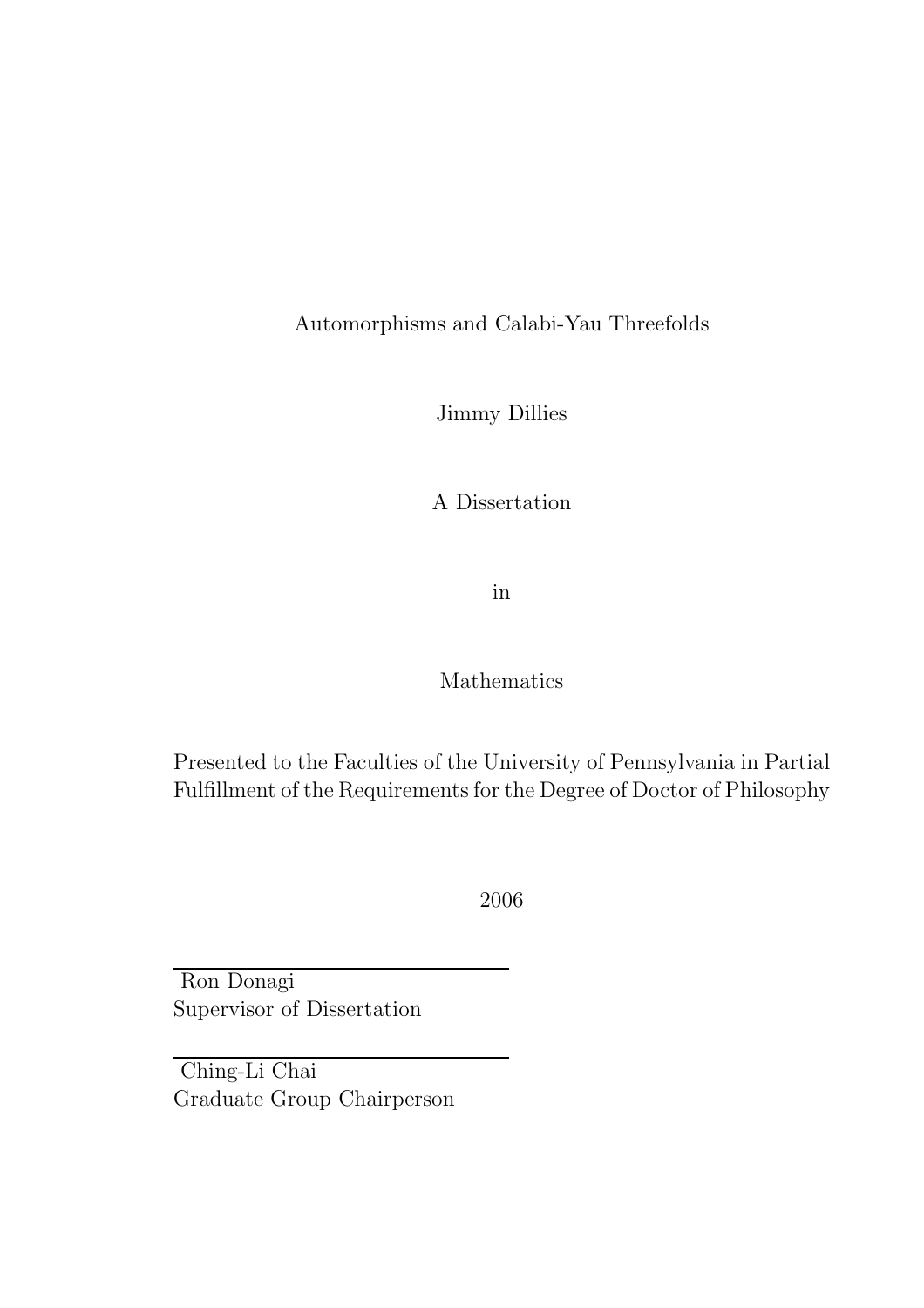Automorphisms and Calabi-Yau Threefolds

Jimmy Dillies

A Dissertation

in

## Mathematics

Presented to the Faculties of the University of Pennsylvania in Partial Fulfillment of the Requirements for the Degree of Doctor of Philosophy

2006

Ron Donagi Supervisor of Dissertation

Ching-Li Chai Graduate Group Chairperson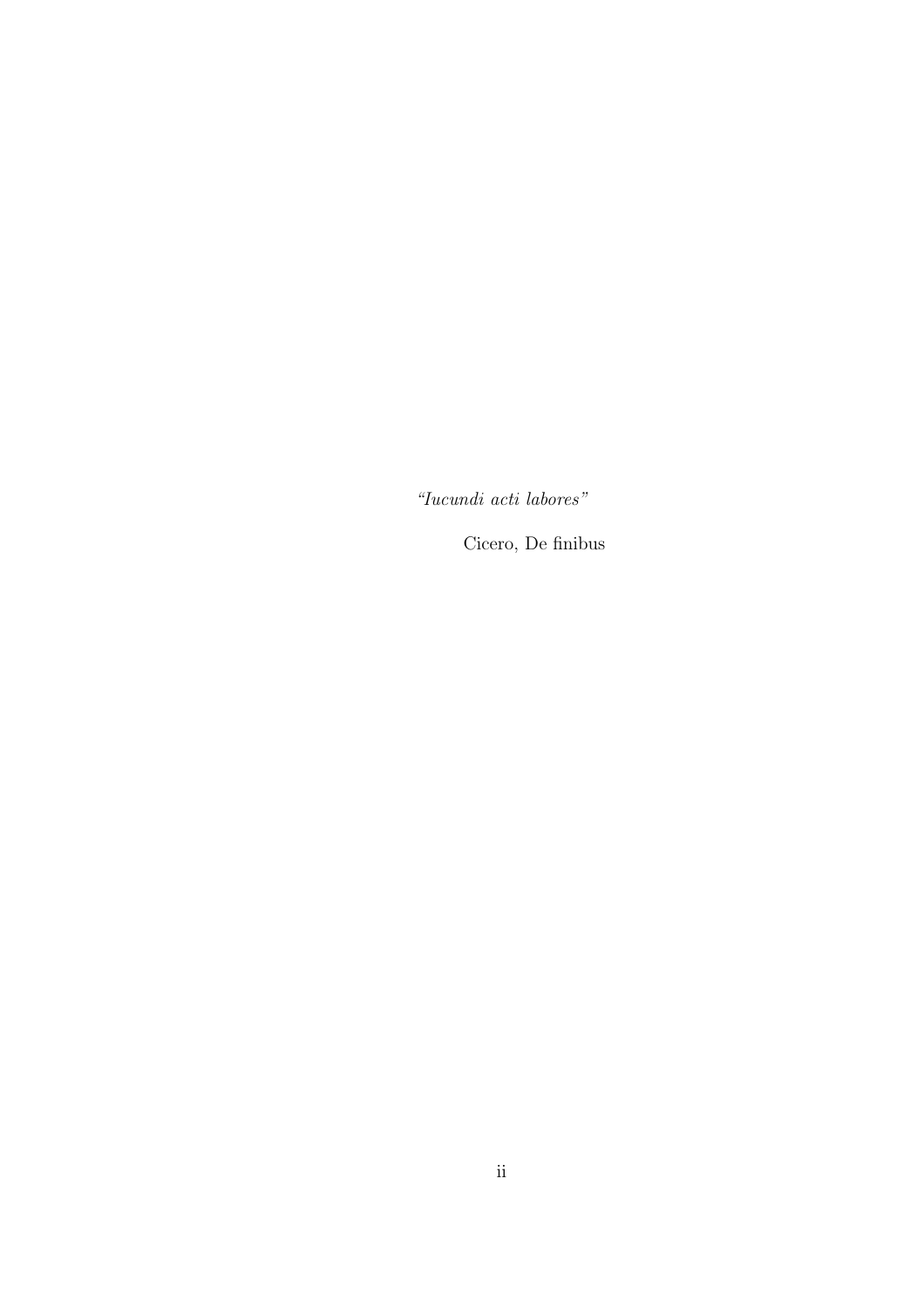*"Iucundi acti labores"*

Cicero, De finibus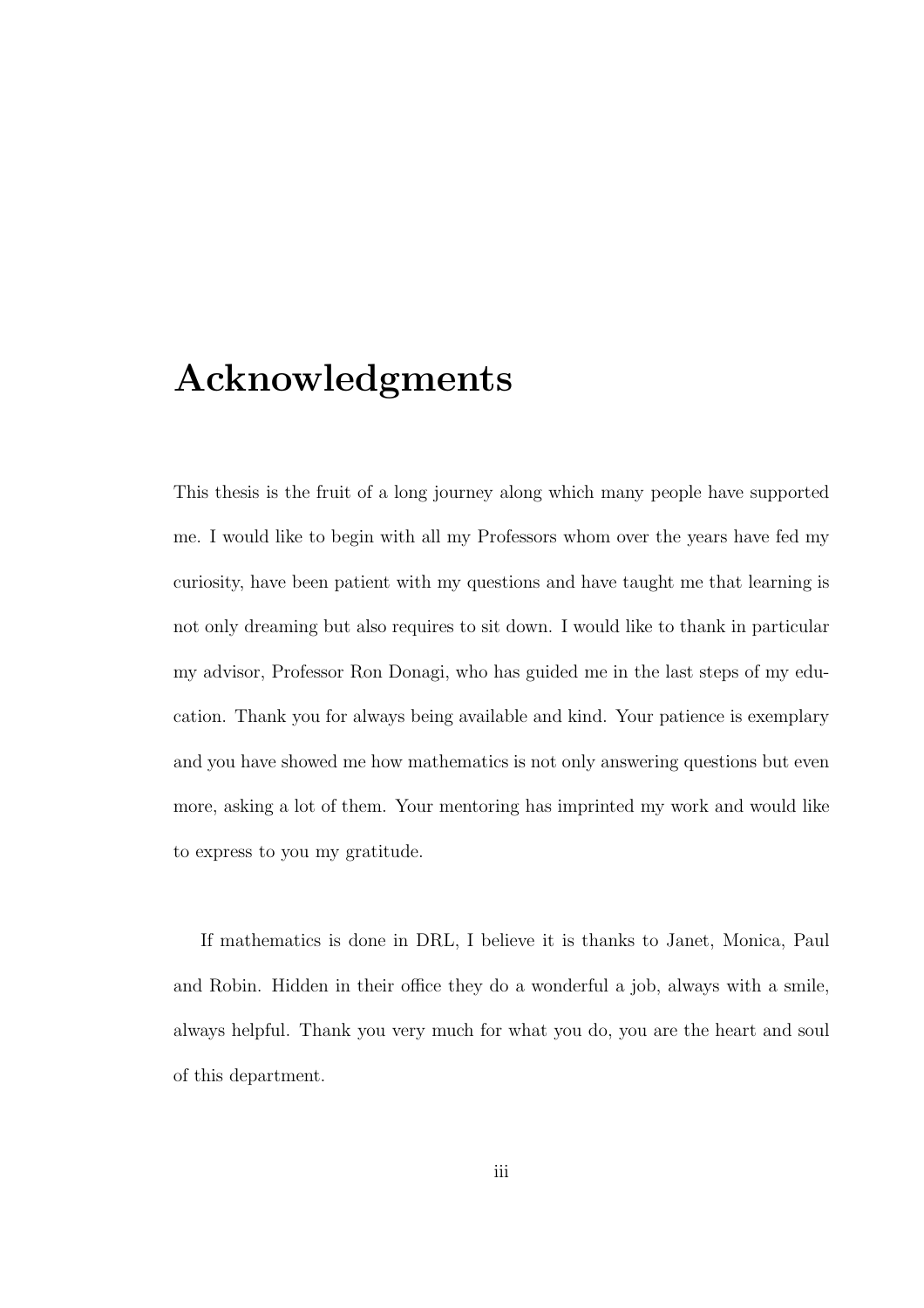## Acknowledgments

This thesis is the fruit of a long journey along which many people have supported me. I would like to begin with all my Professors whom over the years have fed my curiosity, have been patient with my questions and have taught me that learning is not only dreaming but also requires to sit down. I would like to thank in particular my advisor, Professor Ron Donagi, who has guided me in the last steps of my education. Thank you for always being available and kind. Your patience is exemplary and you have showed me how mathematics is not only answering questions but even more, asking a lot of them. Your mentoring has imprinted my work and would like to express to you my gratitude.

If mathematics is done in DRL, I believe it is thanks to Janet, Monica, Paul and Robin. Hidden in their office they do a wonderful a job, always with a smile, always helpful. Thank you very much for what you do, you are the heart and soul of this department.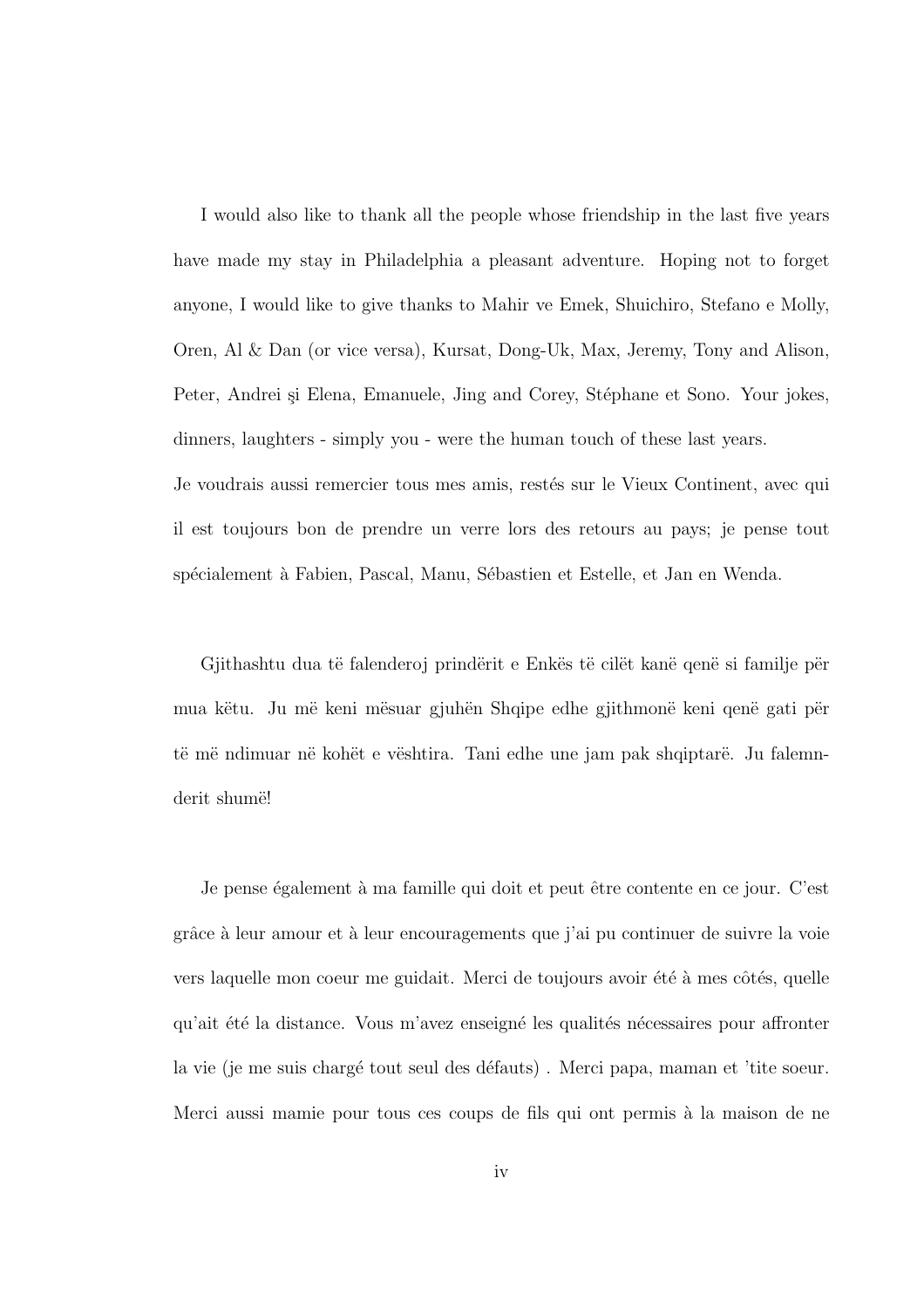I would also like to thank all the people whose friendship in the last five years have made my stay in Philadelphia a pleasant adventure. Hoping not to forget anyone, I would like to give thanks to Mahir ve Emek, Shuichiro, Stefano e Molly, Oren, Al & Dan (or vice versa), Kursat, Dong-Uk, Max, Jeremy, Tony and Alison, Peter, Andrei și Elena, Emanuele, Jing and Corey, Stéphane et Sono. Your jokes, dinners, laughters - simply you - were the human touch of these last years. Je voudrais aussi remercier tous mes amis, restés sur le Vieux Continent, avec qui il est toujours bon de prendre un verre lors des retours au pays; je pense tout sp´ecialement `a Fabien, Pascal, Manu, S´ebastien et Estelle, et Jan en Wenda.

Gjithashtu dua të falenderoj prindërit e Enkës të cilët kanë qenë si familje për mua këtu. Ju më keni mësuar gjuhën Shqipe edhe gjithmonë keni qenë gati për të më ndimuar në kohët e vështira. Tani edhe une jam pak shqiptarë. Ju falemnderit shumë!

Je pense également à ma famille qui doit et peut être contente en ce jour. C'est grâce à leur amour et à leur encouragements que j'ai pu continuer de suivre la voie vers laquelle mon coeur me guidait. Merci de toujours avoir été à mes côtés, quelle qu'ait été la distance. Vous m'avez enseigné les qualités nécessaires pour affronter la vie (je me suis chargé tout seul des défauts). Merci papa, maman et 'tite soeur. Merci aussi mamie pour tous ces coups de fils qui ont permis à la maison de ne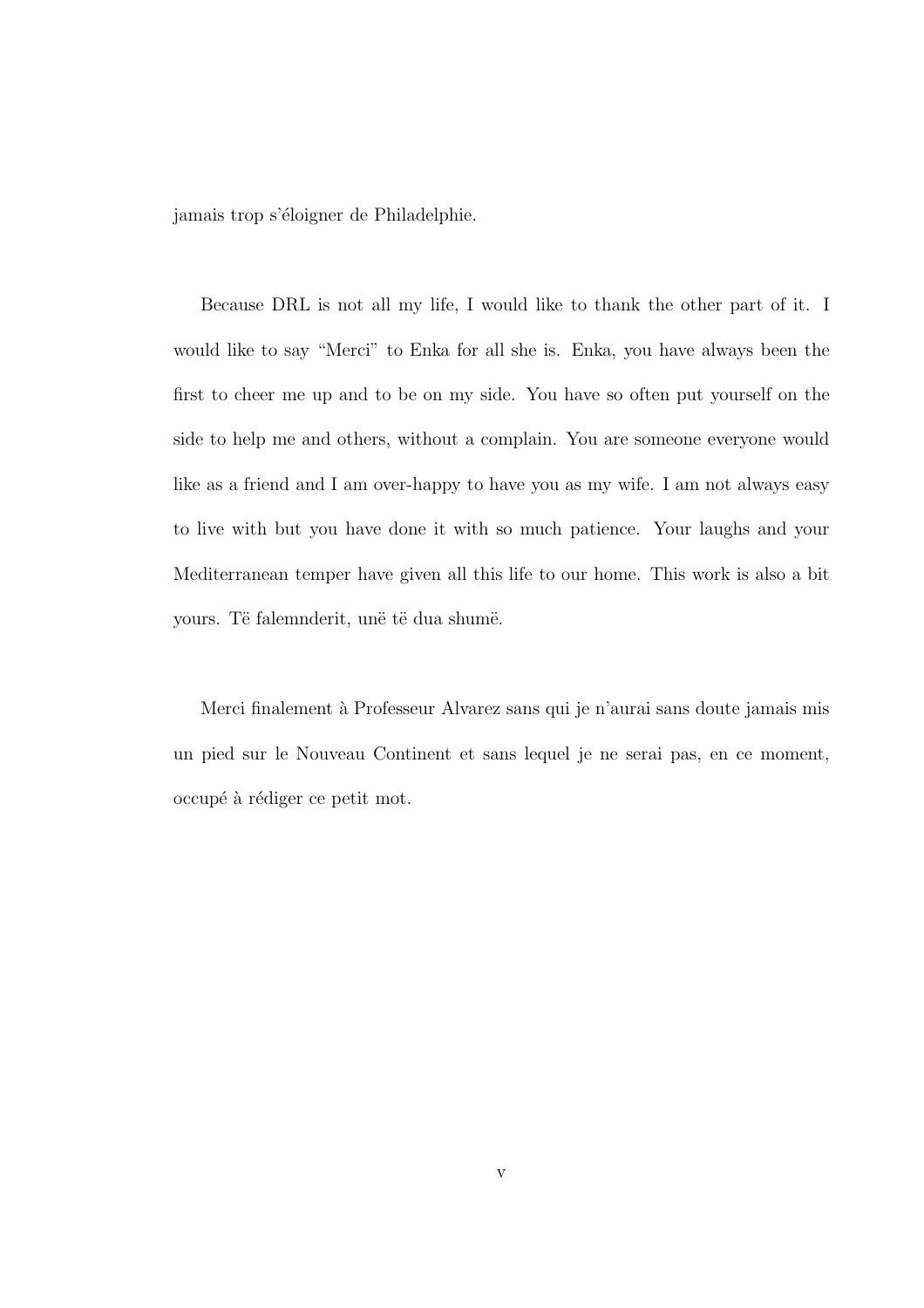jamais trop s'éloigner de Philadelphie.

Because DRL is not all my life, I would like to thank the other part of it. I would like to say "Merci" to Enka for all she is. Enka, you have always been the first to cheer me up and to be on my side. You have so often put yourself on the side to help me and others, without a complain. You are someone everyone would like as a friend and I am over-happy to have you as my wife. I am not always easy to live with but you have done it with so much patience. Your laughs and your Mediterranean temper have given all this life to our home. This work is also a bit yours. Të falemnderit, unë të dua shumë.

Merci finalement `a Professeur Alvarez sans qui je n'aurai sans doute jamais mis un pied sur le Nouveau Continent et sans lequel je ne serai pas, en ce moment, occupé à rédiger ce petit mot.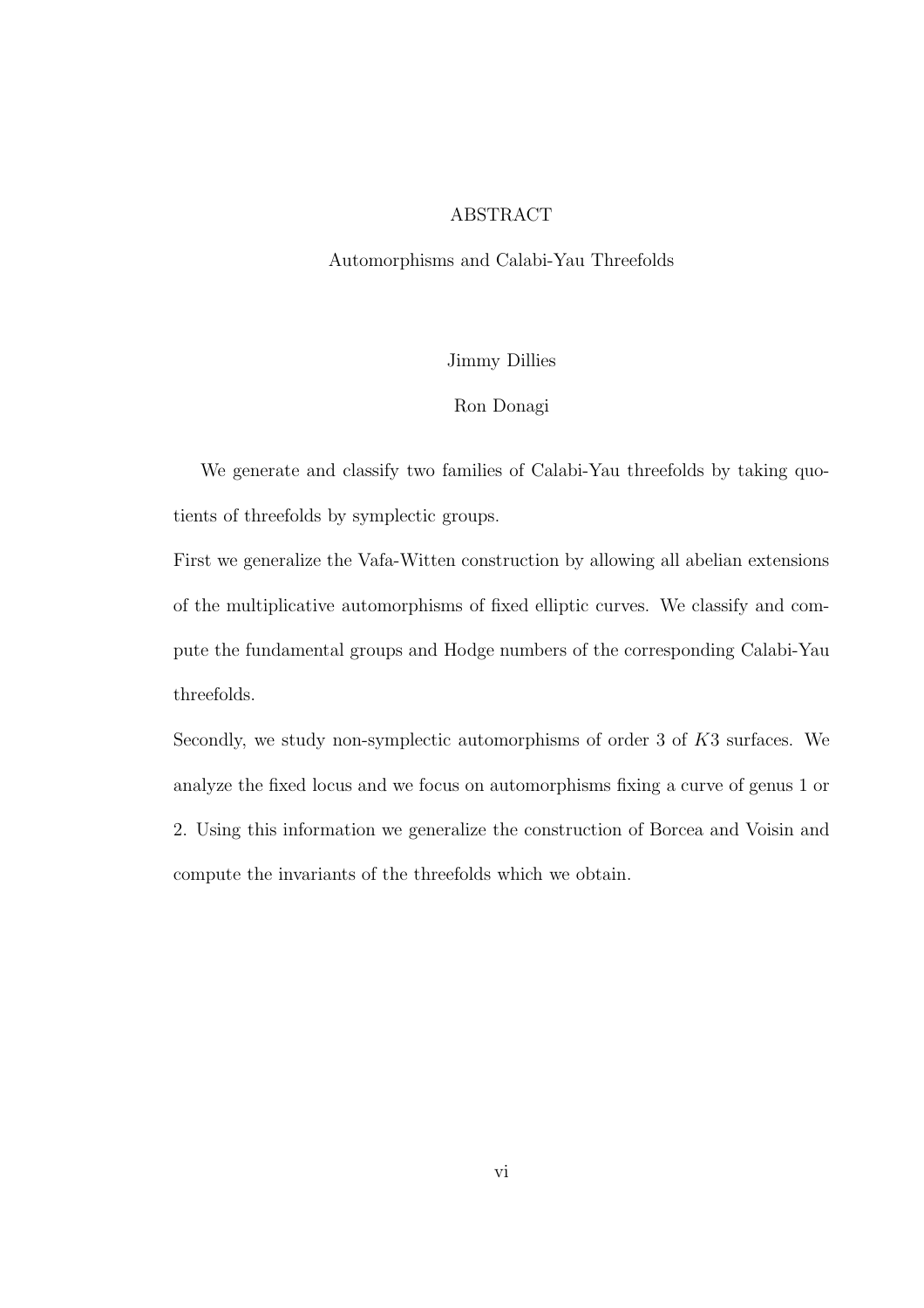### ABSTRACT

#### Automorphisms and Calabi-Yau Threefolds

#### Jimmy Dillies

#### Ron Donagi

We generate and classify two families of Calabi-Yau threefolds by taking quotients of threefolds by symplectic groups.

First we generalize the Vafa-Witten construction by allowing all abelian extensions of the multiplicative automorphisms of fixed elliptic curves. We classify and compute the fundamental groups and Hodge numbers of the corresponding Calabi-Yau threefolds.

Secondly, we study non-symplectic automorphisms of order 3 of K3 surfaces. We analyze the fixed locus and we focus on automorphisms fixing a curve of genus 1 or 2. Using this information we generalize the construction of Borcea and Voisin and compute the invariants of the threefolds which we obtain.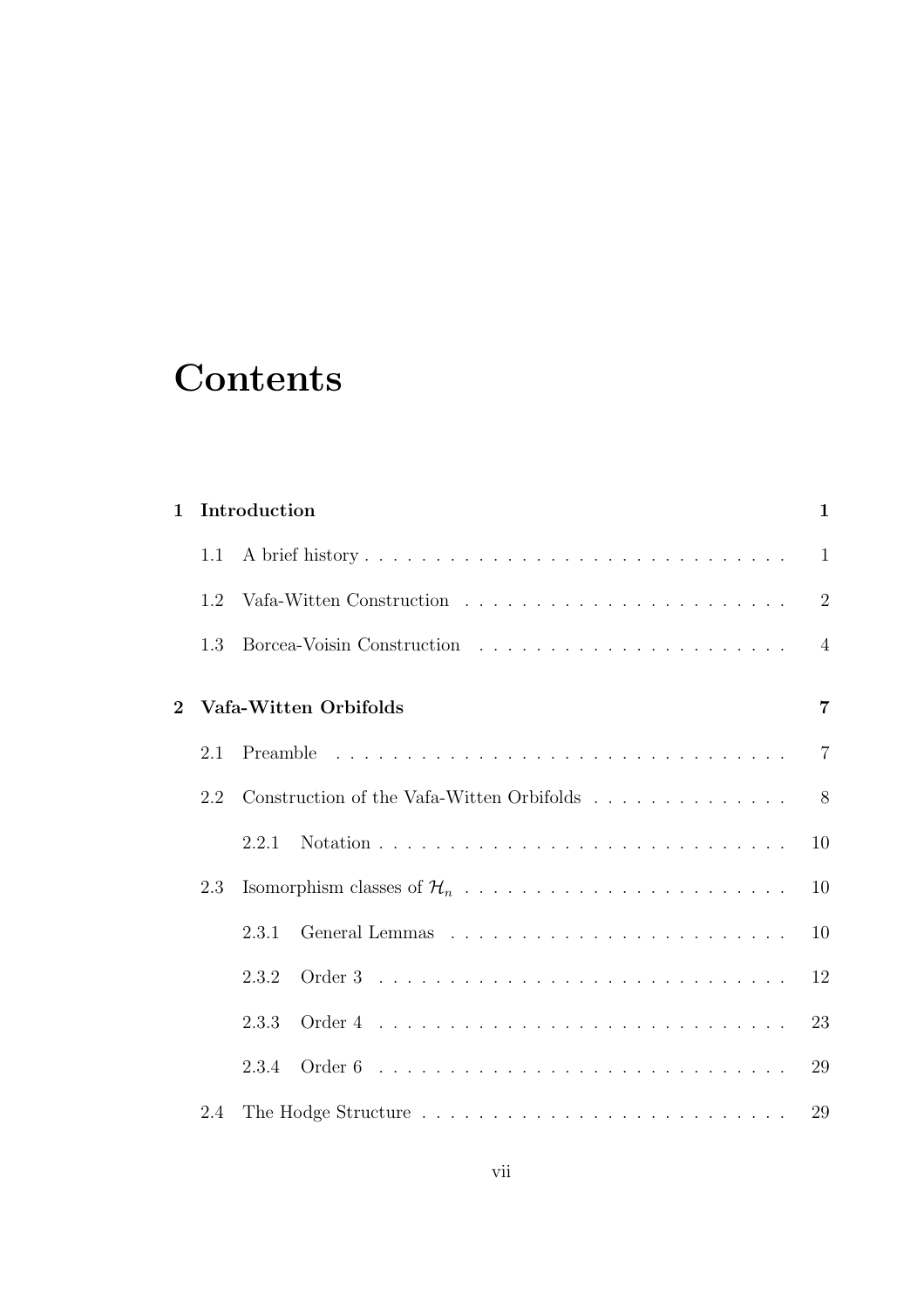# **Contents**

| $\mathbf{1}$                |     | Introduction                                                                   | $\mathbf{1}$   |
|-----------------------------|-----|--------------------------------------------------------------------------------|----------------|
|                             | 1.1 |                                                                                | $\mathbf{1}$   |
|                             | 1.2 |                                                                                | $\overline{2}$ |
|                             | 1.3 |                                                                                | $\overline{4}$ |
| $\mathcal{D}_{\mathcal{L}}$ |     | Vafa-Witten Orbifolds                                                          | $\overline{7}$ |
|                             | 2.1 |                                                                                | $\overline{7}$ |
|                             | 2.2 | Construction of the Vafa-Witten Orbifolds $\ldots \ldots \ldots \ldots \ldots$ | 8              |
|                             |     | 2.2.1                                                                          | 10             |
|                             | 2.3 |                                                                                | 10             |
|                             |     | 2.3.1                                                                          | 10             |
|                             |     | 2.3.2                                                                          | 12             |
|                             |     | 2.3.3                                                                          | 23             |
|                             |     | 2.3.4                                                                          | 29             |
|                             | 2.4 |                                                                                | 29             |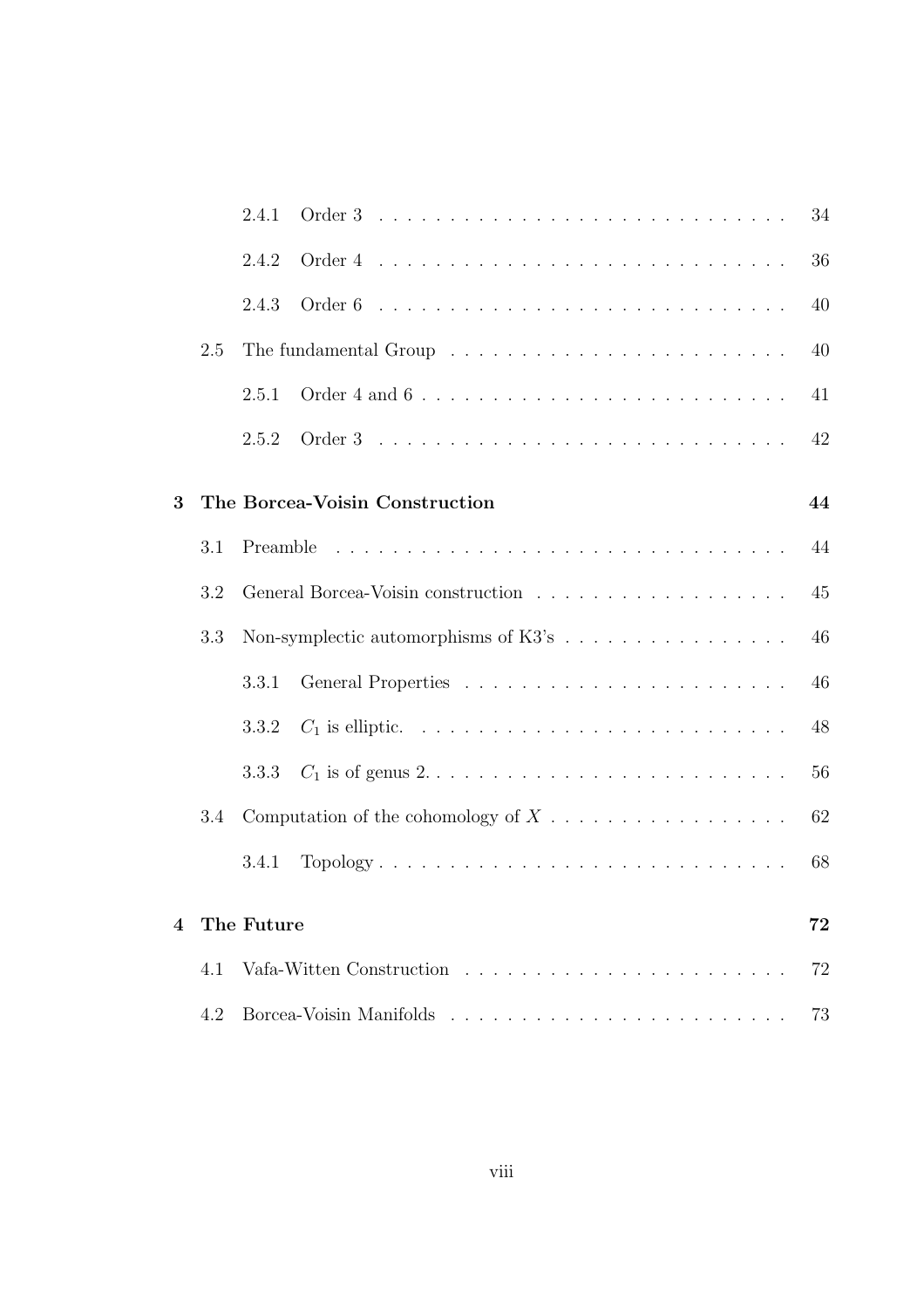|   |     | 2.4.1                                                                                         | 34 |
|---|-----|-----------------------------------------------------------------------------------------------|----|
|   |     | 2.4.2                                                                                         | 36 |
|   |     | 2.4.3                                                                                         | 40 |
|   | 2.5 |                                                                                               | 40 |
|   |     | 2.5.1                                                                                         | 41 |
|   |     | 2.5.2                                                                                         | 42 |
| 3 |     | The Borcea-Voisin Construction                                                                | 44 |
|   | 3.1 |                                                                                               | 44 |
|   | 3.2 |                                                                                               | 45 |
|   | 3.3 |                                                                                               | 46 |
|   |     | 3.3.1                                                                                         | 46 |
|   |     | 3.3.2                                                                                         | 48 |
|   |     | $C_1$ is of genus $2 \ldots \ldots \ldots \ldots \ldots \ldots \ldots \ldots \ldots$<br>3.3.3 | 56 |
|   | 3.4 |                                                                                               | 62 |
|   |     | Topology<br>3.4.1                                                                             | 68 |
| 4 |     | The Future                                                                                    | 72 |
|   | 4.1 |                                                                                               | 72 |
|   | 4.2 |                                                                                               | 73 |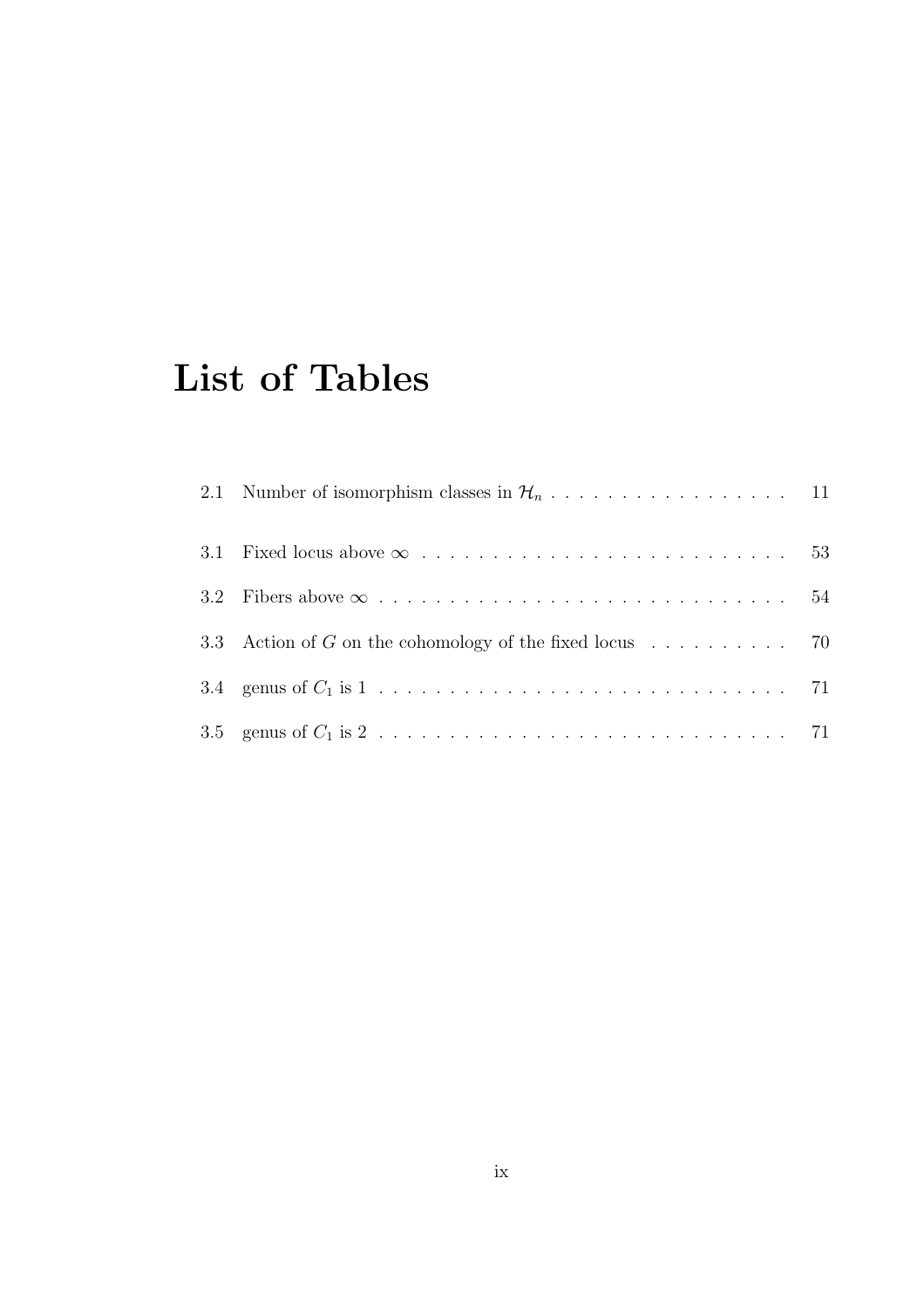# List of Tables

| 3.3 Action of G on the cohomology of the fixed locus $\ldots \ldots \ldots$ 70 |  |
|--------------------------------------------------------------------------------|--|
|                                                                                |  |
|                                                                                |  |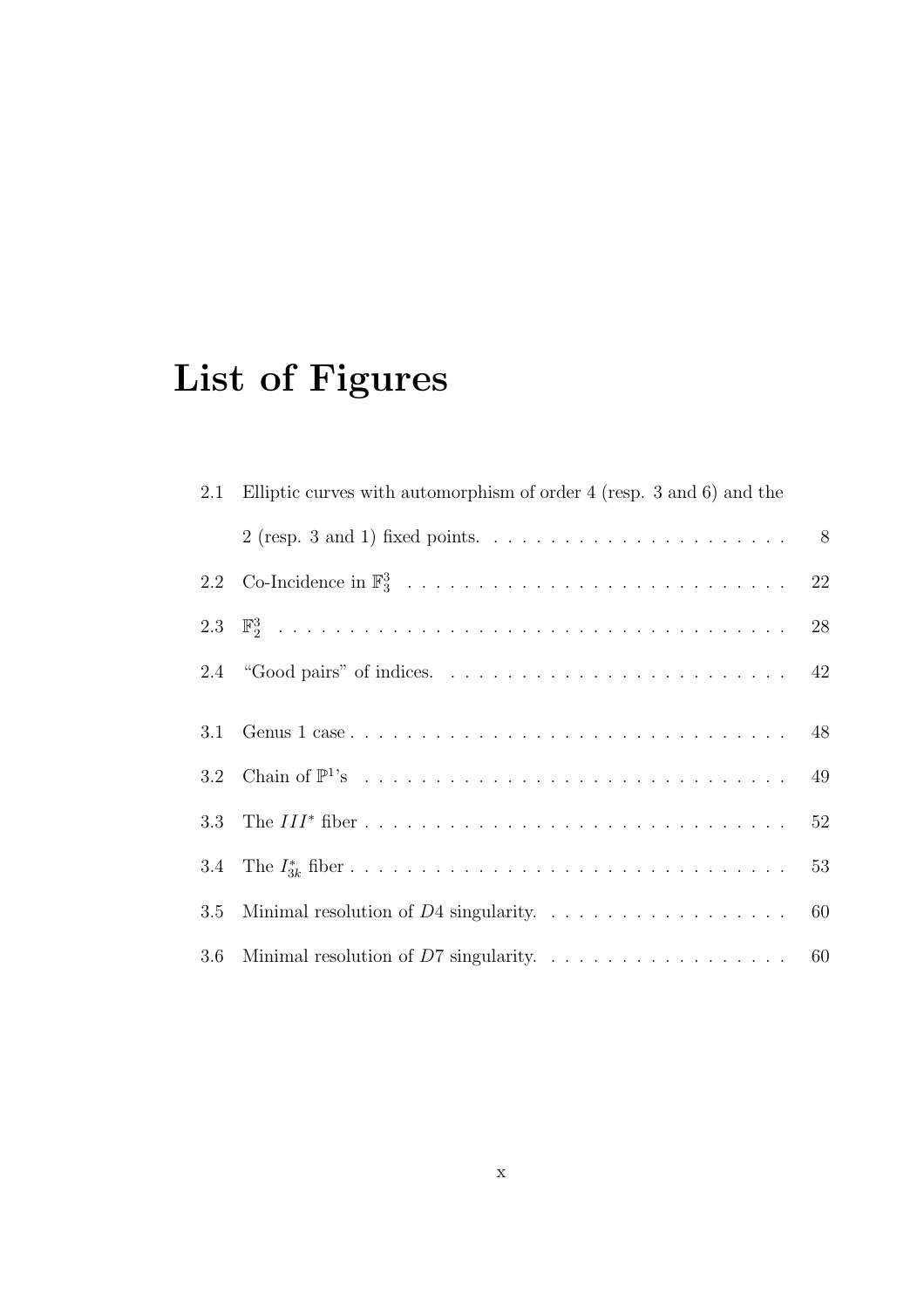# List of Figures

|     | 2.1 Elliptic curves with automorphism of order 4 (resp. 3 and 6) and the |  |
|-----|--------------------------------------------------------------------------|--|
|     |                                                                          |  |
|     |                                                                          |  |
|     |                                                                          |  |
|     |                                                                          |  |
|     |                                                                          |  |
|     |                                                                          |  |
|     |                                                                          |  |
|     |                                                                          |  |
| 3.5 |                                                                          |  |
|     |                                                                          |  |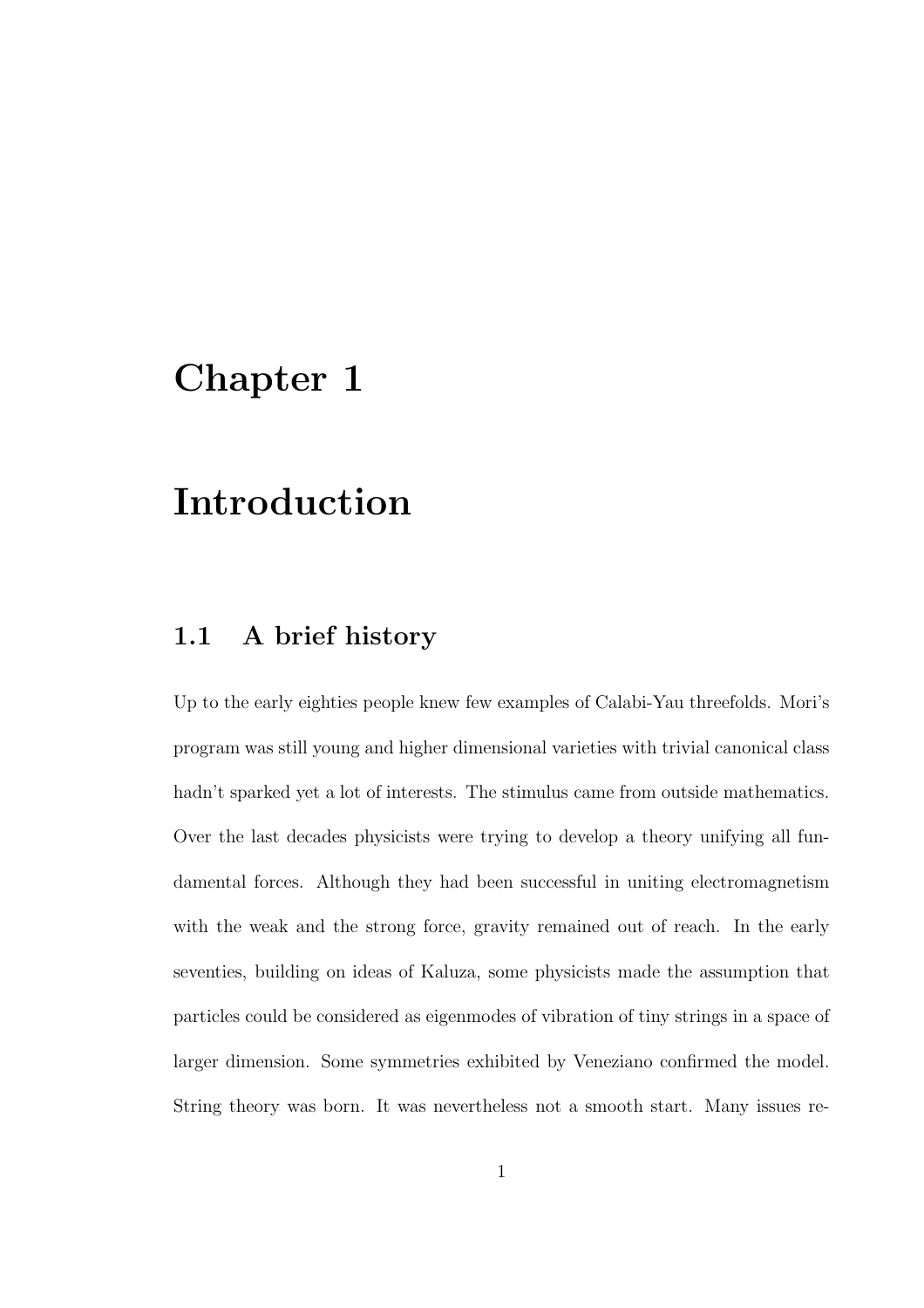## Chapter 1

## Introduction

## 1.1 A brief history

Up to the early eighties people knew few examples of Calabi-Yau threefolds. Mori's program was still young and higher dimensional varieties with trivial canonical class hadn't sparked yet a lot of interests. The stimulus came from outside mathematics. Over the last decades physicists were trying to develop a theory unifying all fundamental forces. Although they had been successful in uniting electromagnetism with the weak and the strong force, gravity remained out of reach. In the early seventies, building on ideas of Kaluza, some physicists made the assumption that particles could be considered as eigenmodes of vibration of tiny strings in a space of larger dimension. Some symmetries exhibited by Veneziano confirmed the model. String theory was born. It was nevertheless not a smooth start. Many issues re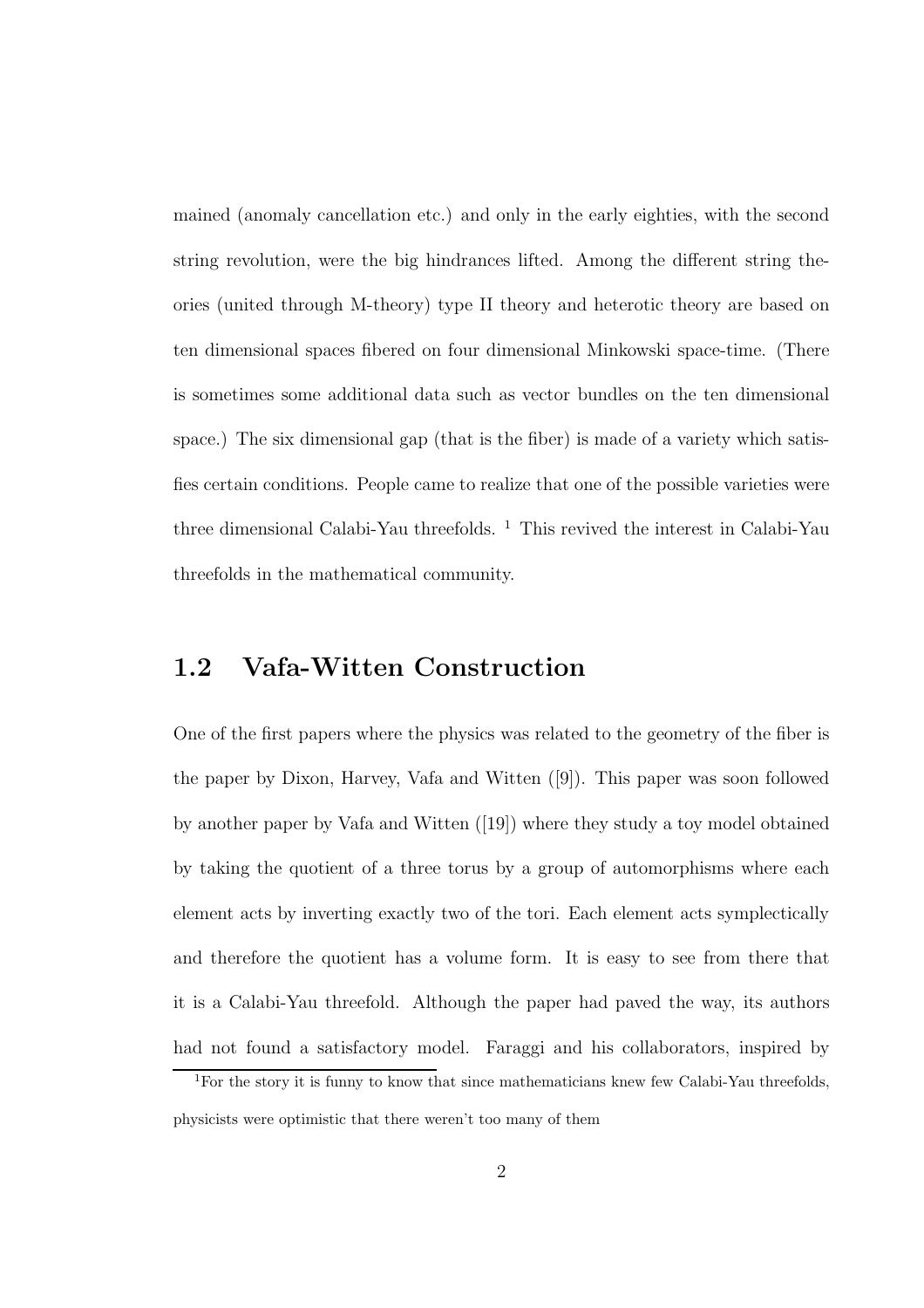mained (anomaly cancellation etc.) and only in the early eighties, with the second string revolution, were the big hindrances lifted. Among the different string theories (united through M-theory) type II theory and heterotic theory are based on ten dimensional spaces fibered on four dimensional Minkowski space-time. (There is sometimes some additional data such as vector bundles on the ten dimensional space.) The six dimensional gap (that is the fiber) is made of a variety which satisfies certain conditions. People came to realize that one of the possible varieties were three dimensional Calabi-Yau threefolds. <sup>1</sup> This revived the interest in Calabi-Yau threefolds in the mathematical community.

## 1.2 Vafa-Witten Construction

One of the first papers where the physics was related to the geometry of the fiber is the paper by Dixon, Harvey, Vafa and Witten ([9]). This paper was soon followed by another paper by Vafa and Witten ([19]) where they study a toy model obtained by taking the quotient of a three torus by a group of automorphisms where each element acts by inverting exactly two of the tori. Each element acts symplectically and therefore the quotient has a volume form. It is easy to see from there that it is a Calabi-Yau threefold. Although the paper had paved the way, its authors had not found a satisfactory model. Faraggi and his collaborators, inspired by

<sup>&</sup>lt;sup>1</sup>For the story it is funny to know that since mathematicians knew few Calabi-Yau threefolds. physicists were optimistic that there weren't too many of them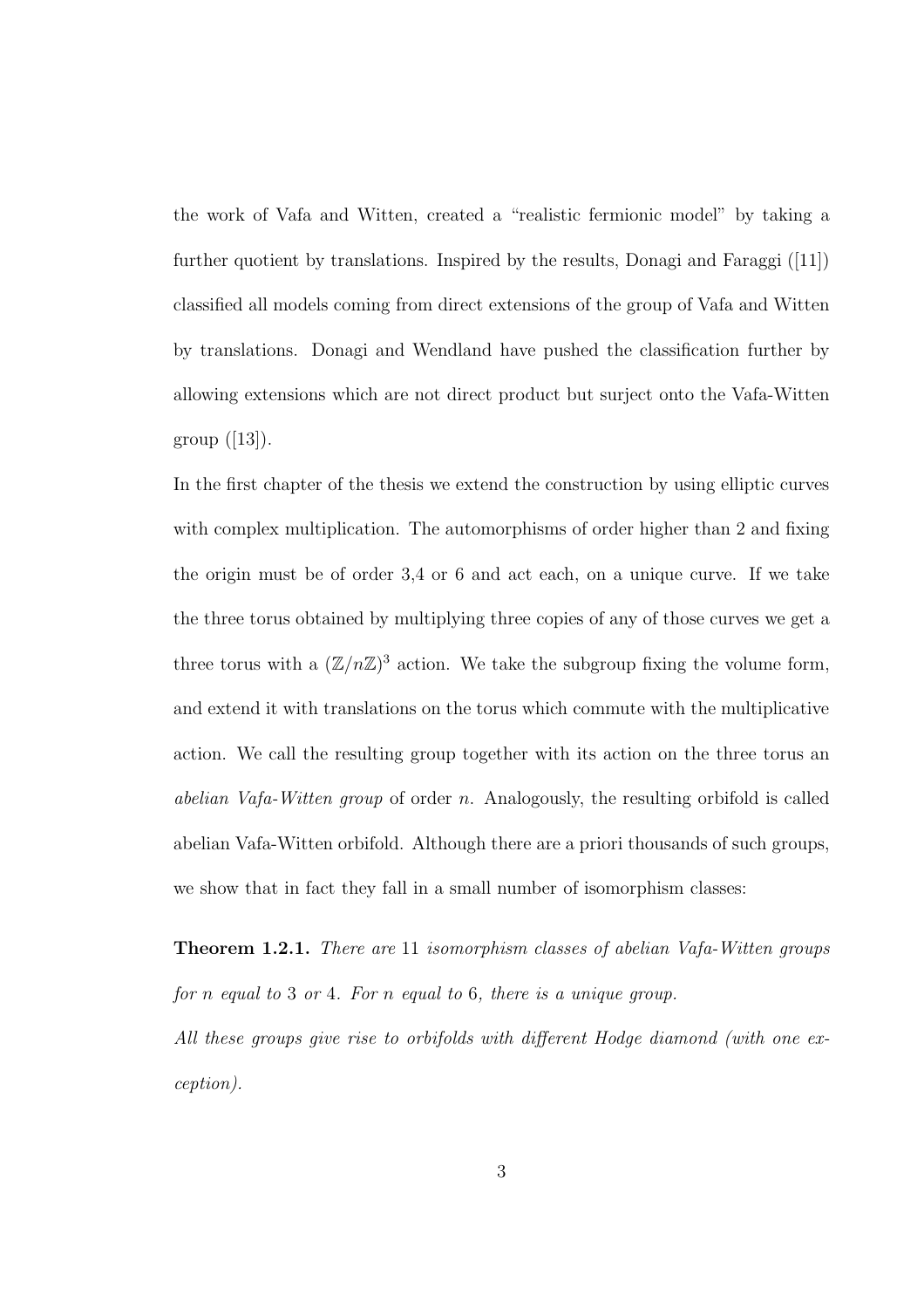the work of Vafa and Witten, created a "realistic fermionic model" by taking a further quotient by translations. Inspired by the results, Donagi and Faraggi ([11]) classified all models coming from direct extensions of the group of Vafa and Witten by translations. Donagi and Wendland have pushed the classification further by allowing extensions which are not direct product but surject onto the Vafa-Witten group  $([13])$ .

In the first chapter of the thesis we extend the construction by using elliptic curves with complex multiplication. The automorphisms of order higher than 2 and fixing the origin must be of order 3,4 or 6 and act each, on a unique curve. If we take the three torus obtained by multiplying three copies of any of those curves we get a three torus with a  $(\mathbb{Z}/n\mathbb{Z})^3$  action. We take the subgroup fixing the volume form, and extend it with translations on the torus which commute with the multiplicative action. We call the resulting group together with its action on the three torus an *abelian Vafa-Witten group* of order n. Analogously, the resulting orbifold is called abelian Vafa-Witten orbifold. Although there are a priori thousands of such groups, we show that in fact they fall in a small number of isomorphism classes:

Theorem 1.2.1. *There are* 11 *isomorphism classes of abelian Vafa-Witten groups for* n *equal to* 3 *or* 4*. For* n *equal to* 6*, there is a unique group.*

*All these groups give rise to orbifolds with different Hodge diamond (with one exception).*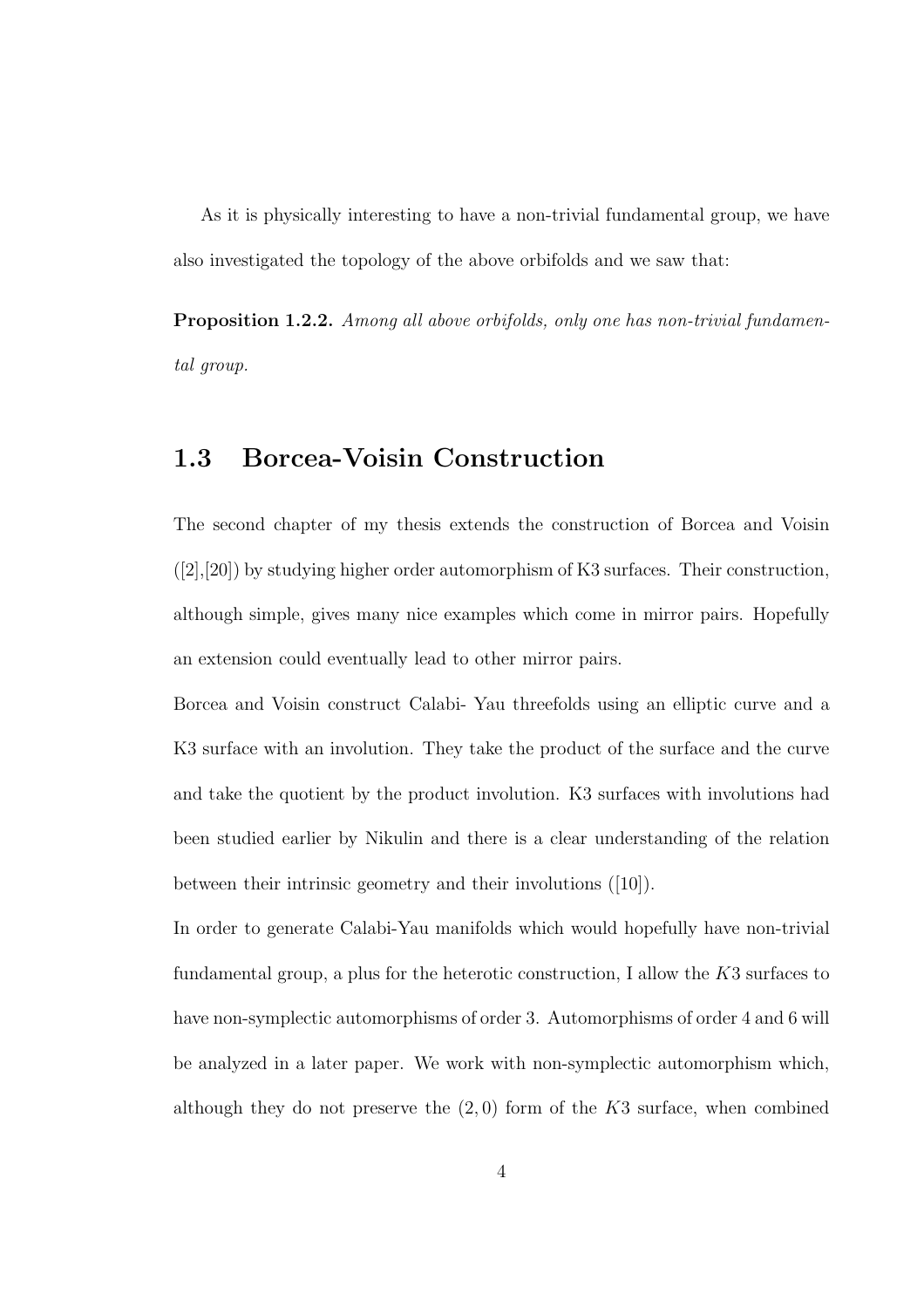As it is physically interesting to have a non-trivial fundamental group, we have also investigated the topology of the above orbifolds and we saw that:

Proposition 1.2.2. *Among all above orbifolds, only one has non-trivial fundamental group.*

## 1.3 Borcea-Voisin Construction

The second chapter of my thesis extends the construction of Borcea and Voisin  $([2],[20])$  by studying higher order automorphism of K3 surfaces. Their construction, although simple, gives many nice examples which come in mirror pairs. Hopefully an extension could eventually lead to other mirror pairs.

Borcea and Voisin construct Calabi- Yau threefolds using an elliptic curve and a K3 surface with an involution. They take the product of the surface and the curve and take the quotient by the product involution. K3 surfaces with involutions had been studied earlier by Nikulin and there is a clear understanding of the relation between their intrinsic geometry and their involutions ([10]).

In order to generate Calabi-Yau manifolds which would hopefully have non-trivial fundamental group, a plus for the heterotic construction, I allow the  $K3$  surfaces to have non-symplectic automorphisms of order 3. Automorphisms of order 4 and 6 will be analyzed in a later paper. We work with non-symplectic automorphism which, although they do not preserve the  $(2,0)$  form of the K3 surface, when combined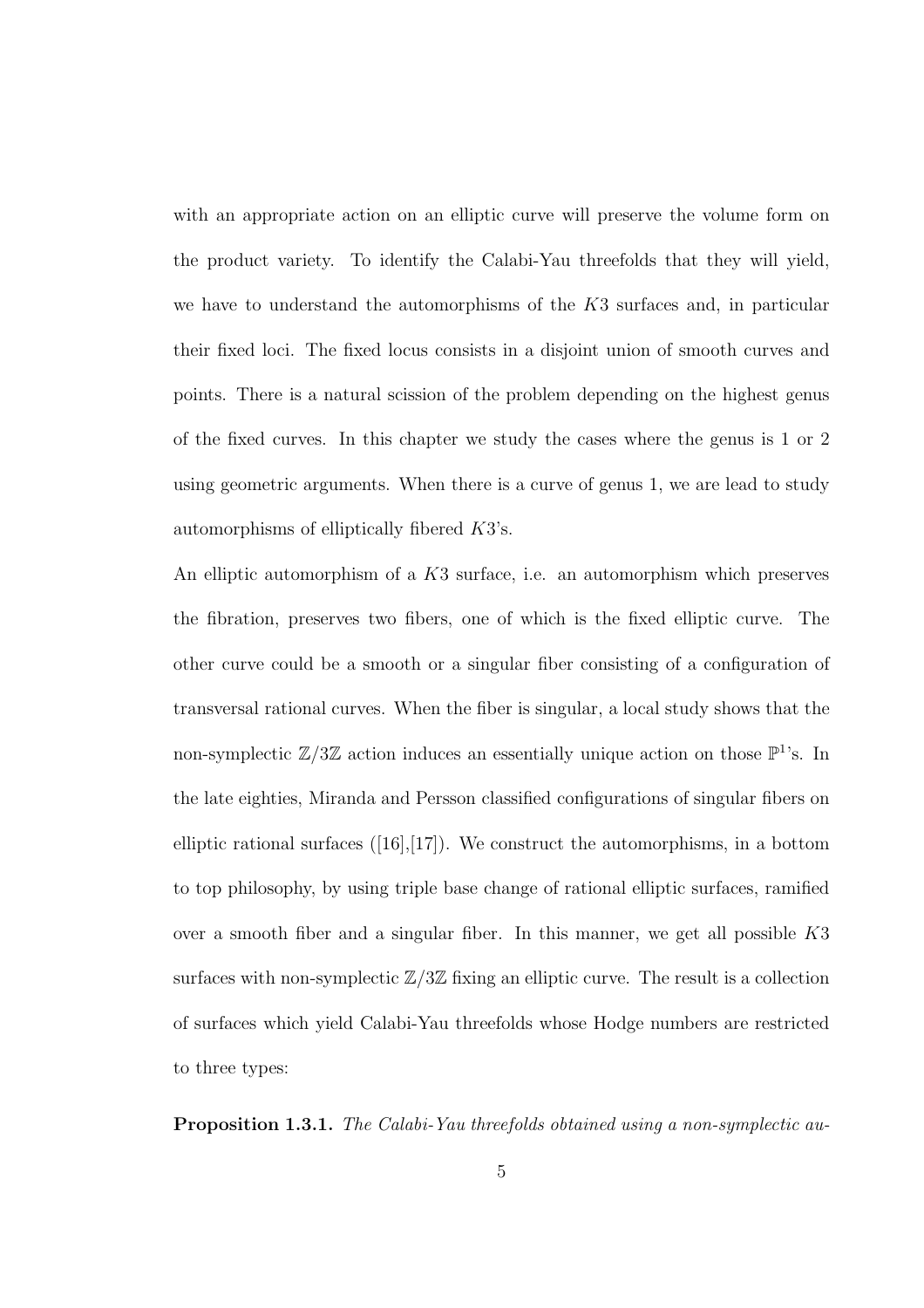with an appropriate action on an elliptic curve will preserve the volume form on the product variety. To identify the Calabi-Yau threefolds that they will yield, we have to understand the automorphisms of the K3 surfaces and, in particular their fixed loci. The fixed locus consists in a disjoint union of smooth curves and points. There is a natural scission of the problem depending on the highest genus of the fixed curves. In this chapter we study the cases where the genus is 1 or 2 using geometric arguments. When there is a curve of genus 1, we are lead to study automorphisms of elliptically fibered K3's.

An elliptic automorphism of a K3 surface, i.e. an automorphism which preserves the fibration, preserves two fibers, one of which is the fixed elliptic curve. The other curve could be a smooth or a singular fiber consisting of a configuration of transversal rational curves. When the fiber is singular, a local study shows that the non-symplectic  $\mathbb{Z}/3\mathbb{Z}$  action induces an essentially unique action on those  $\mathbb{P}^1$ 's. In the late eighties, Miranda and Persson classified configurations of singular fibers on elliptic rational surfaces  $([16],[17])$ . We construct the automorphisms, in a bottom to top philosophy, by using triple base change of rational elliptic surfaces, ramified over a smooth fiber and a singular fiber. In this manner, we get all possible  $K3$ surfaces with non-symplectic  $\mathbb{Z}/3\mathbb{Z}$  fixing an elliptic curve. The result is a collection of surfaces which yield Calabi-Yau threefolds whose Hodge numbers are restricted to three types:

Proposition 1.3.1. *The Calabi-Yau threefolds obtained using a non-symplectic au-*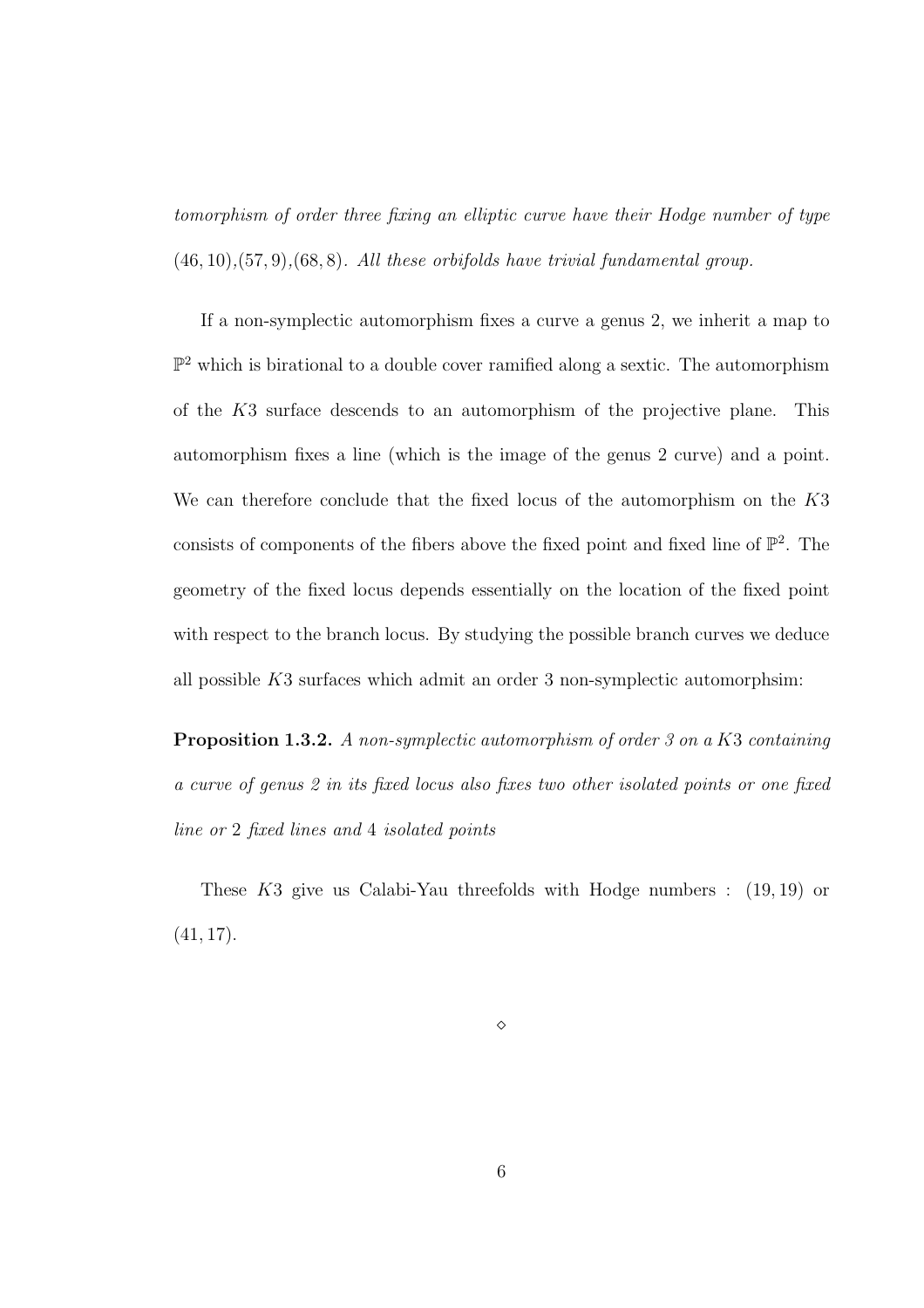*tomorphism of order three fixing an elliptic curve have their Hodge number of type* (46, 10)*,*(57, 9)*,*(68, 8)*. All these orbifolds have trivial fundamental group.*

If a non-symplectic automorphism fixes a curve a genus 2, we inherit a map to  $\mathbb{P}^2$  which is birational to a double cover ramified along a sextic. The automorphism of the K3 surface descends to an automorphism of the projective plane. This automorphism fixes a line (which is the image of the genus 2 curve) and a point. We can therefore conclude that the fixed locus of the automorphism on the K3 consists of components of the fibers above the fixed point and fixed line of  $\mathbb{P}^2$ . The geometry of the fixed locus depends essentially on the location of the fixed point with respect to the branch locus. By studying the possible branch curves we deduce all possible  $K3$  surfaces which admit an order 3 non-symplectic automorphsim:

Proposition 1.3.2. *A non-symplectic automorphism of order 3 on a* K3 *containing a curve of genus 2 in its fixed locus also fixes two other isolated points or one fixed line or* 2 *fixed lines and* 4 *isolated points*

These K3 give us Calabi-Yau threefolds with Hodge numbers : (19, 19) or  $(41, 17)$ .

⋄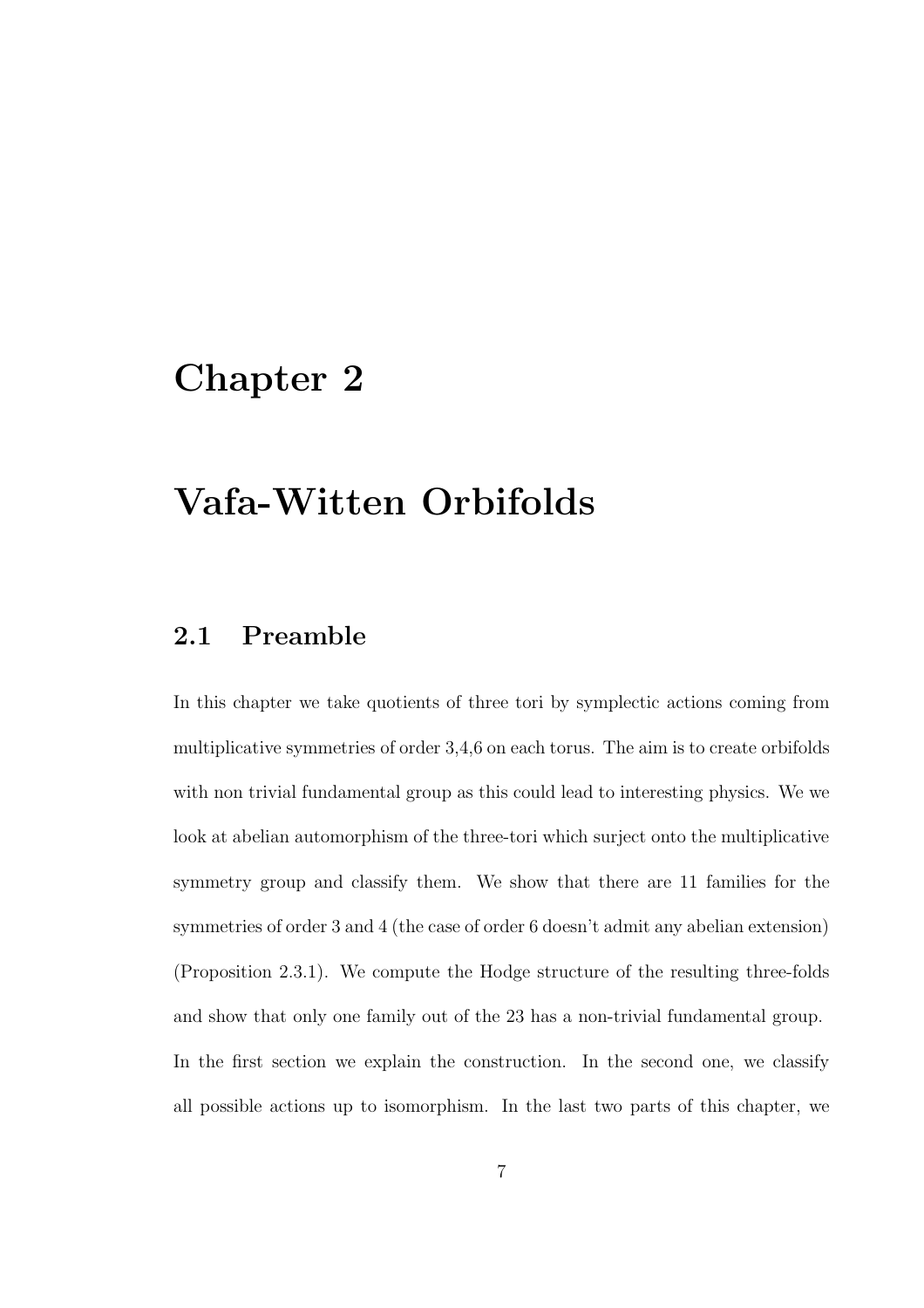## Chapter 2

## Vafa-Witten Orbifolds

## 2.1 Preamble

In this chapter we take quotients of three tori by symplectic actions coming from multiplicative symmetries of order 3,4,6 on each torus. The aim is to create orbifolds with non trivial fundamental group as this could lead to interesting physics. We we look at abelian automorphism of the three-tori which surject onto the multiplicative symmetry group and classify them. We show that there are 11 families for the symmetries of order 3 and 4 (the case of order 6 doesn't admit any abelian extension) (Proposition 2.3.1). We compute the Hodge structure of the resulting three-folds and show that only one family out of the 23 has a non-trivial fundamental group. In the first section we explain the construction. In the second one, we classify all possible actions up to isomorphism. In the last two parts of this chapter, we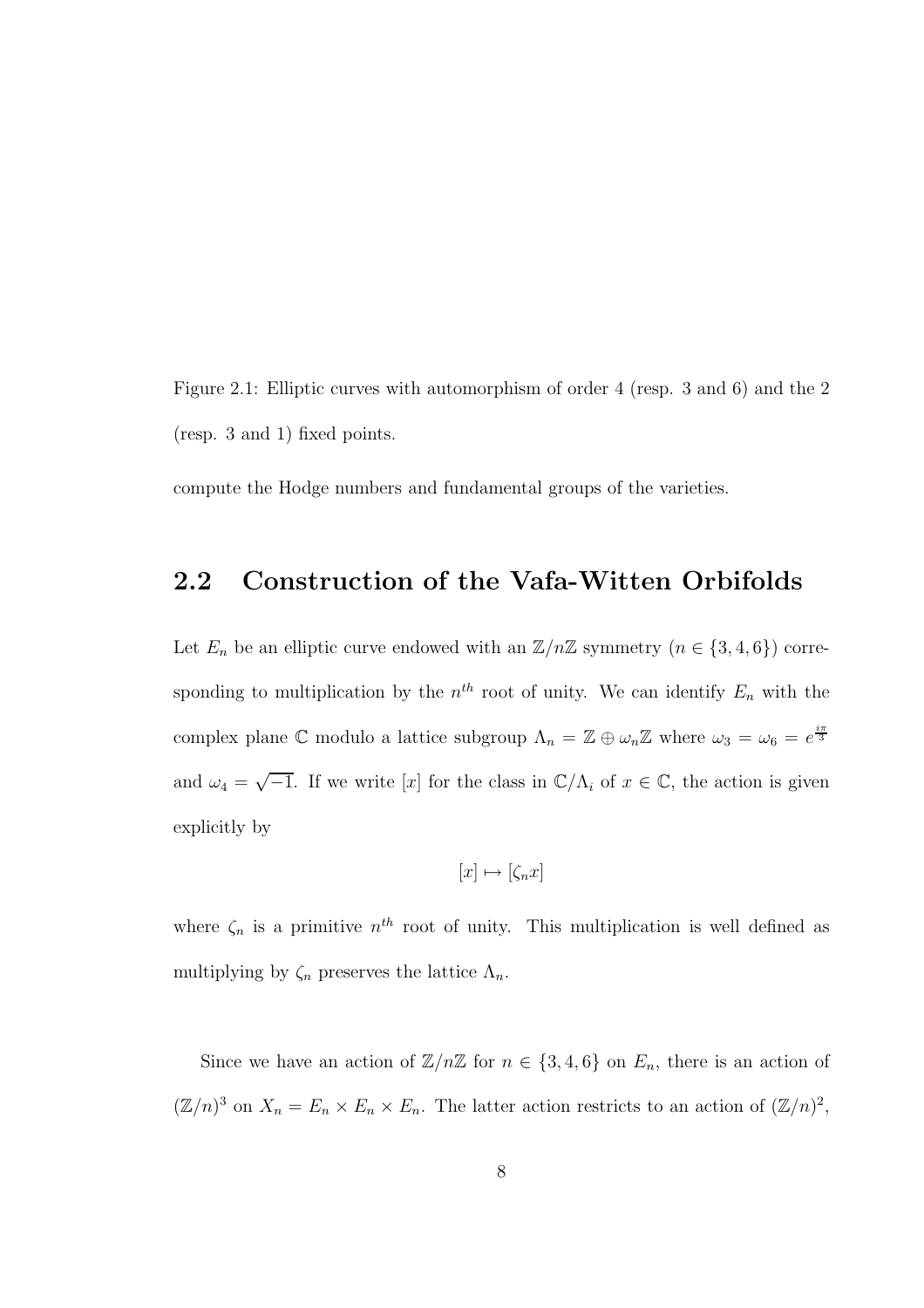Figure 2.1: Elliptic curves with automorphism of order 4 (resp. 3 and 6) and the 2 (resp. 3 and 1) fixed points.

compute the Hodge numbers and fundamental groups of the varieties.

## 2.2 Construction of the Vafa-Witten Orbifolds

Let  $E_n$  be an elliptic curve endowed with an  $\mathbb{Z}/n\mathbb{Z}$  symmetry  $(n \in \{3, 4, 6\})$  corresponding to multiplication by the  $n^{th}$  root of unity. We can identify  $E_n$  with the complex plane C modulo a lattice subgroup  $\Lambda_n = \mathbb{Z} \oplus \omega_n \mathbb{Z}$  where  $\omega_3 = \omega_6 = e^{\frac{i\pi}{3}}$ and  $\omega_4 = \sqrt{-1}$ . If we write [x] for the class in  $\mathbb{C}/\Lambda_i$  of  $x \in \mathbb{C}$ , the action is given explicitly by

$$
[x] \mapsto [\zeta_n x]
$$

where  $\zeta_n$  is a primitive  $n^{th}$  root of unity. This multiplication is well defined as multiplying by  $\zeta_n$  preserves the lattice  $\Lambda_n$ .

Since we have an action of  $\mathbb{Z}/n\mathbb{Z}$  for  $n \in \{3, 4, 6\}$  on  $E_n$ , there is an action of  $(\mathbb{Z}/n)^3$  on  $X_n = E_n \times E_n \times E_n$ . The latter action restricts to an action of  $(\mathbb{Z}/n)^2$ ,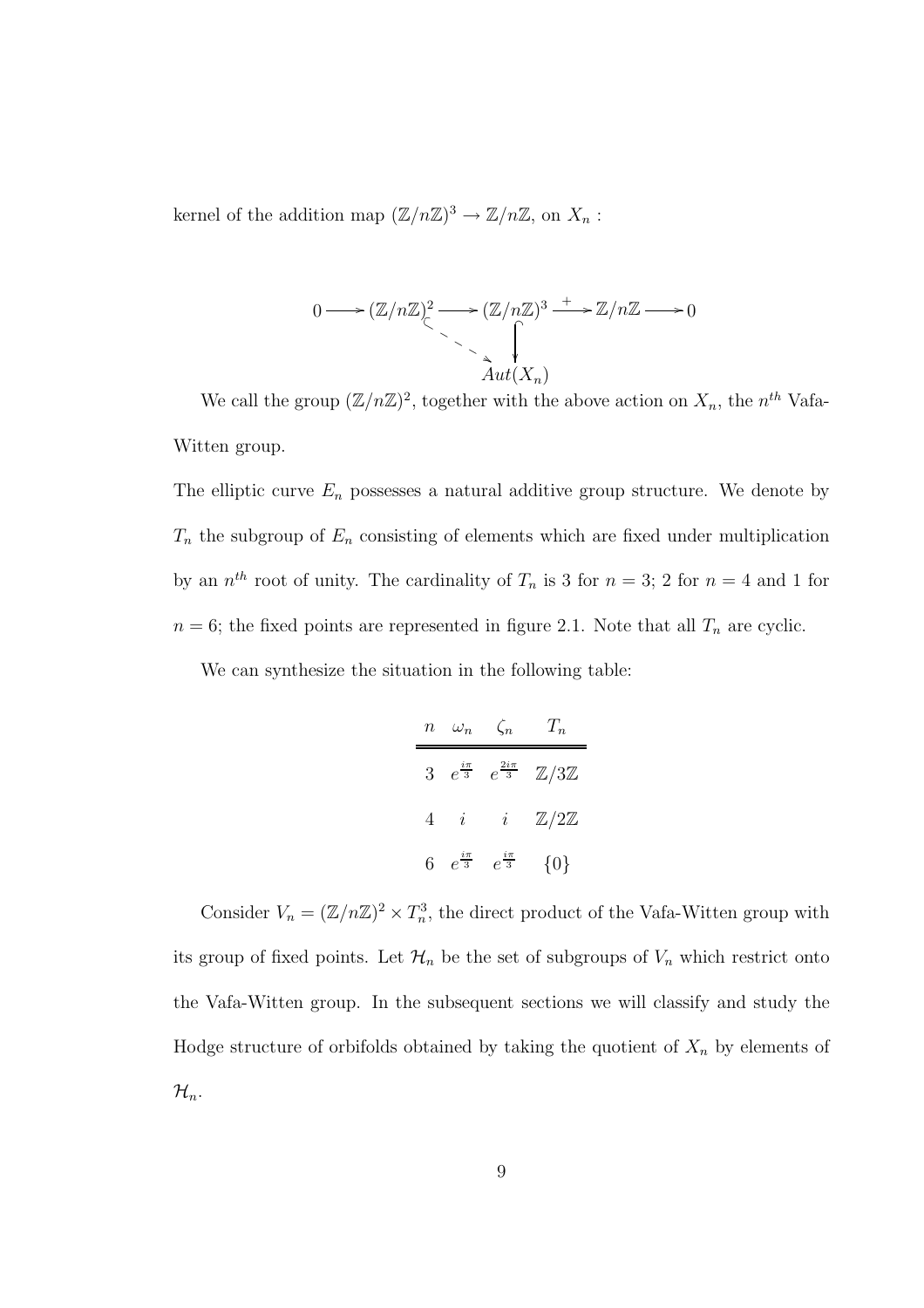kernel of the addition map  $(\mathbb{Z}/n\mathbb{Z})^3 \to \mathbb{Z}/n\mathbb{Z}$ , on  $X_n$ :

$$
0 \longrightarrow (\mathbb{Z}/n\mathbb{Z})^2 \longrightarrow (\mathbb{Z}/n\mathbb{Z})^3 \longrightarrow \mathbb{Z}/n\mathbb{Z} \longrightarrow 0
$$
  
 
$$
\longrightarrow \bigcap_{\Delta ut(X_n)}^{\Delta ut(X_n)}
$$

We call the group  $(\mathbb{Z}/n\mathbb{Z})^2$ , together with the above action on  $X_n$ , the  $n^{th}$  Vafa-Witten group.

The elliptic curve  $E_n$  possesses a natural additive group structure. We denote by  $T_n$  the subgroup of  $E_n$  consisting of elements which are fixed under multiplication by an  $n^{th}$  root of unity. The cardinality of  $T_n$  is 3 for  $n = 3$ ; 2 for  $n = 4$  and 1 for  $n = 6$ ; the fixed points are represented in figure 2.1. Note that all  $T_n$  are cyclic.

We can synthesize the situation in the following table:

| $\it n$        | $\omega_n$           | $\zeta_n$                                  | $T_n$                    |
|----------------|----------------------|--------------------------------------------|--------------------------|
| $\overline{3}$ |                      | $e^{\frac{i\pi}{3}}$ $e^{\frac{2i\pi}{3}}$ | $\mathbb{Z}/3\mathbb{Z}$ |
| 4              | i                    | i                                          | $\mathbb{Z}/2\mathbb{Z}$ |
| 6              | $e^{\frac{i\pi}{3}}$ | $e^{\frac{i\pi}{3}}$                       | $\{0\}$                  |

Consider  $V_n = (\mathbb{Z}/n\mathbb{Z})^2 \times T_n^3$ , the direct product of the Vafa-Witten group with its group of fixed points. Let  $\mathcal{H}_n$  be the set of subgroups of  $V_n$  which restrict onto the Vafa-Witten group. In the subsequent sections we will classify and study the Hodge structure of orbifolds obtained by taking the quotient of  $X_n$  by elements of  $\mathcal{H}_n$ .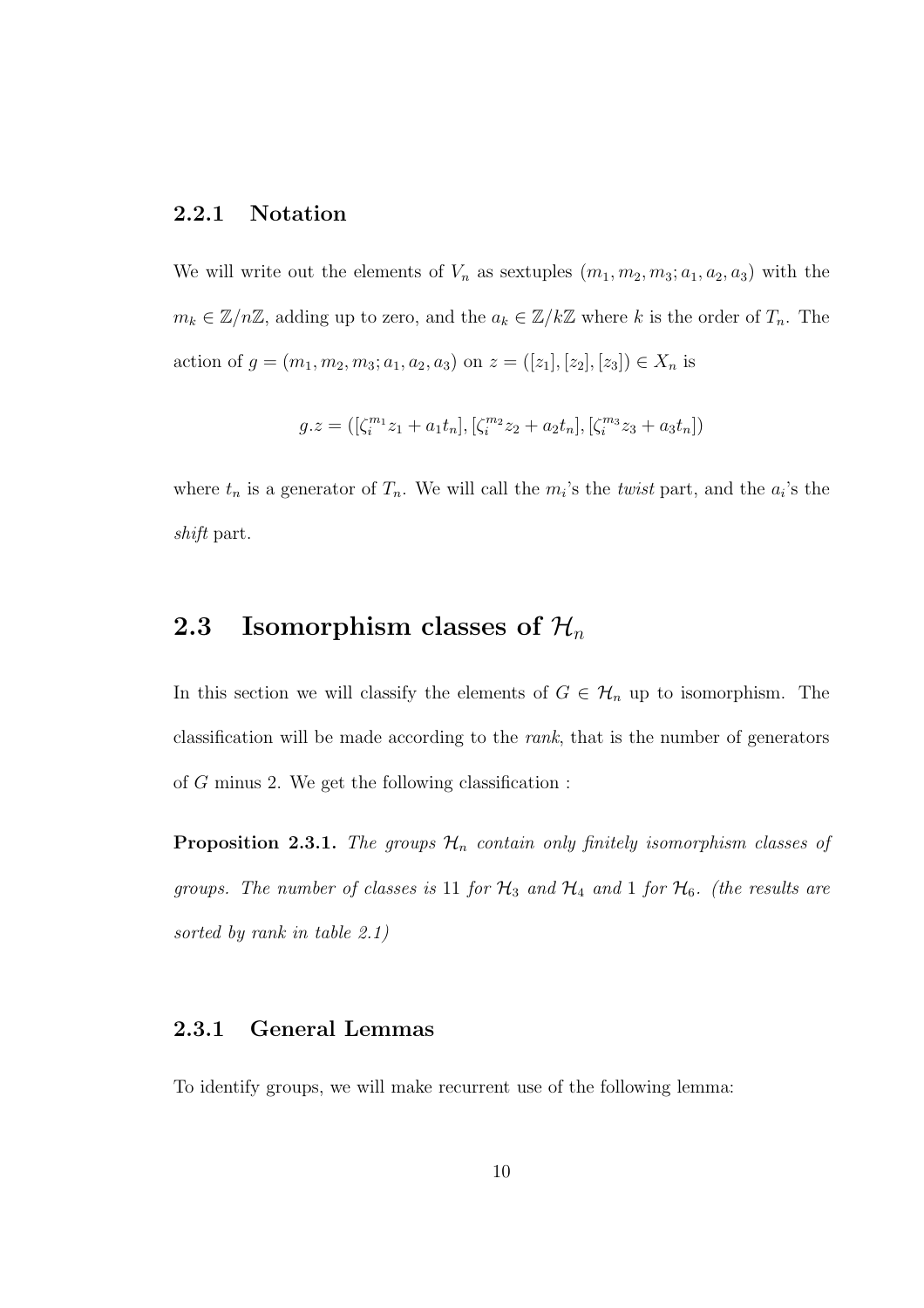### 2.2.1 Notation

We will write out the elements of  $V_n$  as sextuples  $(m_1, m_2, m_3; a_1, a_2, a_3)$  with the  $m_k \in \mathbb{Z}/n\mathbb{Z}$ , adding up to zero, and the  $a_k \in \mathbb{Z}/k\mathbb{Z}$  where k is the order of  $T_n$ . The action of  $g = (m_1, m_2, m_3; a_1, a_2, a_3)$  on  $z = ([z_1], [z_2], [z_3]) \in X_n$  is

$$
g.z = ([\zeta_i^{m_1} z_1 + a_1 t_n], [\zeta_i^{m_2} z_2 + a_2 t_n], [\zeta_i^{m_3} z_3 + a_3 t_n])
$$

where  $t_n$  is a generator of  $T_n$ . We will call the  $m_i$ 's the *twist* part, and the  $a_i$ 's the *shift* part.

## 2.3 Isomorphism classes of  $\mathcal{H}_n$

In this section we will classify the elements of  $G \in \mathcal{H}_n$  up to isomorphism. The classification will be made according to the *rank*, that is the number of generators of G minus 2. We get the following classification :

**Proposition 2.3.1.** The groups  $\mathcal{H}_n$  contain only finitely isomorphism classes of *groups. The number of classes is* 11 *for*  $H_3$  *and*  $H_4$  *and* 1 *for*  $H_6$ *. (the results are sorted by rank in table 2.1)*

## 2.3.1 General Lemmas

To identify groups, we will make recurrent use of the following lemma: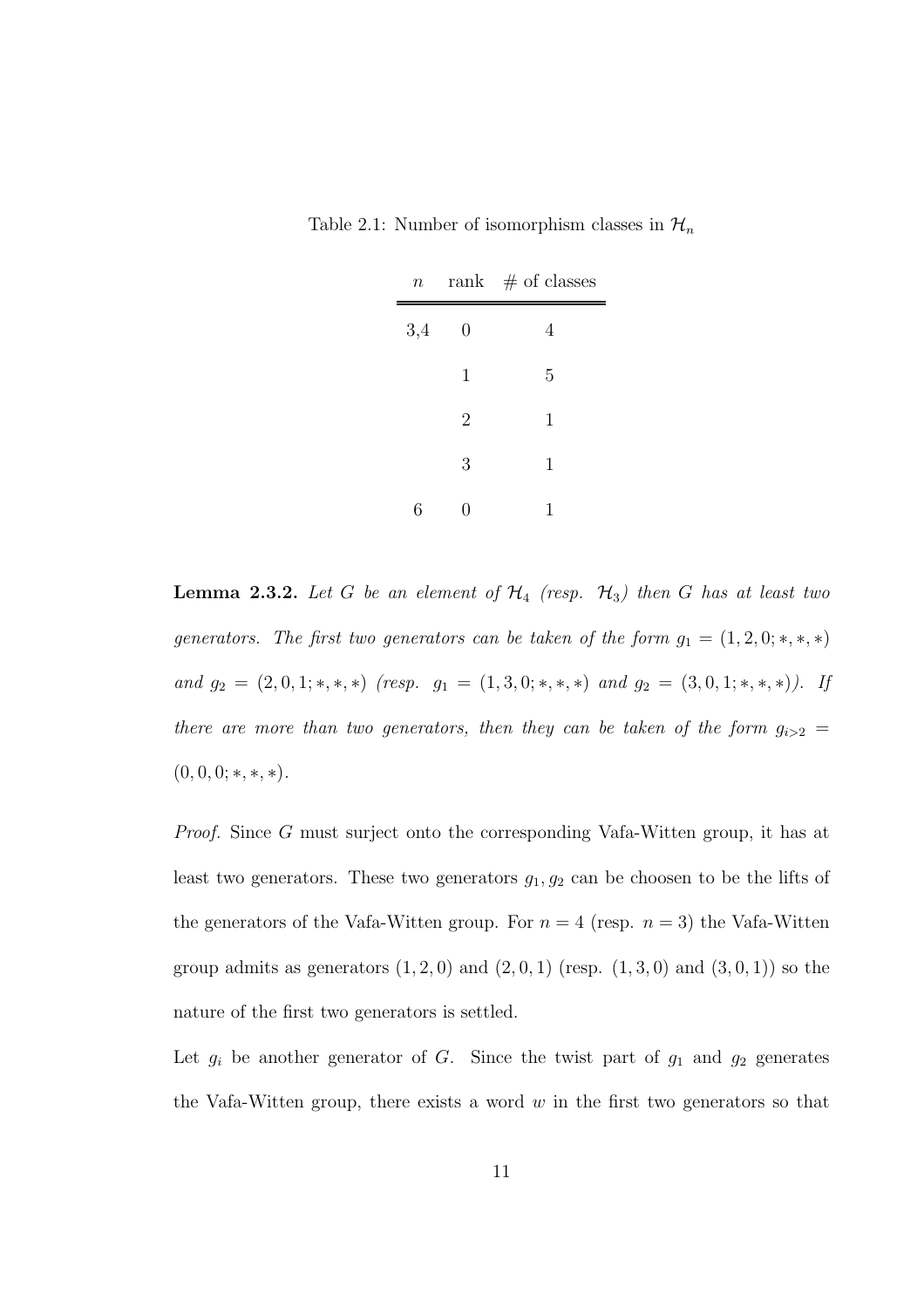| Table 2.1: Number of isomorphism classes in $\mathcal{H}_n$ |  |
|-------------------------------------------------------------|--|
|-------------------------------------------------------------|--|

| $n_{-}$ |                  | rank $#$ of classes |
|---------|------------------|---------------------|
| 3,4     | $\boldsymbol{0}$ | 4                   |
|         | 1                | 5                   |
|         | $\overline{2}$   | $\mathbf 1$         |
|         | 3                | $\mathbf 1$         |
| 6       | 0                | 1                   |

**Lemma 2.3.2.** Let G be an element of  $H_4$  (resp.  $H_3$ ) then G has at least two *generators. The first two generators can be taken of the form*  $g_1 = (1, 2, 0; *, *, *)$ *and*  $g_2 = (2, 0, 1; *, *, *)$  *(resp.*  $g_1 = (1, 3, 0; *, *, *)$  *and*  $g_2 = (3, 0, 1; *, *, *)$ *).* If *there are more than two generators, then they can be taken of the form*  $g_{i>2}$  =  $(0, 0, 0; *, *, *)$ .

*Proof.* Since G must surject onto the corresponding Vafa-Witten group, it has at least two generators. These two generators  $g_1, g_2$  can be choosen to be the lifts of the generators of the Vafa-Witten group. For  $n = 4$  (resp.  $n = 3$ ) the Vafa-Witten group admits as generators  $(1, 2, 0)$  and  $(2, 0, 1)$  (resp.  $(1, 3, 0)$  and  $(3, 0, 1)$ ) so the nature of the first two generators is settled.

Let  $g_i$  be another generator of G. Since the twist part of  $g_1$  and  $g_2$  generates the Vafa-Witten group, there exists a word  $w$  in the first two generators so that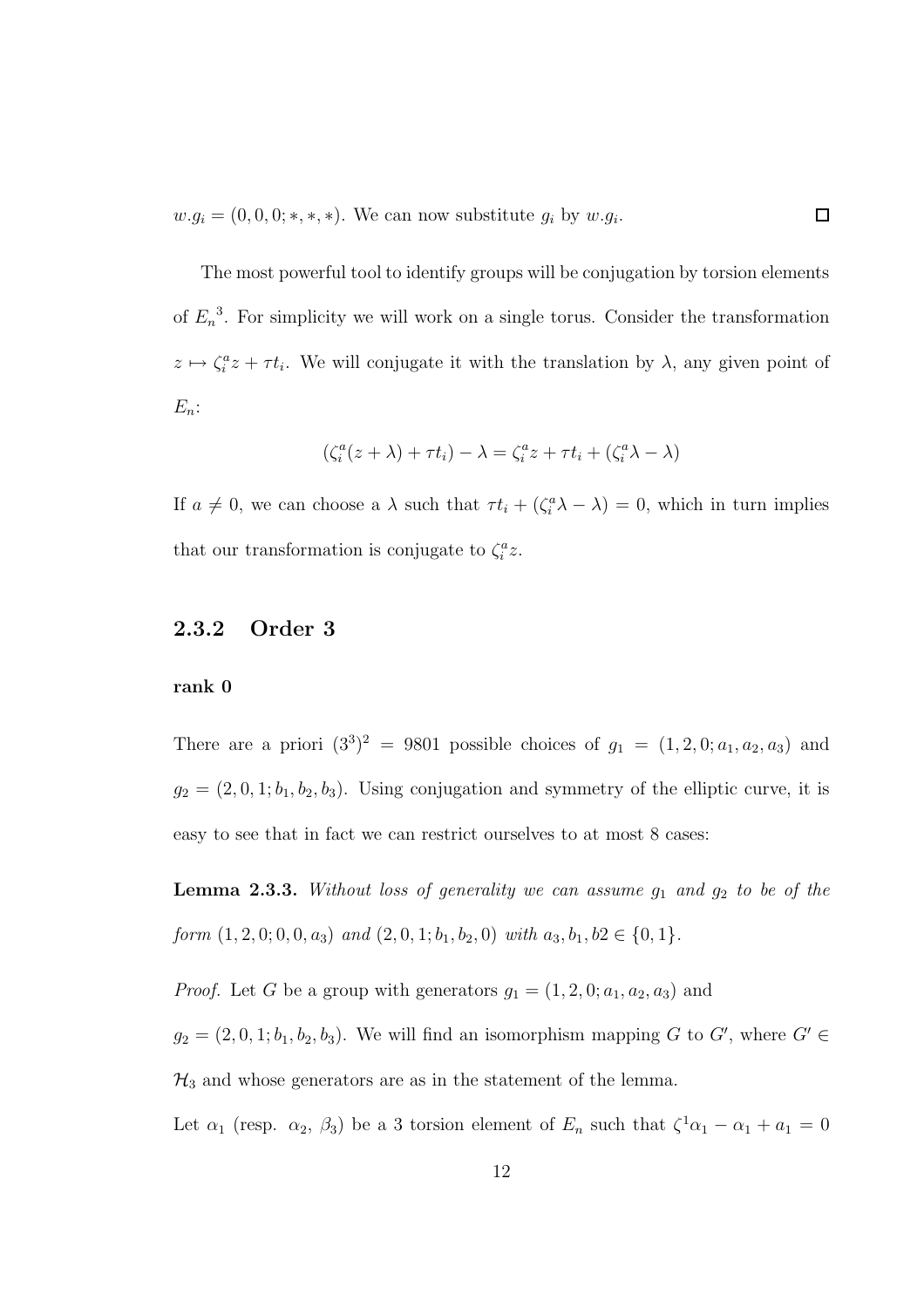$w.g_i = (0,0,0;*,*,*)$ . We can now substitute  $g_i$  by  $w.g_i$ .

The most powerful tool to identify groups will be conjugation by torsion elements of  $E_n^3$ . For simplicity we will work on a single torus. Consider the transformation  $z \mapsto \zeta_i^a z + \tau t_i$ . We will conjugate it with the translation by  $\lambda$ , any given point of  $E_n$ :

 $\Box$ 

$$
(\zeta_i^a(z+\lambda)+\tau t_i)-\lambda=\zeta_i^az+\tau t_i+(\zeta_i^a\lambda-\lambda)
$$

If  $a \neq 0$ , we can choose a  $\lambda$  such that  $\tau t_i + (\zeta_i^a \lambda - \lambda) = 0$ , which in turn implies that our transformation is conjugate to  $\zeta_i^a z$ .

### 2.3.2 Order 3

#### rank 0

There are a priori  $(3^3)^2 = 9801$  possible choices of  $g_1 = (1, 2, 0; a_1, a_2, a_3)$  and  $g_2 = (2, 0, 1; b_1, b_2, b_3)$ . Using conjugation and symmetry of the elliptic curve, it is easy to see that in fact we can restrict ourselves to at most 8 cases:

**Lemma 2.3.3.** Without loss of generality we can assume  $g_1$  and  $g_2$  to be of the *form*  $(1, 2, 0, 0, 0, a_3)$  *and*  $(2, 0, 1, b_1, b_2, 0)$  *with*  $a_3, b_1, b_2 \in \{0, 1\}$ *.* 

*Proof.* Let G be a group with generators  $g_1 = (1, 2, 0; a_1, a_2, a_3)$  and

 $g_2 = (2, 0, 1; b_1, b_2, b_3)$ . We will find an isomorphism mapping G to G', where  $G' \in$  $\mathcal{H}_3$  and whose generators are as in the statement of the lemma.

Let  $\alpha_1$  (resp.  $\alpha_2$ ,  $\beta_3$ ) be a 3 torsion element of  $E_n$  such that  $\zeta^1 \alpha_1 - \alpha_1 + \alpha_1 = 0$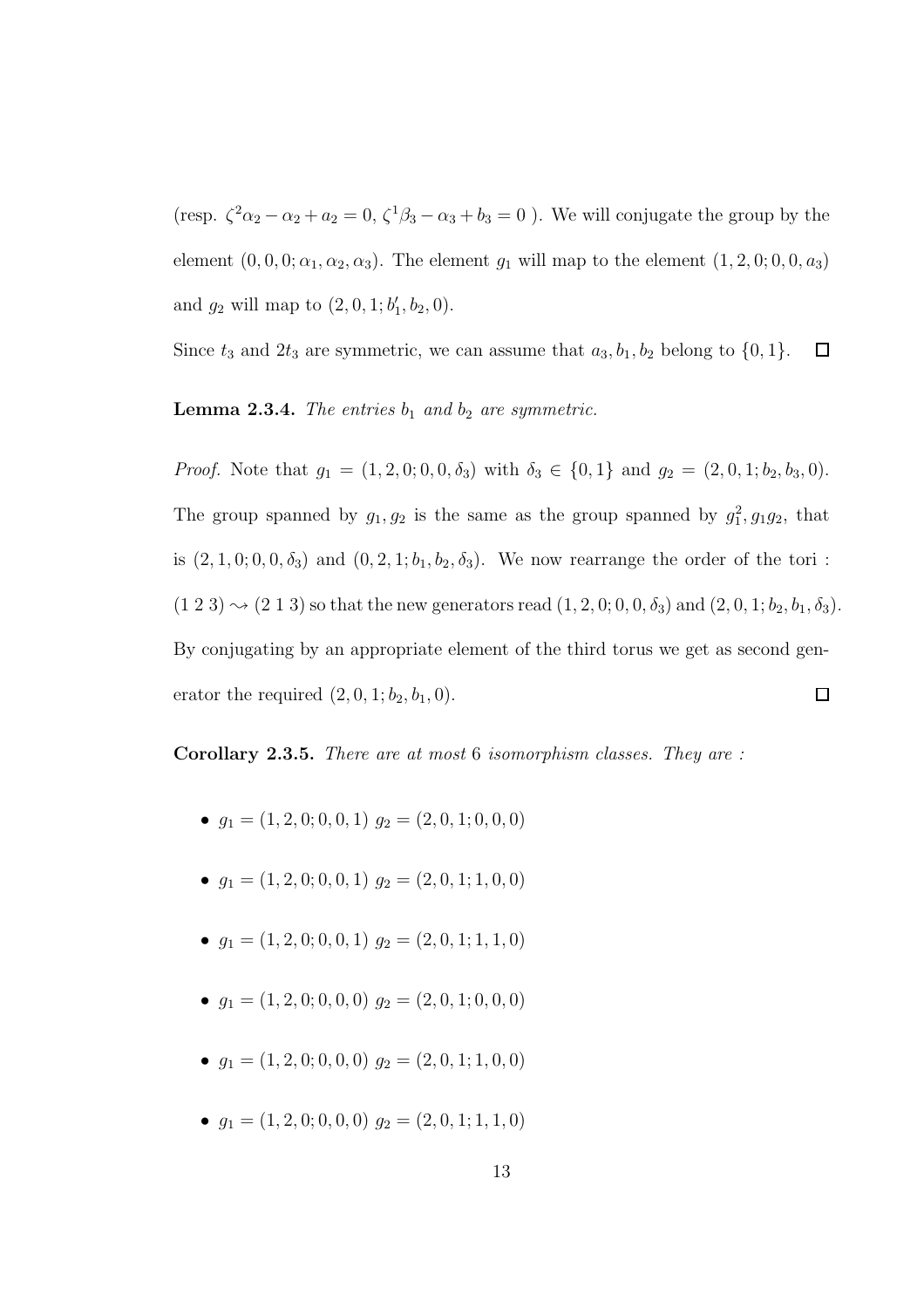(resp.  $\zeta^2 \alpha_2 - \alpha_2 + a_2 = 0$ ,  $\zeta^1 \beta_3 - \alpha_3 + b_3 = 0$ ). We will conjugate the group by the element  $(0, 0, 0; \alpha_1, \alpha_2, \alpha_3)$ . The element  $g_1$  will map to the element  $(1, 2, 0; 0, 0, a_3)$ and  $g_2$  will map to  $(2, 0, 1; b'_1, b_2, 0)$ .

Since  $t_3$  and  $2t_3$  are symmetric, we can assume that  $a_3, b_1, b_2$  belong to  $\{0, 1\}.$  $\Box$ 

**Lemma 2.3.4.** *The entries*  $b_1$  *and*  $b_2$  *are symmetric.* 

*Proof.* Note that  $g_1 = (1, 2, 0, 0, 0, \delta_3)$  with  $\delta_3 \in \{0, 1\}$  and  $g_2 = (2, 0, 1, b_2, b_3, 0)$ . The group spanned by  $g_1, g_2$  is the same as the group spanned by  $g_1^2, g_1g_2$ , that is  $(2, 1, 0, 0, 0, \delta_3)$  and  $(0, 2, 1, b_1, b_2, \delta_3)$ . We now rearrange the order of the tori :  $(1\ 2\ 3) \sim (2\ 1\ 3)$  so that the new generators read  $(1, 2, 0; 0, 0, \delta_3)$  and  $(2, 0, 1; b_2, b_1, \delta_3)$ . By conjugating by an appropriate element of the third torus we get as second generator the required  $(2, 0, 1; b_2, b_1, 0)$ .  $\Box$ 

Corollary 2.3.5. *There are at most* 6 *isomorphism classes. They are :*

- $g_1 = (1, 2, 0, 0, 0, 1)$   $g_2 = (2, 0, 1, 0, 0, 0)$
- $q_1 = (1, 2, 0; 0, 0, 1)$   $q_2 = (2, 0, 1; 1, 0, 0)$
- $g_1 = (1, 2, 0, 0, 0, 1)$   $g_2 = (2, 0, 1, 1, 1, 0)$
- $g_1 = (1, 2, 0, 0, 0, 0)$   $g_2 = (2, 0, 1, 0, 0, 0)$
- $q_1 = (1, 2, 0, 0, 0, 0)$   $q_2 = (2, 0, 1, 1, 0, 0)$
- $q_1 = (1, 2, 0, 0, 0, 0)$   $q_2 = (2, 0, 1, 1, 1, 0)$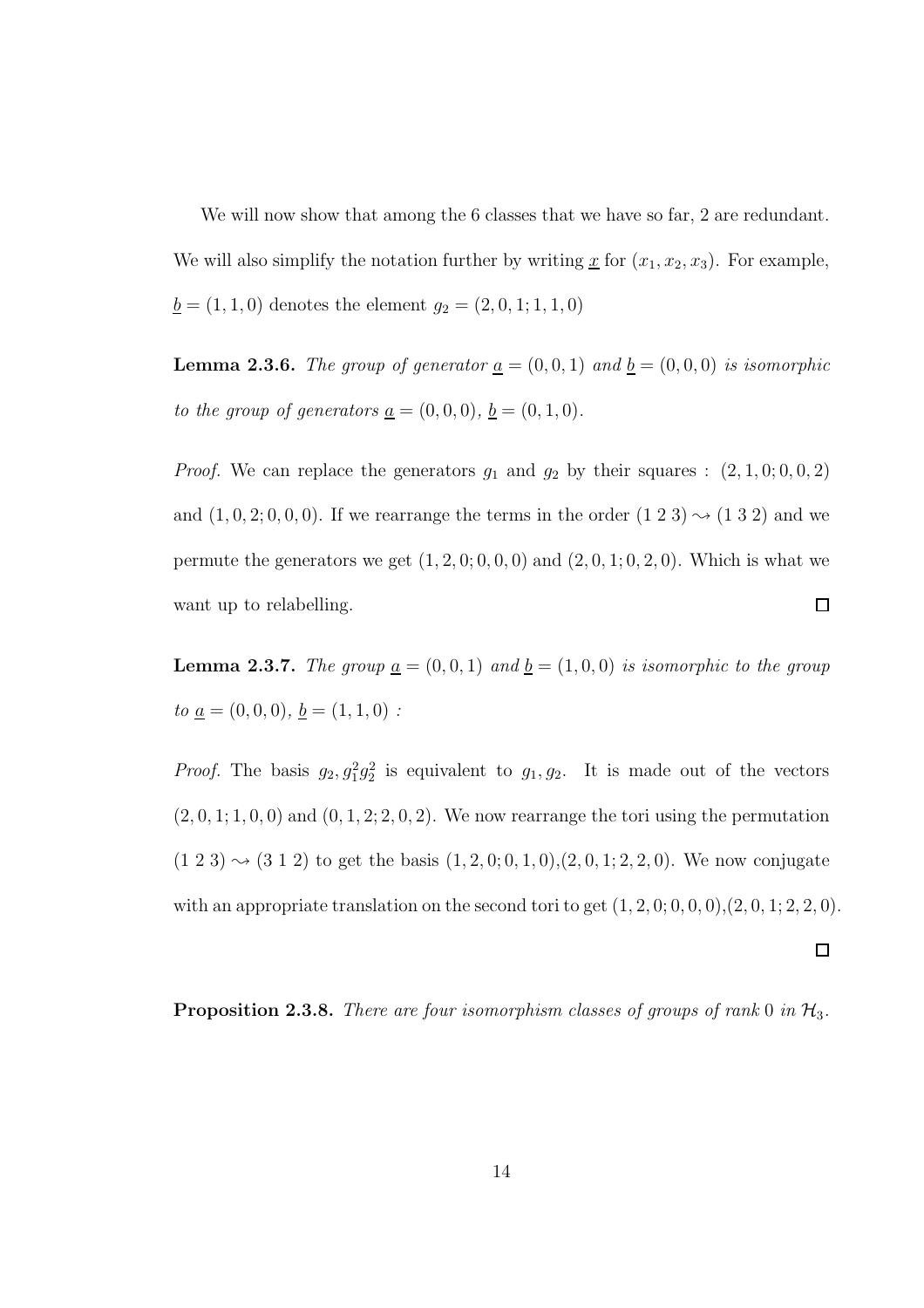We will now show that among the 6 classes that we have so far, 2 are redundant. We will also simplify the notation further by writing  $\underline{x}$  for  $(x_1, x_2, x_3)$ . For example,  $\underline{b} = (1, 1, 0)$  denotes the element  $g_2 = (2, 0, 1; 1, 1, 0)$ 

**Lemma 2.3.6.** *The group of generator*  $\underline{a} = (0, 0, 1)$  *and*  $\underline{b} = (0, 0, 0)$  *is isomorphic to the group of generators* <u> $a = (0, 0, 0)$ *,*  $b = (0, 1, 0)$ *.*</u>

*Proof.* We can replace the generators  $g_1$  and  $g_2$  by their squares :  $(2, 1, 0, 0, 0, 2)$ and  $(1, 0, 2, 0, 0, 0)$ . If we rearrange the terms in the order  $(1\ 2\ 3) \sim (1\ 3\ 2)$  and we permute the generators we get  $(1, 2, 0, 0, 0, 0)$  and  $(2, 0, 1, 0, 2, 0)$ . Which is what we  $\Box$ want up to relabelling.

**Lemma 2.3.7.** *The group*  $\underline{a} = (0, 0, 1)$  *and*  $\underline{b} = (1, 0, 0)$  *is isomorphic to the group*  $to \underline{a} = (0, 0, 0), \underline{b} = (1, 1, 0)$ :

*Proof.* The basis  $g_2, g_1^2g_2^2$  is equivalent to  $g_1, g_2$ . It is made out of the vectors  $(2, 0, 1; 1, 0, 0)$  and  $(0, 1, 2; 2, 0, 2)$ . We now rearrange the tori using the permutation  $(1\ 2\ 3) \sim (3\ 1\ 2)$  to get the basis  $(1, 2, 0; 0, 1, 0), (2, 0, 1; 2, 2, 0)$ . We now conjugate with an appropriate translation on the second tori to get  $(1, 2, 0, 0, 0, 0, 0, 2, 0, 1, 2, 2, 0)$ .

 $\Box$ 

Proposition 2.3.8. *There are four isomorphism classes of groups of rank* 0 *in*  $H_3$ .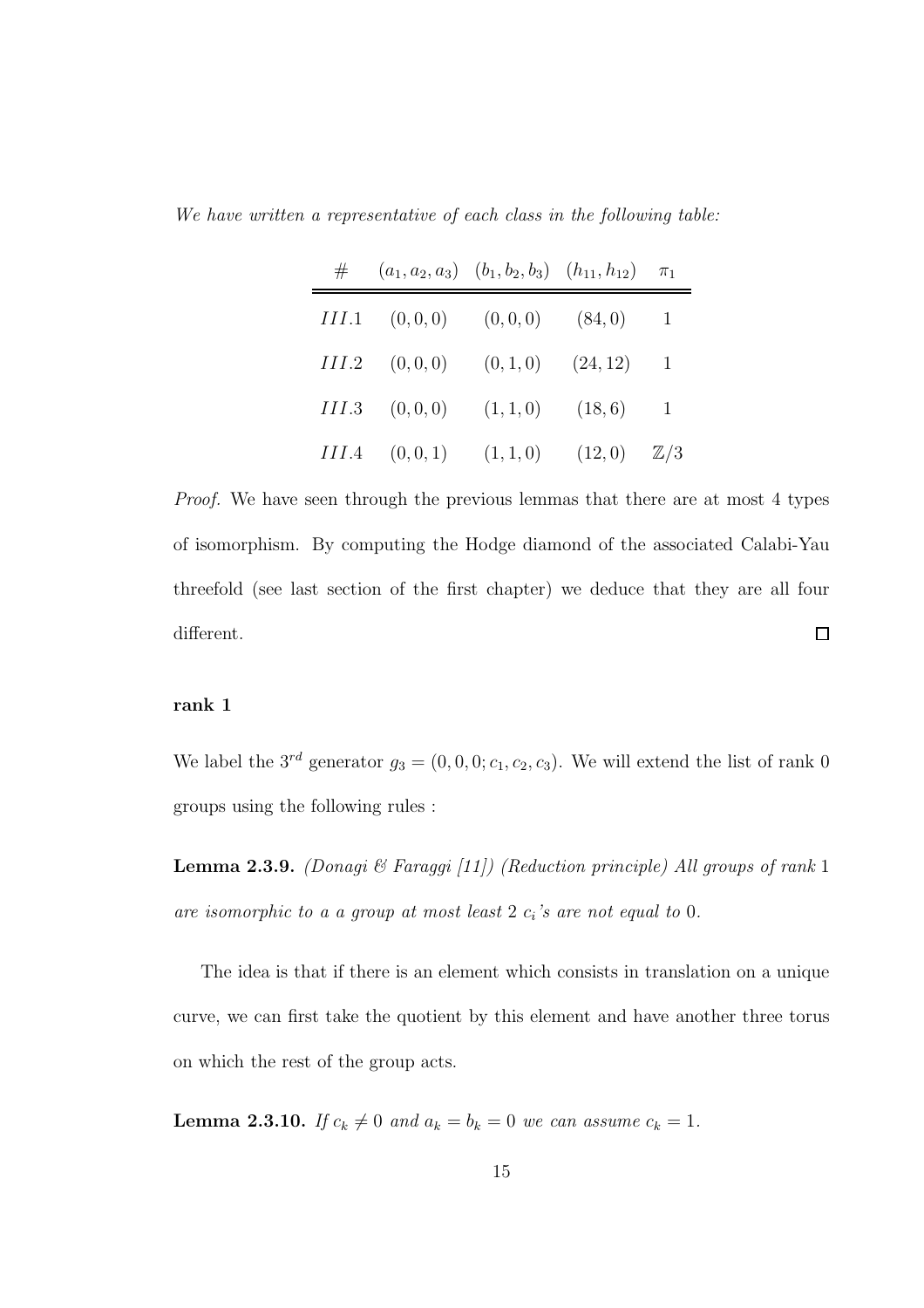*We have written a representative of each class in the following table:*

|       | $\#$ $(a_1, a_2, a_3)$ $(b_1, b_2, b_3)$ $(h_{11}, h_{12})$ $\pi_1$ |                              |                |
|-------|---------------------------------------------------------------------|------------------------------|----------------|
|       | $III.1$ $(0,0,0)$ $(0,0,0)$ $(84,0)$                                |                              | $\overline{1}$ |
|       | $III.2 \quad (0,0,0) \quad (0,1,0) \quad (24,12)$                   |                              | 1              |
| III.3 |                                                                     | $(0,0,0)$ $(1,1,0)$ $(18,6)$ | $\overline{1}$ |
|       | $III.4$ $(0,0,1)$ $(1,1,0)$ $(12,0)$ $\mathbb{Z}/3$                 |                              |                |

*Proof.* We have seen through the previous lemmas that there are at most 4 types of isomorphism. By computing the Hodge diamond of the associated Calabi-Yau threefold (see last section of the first chapter) we deduce that they are all four different.  $\Box$ 

#### rank 1

We label the  $3^{rd}$  generator  $g_3 = (0, 0, 0; c_1, c_2, c_3)$ . We will extend the list of rank 0 groups using the following rules :

Lemma 2.3.9. *(Donagi & Faraggi [11]) (Reduction principle) All groups of rank* 1 *are isomorphic to a a group at most least* 2 c<sup>i</sup> *'s are not equal to* 0*.*

The idea is that if there is an element which consists in translation on a unique curve, we can first take the quotient by this element and have another three torus on which the rest of the group acts.

**Lemma 2.3.10.** *If*  $c_k \neq 0$  *and*  $a_k = b_k = 0$  *we can assume*  $c_k = 1$ *.*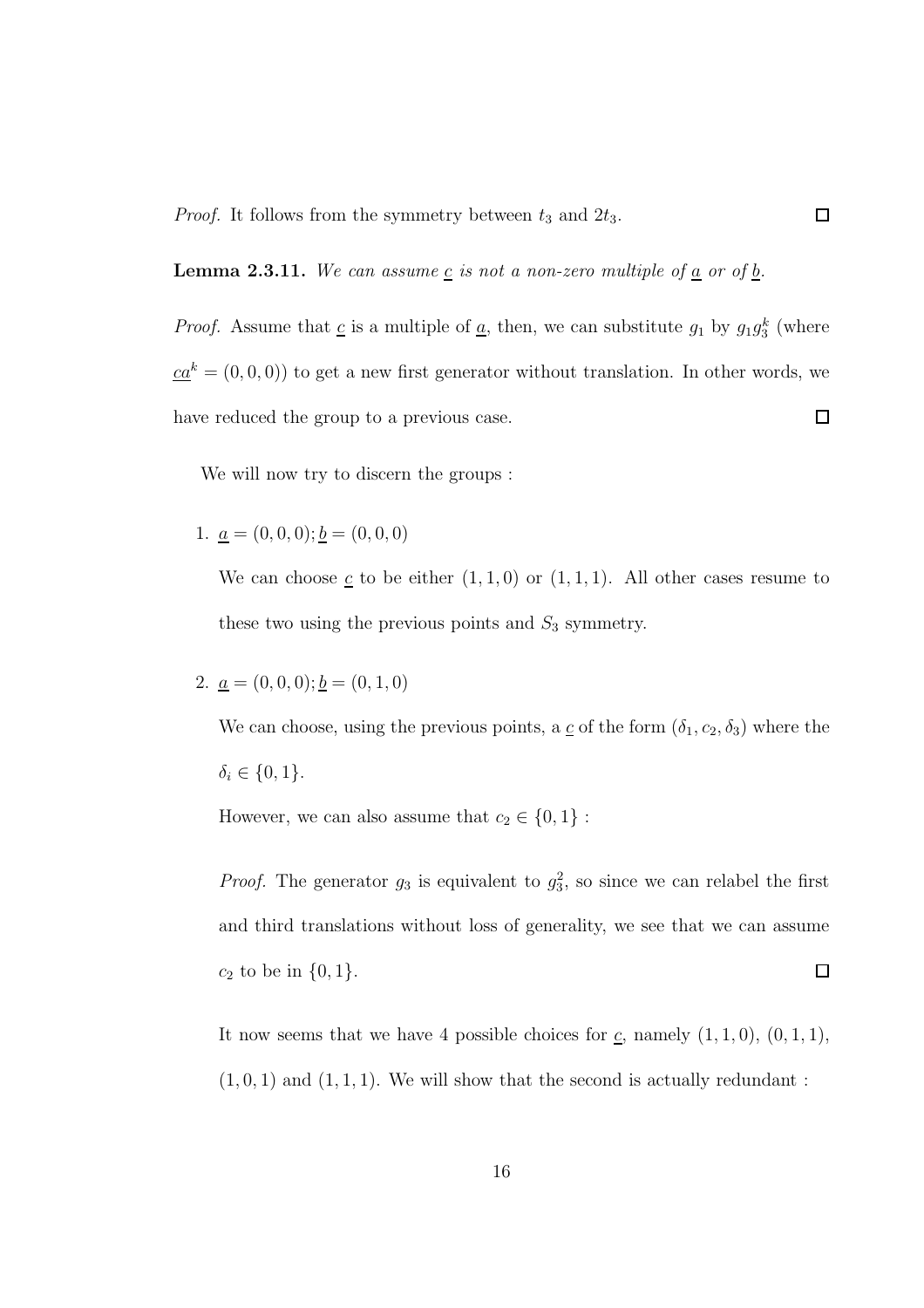*Proof.* It follows from the symmetry between  $t_3$  and  $2t_3$ .

**Lemma 2.3.11.** We can assume  $\underline{c}$  is not a non-zero multiple of  $\underline{a}$  or of  $\underline{b}$ .

*Proof.* Assume that  $\underline{c}$  is a multiple of  $\underline{a}$ , then, we can substitute  $g_1$  by  $g_1g_3^k$  (where  $ca^k = (0, 0, 0)$  to get a new first generator without translation. In other words, we have reduced the group to a previous case.  $\Box$ 

 $\Box$ 

We will now try to discern the groups :

1.  $\underline{a} = (0, 0, 0); \underline{b} = (0, 0, 0)$ 

We can choose  $\underline{c}$  to be either  $(1,1,0)$  or  $(1,1,1)$ . All other cases resume to these two using the previous points and  $S_3$  symmetry.

2.  $\underline{a} = (0, 0, 0); \underline{b} = (0, 1, 0)$ 

We can choose, using the previous points, a  $\underline{c}$  of the form  $(\delta_1, c_2, \delta_3)$  where the  $\delta_i \in \{0, 1\}.$ 

However, we can also assume that  $c_2 \in \{0, 1\}$ :

*Proof.* The generator  $g_3$  is equivalent to  $g_3^2$ , so since we can relabel the first and third translations without loss of generality, we see that we can assume  $\Box$  $c_2$  to be in  $\{0, 1\}.$ 

It now seems that we have 4 possible choices for  $\underline{c}$ , namely  $(1, 1, 0)$ ,  $(0, 1, 1)$ ,  $(1, 0, 1)$  and  $(1, 1, 1)$ . We will show that the second is actually redundant: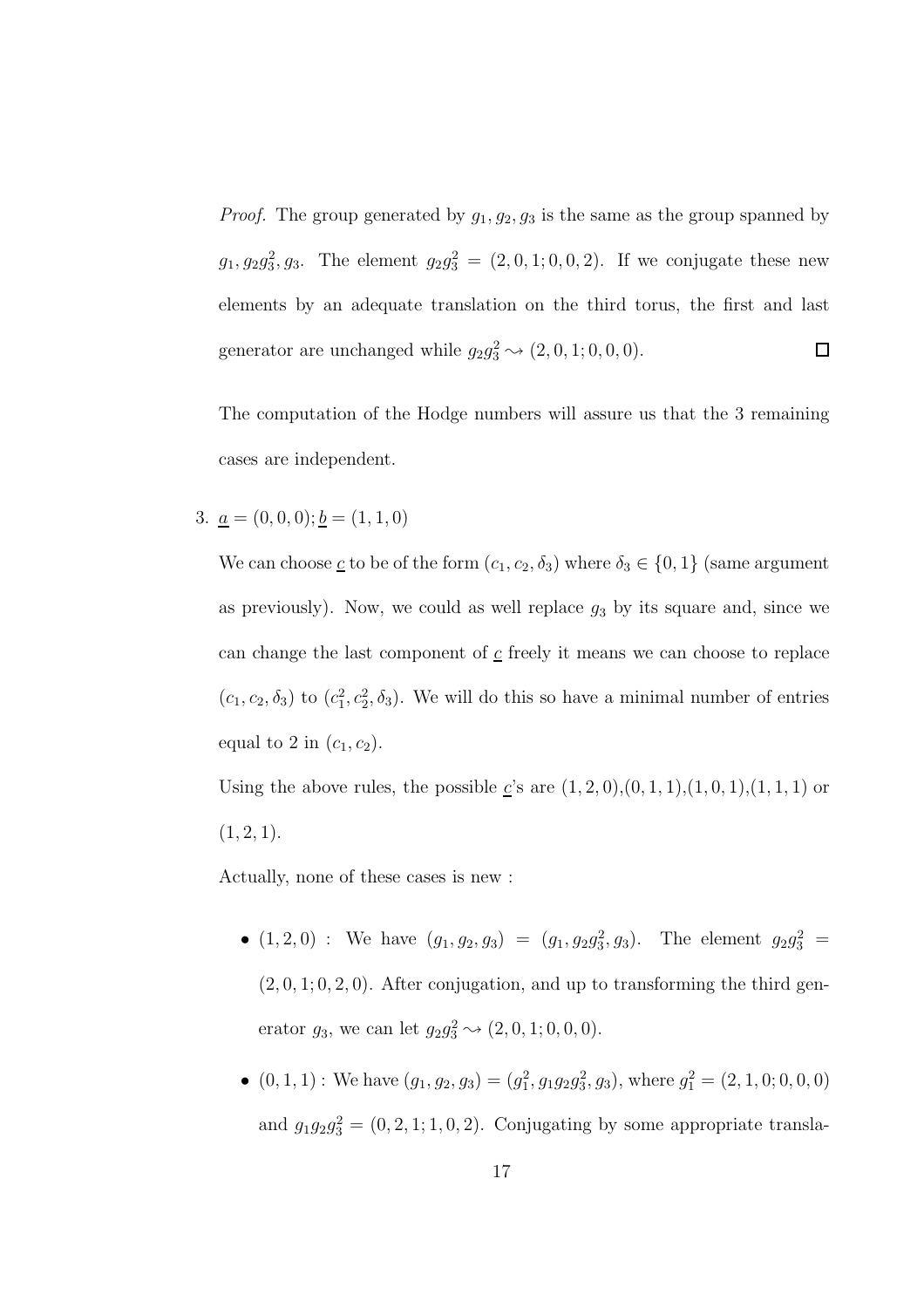*Proof.* The group generated by  $g_1, g_2, g_3$  is the same as the group spanned by  $g_1, g_2g_3^2, g_3$ . The element  $g_2g_3^2 = (2, 0, 1; 0, 0, 2)$ . If we conjugate these new elements by an adequate translation on the third torus, the first and last generator are unchanged while  $g_2 g_3^2 \sim (2, 0, 1; 0, 0, 0)$ .  $\Box$ 

The computation of the Hodge numbers will assure us that the 3 remaining cases are independent.

3.  $\underline{a} = (0, 0, 0); \underline{b} = (1, 1, 0)$ 

We can choose <u>c</u> to be of the form  $(c_1, c_2, \delta_3)$  where  $\delta_3 \in \{0, 1\}$  (same argument as previously). Now, we could as well replace  $g_3$  by its square and, since we can change the last component of  $c$  freely it means we can choose to replace  $(c_1, c_2, \delta_3)$  to  $(c_1^2, c_2^2, \delta_3)$ . We will do this so have a minimal number of entries equal to 2 in  $(c_1, c_2)$ .

Using the above rules, the possible  $\underline{c}$ 's are  $(1, 2, 0), (0, 1, 1), (1, 0, 1), (1, 1, 1)$  or  $(1, 2, 1).$ 

Actually, none of these cases is new :

- $(1, 2, 0)$  : We have  $(g_1, g_2, g_3) = (g_1, g_2 g_3^2, g_3)$ . The element  $g_2 g_3^2$  =  $(2, 0, 1; 0, 2, 0)$ . After conjugation, and up to transforming the third generator  $g_3$ , we can let  $g_2 g_3^2 \sim (2, 0, 1; 0, 0, 0)$ .
- $(0, 1, 1)$ : We have  $(g_1, g_2, g_3) = (g_1^2, g_1 g_2 g_3^2, g_3)$ , where  $g_1^2 = (2, 1, 0, 0, 0, 0)$ and  $g_1g_2g_3^2 = (0, 2, 1, 1, 0, 2)$ . Conjugating by some appropriate transla-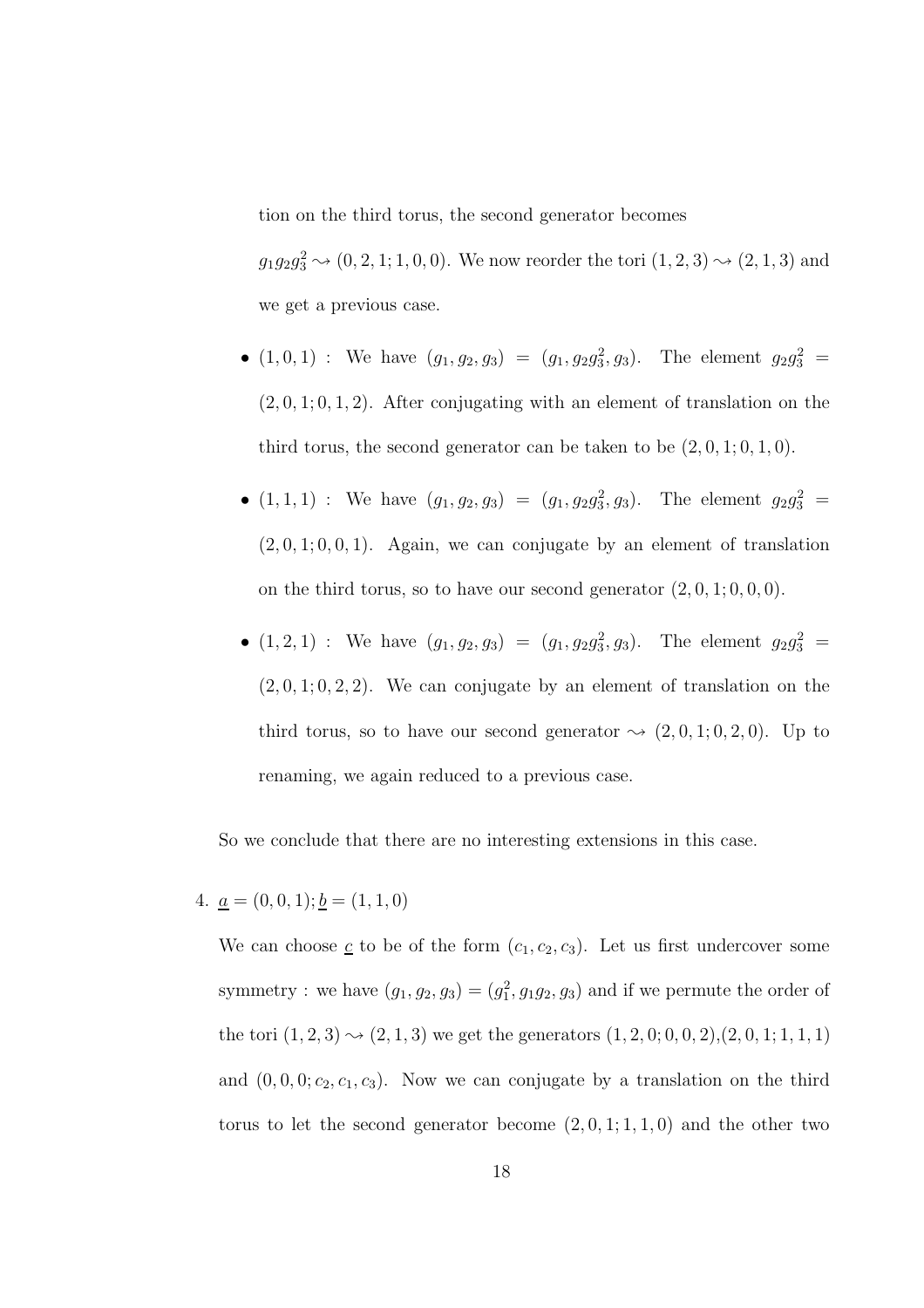tion on the third torus, the second generator becomes

 $g_1g_2g_3^2 \to (0, 2, 1; 1, 0, 0)$ . We now reorder the tori  $(1, 2, 3) \to (2, 1, 3)$  and we get a previous case.

- $(1, 0, 1)$ : We have  $(g_1, g_2, g_3) = (g_1, g_2g_3^2, g_3)$ . The element  $g_2g_3^2$  =  $(2, 0, 1, 0, 1, 2)$ . After conjugating with an element of translation on the third torus, the second generator can be taken to be  $(2, 0, 1; 0, 1, 0)$ .
- $(1,1,1)$ : We have  $(g_1, g_2, g_3) = (g_1, g_2g_3^2, g_3)$ . The element  $g_2g_3^2$  =  $(2, 0, 1; 0, 0, 1)$ . Again, we can conjugate by an element of translation on the third torus, so to have our second generator  $(2, 0, 1; 0, 0, 0)$ .
- $(1, 2, 1)$ : We have  $(g_1, g_2, g_3) = (g_1, g_2g_3^2, g_3)$ . The element  $g_2g_3^2$  =  $(2, 0, 1, 0, 2, 2)$ . We can conjugate by an element of translation on the third torus, so to have our second generator  $\sim (2, 0, 1; 0, 2, 0)$ . Up to renaming, we again reduced to a previous case.

So we conclude that there are no interesting extensions in this case.

4.  $\underline{a} = (0, 0, 1); \underline{b} = (1, 1, 0)$ 

We can choose  $\underline{c}$  to be of the form  $(c_1, c_2, c_3)$ . Let us first undercover some symmetry : we have  $(g_1, g_2, g_3) = (g_1^2, g_1 g_2, g_3)$  and if we permute the order of the tori  $(1, 2, 3) \rightarrow (2, 1, 3)$  we get the generators  $(1, 2, 0, 0, 0, 2), (2, 0, 1, 1, 1, 1)$ and  $(0, 0, 0; c_2, c_1, c_3)$ . Now we can conjugate by a translation on the third torus to let the second generator become  $(2, 0, 1; 1, 1, 0)$  and the other two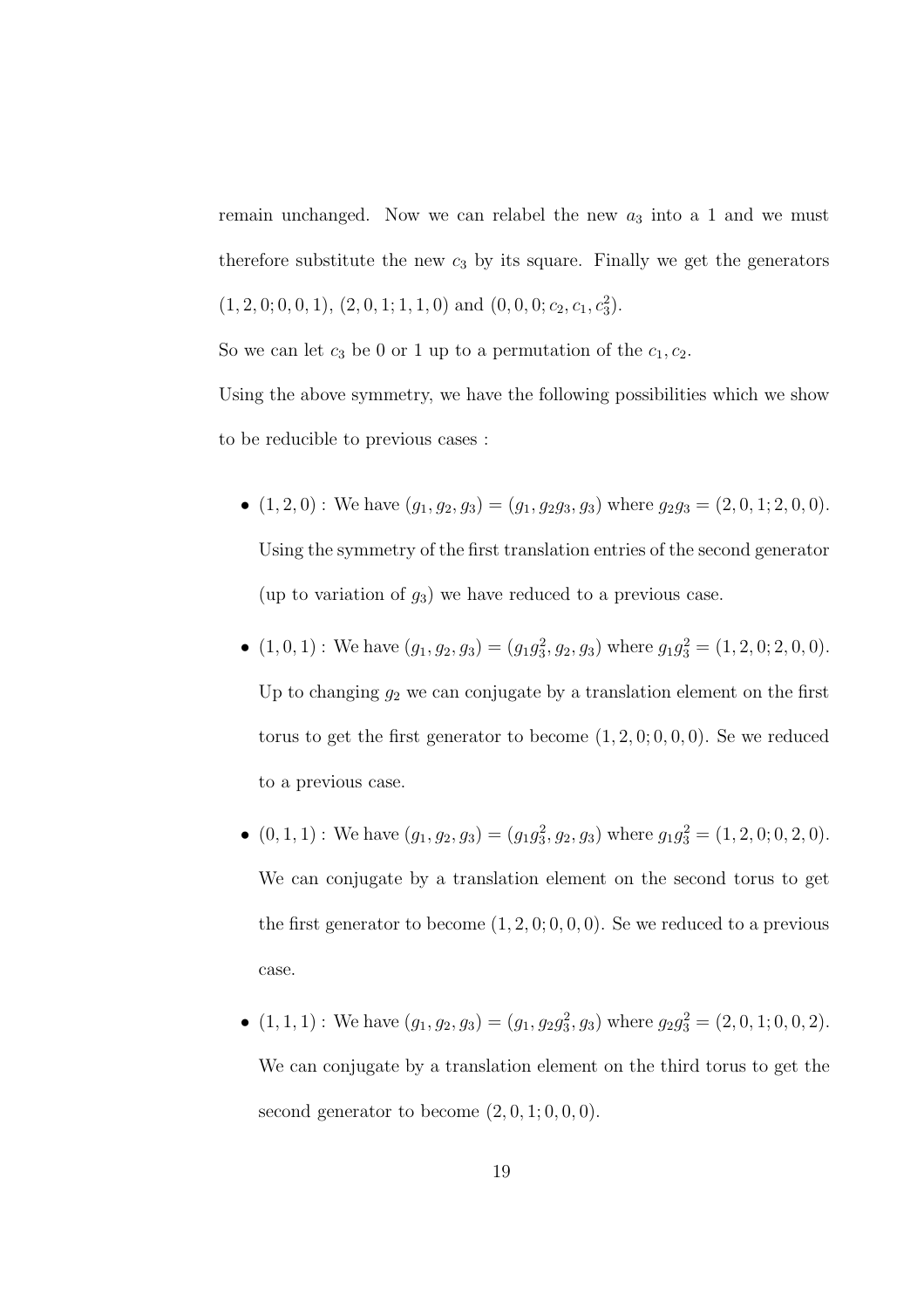remain unchanged. Now we can relabel the new  $a_3$  into a 1 and we must therefore substitute the new  $c_3$  by its square. Finally we get the generators  $(1, 2, 0, 0, 0, 1), (2, 0, 1, 1, 1, 0)$  and  $(0, 0, 0, c_2, c_1, c_3^2)$ .

So we can let  $c_3$  be 0 or 1 up to a permutation of the  $c_1, c_2$ .

Using the above symmetry, we have the following possibilities which we show to be reducible to previous cases :

- $(1, 2, 0)$ : We have  $(g_1, g_2, g_3) = (g_1, g_2g_3, g_3)$  where  $g_2g_3 = (2, 0, 1; 2, 0, 0)$ . Using the symmetry of the first translation entries of the second generator (up to variation of  $g_3$ ) we have reduced to a previous case.
- $(1, 0, 1)$ : We have  $(g_1, g_2, g_3) = (g_1g_3^2, g_2, g_3)$  where  $g_1g_3^2 = (1, 2, 0, 2, 0, 0)$ . Up to changing  $g_2$  we can conjugate by a translation element on the first torus to get the first generator to become  $(1, 2, 0, 0, 0, 0)$ . Se we reduced to a previous case.
- $(0, 1, 1)$ : We have  $(g_1, g_2, g_3) = (g_1 g_3^2, g_2, g_3)$  where  $g_1 g_3^2 = (1, 2, 0, 0, 2, 0)$ . We can conjugate by a translation element on the second torus to get the first generator to become  $(1, 2, 0, 0, 0, 0)$ . Se we reduced to a previous case.
- $(1, 1, 1)$ : We have  $(g_1, g_2, g_3) = (g_1, g_2 g_3^2, g_3)$  where  $g_2 g_3^2 = (2, 0, 1, 0, 0, 2)$ . We can conjugate by a translation element on the third torus to get the second generator to become  $(2, 0, 1; 0, 0, 0)$ .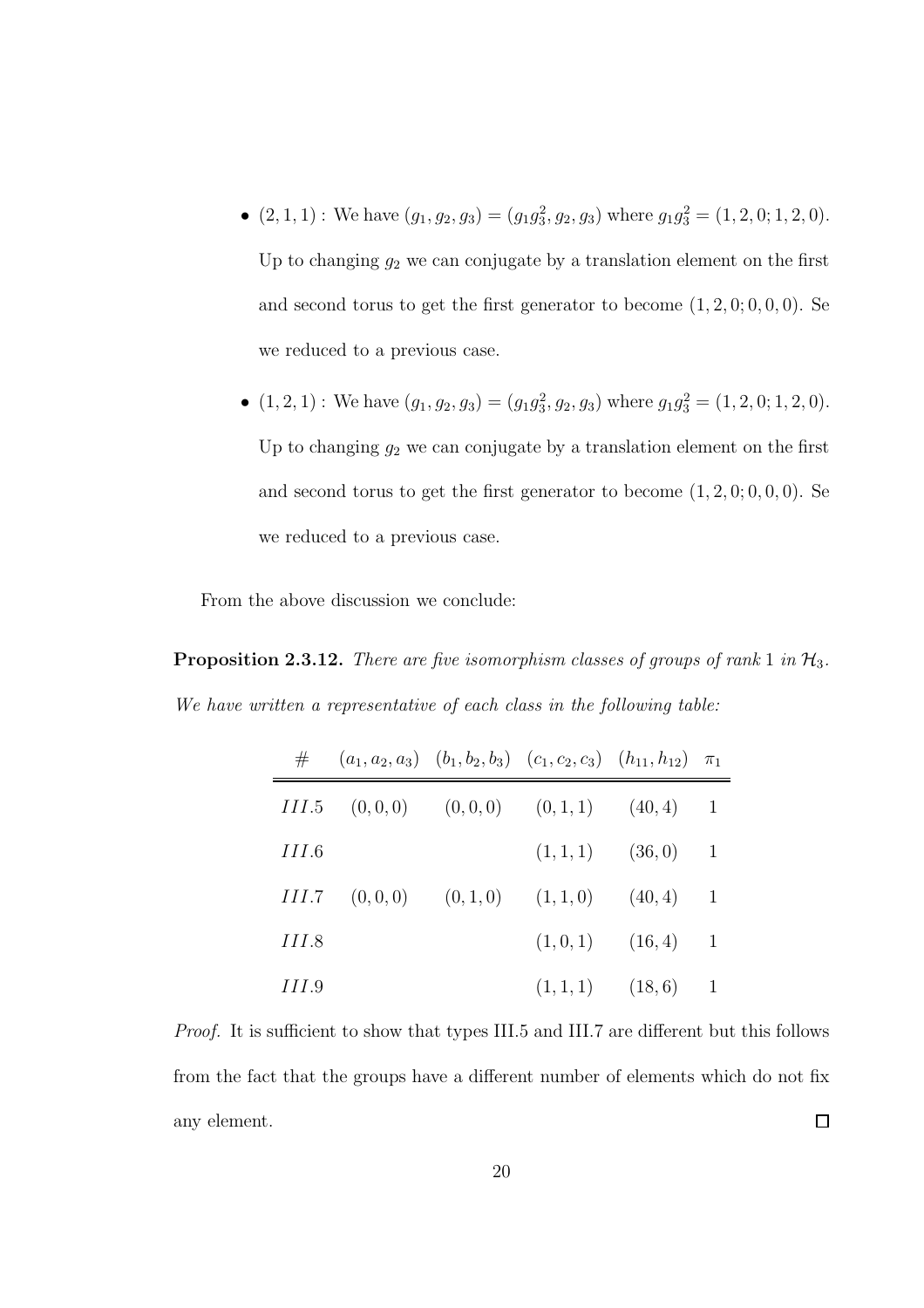- $(2, 1, 1)$ : We have  $(g_1, g_2, g_3) = (g_1g_3^2, g_2, g_3)$  where  $g_1g_3^2 = (1, 2, 0; 1, 2, 0)$ . Up to changing  $g_2$  we can conjugate by a translation element on the first and second torus to get the first generator to become  $(1, 2, 0, 0, 0, 0)$ . Se we reduced to a previous case.
- $(1, 2, 1)$ : We have  $(g_1, g_2, g_3) = (g_1g_3^2, g_2, g_3)$  where  $g_1g_3^2 = (1, 2, 0, 1, 2, 0)$ . Up to changing  $g_2$  we can conjugate by a translation element on the first and second torus to get the first generator to become  $(1, 2, 0, 0, 0, 0)$ . Se we reduced to a previous case.

From the above discussion we conclude:

Proposition 2.3.12. *There are five isomorphism classes of groups of rank* 1 *in*  $\mathcal{H}_3$ . *We have written a representative of each class in the following table:*

| #             | $(a_1, a_2, a_3)$ $(b_1, b_2, b_3)$ $(c_1, c_2, c_3)$ $(h_{11}, h_{12})$ $\pi_1$ |                    |                          |
|---------------|----------------------------------------------------------------------------------|--------------------|--------------------------|
|               | $III.5$ $(0,0,0)$ $(0,0,0)$ $(0,1,1)$ $(40,4)$                                   |                    | -1                       |
| <i>HL</i> 6   |                                                                                  | $(1,1,1)$ $(36,0)$ | -1                       |
| <i>III.</i> 7 | $(0,0,0)$ $(0,1,0)$ $(1,1,0)$ $(40,4)$                                           |                    | 1                        |
| <i>III.</i> 8 |                                                                                  | $(1,0,1)$ $(16,4)$ | 1                        |
| <i>III</i> .9 |                                                                                  | $(1,1,1)$ $(18,6)$ | $\overline{\phantom{0}}$ |

*Proof.* It is sufficient to show that types III.5 and III.7 are different but this follows from the fact that the groups have a different number of elements which do not fix any element.  $\Box$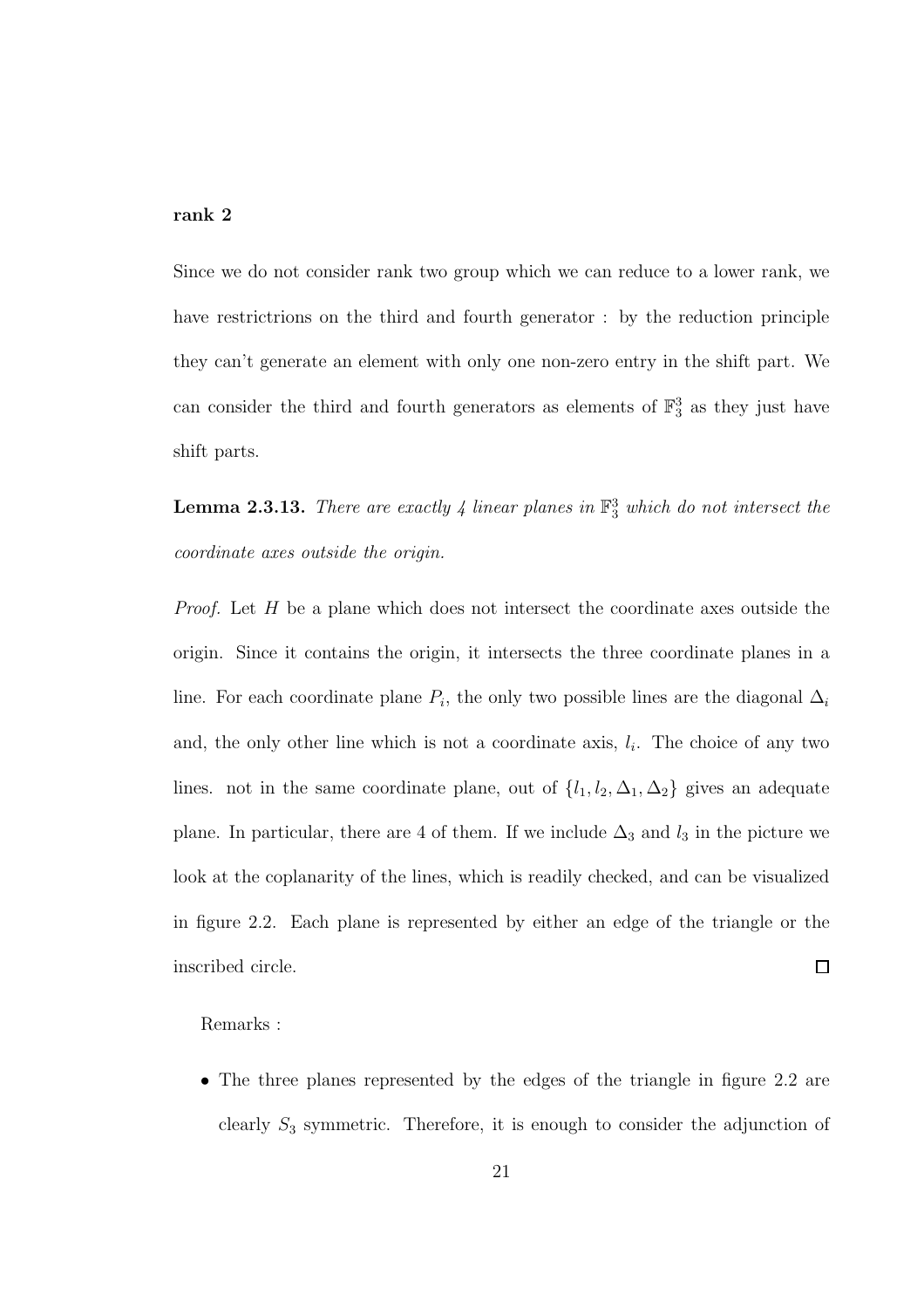#### rank 2

Since we do not consider rank two group which we can reduce to a lower rank, we have restrictrions on the third and fourth generator : by the reduction principle they can't generate an element with only one non-zero entry in the shift part. We can consider the third and fourth generators as elements of  $\mathbb{F}_3^3$  as they just have shift parts.

Lemma 2.3.13. *There are exactly 4 linear planes in* F 3 <sup>3</sup> *which do not intersect the coordinate axes outside the origin.*

*Proof.* Let H be a plane which does not intersect the coordinate axes outside the origin. Since it contains the origin, it intersects the three coordinate planes in a line. For each coordinate plane  $P_i$ , the only two possible lines are the diagonal  $\Delta_i$ and, the only other line which is not a coordinate axis,  $l_i$ . The choice of any two lines. not in the same coordinate plane, out of  $\{l_1, l_2, \Delta_1, \Delta_2\}$  gives an adequate plane. In particular, there are 4 of them. If we include  $\Delta_3$  and  $l_3$  in the picture we look at the coplanarity of the lines, which is readily checked, and can be visualized in figure 2.2. Each plane is represented by either an edge of the triangle or the  $\Box$ inscribed circle.

Remarks :

• The three planes represented by the edges of the triangle in figure 2.2 are clearly  $S_3$  symmetric. Therefore, it is enough to consider the adjunction of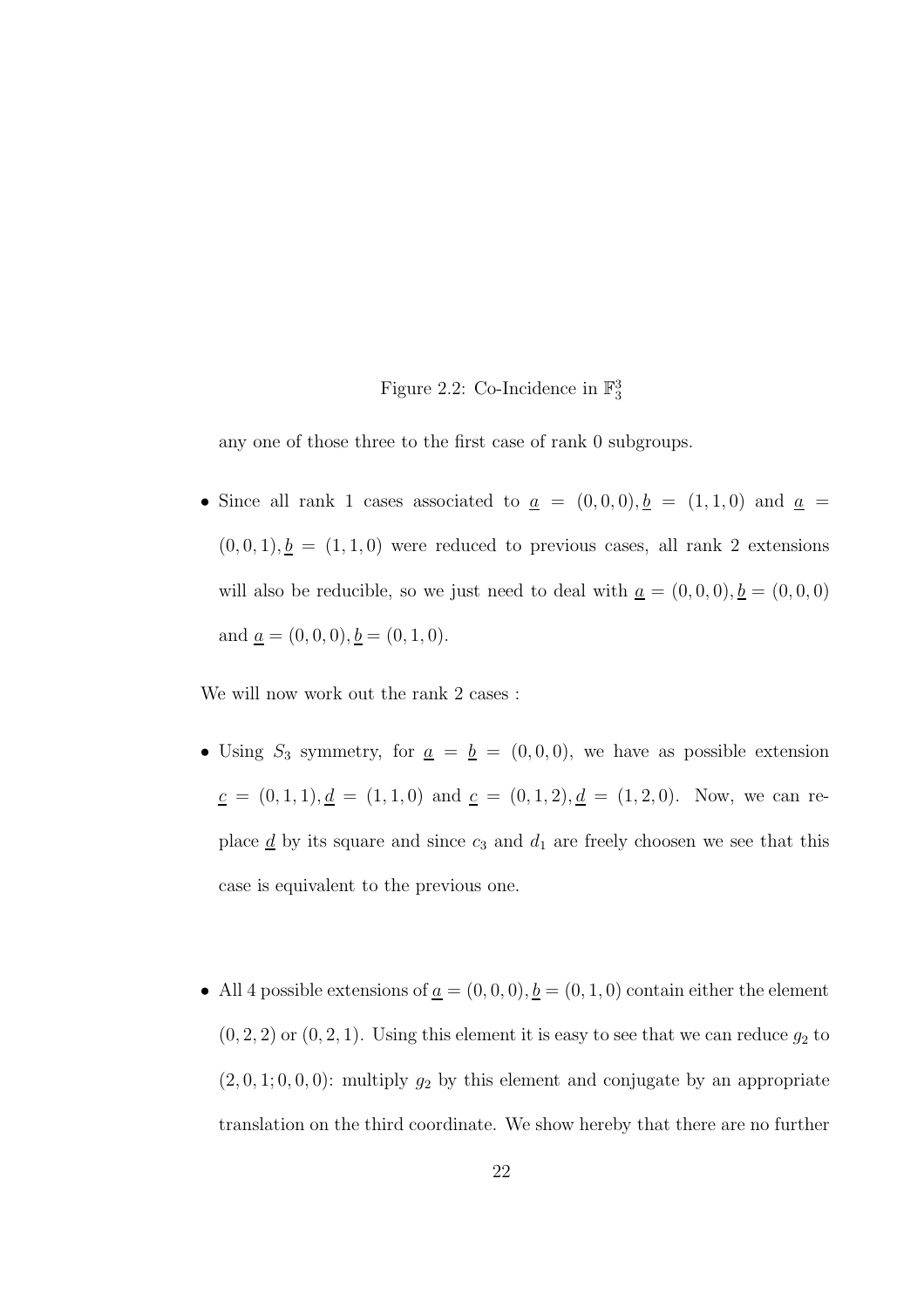## Figure 2.2: Co-Incidence in  $\mathbb{F}_3^3$

any one of those three to the first case of rank 0 subgroups.

• Since all rank 1 cases associated to  $\underline{a} = (0,0,0), \underline{b} = (1,1,0)$  and  $\underline{a} =$  $(0, 0, 1), \underline{b} = (1, 1, 0)$  were reduced to previous cases, all rank 2 extensions will also be reducible, so we just need to deal with  $\underline{a} = (0,0,0), \underline{b} = (0,0,0)$ and  $\underline{a} = (0, 0, 0), \underline{b} = (0, 1, 0).$ 

We will now work out the rank 2 cases :

- Using  $S_3$  symmetry, for  $\underline{a} = \underline{b} = (0, 0, 0)$ , we have as possible extension  $c = (0, 1, 1), d = (1, 1, 0)$  and  $c = (0, 1, 2), d = (1, 2, 0)$ . Now, we can replace  $\underline{d}$  by its square and since  $c_3$  and  $d_1$  are freely choosen we see that this case is equivalent to the previous one.
- All 4 possible extensions of  $\underline{a} = (0, 0, 0), \underline{b} = (0, 1, 0)$  contain either the element  $(0, 2, 2)$  or  $(0, 2, 1)$ . Using this element it is easy to see that we can reduce  $g_2$  to  $(2, 0, 1; 0, 0, 0)$ : multiply  $g_2$  by this element and conjugate by an appropriate translation on the third coordinate. We show hereby that there are no further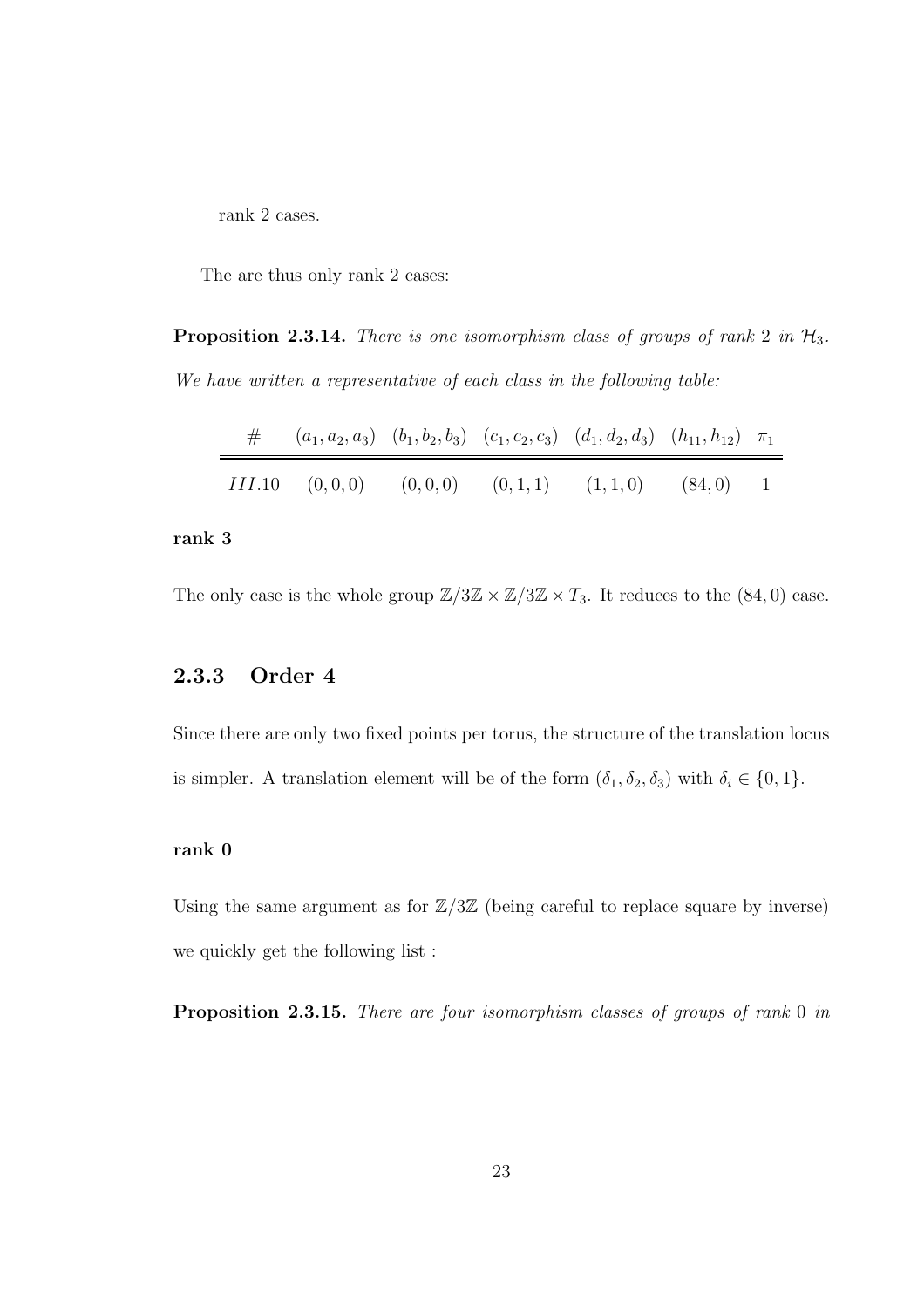rank 2 cases.

The are thus only rank 2 cases:

Proposition 2.3.14. *There is one isomorphism class of groups of rank* 2 *in*  $H_3$ . *We have written a representative of each class in the following table:*

| $\#$ $(a_1, a_2, a_3)$ $(b_1, b_2, b_3)$ $(c_1, c_2, c_3)$ $(d_1, d_2, d_3)$ $(h_{11}, h_{12})$ $\pi_1$ |  |  |  |
|---------------------------------------------------------------------------------------------------------|--|--|--|
| $III.10 \t(0,0,0) \t(0,0,0) \t(0,1,1) \t(1,1,0) \t(84,0) \t1$                                           |  |  |  |

### rank 3

The only case is the whole group  $\mathbb{Z}/3\mathbb{Z} \times \mathbb{Z}/3\mathbb{Z} \times T_3$ . It reduces to the (84,0) case.

## 2.3.3 Order 4

Since there are only two fixed points per torus, the structure of the translation locus is simpler. A translation element will be of the form  $(\delta_1, \delta_2, \delta_3)$  with  $\delta_i \in \{0, 1\}$ .

### rank 0

Using the same argument as for  $\mathbb{Z}/3\mathbb{Z}$  (being careful to replace square by inverse) we quickly get the following list :

Proposition 2.3.15. *There are four isomorphism classes of groups of rank* 0 *in*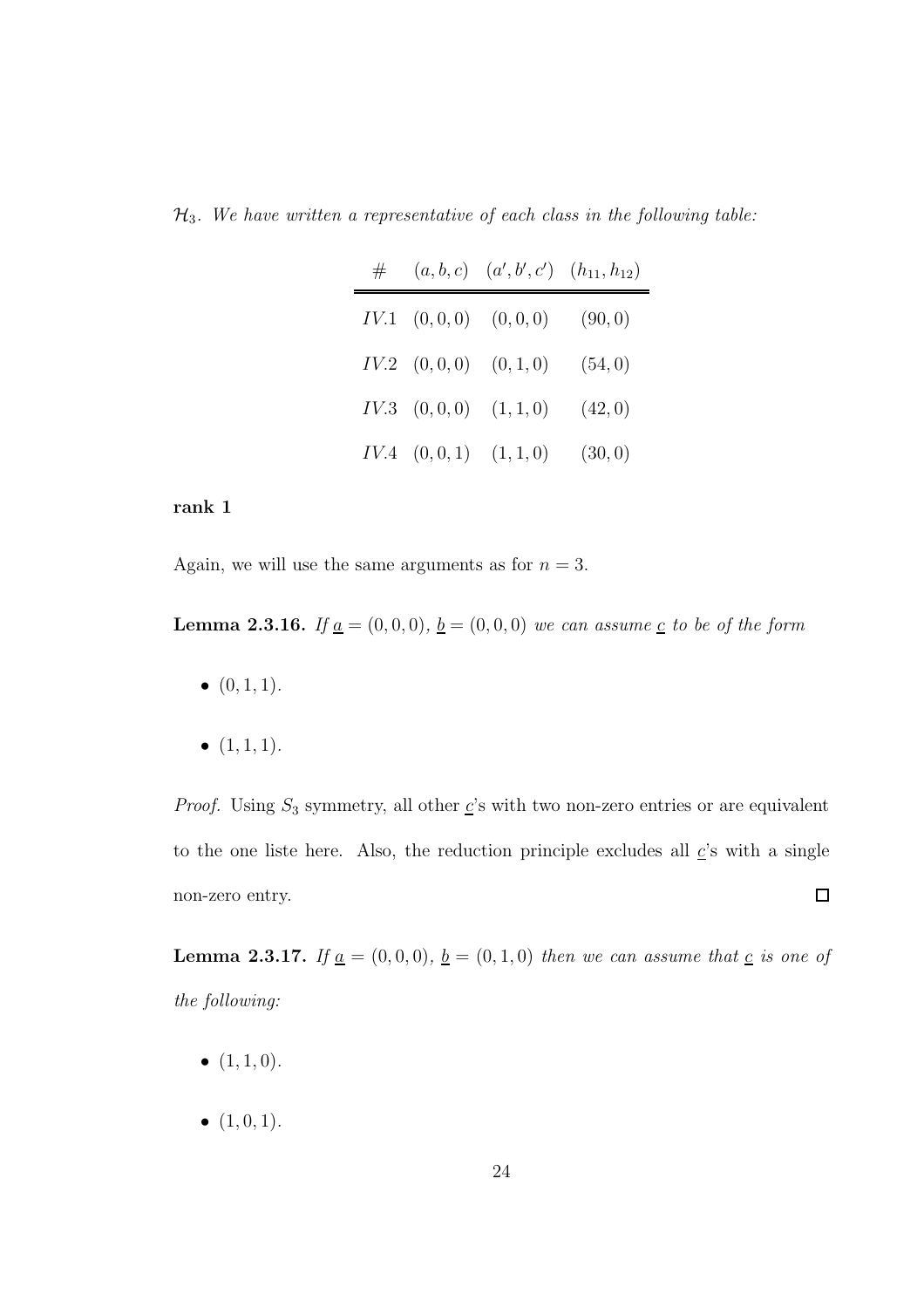H3*. We have written a representative of each class in the following table:*

| # |                                    | $(a, b, c)$ $(a', b', c')$ $(h_{11}, h_{12})$ |         |
|---|------------------------------------|-----------------------------------------------|---------|
|   |                                    | $IV.1 \quad (0,0,0) \quad (0,0,0)$            | (90, 0) |
|   | $IV.2 \quad (0,0,0) \quad (0,1,0)$ |                                               | (54, 0) |
|   | $IV.3$ $(0,0,0)$ $(1,1,0)$         |                                               | (42, 0) |
|   | $IV.4 \quad (0,0,1) \quad (1,1,0)$ |                                               | (30, 0) |

### rank 1

Again, we will use the same arguments as for  $n = 3$ .

**Lemma 2.3.16.** *If*  $\underline{a} = (0, 0, 0), \underline{b} = (0, 0, 0)$  *we can assume*  $\underline{c}$  *to be of the form* 

- $\bullet$   $(0, 1, 1)$ *.*
- $\bullet$   $(1, 1, 1)$ *.*

*Proof.* Using  $S_3$  symmetry, all other  $c$ 's with two non-zero entries or are equivalent to the one liste here. Also, the reduction principle excludes all  $\underline{c}$ 's with a single  $\Box$ non-zero entry.

**Lemma 2.3.17.** If  $\underline{a} = (0, 0, 0)$ ,  $\underline{b} = (0, 1, 0)$  then we can assume that  $\underline{c}$  is one of *the following:*

- $\bullet$   $(1, 1, 0)$ *.*
- $\bullet$   $(1, 0, 1)$ *.*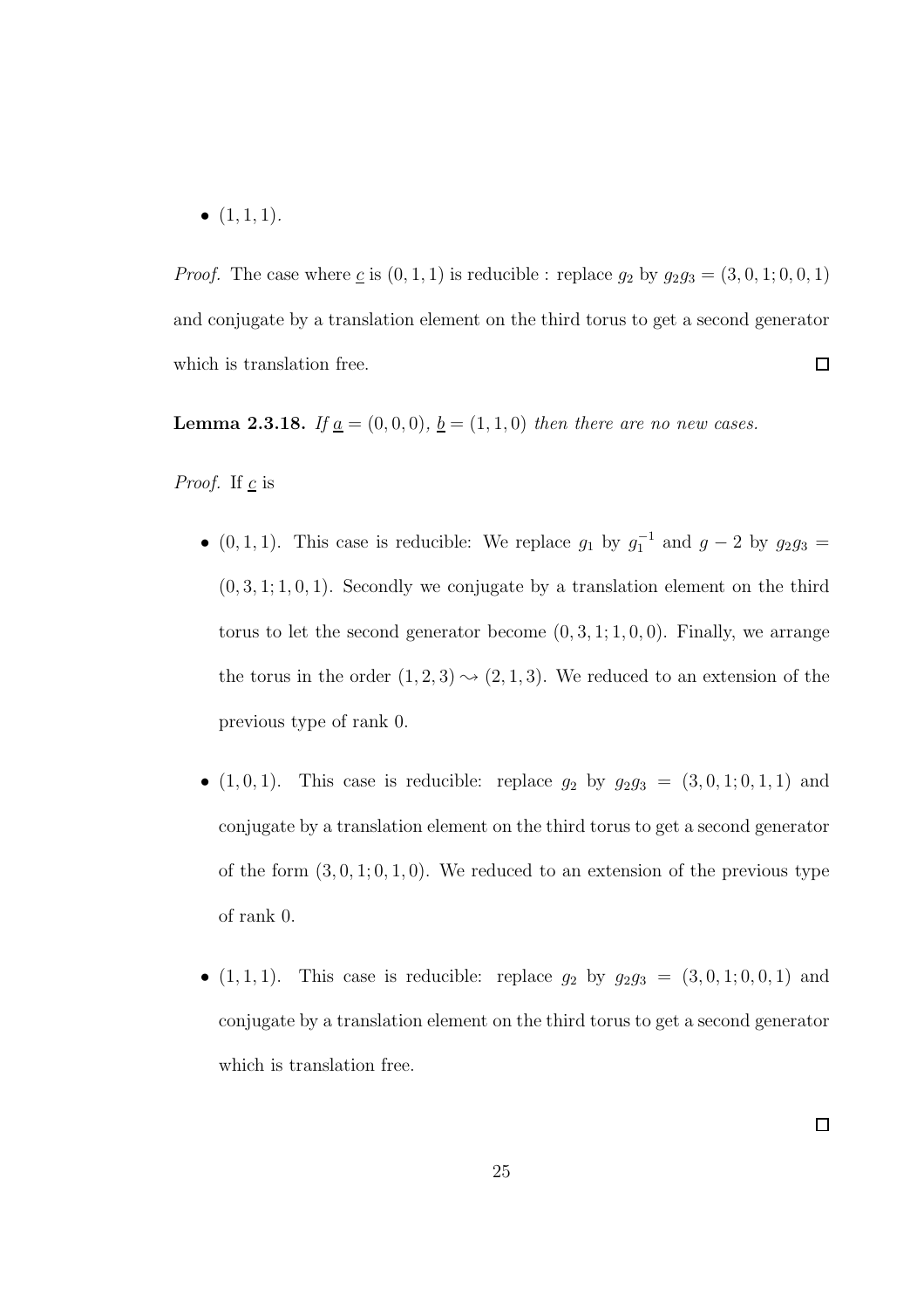$\bullet$   $(1, 1, 1)$ *.* 

*Proof.* The case where  $\underline{c}$  is  $(0, 1, 1)$  is reducible : replace  $g_2$  by  $g_2g_3 = (3, 0, 1; 0, 0, 1)$ and conjugate by a translation element on the third torus to get a second generator which is translation free.  $\Box$ 

**Lemma 2.3.18.** *If*  $\underline{a} = (0, 0, 0), \underline{b} = (1, 1, 0)$  *then there are no new cases.* 

*Proof.* If  $\mathbf{c}$  is

- $(0, 1, 1)$ . This case is reducible: We replace  $g_1$  by  $g_1^{-1}$  and  $g 2$  by  $g_2 g_3 =$  $(0, 3, 1; 1, 0, 1)$ . Secondly we conjugate by a translation element on the third torus to let the second generator become  $(0, 3, 1; 1, 0, 0)$ . Finally, we arrange the torus in the order  $(1, 2, 3) \rightarrow (2, 1, 3)$ . We reduced to an extension of the previous type of rank 0.
- $(1, 0, 1)$ . This case is reducible: replace  $g_2$  by  $g_2g_3 = (3, 0, 1; 0, 1, 1)$  and conjugate by a translation element on the third torus to get a second generator of the form  $(3, 0, 1, 0, 1, 0)$ . We reduced to an extension of the previous type of rank 0.
- $(1, 1, 1)$ . This case is reducible: replace  $g_2$  by  $g_2g_3 = (3, 0, 1; 0, 0, 1)$  and conjugate by a translation element on the third torus to get a second generator which is translation free.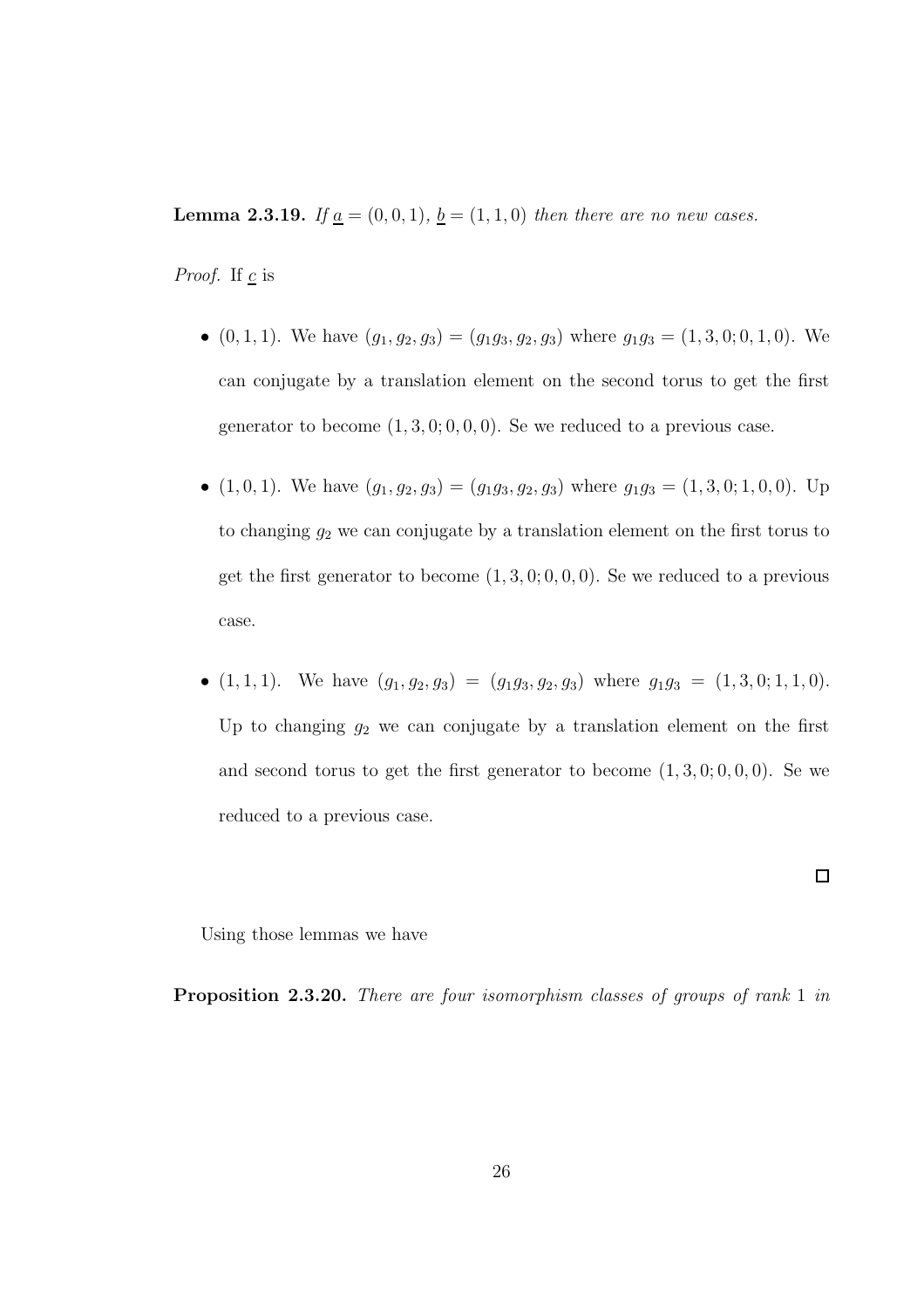**Lemma 2.3.19.** *If*  $\underline{a} = (0, 0, 1)$ *,*  $\underline{b} = (1, 1, 0)$  *then there are no new cases.* 

*Proof.* If  $\underline{c}$  is

- $(0, 1, 1)$ . We have  $(g_1, g_2, g_3) = (g_1g_3, g_2, g_3)$  where  $g_1g_3 = (1, 3, 0, 0, 1, 0)$ . We can conjugate by a translation element on the second torus to get the first generator to become  $(1, 3, 0, 0, 0, 0)$ . Se we reduced to a previous case.
- $(1, 0, 1)$ . We have  $(g_1, g_2, g_3) = (g_1g_3, g_2, g_3)$  where  $g_1g_3 = (1, 3, 0, 1, 0, 0)$ . Up to changing  $g_2$  we can conjugate by a translation element on the first torus to get the first generator to become  $(1, 3, 0, 0, 0, 0)$ . Se we reduced to a previous case.
- $(1, 1, 1)$ . We have  $(g_1, g_2, g_3) = (g_1g_3, g_2, g_3)$  where  $g_1g_3 = (1, 3, 0; 1, 1, 0)$ . Up to changing  $g_2$  we can conjugate by a translation element on the first and second torus to get the first generator to become  $(1, 3, 0, 0, 0, 0)$ . Se we reduced to a previous case.

 $\Box$ 

Using those lemmas we have

Proposition 2.3.20. *There are four isomorphism classes of groups of rank* 1 *in*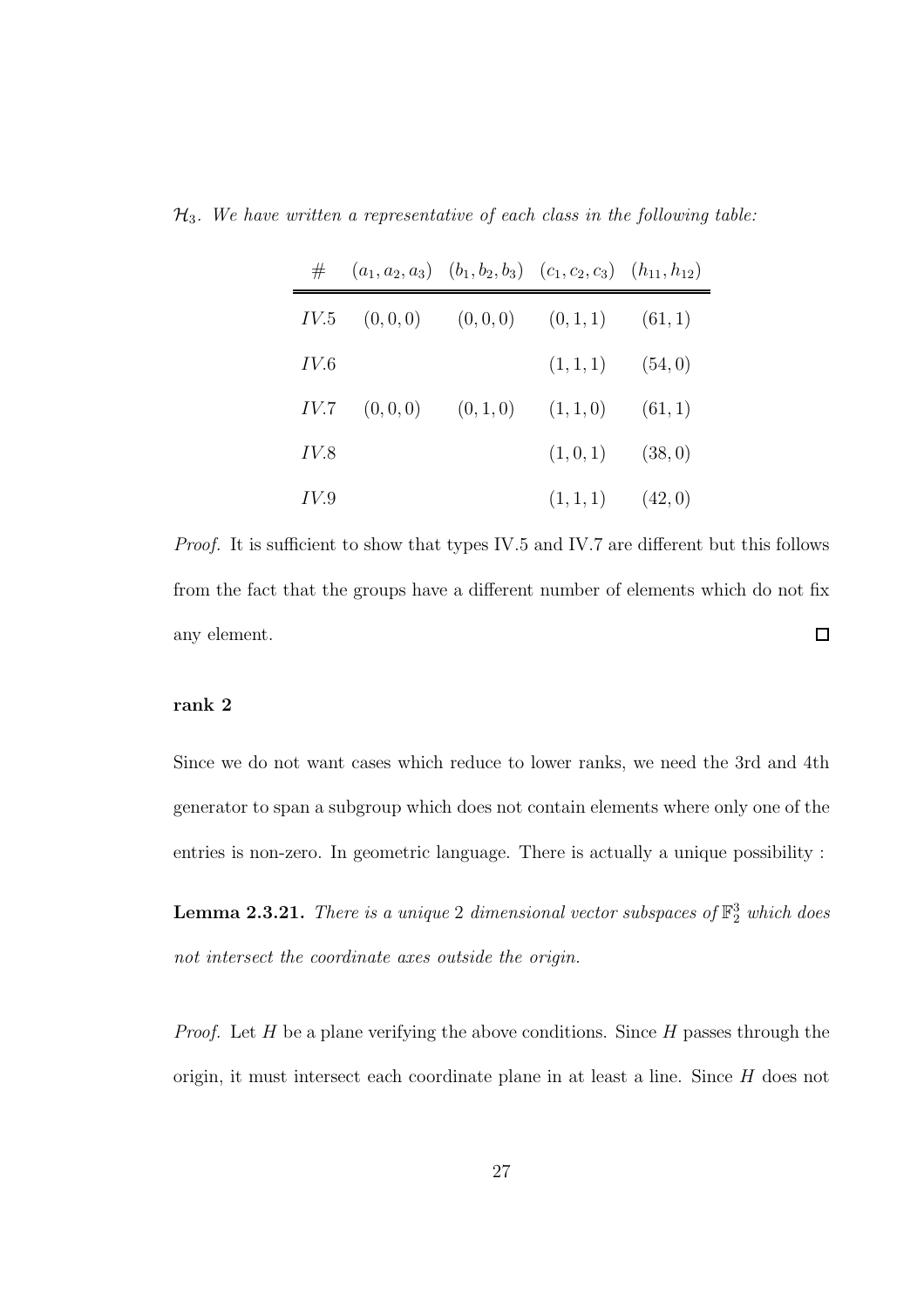H3*. We have written a representative of each class in the following table:*

|      | $\#$ $(a_1, a_2, a_3)$ $(b_1, b_2, b_3)$ $(c_1, c_2, c_3)$ $(h_{11}, h_{12})$ |                               |                                        |         |
|------|-------------------------------------------------------------------------------|-------------------------------|----------------------------------------|---------|
| IV.5 |                                                                               |                               | $(0,0,0)$ $(0,0,0)$ $(0,1,1)$ $(61,1)$ |         |
| IV.6 |                                                                               |                               | $(1,1,1)$ $(54,0)$                     |         |
| IV.7 |                                                                               | $(0,0,0)$ $(0,1,0)$ $(1,1,0)$ |                                        | (61, 1) |
| IV.8 |                                                                               |                               | $(1,0,1)$ $(38,0)$                     |         |
| IV.9 |                                                                               |                               | $(1,1,1)$ $(42,0)$                     |         |

*Proof.* It is sufficient to show that types IV.5 and IV.7 are different but this follows from the fact that the groups have a different number of elements which do not fix  $\Box$ any element.

#### rank 2

Since we do not want cases which reduce to lower ranks, we need the 3rd and 4th generator to span a subgroup which does not contain elements where only one of the entries is non-zero. In geometric language. There is actually a unique possibility :

Lemma 2.3.21. *There is a unique* 2 *dimensional vector subspaces of* F 3 <sup>2</sup> *which does not intersect the coordinate axes outside the origin.*

*Proof.* Let H be a plane verifying the above conditions. Since H passes through the origin, it must intersect each coordinate plane in at least a line. Since H does not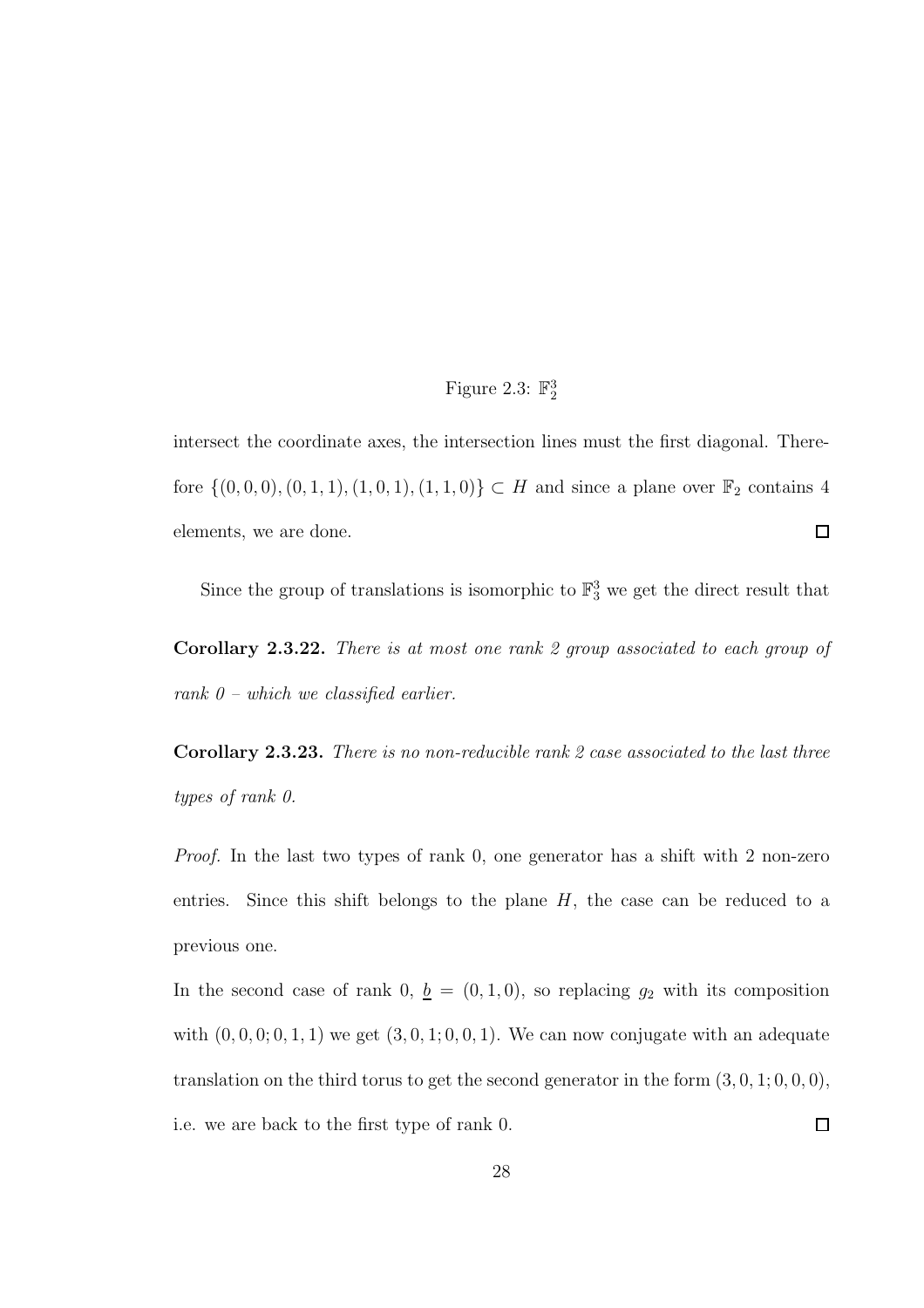# Figure 2.3:  $\mathbb{F}_2^3$

intersect the coordinate axes, the intersection lines must the first diagonal. Therefore  $\{(0, 0, 0), (0, 1, 1), (1, 0, 1), (1, 1, 0)\}\subset H$  and since a plane over  $\mathbb{F}_2$  contains 4 elements, we are done.  $\Box$ 

Since the group of translations is isomorphic to  $\mathbb{F}_3^3$  we get the direct result that

Corollary 2.3.22. *There is at most one rank 2 group associated to each group of rank 0 – which we classified earlier.*

Corollary 2.3.23. *There is no non-reducible rank 2 case associated to the last three types of rank 0.*

*Proof.* In the last two types of rank 0, one generator has a shift with 2 non-zero entries. Since this shift belongs to the plane  $H$ , the case can be reduced to a previous one.

In the second case of rank 0,  $\underline{b} = (0, 1, 0)$ , so replacing  $g_2$  with its composition with  $(0, 0, 0, 0, 1, 1)$  we get  $(3, 0, 1, 0, 0, 1)$ . We can now conjugate with an adequate translation on the third torus to get the second generator in the form  $(3, 0, 1; 0, 0, 0)$ , i.e. we are back to the first type of rank 0.  $\Box$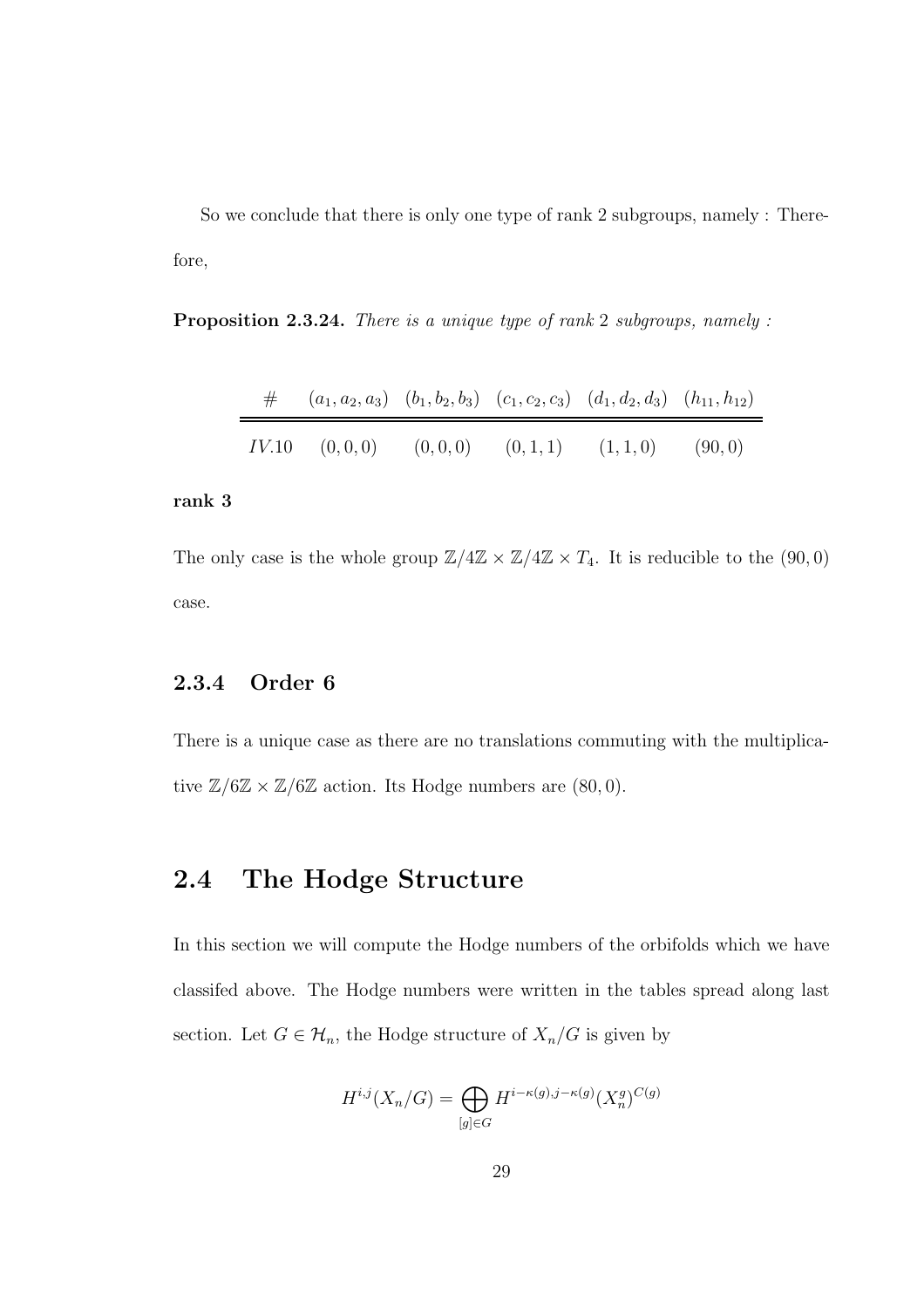So we conclude that there is only one type of rank 2 subgroups, namely : Therefore,

Proposition 2.3.24. *There is a unique type of rank* 2 *subgroups, namely :*

| $\#$ $(a_1, a_2, a_3)$ $(b_1, b_2, b_3)$ $(c_1, c_2, c_3)$ $(d_1, d_2, d_3)$ $(h_{11}, h_{12})$ |  |  |
|-------------------------------------------------------------------------------------------------|--|--|
| $IV.10$ $(0,0,0)$ $(0,0,0)$ $(0,1,1)$ $(1,1,0)$ $(90,0)$                                        |  |  |

#### rank 3

The only case is the whole group  $\mathbb{Z}/4\mathbb{Z} \times \mathbb{Z}/4\mathbb{Z} \times T_4$ . It is reducible to the (90,0) case.

### 2.3.4 Order 6

There is a unique case as there are no translations commuting with the multiplicative  $\mathbb{Z}/6\mathbb{Z} \times \mathbb{Z}/6\mathbb{Z}$  action. Its Hodge numbers are  $(80, 0)$ .

# 2.4 The Hodge Structure

In this section we will compute the Hodge numbers of the orbifolds which we have classifed above. The Hodge numbers were written in the tables spread along last section. Let  $G \in \mathcal{H}_n$ , the Hodge structure of  $X_n/G$  is given by

$$
H^{i,j}(X_n/G) = \bigoplus_{[g]\in G} H^{i-\kappa(g),j-\kappa(g)}(X_n^g)^{C(g)}
$$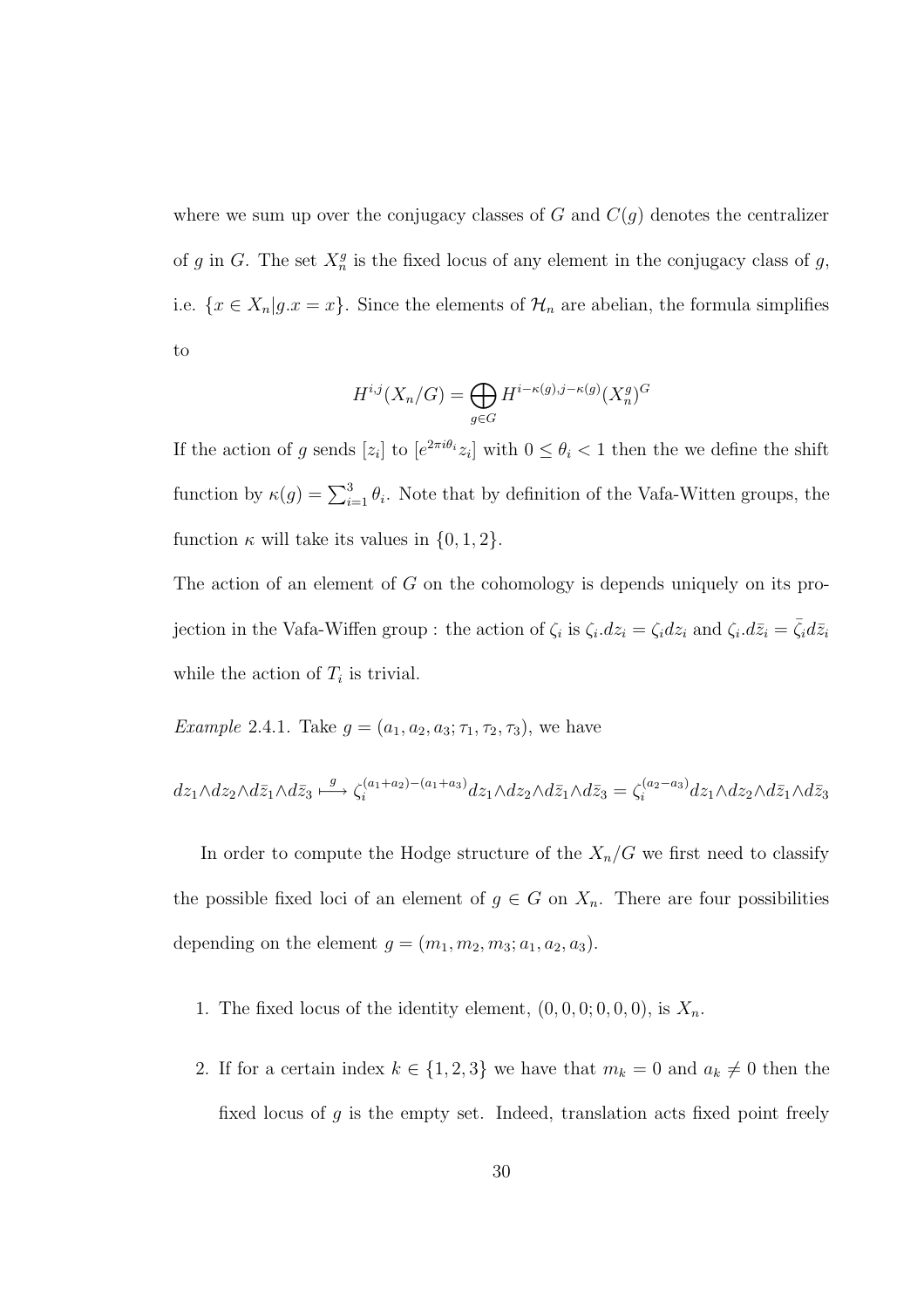where we sum up over the conjugacy classes of G and  $C(q)$  denotes the centralizer of g in G. The set  $X_n^g$  is the fixed locus of any element in the conjugacy class of g, i.e.  $\{x \in X_n | g.x = x\}$ . Since the elements of  $\mathcal{H}_n$  are abelian, the formula simplifies to

$$
H^{i,j}(X_n/G) = \bigoplus_{g \in G} H^{i-\kappa(g),j-\kappa(g)}(X_n^g)^G
$$

If the action of g sends  $[z_i]$  to  $[e^{2\pi i \theta_i} z_i]$  with  $0 \le \theta_i < 1$  then the we define the shift function by  $\kappa(g) = \sum_{i=1}^{3} \theta_i$ . Note that by definition of the Vafa-Witten groups, the function  $\kappa$  will take its values in  $\{0, 1, 2\}.$ 

The action of an element of G on the cohomology is depends uniquely on its projection in the Vafa-Wiffen group : the action of  $\zeta_i$  is  $\zeta_i$ .  $dz_i = \zeta_i dz_i$  and  $\zeta_i$ .  $d\bar{z}_i = \bar{\zeta}_i d\bar{z}_i$ while the action of  $T_i$  is trivial.

*Example* 2.4.1*.* Take  $g = (a_1, a_2, a_3; \tau_1, \tau_2, \tau_3)$ , we have

$$
dz_1 \wedge dz_2 \wedge d\bar{z}_1 \wedge d\bar{z}_3 \xrightarrow{g} \zeta_i^{(a_1+a_2)-(a_1+a_3)} dz_1 \wedge dz_2 \wedge d\bar{z}_1 \wedge d\bar{z}_3 = \zeta_i^{(a_2-a_3)} dz_1 \wedge dz_2 \wedge d\bar{z}_1 \wedge d\bar{z}_3
$$

In order to compute the Hodge structure of the  $X_n/G$  we first need to classify the possible fixed loci of an element of  $g \in G$  on  $X_n$ . There are four possibilities depending on the element  $g = (m_1, m_2, m_3; a_1, a_2, a_3)$ .

- 1. The fixed locus of the identity element,  $(0, 0, 0, 0, 0, 0)$ , is  $X_n$ .
- 2. If for a certain index  $k \in \{1, 2, 3\}$  we have that  $m_k = 0$  and  $a_k \neq 0$  then the fixed locus of  $g$  is the empty set. Indeed, translation acts fixed point freely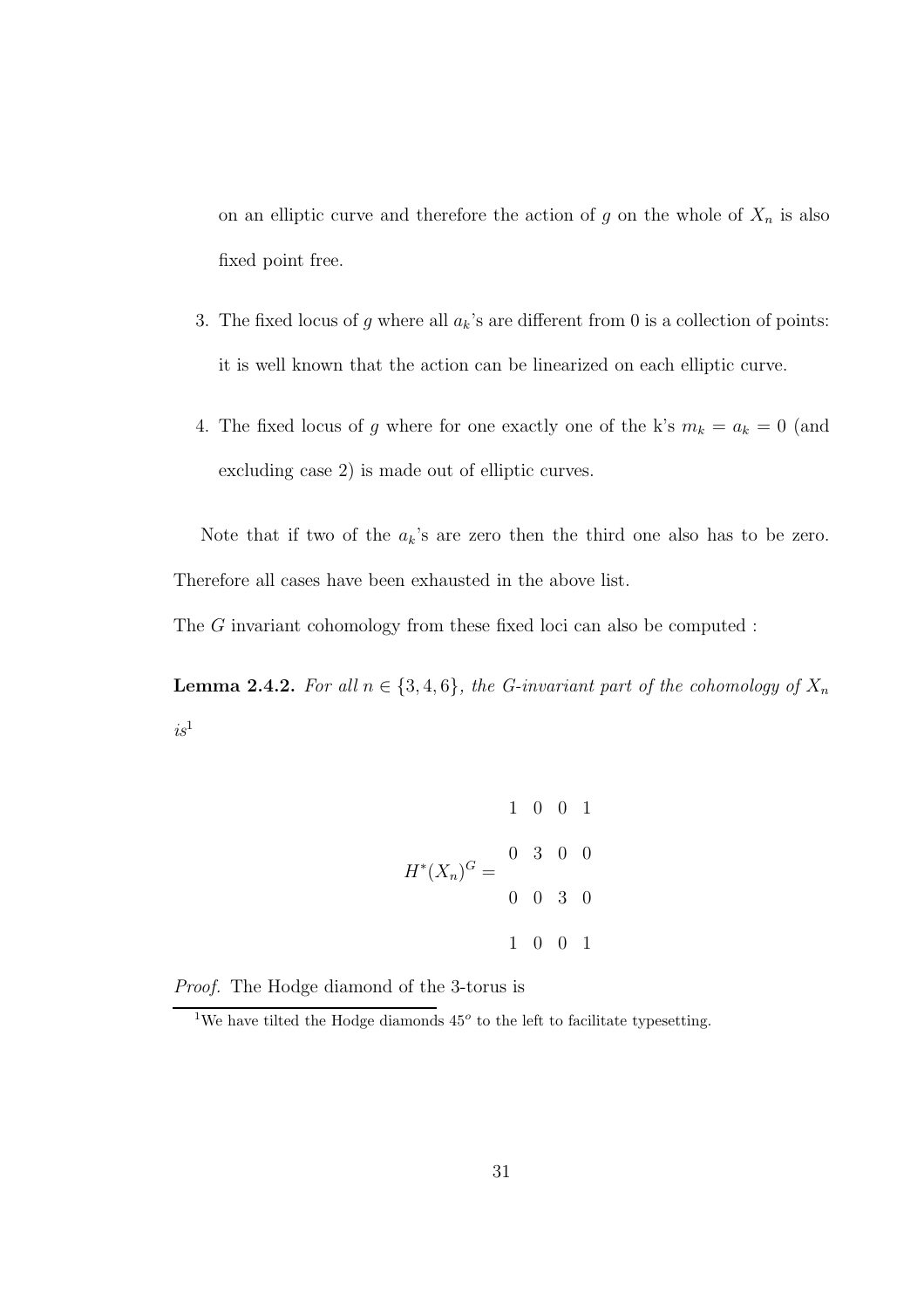on an elliptic curve and therefore the action of g on the whole of  $X_n$  is also fixed point free.

- 3. The fixed locus of g where all  $a_k$ 's are different from 0 is a collection of points: it is well known that the action can be linearized on each elliptic curve.
- 4. The fixed locus of g where for one exactly one of the k's  $m_k = a_k = 0$  (and excluding case 2) is made out of elliptic curves.

Note that if two of the  $a_k$ 's are zero then the third one also has to be zero. Therefore all cases have been exhausted in the above list.

The G invariant cohomology from these fixed loci can also be computed :

**Lemma 2.4.2.** *For all*  $n \in \{3, 4, 6\}$ *, the G-invariant part of the cohomology of*  $X_n$  $is^1$ 

$$
1 \t 0 \t 0 \t 1
$$

$$
H^*(X_n)^G = \begin{bmatrix} 0 & 3 & 0 & 0 \\ & & & & \\ 0 & 0 & 3 & 0 \\ & & & & 1 & 0 & 0 & 1 \end{bmatrix}
$$

*Proof.* The Hodge diamond of the 3-torus is

<sup>&</sup>lt;sup>1</sup>We have tilted the Hodge diamonds  $45^{\circ}$  to the left to facilitate typesetting.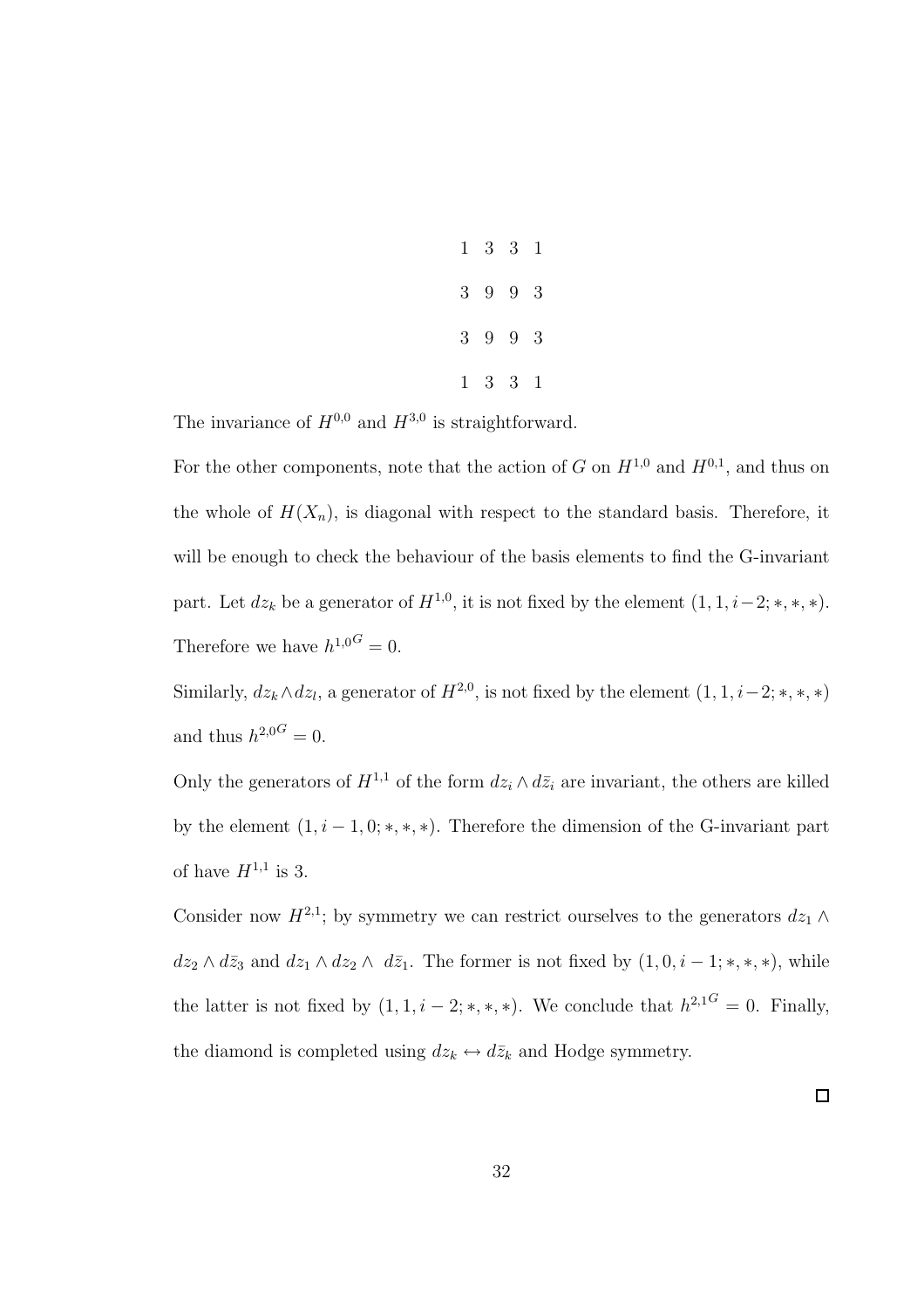|  | $1 \t3 \t3 \t1$             |  |
|--|-----------------------------|--|
|  | $3\quad 9\quad 9\quad 3$    |  |
|  | $3\quad 9\quad 9\quad 3$    |  |
|  | $1 \quad 3 \quad 3 \quad 1$ |  |

The invariance of  $H^{0,0}$  and  $H^{3,0}$  is straightforward.

For the other components, note that the action of G on  $H^{1,0}$  and  $H^{0,1}$ , and thus on the whole of  $H(X_n)$ , is diagonal with respect to the standard basis. Therefore, it will be enough to check the behaviour of the basis elements to find the G-invariant part. Let  $dz_k$  be a generator of  $H^{1,0}$ , it is not fixed by the element  $(1, 1, i-2; *, *, *).$ Therefore we have  $h^{1,0} = 0$ .

Similarly,  $dz_k \wedge dz_l$ , a generator of  $H^{2,0}$ , is not fixed by the element  $(1, 1, i-2; *, *, *)$ and thus  $h^{2,0G} = 0$ .

Only the generators of  $H^{1,1}$  of the form  $dz_i \wedge d\bar{z}_i$  are invariant, the others are killed by the element  $(1, i - 1, 0; *, *, *)$ . Therefore the dimension of the G-invariant part of have  $H^{1,1}$  is 3.

Consider now  $H^{2,1}$ ; by symmetry we can restrict ourselves to the generators  $dz_1 \wedge$  $dz_2 \wedge d\bar{z}_3$  and  $dz_1 \wedge dz_2 \wedge d\bar{z}_1$ . The former is not fixed by  $(1, 0, i - 1; *, *, *),$  while the latter is not fixed by  $(1, 1, i - 2; *, *, *).$  We conclude that  $h^{2,1^G} = 0$ . Finally, the diamond is completed using  $dz_k \leftrightarrow d\bar{z}_k$  and Hodge symmetry.

 $\Box$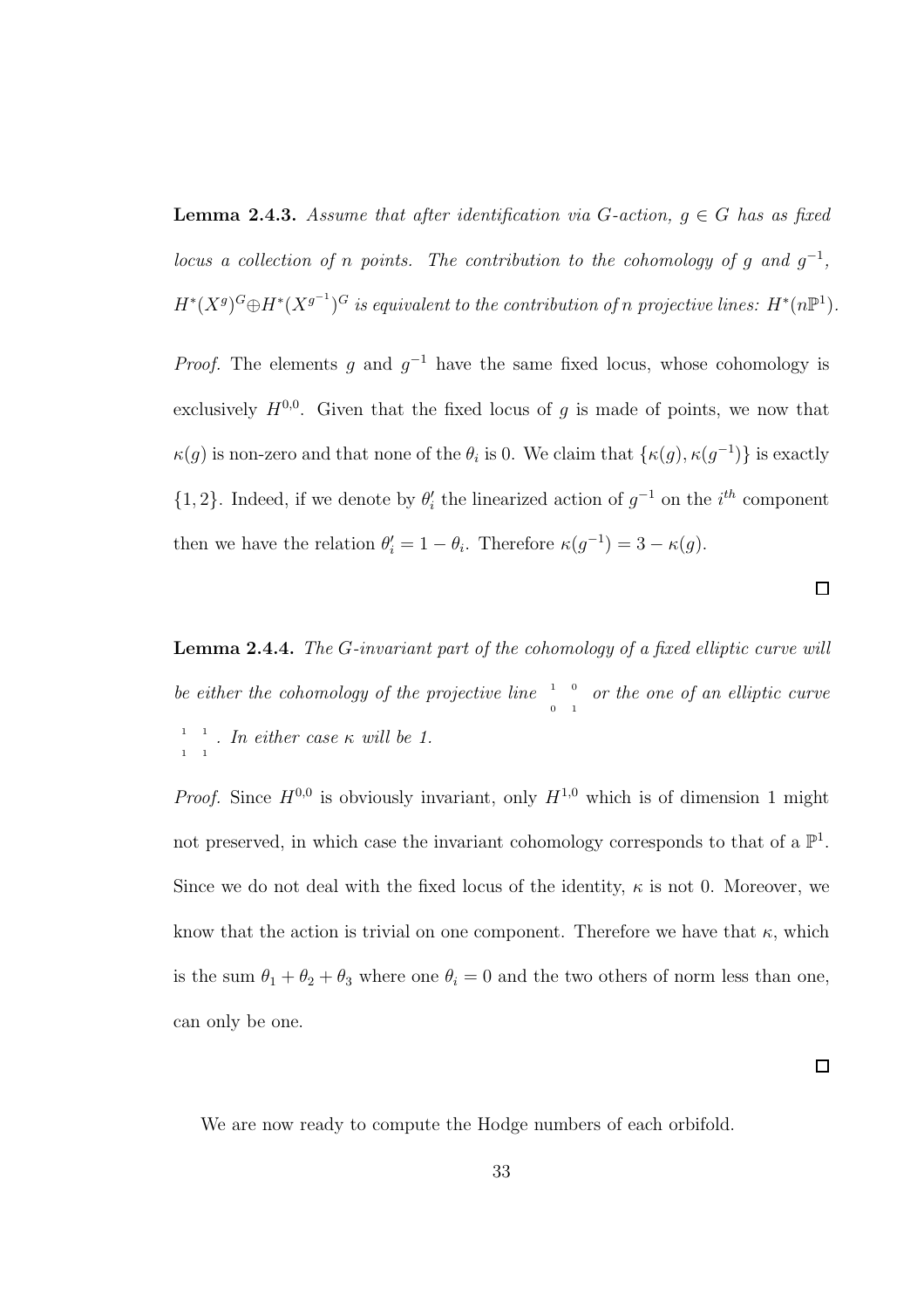**Lemma 2.4.3.** *Assume that after identification via*  $G$ -action,  $g \in G$  *has as fixed locus a collection of n points. The contribution to the cohomology of g and*  $g^{-1}$ ,  $H^*(X^g)^G \oplus H^*(X^{g^{-1}})^G$  is equivalent to the contribution of n projective lines:  $H^*(n\mathbb{P}^1)$ .

*Proof.* The elements g and  $g^{-1}$  have the same fixed locus, whose cohomology is exclusively  $H^{0,0}$ . Given that the fixed locus of g is made of points, we now that  $\kappa(g)$  is non-zero and that none of the  $\theta_i$  is 0. We claim that  $\{\kappa(g), \kappa(g^{-1})\}$  is exactly  $\{1, 2\}$ . Indeed, if we denote by  $\theta_i'$  the linearized action of  $g^{-1}$  on the  $i^{th}$  component then we have the relation  $\theta'_i = 1 - \theta_i$ . Therefore  $\kappa(g^{-1}) = 3 - \kappa(g)$ .

Lemma 2.4.4. *The* G*-invariant part of the cohomology of a fixed elliptic curve will* be either the cohomology of the projective line  $\frac{1}{\alpha}$  or the one of an elliptic curve 1 1  $\frac{1}{\sqrt{1}}$   $\frac{1}{\sqrt{1}}$  *. In either case*  $\kappa$  *will be 1.* 

*Proof.* Since  $H^{0,0}$  is obviously invariant, only  $H^{1,0}$  which is of dimension 1 might not preserved, in which case the invariant cohomology corresponds to that of a  $\mathbb{P}^1$ . Since we do not deal with the fixed locus of the identity,  $\kappa$  is not 0. Moreover, we know that the action is trivial on one component. Therefore we have that  $\kappa$ , which is the sum  $\theta_1 + \theta_2 + \theta_3$  where one  $\theta_i = 0$  and the two others of norm less than one, can only be one.

 $\Box$ 

 $\Box$ 

We are now ready to compute the Hodge numbers of each orbifold.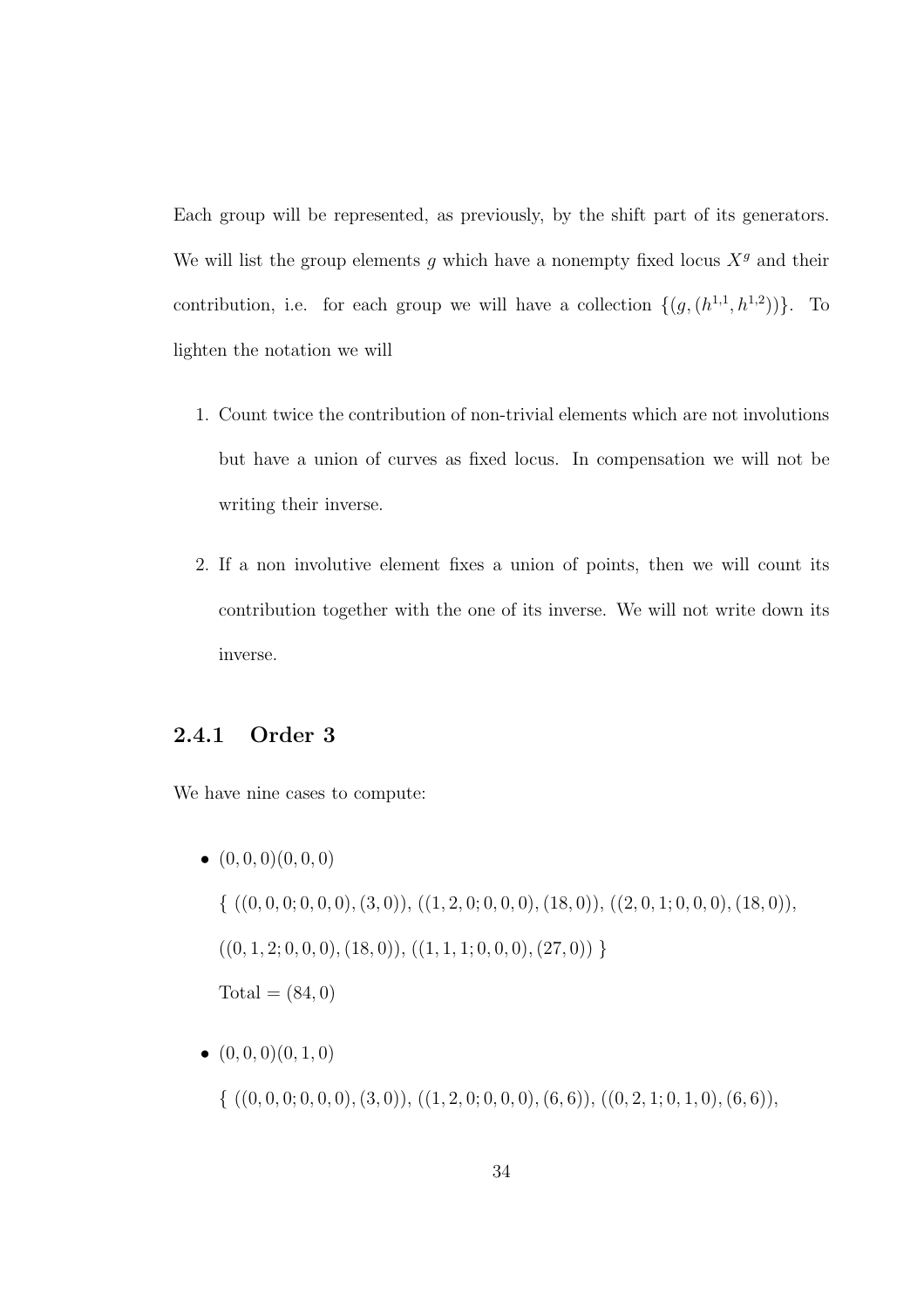Each group will be represented, as previously, by the shift part of its generators. We will list the group elements g which have a nonempty fixed locus  $X<sup>g</sup>$  and their contribution, i.e. for each group we will have a collection  $\{(g,(h^{1,1},h^{1,2}))\}$ . To lighten the notation we will

- 1. Count twice the contribution of non-trivial elements which are not involutions but have a union of curves as fixed locus. In compensation we will not be writing their inverse.
- 2. If a non involutive element fixes a union of points, then we will count its contribution together with the one of its inverse. We will not write down its inverse.

### 2.4.1 Order 3

We have nine cases to compute:

- $\bullet$   $(0, 0, 0)$  $(0, 0, 0)$  $\{ ((0, 0, 0, 0, 0, 0, 0, 0, 3, 0)), ((1, 2, 0, 0, 0, 0, 0, 1, 1, 0, 0, 0, 0, 1, 1, 0, 0, 0, 0, 1, 1, 0, 0, 0),$  $((0, 1, 2; 0, 0, 0), (18, 0)), ((1, 1, 1; 0, 0, 0), (27, 0))$  $Total = (84, 0)$
- $\bullet$   $(0, 0, 0)$  $(0, 1, 0)$  $\{ ((0, 0, 0, 0, 0, 0, 0, 0, 3, 0)), ((1, 2, 0, 0, 0, 0, 0, 6, 6)), ((0, 2, 1, 0, 1, 0), (6, 6)),$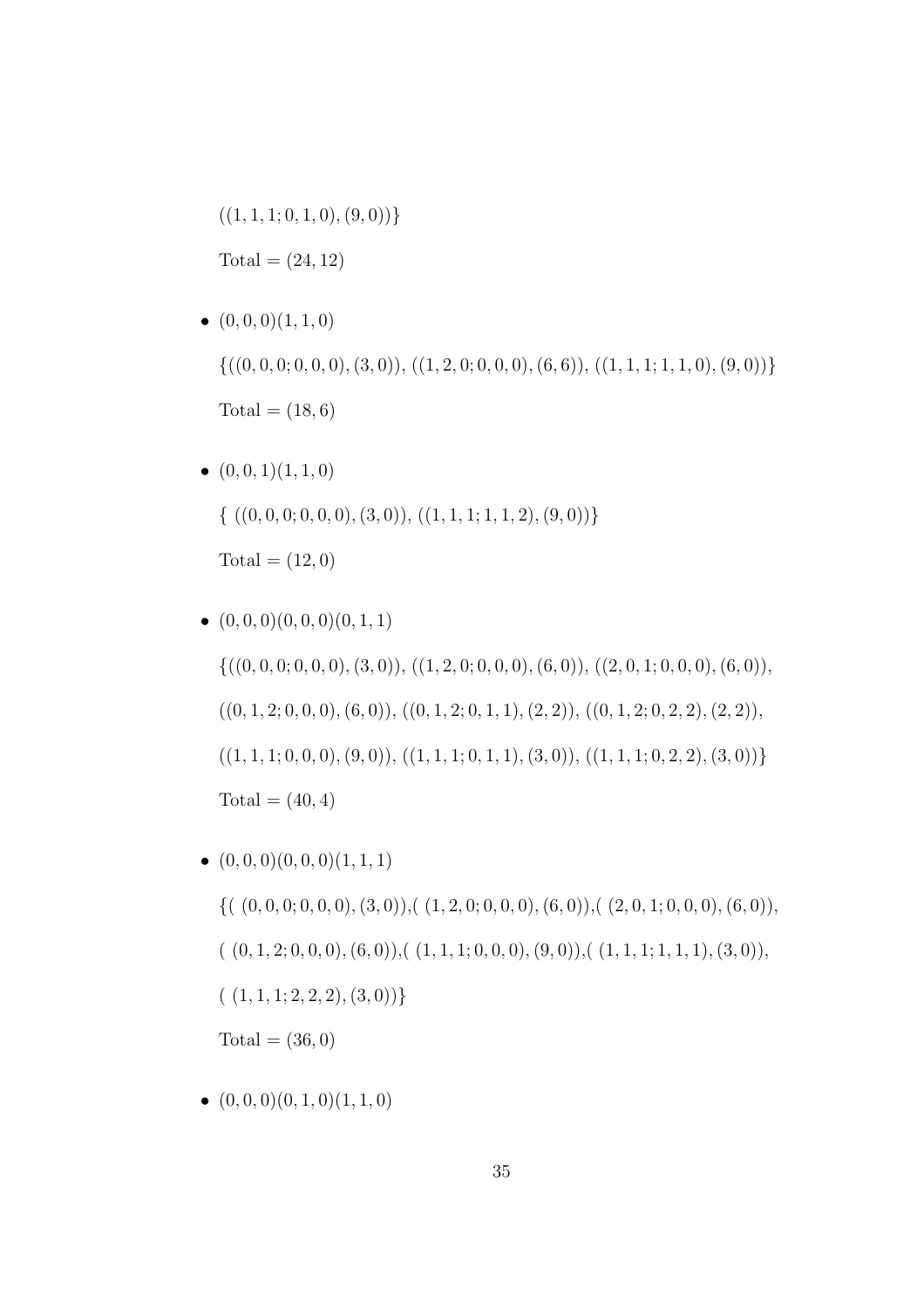$((1,1,1;0,1,0),(9,0))\}$  $Total = (24, 12)$ 

\n- $$
(0, 0, 0)(1, 1, 0)
$$
\n- $\{((0, 0, 0, 0, 0, 0), (3, 0)), ((1, 2, 0, 0, 0, 0), (6, 6)), ((1, 1, 1, 1, 1, 0), (9, 0))\}$
\n- Total = (18, 6)
\n

\n- $$
(0, 0, 1)(1, 1, 0)
$$
\n- $\{((0, 0, 0, 0, 0, 0), (3, 0)), ((1, 1, 1, 1, 1, 2), (9, 0))\}$
\n- Total =  $(12, 0)$
\n

\n- \n
$$
(0,0,0)(0,0,0)(0,1,1)
$$
\n
\n- \n $\{((0,0,0;0,0,0),(3,0)), ((1,2,0;0,0,0),(6,0)), ((2,0,1;0,0,0),(6,0)), ((0,1,2;0,0,0),(6,0)), ((0,1,2;0,1,1),(2,2)), ((0,1,2;0,2,2),(2,2)), ((1,1,1;0,0,0),(9,0)), ((1,1,1;0,1,1),(3,0)), ((1,1,1;0,2,2),(3,0))\}$ \n
\n- \n Total =  $(40,4)$ \n
\n

\n- \n
$$
(0,0,0)(0,0,0)(1,1,1)
$$
\n
\n- \n $\{((0,0,0,0,0,0),(3,0)),((1,2,0,0,0,0),(6,0)),((2,0,1,0,0,0),(6,0)),((0,1,2;0,0,0),(6,0)),((1,1,1,1,0,0,0),(9,0)),((1,1,1,1,1,1),(3,0)),((1,1,1,2,2,2),(3,0))\}$ \n
\n- \n Total =  $(36,0)$ \n
\n

 $\bullet$   $(0, 0, 0)$  $(0, 1, 0)$  $(1, 1, 0)$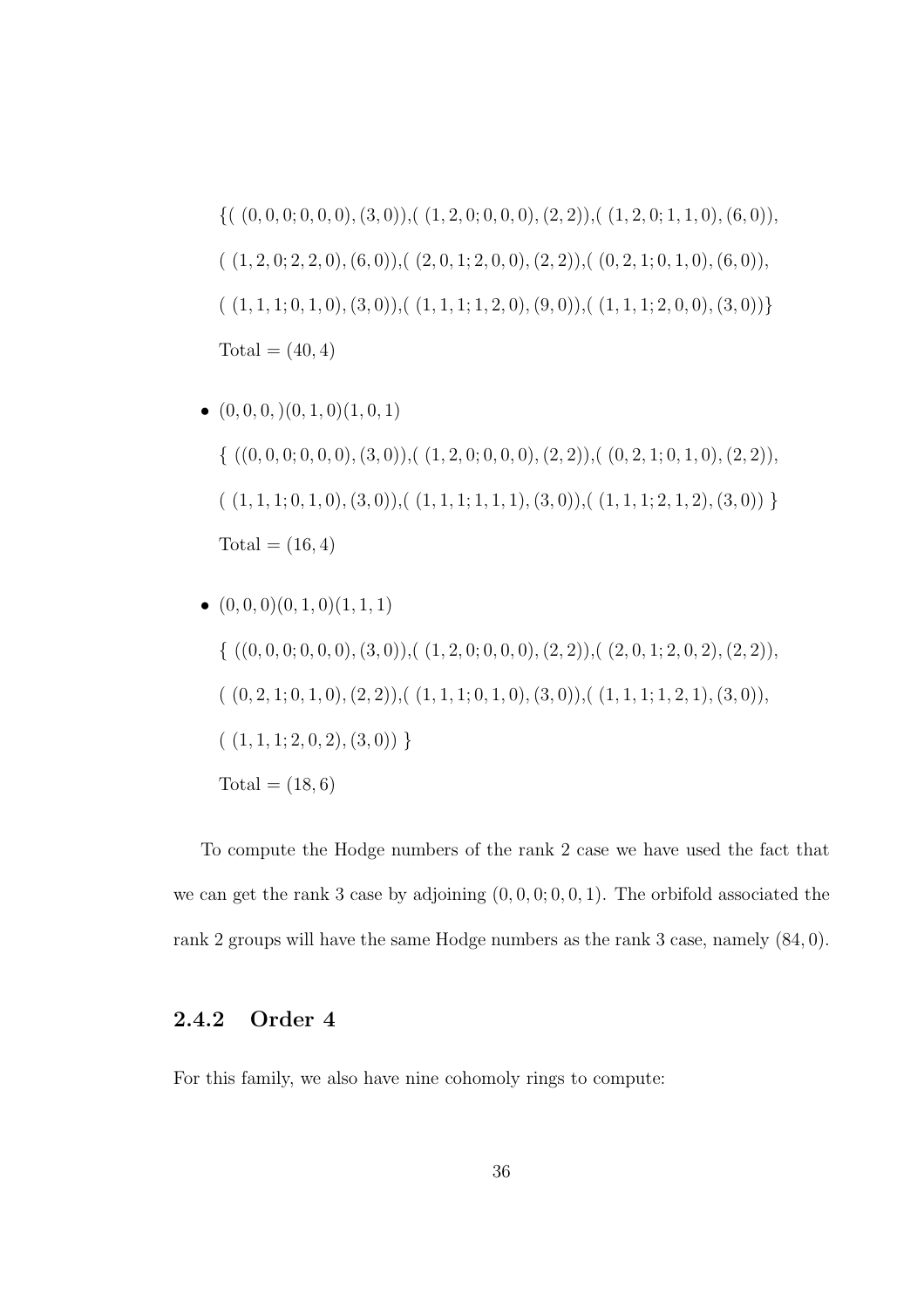$$
\{((0,0,0,0,0,0),(3,0)),((1,2,0,0,0,0),(2,2)),((1,2,0,1,1,0),(6,0)),((1,2,0,2,2,0),(6,0)),((2,0,1,2,0,0),(2,2)),((0,2,1,0,1,0),(6,0)),((1,1,1,1,0,1,0),(3,0)),((1,1,1,1,2,0),(9,0)),((1,1,1,2,0,0),(3,0))\}
$$
  
Total = (40,4)

\n- \n
$$
(0, 0, 0, 0), (0, 1, 0), (1, 0, 1)
$$
\n
\n- \n $\{ ((0, 0, 0, 0, 0, 0), (3, 0)), ((1, 2, 0, 0, 0, 0), (2, 2)), ((0, 2, 1, 0, 1, 0), (2, 2)), ((1, 1, 1, 0, 1, 0), (3, 0)), ((1, 1, 1, 1, 1, 1), (3, 0)), ((1, 1, 1, 2, 1, 2), (3, 0)) \}$ \n
\n- \n Total = (16, 4)\n
\n

\n- \n
$$
(0,0,0)(0,1,0)(1,1,1)
$$
\n
\n- \n $\{((0,0,0;0,0,0),(3,0)),((1,2,0;0,0,0),(2,2)),((2,0,1;2,0,2),(2,2)),((0,2,1;0,1,0),(2,2)),((1,1,1;0,1,0),(3,0)),((1,1,1;1,2,1),(3,0)),((1,1,1;2,0,2),(3,0))\}$ \n
\n- \n $(1,1,1;2,0,2),(3,0))$ \n
\n- \n Total = (18,6)\n
\n

To compute the Hodge numbers of the rank 2 case we have used the fact that we can get the rank 3 case by adjoining  $(0, 0, 0, 0, 0, 1)$ . The orbifold associated the rank 2 groups will have the same Hodge numbers as the rank 3 case, namely (84, 0).

# 2.4.2 Order 4

For this family, we also have nine cohomoly rings to compute: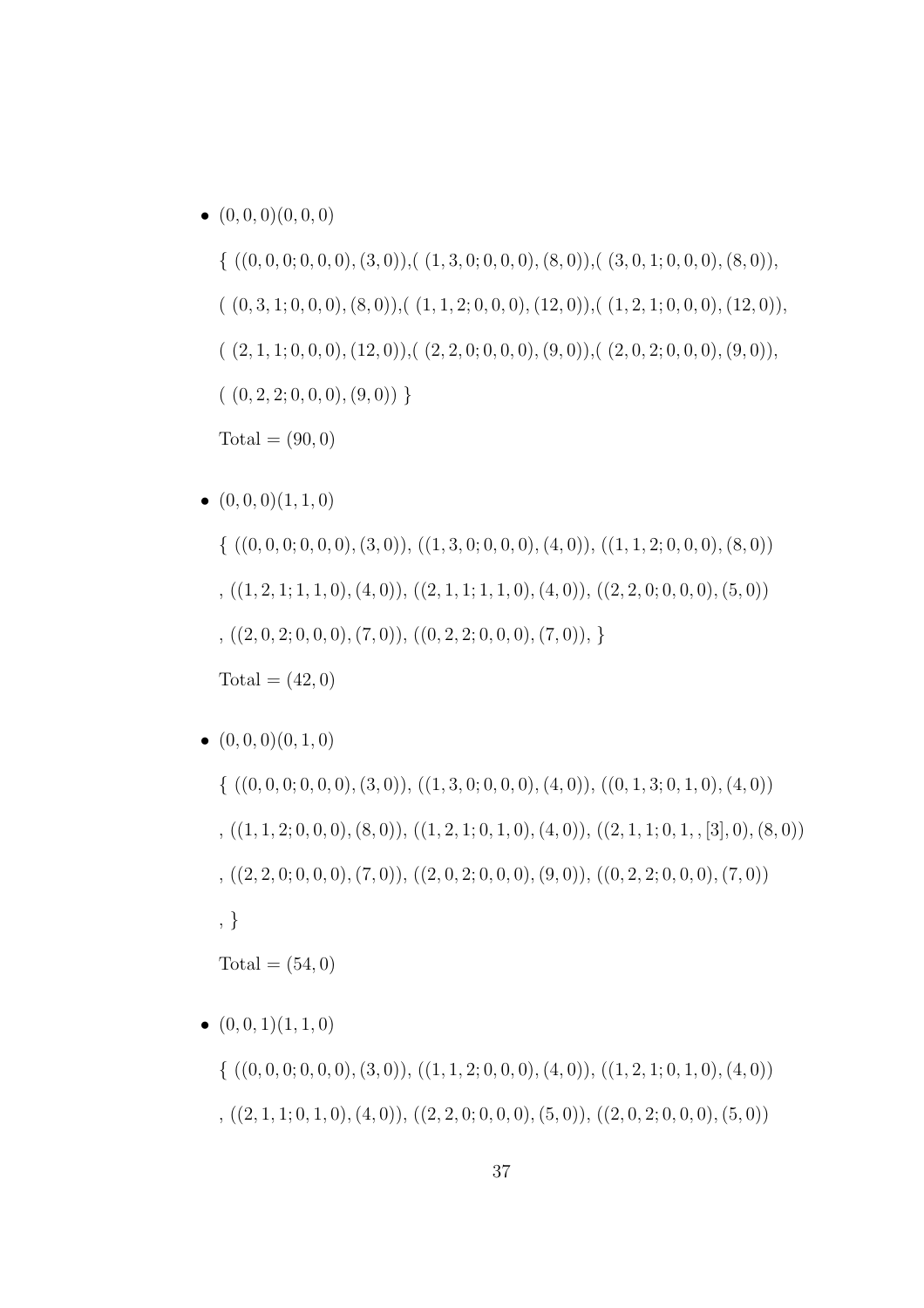• (0, 0, 0)(0, 0, 0) { ((0, 0, 0; 0, 0, 0),(3, 0)),( (1, 3, 0; 0, 0, 0),(8, 0)),( (3, 0, 1; 0, 0, 0),(8, 0)), ( (0, 3, 1; 0, 0, 0),(8, 0)),( (1, 1, 2; 0, 0, 0),(12, 0)),( (1, 2, 1; 0, 0, 0),(12, 0)), ( (2, 1, 1; 0, 0, 0),(12, 0)),( (2, 2, 0; 0, 0, 0),(9, 0)),( (2, 0, 2; 0, 0, 0),(9, 0)), ( (0, 2, 2; 0, 0, 0),(9, 0)) } Total = (90, 0)

 $\bullet$   $(0, 0, 0)$  $(1, 1, 0)$ 

 $\{ ((0, 0, 0, 0, 0, 0, 0, 0, 3, 0)), ((1, 3, 0, 0, 0, 0, 4, 0)), ((1, 1, 2, 0, 0, 0, 0, 8, 0))$  $(1, 2, 1; 1, 1, 0), (4, 0), (2, 1, 1; 1, 1, 0), (4, 0), (2, 2, 0; 0, 0, 0), (5, 0))$  $, ((2, 0, 2; 0, 0, 0), (7, 0)), ((0, 2, 2; 0, 0, 0), (7, 0)),$  $Total = (42, 0)$ 

 $\bullet$   $(0, 0, 0)$  $(0, 1, 0)$  $\{ ((0, 0, 0, 0, 0, 0, 0), (3, 0)), ((1, 3, 0, 0, 0, 0), (4, 0)), ((0, 1, 3, 0, 1, 0), (4, 0)) \}$  $(1, 1, 2; 0, 0, 0), (8, 0), (1, 2, 1; 0, 1, 0), (4, 0), (2, 1, 1; 0, 1, 5, 5, 0), (8, 0))$  $, ((2, 2, 0, 0, 0, 0), (7, 0)), ((2, 0, 2, 0, 0, 0), (9, 0)), ((0, 2, 2, 0, 0, 0), (7, 0))$ , }  $Total = (54, 0)$ 

\n- \n
$$
(0, 0, 1)(1, 1, 0)
$$
\n
\n- \n $\{((0, 0, 0; 0, 0, 0), (3, 0)), ((1, 1, 2; 0, 0, 0), (4, 0)), ((1, 2, 1; 0, 1, 0), (4, 0))$ \n
\n- \n $((2, 1, 1; 0, 1, 0), (4, 0)), ((2, 2, 0; 0, 0, 0), (5, 0)), ((2, 0, 2; 0, 0, 0), (5, 0))$ \n
\n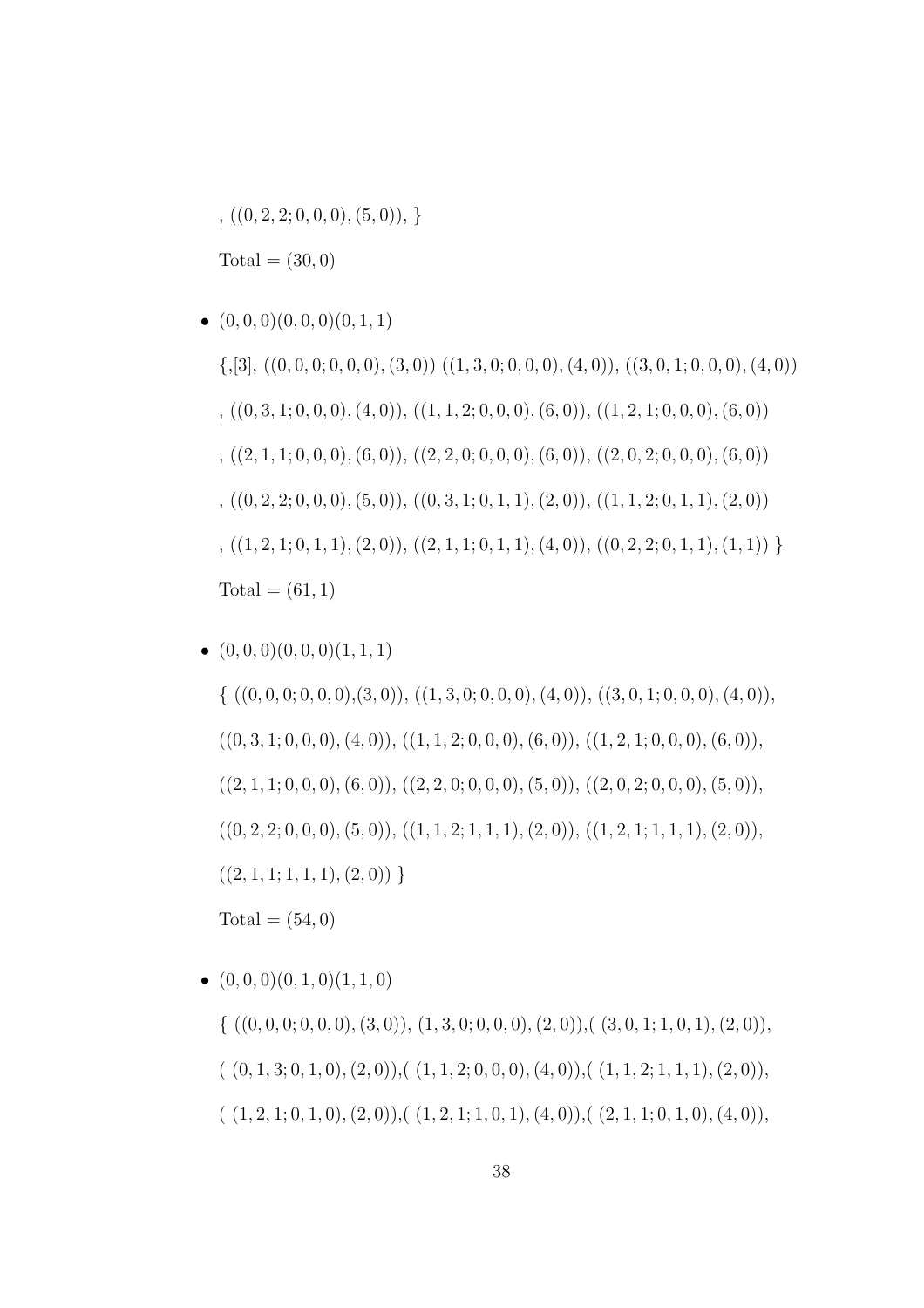$( (0, 2, 2; 0, 0, 0), (5, 0)),$ 

 $Total = (30, 0)$ 

 $\bullet$   $(0, 0, 0)$  $(0, 0, 0)$  $(0, 1, 1)$  $\{,[3], ((0, 0, 0, 0, 0), (3, 0)) ((1, 3, 0, 0, 0, 0), (4, 0)), ((3, 0, 1, 0, 0, 0), (4, 0))\}$  $, ((0, 3, 1; 0, 0, 0), (4, 0)), ((1, 1, 2; 0, 0, 0), (6, 0)), ((1, 2, 1; 0, 0, 0), (6, 0))$ ,  $((2, 1, 1; 0, 0, 0), (6, 0)), ((2, 2, 0; 0, 0, 0), (6, 0)), ((2, 0, 2; 0, 0, 0), (6, 0))$  $, ((0, 2, 2, 0, 0, 0), (5, 0)), ((0, 3, 1, 0, 1, 1), (2, 0)), ((1, 1, 2, 0, 1, 1), (2, 0))$  $, ((1, 2, 1; 0, 1, 1), (2, 0)), ((2, 1, 1; 0, 1, 1), (4, 0)), ((0, 2, 2; 0, 1, 1), (1, 1))$  $Total = (61, 1)$ 

 $\bullet$   $(0, 0, 0)$  $(0, 0, 0)$  $(1, 1, 1)$ 

 $\{ ((0, 0, 0, 0, 0, 0, 0, 0, 3, 0)), ((1, 3, 0, 0, 0, 0, 0, 4, 0)), ((3, 0, 1, 0, 0, 0, 4, 0)),$  $((0, 3, 1; 0, 0, 0), (4, 0)), ((1, 1, 2; 0, 0, 0), (6, 0)), ((1, 2, 1; 0, 0, 0), (6, 0)),$  $((2, 1, 1; 0, 0, 0), (6, 0)), ((2, 2, 0; 0, 0, 0), (5, 0)), ((2, 0, 2; 0, 0, 0), (5, 0)),$  $((0, 2, 2; 0, 0, 0), (5, 0)), ((1, 1, 2; 1, 1, 1), (2, 0)), ((1, 2, 1; 1, 1, 1), (2, 0)),$  $((2, 1, 1; 1, 1, 1), (2, 0))$ }  $Total = (54, 0)$ 

 $\bullet$   $(0, 0, 0)$  $(0, 1, 0)$  $(1, 1, 0)$  $\{((0, 0, 0, 0, 0, 0, 0, 0, 3, 0), (1, 3, 0, 0, 0, 0, 0, 2, 0), ((3, 0, 1, 1, 0, 1), (2, 0)),$  $((0, 1, 3; 0, 1, 0), (2, 0)),((1, 1, 2; 0, 0, 0), (4, 0)),((1, 1, 2; 1, 1, 1), (2, 0)),$  $((1, 2, 1; 0, 1, 0), (2, 0)),((1, 2, 1; 1, 0, 1), (4, 0)),((2, 1, 1; 0, 1, 0), (4, 0)),$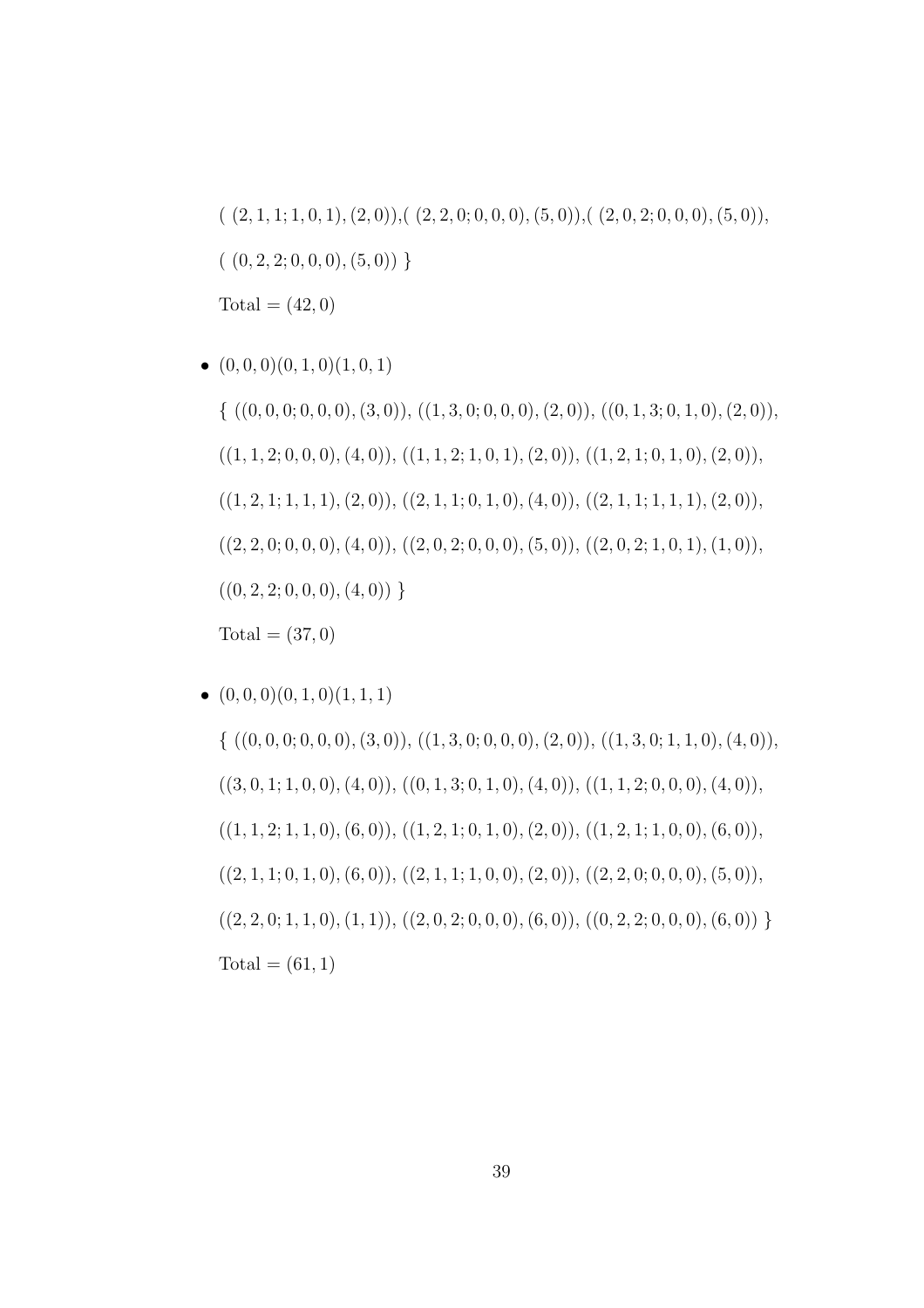$( (2, 1, 1; 1, 0, 1), (2, 0)), ( (2, 2, 0; 0, 0, 0), (5, 0)), ( (2, 0, 2; 0, 0, 0), (5, 0)),$  $( (0, 2, 2; 0, 0, 0), (5, 0))$  $Total = (42, 0)$ 

 $\bullet$   $(0, 0, 0)$  $(0, 1, 0)$  $(1, 0, 1)$ 

 $\{ ((0, 0, 0, 0, 0, 0, 0, 0, 3, 0)), ((1, 3, 0, 0, 0, 0, 0, 2, 0)), ((0, 1, 3, 0, 1, 0), (2, 0)),$  $((1, 1, 2; 0, 0, 0), (4, 0)), ((1, 1, 2; 1, 0, 1), (2, 0)), ((1, 2, 1; 0, 1, 0), (2, 0)),$  $((1, 2, 1; 1, 1, 1), (2, 0)), ((2, 1, 1; 0, 1, 0), (4, 0)), ((2, 1, 1; 1, 1, 1), (2, 0)),$  $((2, 2, 0; 0, 0, 0), (4, 0)), ((2, 0, 2; 0, 0, 0), (5, 0)), ((2, 0, 2; 1, 0, 1), (1, 0)),$  $((0, 2, 2; 0, 0, 0), (4, 0))$  $Total = (37, 0)$ 

 $\bullet$   $(0, 0, 0)$  $(0, 1, 0)$  $(1, 1, 1)$  $\{((0, 0, 0, 0, 0, 0, 0, 0, 3, 0)), ((1, 3, 0, 0, 0, 0, 0, 2, 0)), ((1, 3, 0, 1, 1, 0), (4, 0)),$  $((3, 0, 1; 1, 0, 0), (4, 0)), ((0, 1, 3; 0, 1, 0), (4, 0)), ((1, 1, 2; 0, 0, 0), (4, 0)),$  $((1, 1, 2; 1, 1, 0), (6, 0)), ((1, 2, 1; 0, 1, 0), (2, 0)), ((1, 2, 1; 1, 0, 0), (6, 0)),$  $((2, 1, 1; 0, 1, 0), (6, 0)), ((2, 1, 1; 1, 0, 0), (2, 0)), ((2, 2, 0; 0, 0, 0), (5, 0)),$  $((2, 2, 0; 1, 1, 0), (1, 1)), ((2, 0, 2; 0, 0, 0), (6, 0)), ((0, 2, 2; 0, 0, 0), (6, 0))$  $Total = (61, 1)$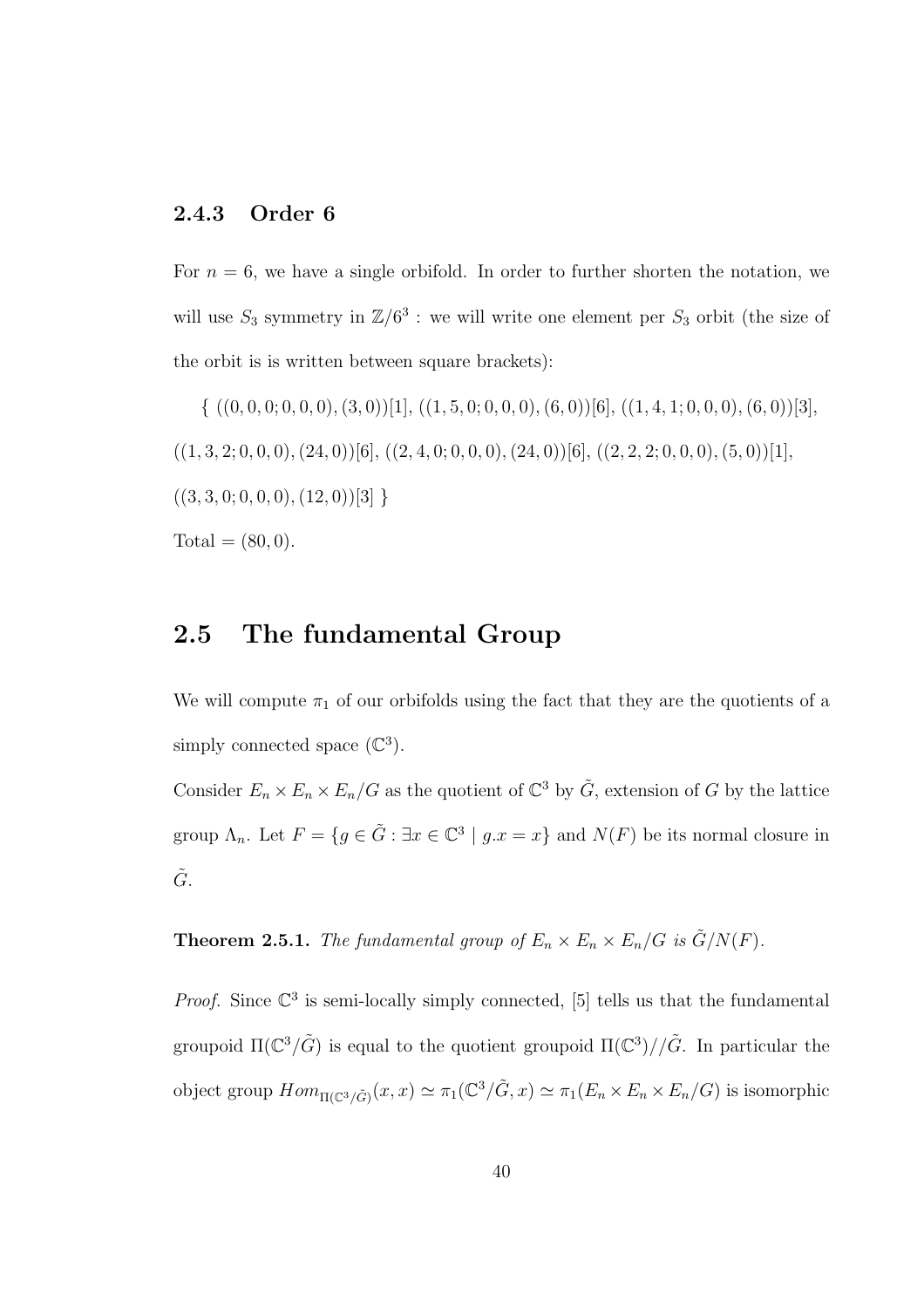### 2.4.3 Order 6

For  $n = 6$ , we have a single orbifold. In order to further shorten the notation, we will use  $S_3$  symmetry in  $\mathbb{Z}/6^3$ : we will write one element per  $S_3$  orbit (the size of the orbit is is written between square brackets):

 $\{ ((0, 0, 0, 0, 0, 0, 0, 0, 3, 0))$ [1],  $((1, 5, 0, 0, 0, 0), (6, 0))$ [6],  $((1, 4, 1, 0, 0, 0), (6, 0))$ [3],  $((1, 3, 2, 0, 0, 0), (24, 0))$ [6],  $((2, 4, 0, 0, 0, 0), (24, 0))$ [6],  $((2, 2, 2, 0, 0, 0), (5, 0))$ [1],  $((3, 3, 0, 0, 0, 0), (12, 0))[3]$  $Total = (80, 0).$ 

### 2.5 The fundamental Group

We will compute  $\pi_1$  of our orbifolds using the fact that they are the quotients of a simply connected space  $(\mathbb{C}^3)$ .

Consider  $E_n \times E_n \times E_n/G$  as the quotient of  $\mathbb{C}^3$  by  $\tilde{G}$ , extension of G by the lattice group  $\Lambda_n$ . Let  $F = \{ g \in \tilde{G} : \exists x \in \mathbb{C}^3 \mid g.x = x \}$  and  $N(F)$  be its normal closure in  $\tilde{G}$ .

**Theorem 2.5.1.** *The fundamental group of*  $E_n \times E_n \times E_n / G$  *is*  $\tilde{G}/N(F)$ *.* 

*Proof.* Since  $\mathbb{C}^3$  is semi-locally simply connected, [5] tells us that the fundamental groupoid  $\Pi(\mathbb{C}^3/\tilde{G})$  is equal to the quotient groupoid  $\Pi(\mathbb{C}^3)//\tilde{G}$ . In particular the object group  $Hom_{\Pi(\mathbb{C}^3/\tilde{G})}(x,x) \simeq \pi_1(\mathbb{C}^3/\tilde{G},x) \simeq \pi_1(E_n \times E_n \times E_n/G)$  is isomorphic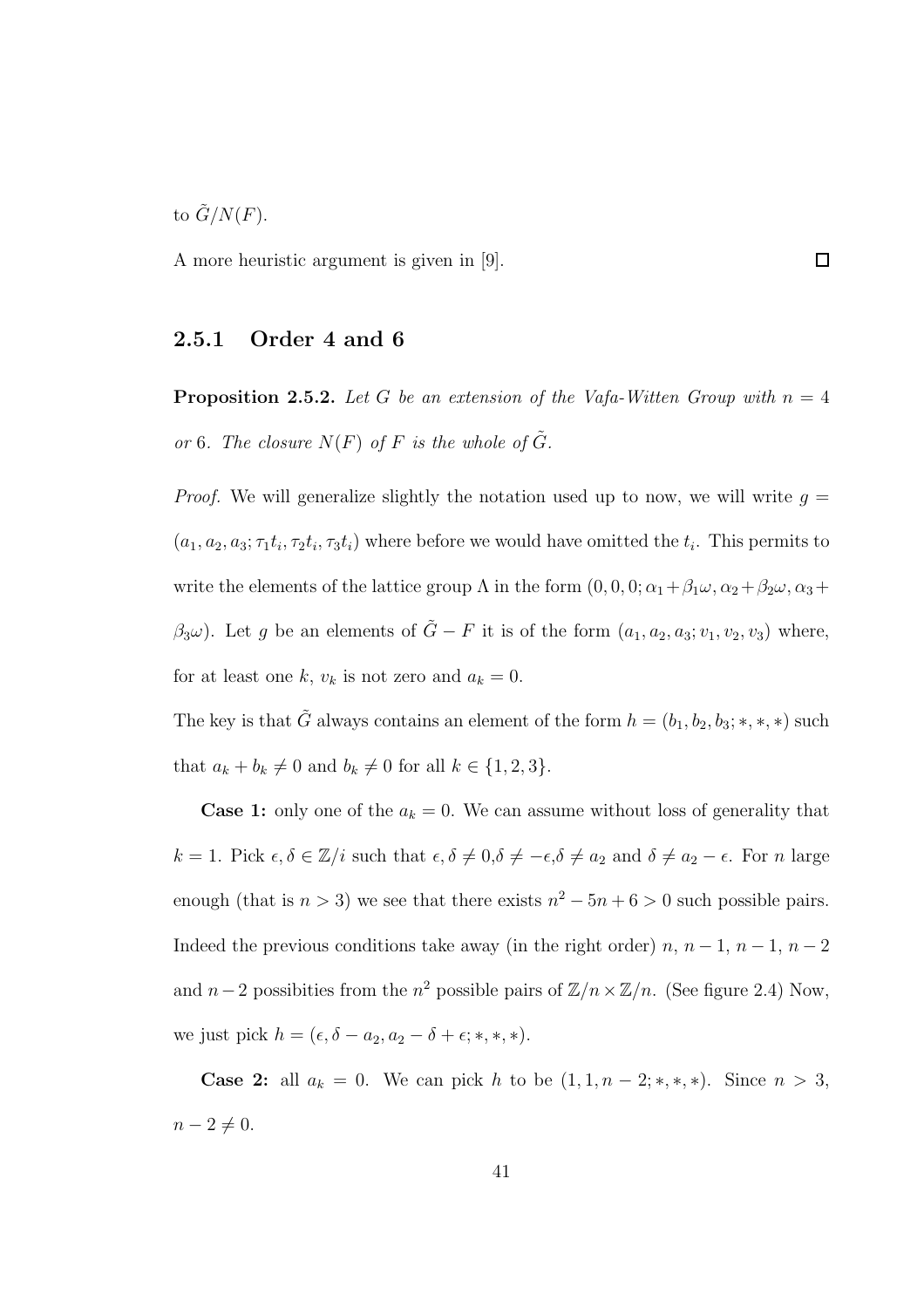to  $\tilde{G}/N(F)$ .

A more heuristic argument is given in [9].

#### 2.5.1 Order 4 and 6

**Proposition 2.5.2.** Let G be an extension of the Vafa-Witten Group with  $n = 4$ *or* 6*.* The closure  $N(F)$  of F is the whole of  $\tilde{G}$ .

*Proof.* We will generalize slightly the notation used up to now, we will write  $q =$  $(a_1, a_2, a_3; \tau_1 t_i, \tau_2 t_i, \tau_3 t_i)$  where before we would have omitted the  $t_i$ . This permits to write the elements of the lattice group  $\Lambda$  in the form  $(0, 0, 0; \alpha_1 + \beta_1 \omega, \alpha_2 + \beta_2 \omega, \alpha_3 + \beta_4 \omega)$  $(\beta_3\omega)$ . Let g be an elements of  $\tilde{G} - F$  it is of the form  $(a_1, a_2, a_3; v_1, v_2, v_3)$  where, for at least one k,  $v_k$  is not zero and  $a_k = 0$ .

The key is that  $\tilde{G}$  always contains an element of the form  $h = (b_1, b_2, b_3; *, *, *)$  such that  $a_k + b_k \neq 0$  and  $b_k \neq 0$  for all  $k \in \{1, 2, 3\}.$ 

**Case 1:** only one of the  $a_k = 0$ . We can assume without loss of generality that  $k = 1$ . Pick  $\epsilon, \delta \in \mathbb{Z}/i$  such that  $\epsilon, \delta \neq 0, \delta \neq -\epsilon, \delta \neq a_2$  and  $\delta \neq a_2 - \epsilon$ . For n large enough (that is  $n > 3$ ) we see that there exists  $n^2 - 5n + 6 > 0$  such possible pairs. Indeed the previous conditions take away (in the right order)  $n, n-1, n-1, n-2$ and  $n-2$  possibities from the  $n^2$  possible pairs of  $\mathbb{Z}/n \times \mathbb{Z}/n$ . (See figure 2.4) Now, we just pick  $h = (\epsilon, \delta - a_2, a_2 - \delta + \epsilon; *, *, *).$ 

**Case 2:** all  $a_k = 0$ . We can pick h to be  $(1, 1, n-2; *, *, *)$ . Since  $n > 3$ ,  $n-2\neq 0.$ 

 $\Box$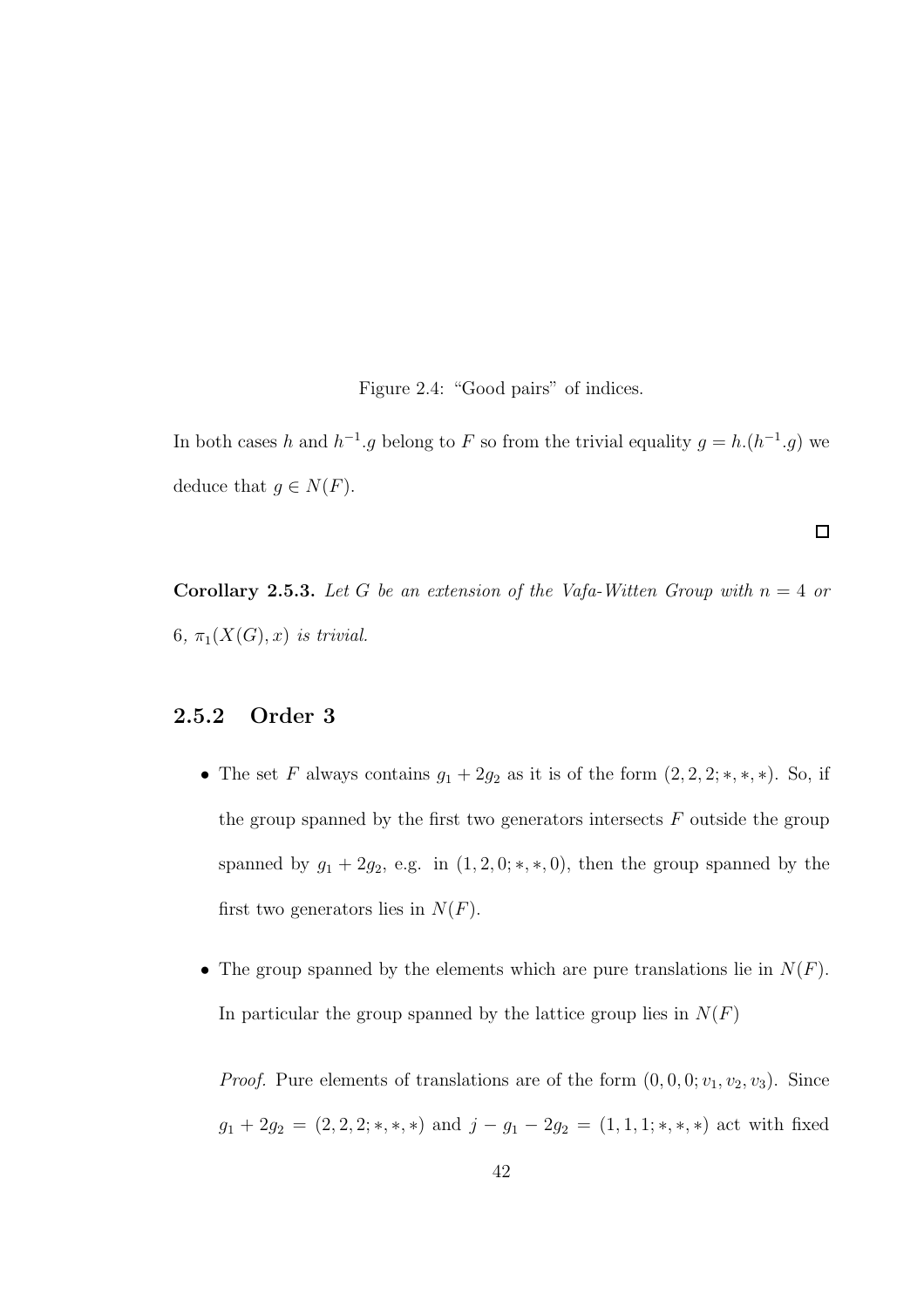Figure 2.4: "Good pairs" of indices.

In both cases h and  $h^{-1}g$  belong to F so from the trivial equality  $g = h(h^{-1}g)$  we deduce that  $g \in N(F)$ .

 $\Box$ 

**Corollary 2.5.3.** Let G be an extension of the Vafa-Witten Group with  $n = 4$  or 6,  $\pi_1(X(G),x)$  *is trivial.* 

### 2.5.2 Order 3

- The set F always contains  $g_1 + 2g_2$  as it is of the form  $(2, 2, 2; *, *, *)$ . So, if the group spanned by the first two generators intersects  $F$  outside the group spanned by  $g_1 + 2g_2$ , e.g. in  $(1, 2, 0; *, *, 0)$ , then the group spanned by the first two generators lies in  $N(F)$ .
- The group spanned by the elements which are pure translations lie in  $N(F)$ . In particular the group spanned by the lattice group lies in  $N(F)$

*Proof.* Pure elements of translations are of the form  $(0, 0, 0; v_1, v_2, v_3)$ . Since  $g_1 + 2g_2 = (2, 2, 2; *, *, *)$  and  $j - g_1 - 2g_2 = (1, 1, 1; *, *, *)$  act with fixed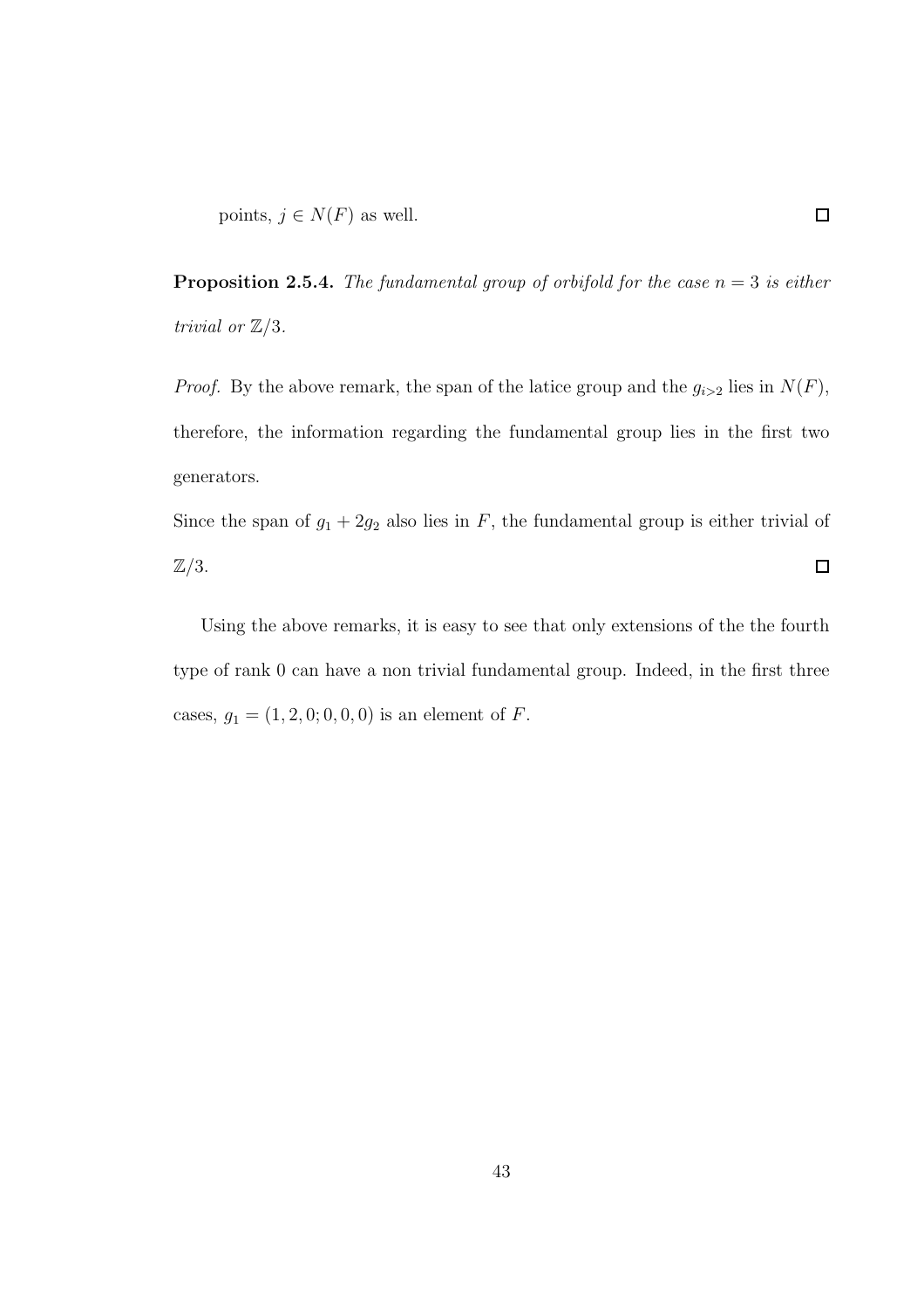**Proposition 2.5.4.** *The fundamental group of orbifold for the case*  $n = 3$  *is either trivial or*  $\mathbb{Z}/3$ *.* 

*Proof.* By the above remark, the span of the latice group and the  $g_{i>2}$  lies in  $N(F)$ , therefore, the information regarding the fundamental group lies in the first two generators.

Since the span of  $g_1 + 2g_2$  also lies in F, the fundamental group is either trivial of  $\mathbb{Z}/3$ .  $\Box$ 

Using the above remarks, it is easy to see that only extensions of the the fourth type of rank 0 can have a non trivial fundamental group. Indeed, in the first three cases,  $g_1 = (1, 2, 0, 0, 0, 0)$  is an element of  $F$ .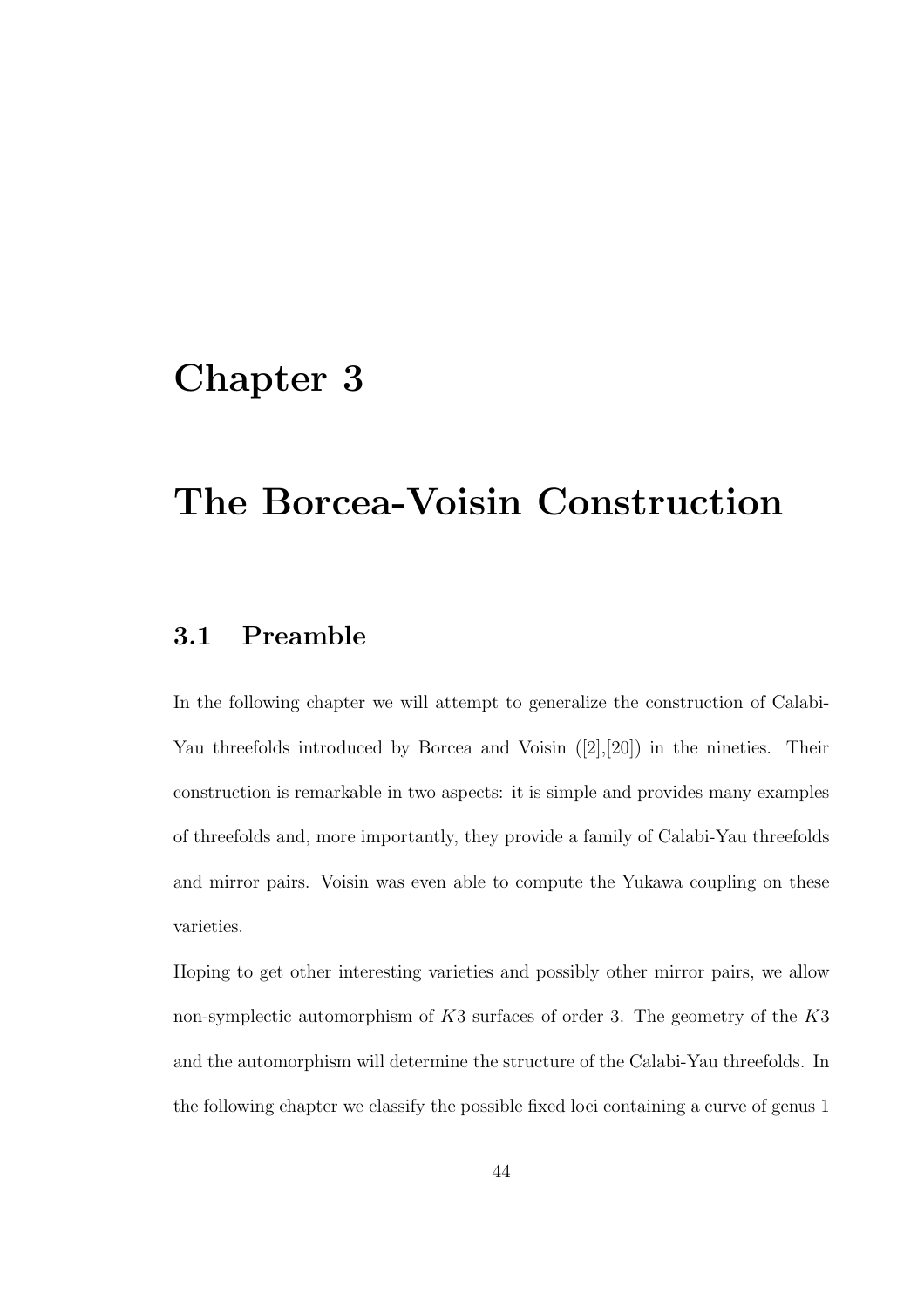# Chapter 3

# The Borcea-Voisin Construction

# 3.1 Preamble

In the following chapter we will attempt to generalize the construction of Calabi-Yau threefolds introduced by Borcea and Voisin ([2],[20]) in the nineties. Their construction is remarkable in two aspects: it is simple and provides many examples of threefolds and, more importantly, they provide a family of Calabi-Yau threefolds and mirror pairs. Voisin was even able to compute the Yukawa coupling on these varieties.

Hoping to get other interesting varieties and possibly other mirror pairs, we allow non-symplectic automorphism of  $K3$  surfaces of order 3. The geometry of the  $K3$ and the automorphism will determine the structure of the Calabi-Yau threefolds. In the following chapter we classify the possible fixed loci containing a curve of genus 1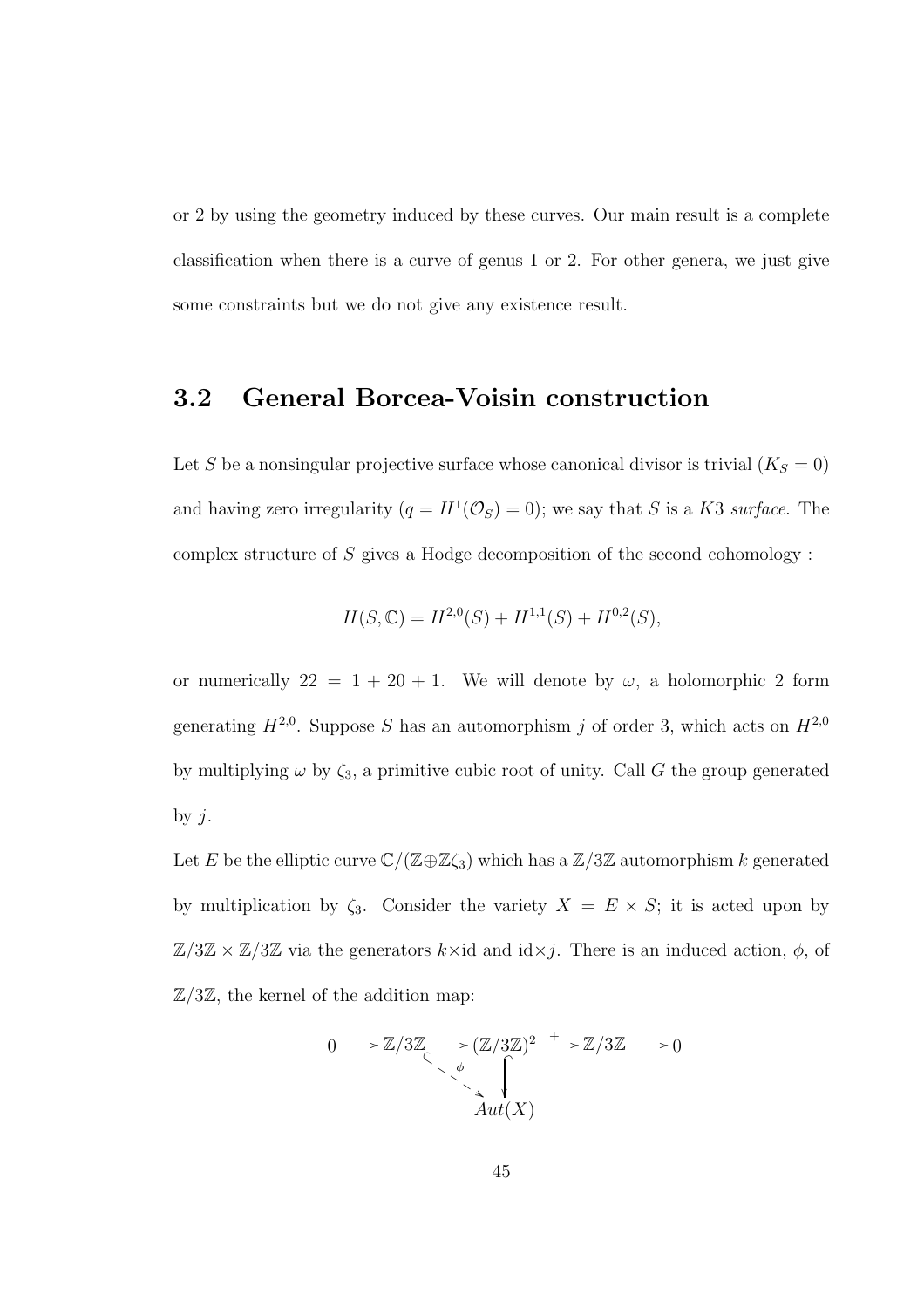or 2 by using the geometry induced by these curves. Our main result is a complete classification when there is a curve of genus 1 or 2. For other genera, we just give some constraints but we do not give any existence result.

# 3.2 General Borcea-Voisin construction

Let S be a nonsingular projective surface whose canonical divisor is trivial  $(K_S = 0)$ and having zero irregularity  $(q = H^1(\mathcal{O}_S) = 0)$ ; we say that S is a K3 *surface*. The complex structure of S gives a Hodge decomposition of the second cohomology :

$$
H(S, \mathbb{C}) = H^{2,0}(S) + H^{1,1}(S) + H^{0,2}(S),
$$

or numerically  $22 = 1 + 20 + 1$ . We will denote by  $\omega$ , a holomorphic 2 form generating  $H^{2,0}$ . Suppose S has an automorphism j of order 3, which acts on  $H^{2,0}$ by multiplying  $\omega$  by  $\zeta_3$ , a primitive cubic root of unity. Call G the group generated by  $j$ .

Let E be the elliptic curve  $\mathbb{C}/(\mathbb{Z}\oplus\mathbb{Z}\zeta_3)$  which has a  $\mathbb{Z}/3\mathbb{Z}$  automorphism k generated by multiplication by  $\zeta_3$ . Consider the variety  $X = E \times S$ ; it is acted upon by  $\mathbb{Z}/3\mathbb{Z} \times \mathbb{Z}/3\mathbb{Z}$  via the generators  $k \times id$  and  $id \times j$ . There is an induced action,  $\phi$ , of  $\mathbb{Z}/3\mathbb{Z}$ , the kernel of the addition map:

$$
0 \longrightarrow \mathbb{Z}/3\mathbb{Z} \longrightarrow (\mathbb{Z}/3\mathbb{Z})^2 \longrightarrow \mathbb{Z}/3\mathbb{Z} \longrightarrow 0
$$
  
\n
$$
\downarrow^{\phi} \qquad \qquad \downarrow^{\phi}
$$
  
\n
$$
Aut(X)
$$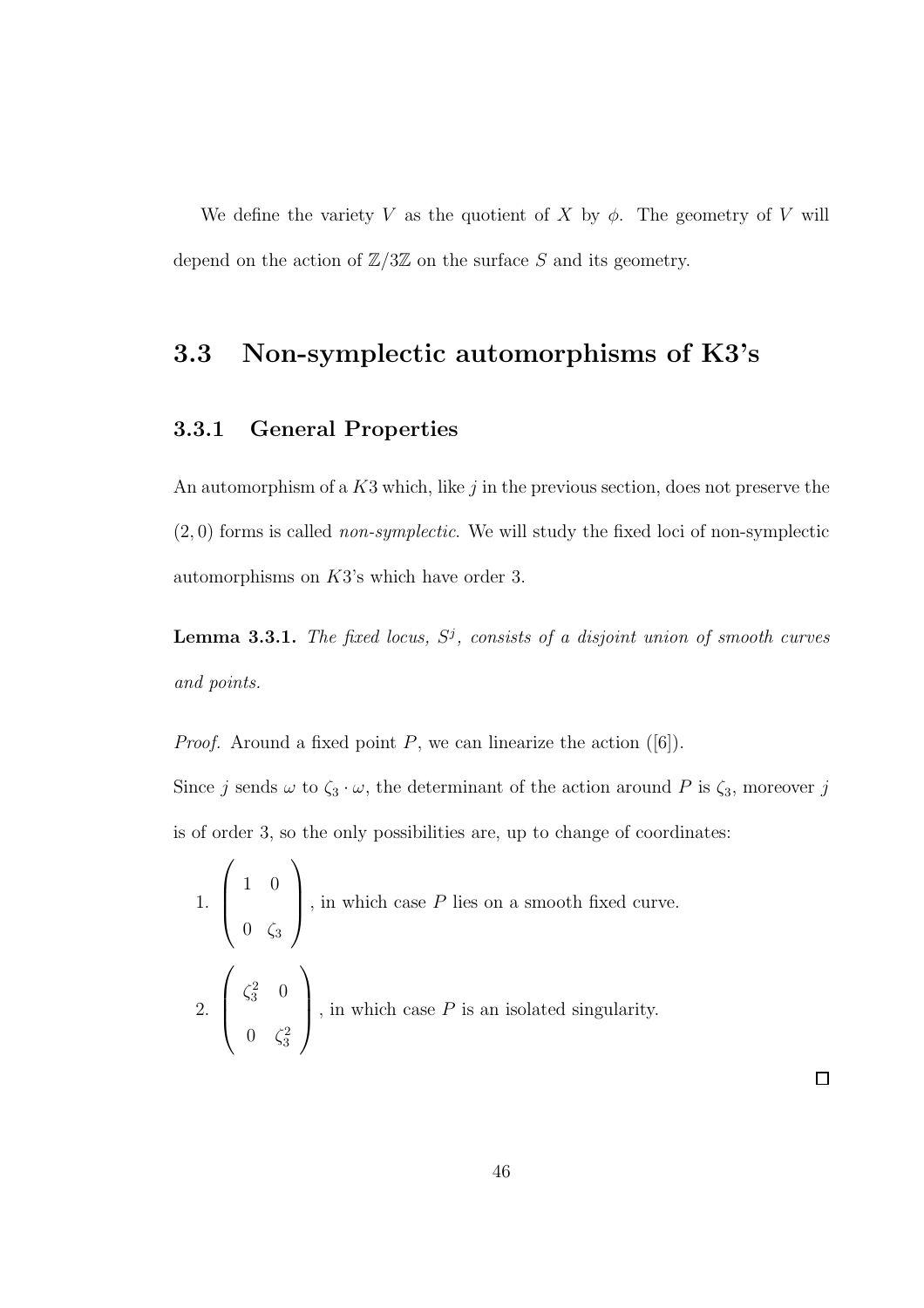We define the variety V as the quotient of X by  $\phi$ . The geometry of V will depend on the action of  $\mathbb{Z}/3\mathbb{Z}$  on the surface S and its geometry.

# 3.3 Non-symplectic automorphisms of K3's

### 3.3.1 General Properties

An automorphism of a  $K3$  which, like  $j$  in the previous section, does not preserve the (2, 0) forms is called *non-symplectic*. We will study the fixed loci of non-symplectic automorphisms on K3's which have order 3.

Lemma 3.3.1. The fixed locus,  $S^j$ , consists of a disjoint union of smooth curves *and points.*

*Proof.* Around a fixed point  $P$ , we can linearize the action  $([6])$ .

Since j sends  $\omega$  to  $\zeta_3 \cdot \omega$ , the determinant of the action around P is  $\zeta_3$ , moreover j is of order 3, so the only possibilities are, up to change of coordinates:

1. 
$$
\begin{pmatrix} 1 & 0 \\ 0 & \zeta_3 \end{pmatrix}
$$
, in which case *P* lies on a smooth fixed curve.  
2.  $\begin{pmatrix} \zeta_3^2 & 0 \\ 0 & \zeta_3^2 \end{pmatrix}$ , in which case *P* is an isolated singularity.

 $\Box$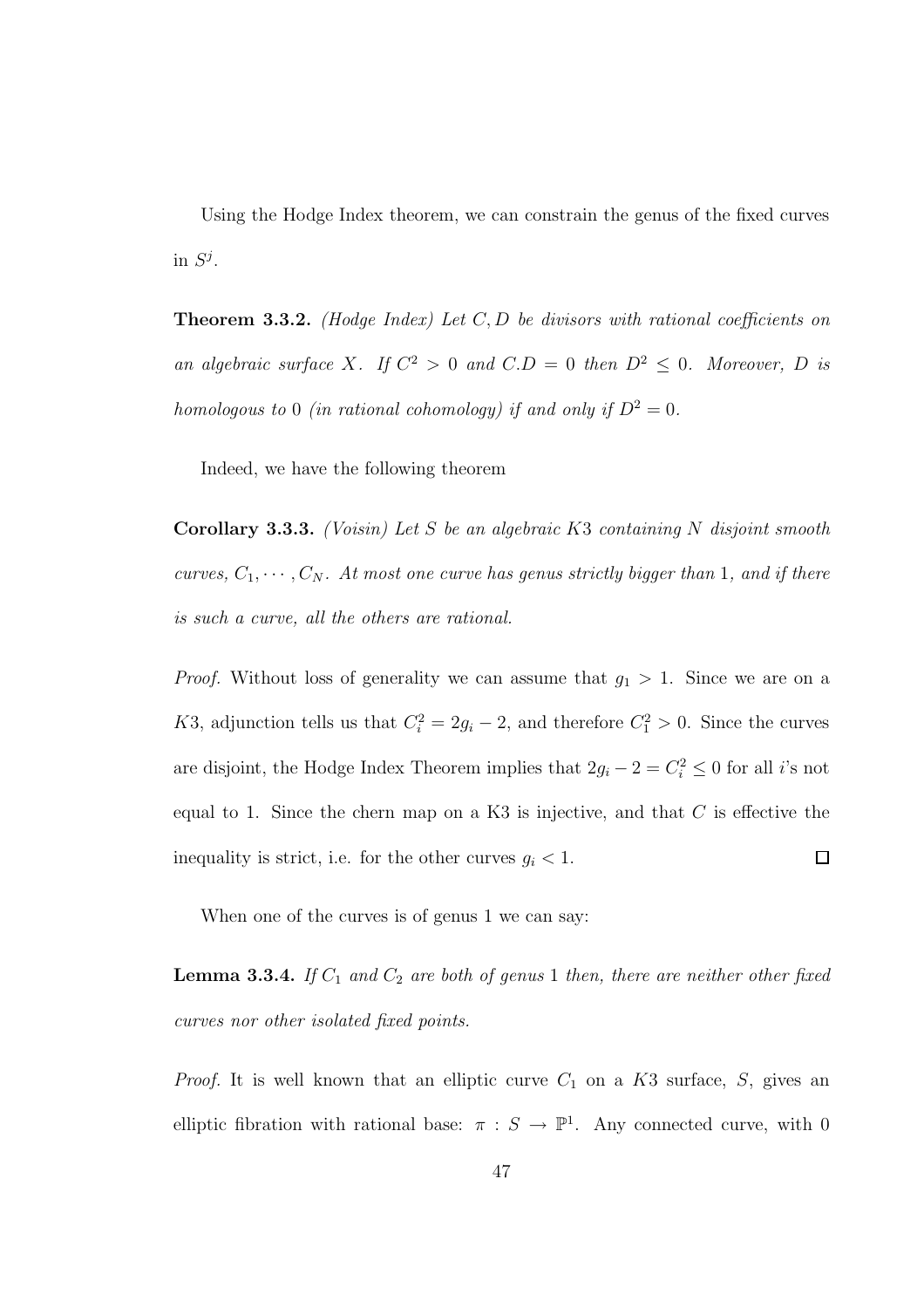Using the Hodge Index theorem, we can constrain the genus of the fixed curves in  $S^j$ .

Theorem 3.3.2. *(Hodge Index) Let* C, D *be divisors with rational coefficients on an algebraic surface* X. If  $C^2 > 0$  *and*  $C.D = 0$  *then*  $D^2 \le 0$ . Moreover, D is *homologous to* 0 *(in rational cohomology) if and only if*  $D^2 = 0$ *.* 

Indeed, we have the following theorem

Corollary 3.3.3. *(Voisin) Let* S *be an algebraic* K3 *containing* N *disjoint smooth curves,*  $C_1, \dots, C_N$ *. At most one curve has genus strictly bigger than* 1*, and if there is such a curve, all the others are rational.*

*Proof.* Without loss of generality we can assume that  $g_1 > 1$ . Since we are on a K3, adjunction tells us that  $C_i^2 = 2g_i - 2$ , and therefore  $C_1^2 > 0$ . Since the curves are disjoint, the Hodge Index Theorem implies that  $2g_i - 2 = C_i^2 \leq 0$  for all i's not equal to 1. Since the chern map on a K3 is injective, and that  $C$  is effective the inequality is strict, i.e. for the other curves  $g_i < 1$ .  $\Box$ 

When one of the curves is of genus 1 we can say:

**Lemma 3.3.4.** *If*  $C_1$  *and*  $C_2$  *are both of genus* 1 *then, there are neither other fixed curves nor other isolated fixed points.*

*Proof.* It is well known that an elliptic curve  $C_1$  on a  $K3$  surface,  $S$ , gives an elliptic fibration with rational base:  $\pi : S \to \mathbb{P}^1$ . Any connected curve, with 0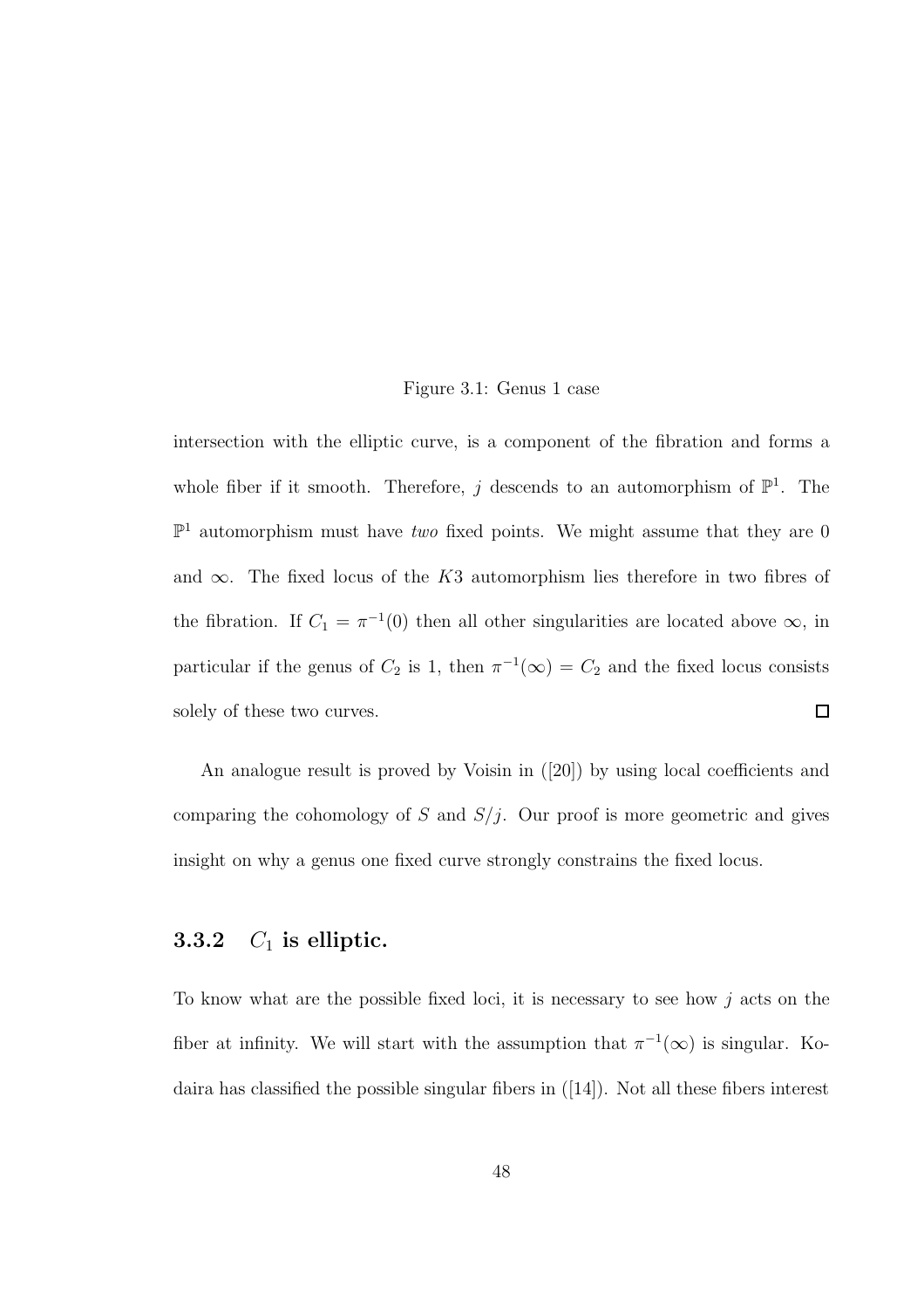#### Figure 3.1: Genus 1 case

intersection with the elliptic curve, is a component of the fibration and forms a whole fiber if it smooth. Therefore, j descends to an automorphism of  $\mathbb{P}^1$ . The  $\mathbb{P}^1$  automorphism must have *two* fixed points. We might assume that they are 0 and  $\infty$ . The fixed locus of the K3 automorphism lies therefore in two fibres of the fibration. If  $C_1 = \pi^{-1}(0)$  then all other singularities are located above  $\infty$ , in particular if the genus of  $C_2$  is 1, then  $\pi^{-1}(\infty) = C_2$  and the fixed locus consists solely of these two curves.  $\Box$ 

An analogue result is proved by Voisin in ([20]) by using local coefficients and comparing the cohomology of  $S$  and  $S/j$ . Our proof is more geometric and gives insight on why a genus one fixed curve strongly constrains the fixed locus.

### 3.3.2  $C_1$  is elliptic.

To know what are the possible fixed loci, it is necessary to see how  $j$  acts on the fiber at infinity. We will start with the assumption that  $\pi^{-1}(\infty)$  is singular. Kodaira has classified the possible singular fibers in ([14]). Not all these fibers interest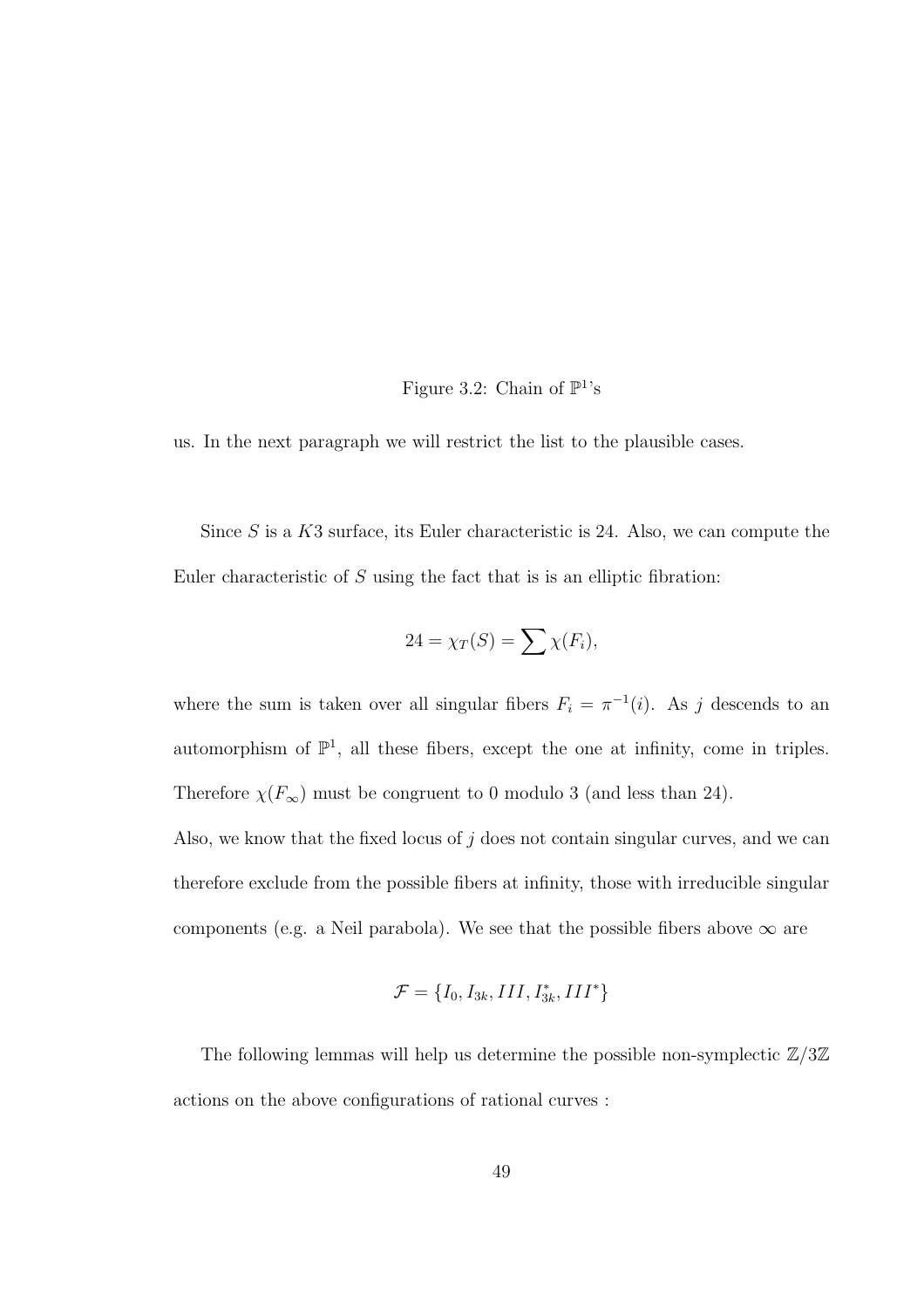### Figure 3.2: Chain of  $\mathbb{P}^1$ 's

us. In the next paragraph we will restrict the list to the plausible cases.

Since  $S$  is a  $K3$  surface, its Euler characteristic is 24. Also, we can compute the Euler characteristic of  $S$  using the fact that is is an elliptic fibration:

$$
24 = \chi_T(S) = \sum \chi(F_i),
$$

where the sum is taken over all singular fibers  $F_i = \pi^{-1}(i)$ . As j descends to an automorphism of  $\mathbb{P}^1$ , all these fibers, except the one at infinity, come in triples. Therefore  $\chi(F_{\infty})$  must be congruent to 0 modulo 3 (and less than 24).

Also, we know that the fixed locus of  $j$  does not contain singular curves, and we can therefore exclude from the possible fibers at infinity, those with irreducible singular components (e.g. a Neil parabola). We see that the possible fibers above  $\infty$  are

$$
\mathcal{F}=\{I_0, I_{3k}, III, I_{3k}^*, III^*\}
$$

The following lemmas will help us determine the possible non-symplectic  $\mathbb{Z}/3\mathbb{Z}$ actions on the above configurations of rational curves :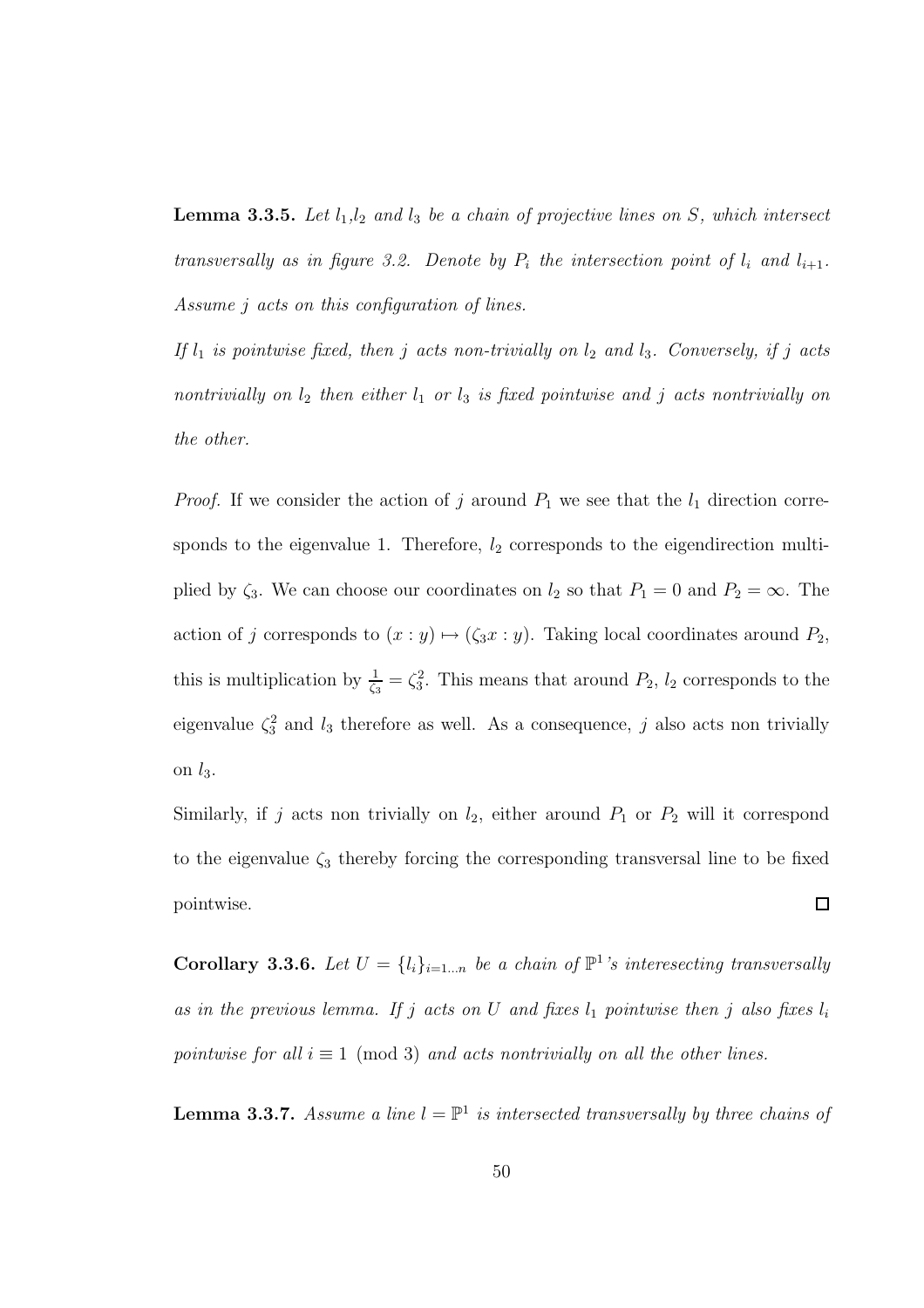**Lemma 3.3.5.** Let  $l_1, l_2$  and  $l_3$  be a chain of projective lines on S, which intersect *transversally as in figure 3.2. Denote by*  $P_i$  *the intersection point of*  $l_i$  *and*  $l_{i+1}$ *. Assume* j *acts on this configuration of lines.*

*If*  $l_1$  *is pointwise fixed, then j acts non-trivially on*  $l_2$  *and*  $l_3$ *. Conversely, if j acts nontrivially on*  $l_2$  *then either*  $l_1$  *or*  $l_3$  *is fixed pointwise and j acts nontrivially on the other.*

*Proof.* If we consider the action of j around  $P_1$  we see that the  $l_1$  direction corresponds to the eigenvalue 1. Therefore,  $l_2$  corresponds to the eigendirection multiplied by  $\zeta_3$ . We can choose our coordinates on  $l_2$  so that  $P_1 = 0$  and  $P_2 = \infty$ . The action of j corresponds to  $(x : y) \mapsto (\zeta_3 x : y)$ . Taking local coordinates around  $P_2$ , this is multiplication by  $\frac{1}{\zeta_3} = \zeta_3^2$ . This means that around  $P_2$ ,  $l_2$  corresponds to the eigenvalue  $\zeta_3^2$  and  $l_3$  therefore as well. As a consequence, j also acts non trivially on  $l_3$ .

Similarly, if j acts non trivially on  $l_2$ , either around  $P_1$  or  $P_2$  will it correspond to the eigenvalue  $\zeta_3$  thereby forcing the corresponding transversal line to be fixed  $\Box$ pointwise.

**Corollary 3.3.6.** Let  $U = \{l_i\}_{i=1...n}$  be a chain of  $\mathbb{P}^1$ 's interesecting transversally *as in the previous lemma. If*  $j$  *acts on*  $U$  *and fixes*  $l_1$  *pointwise then*  $j$  *also fixes*  $l_i$ *pointwise for all*  $i \equiv 1 \pmod{3}$  *and acts nontrivially on all the other lines.* 

**Lemma 3.3.7.** Assume a line  $l = \mathbb{P}^1$  is intersected transversally by three chains of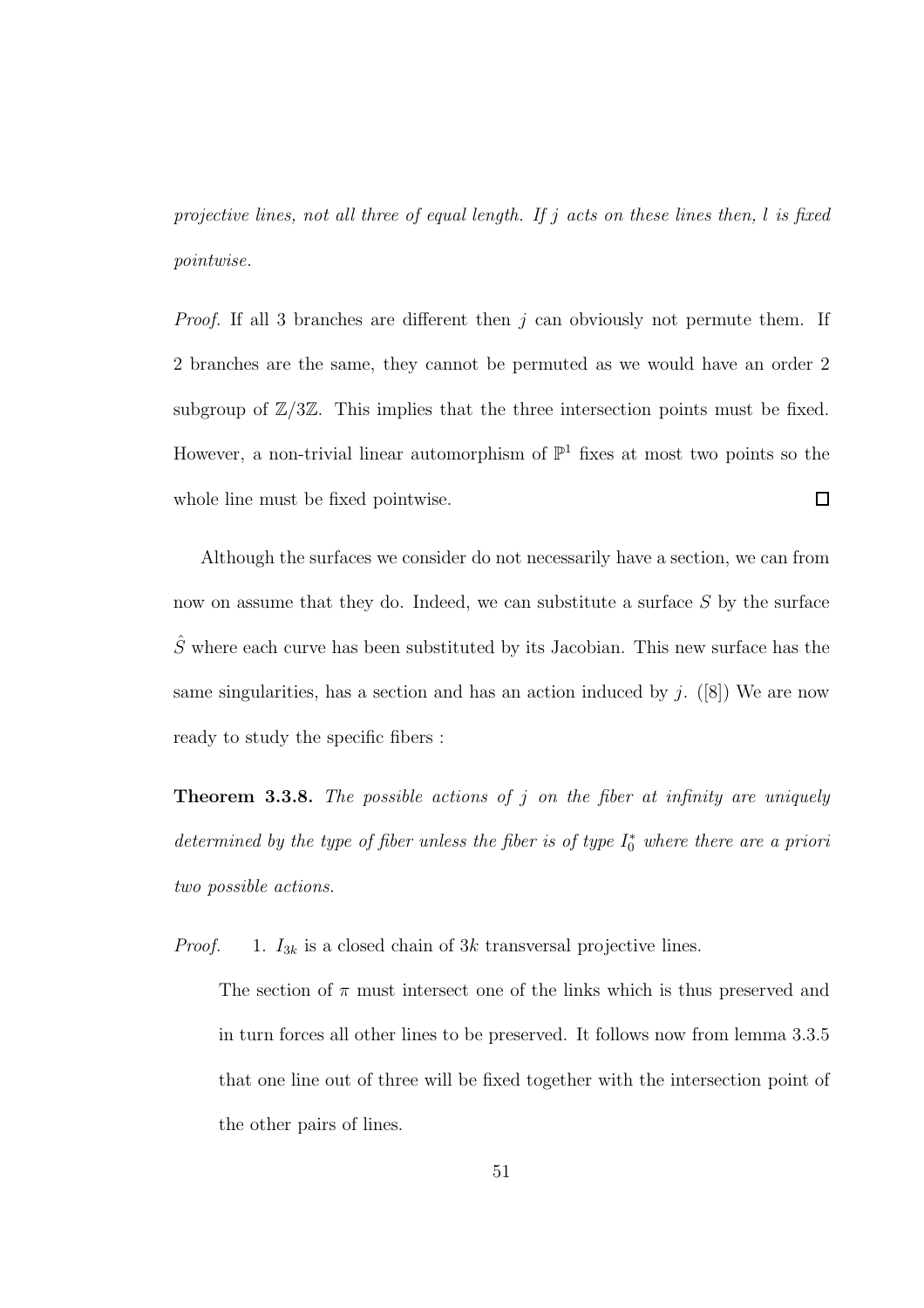*projective lines, not all three of equal length. If* j *acts on these lines then,* l *is fixed pointwise.*

*Proof.* If all 3 branches are different then j can obviously not permute them. If 2 branches are the same, they cannot be permuted as we would have an order 2 subgroup of  $\mathbb{Z}/3\mathbb{Z}$ . This implies that the three intersection points must be fixed. However, a non-trivial linear automorphism of  $\mathbb{P}^1$  fixes at most two points so the whole line must be fixed pointwise.  $\Box$ 

Although the surfaces we consider do not necessarily have a section, we can from now on assume that they do. Indeed, we can substitute a surface S by the surface  $\hat{S}$  where each curve has been substituted by its Jacobian. This new surface has the same singularities, has a section and has an action induced by j.  $([8])$  We are now ready to study the specific fibers :

Theorem 3.3.8. *The possible actions of* j *on the fiber at infinity are uniquely* determined by the type of fiber unless the fiber is of type  $I_0^*$  where there are a priori *two possible actions.*

*Proof.* 1.  $I_{3k}$  is a closed chain of 3k transversal projective lines.

The section of  $\pi$  must intersect one of the links which is thus preserved and in turn forces all other lines to be preserved. It follows now from lemma 3.3.5 that one line out of three will be fixed together with the intersection point of the other pairs of lines.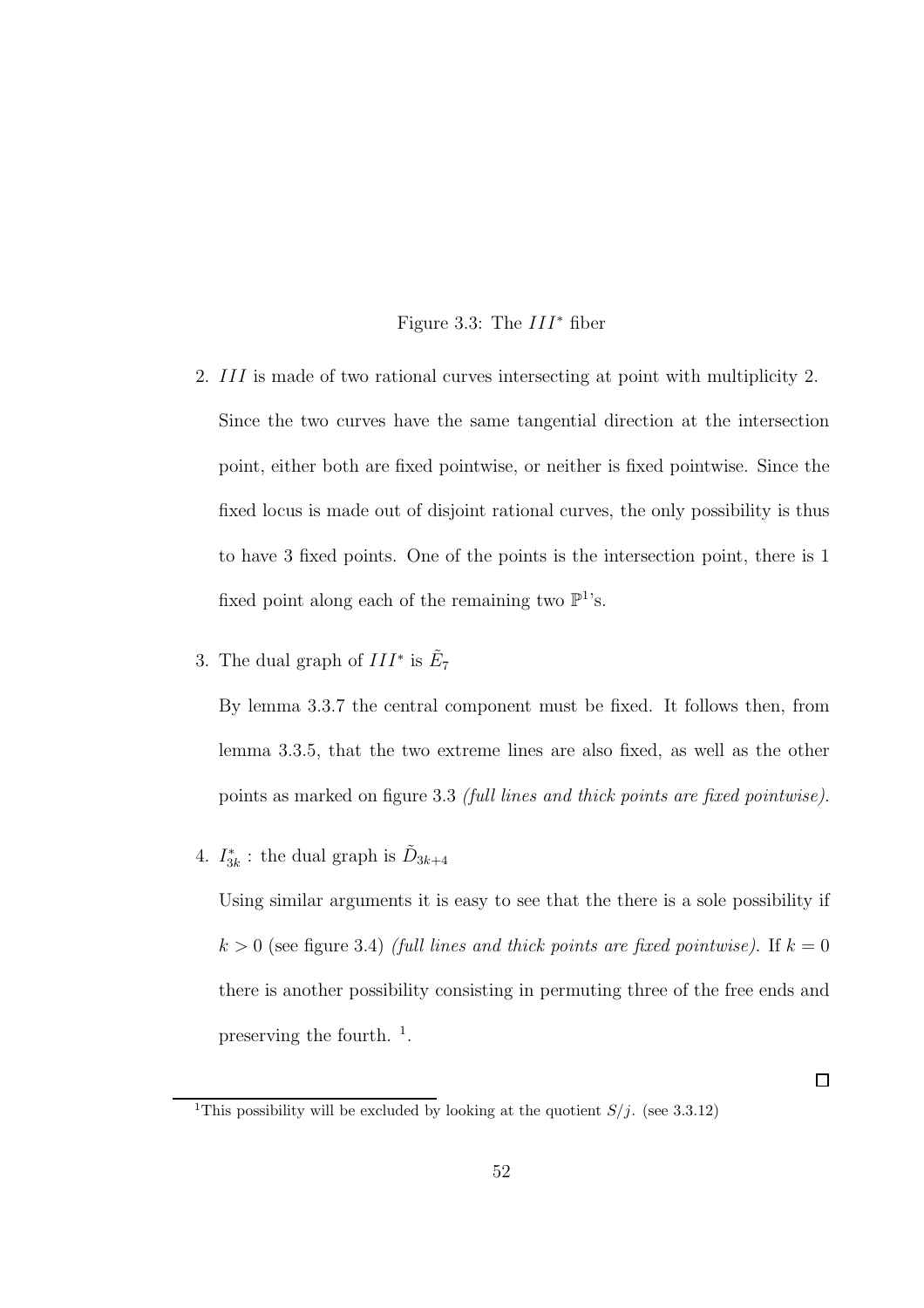#### Figure 3.3: The  $III^*$  fiber

- 2. III is made of two rational curves intersecting at point with multiplicity 2. Since the two curves have the same tangential direction at the intersection point, either both are fixed pointwise, or neither is fixed pointwise. Since the fixed locus is made out of disjoint rational curves, the only possibility is thus to have 3 fixed points. One of the points is the intersection point, there is 1 fixed point along each of the remaining two  $\mathbb{P}^1$ 's.
- 3. The dual graph of  $III^*$  is  $\tilde{E}_7$

By lemma 3.3.7 the central component must be fixed. It follows then, from lemma 3.3.5, that the two extreme lines are also fixed, as well as the other points as marked on figure 3.3 *(full lines and thick points are fixed pointwise)*.

4.  $I_{3k}^*$ : the dual graph is  $\tilde{D}_{3k+4}$ 

Using similar arguments it is easy to see that the there is a sole possibility if  $k > 0$  (see figure 3.4) *(full lines and thick points are fixed pointwise)*. If  $k = 0$ there is another possibility consisting in permuting three of the free ends and preserving the fourth.  $\frac{1}{1}$ .

 $\Box$ 

<sup>&</sup>lt;sup>1</sup>This possibility will be excluded by looking at the quotient  $S/j$ . (see 3.3.12)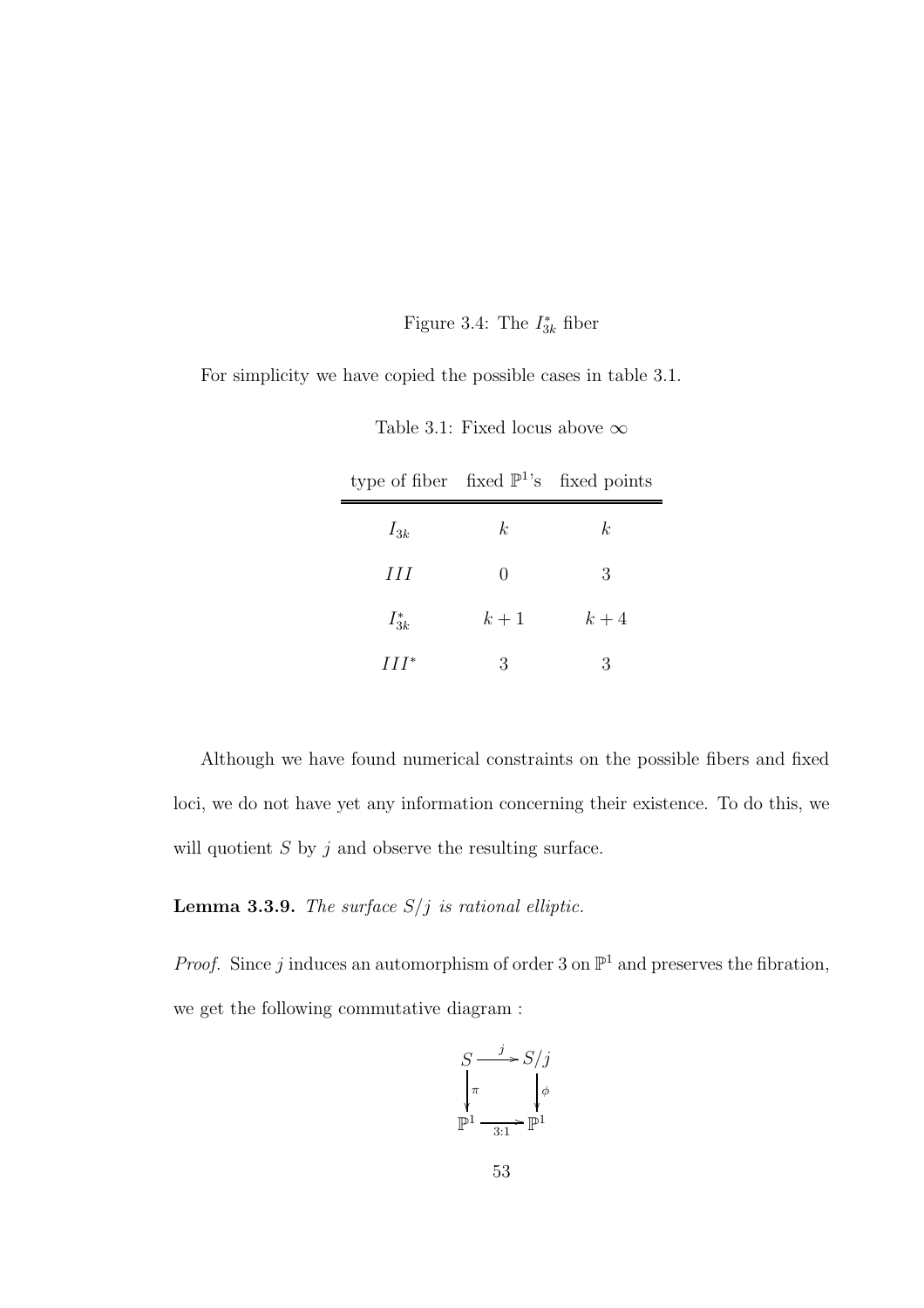### Figure 3.4: The  $I_{3k}^*$  fiber

For simplicity we have copied the possible cases in table 3.1.

| type of fiber fixed $\mathbb{P}^1$ 's fixed points |               |       |
|----------------------------------------------------|---------------|-------|
| $I_{3k}$                                           | k.            | k.    |
| HН                                                 | $\mathcal{O}$ | 3     |
| $I_{3k}^*$                                         | $k+1$         | $k+4$ |
| $III^*$                                            | 3             | 3     |

Table 3.1: Fixed locus above  $\infty$ 

Although we have found numerical constraints on the possible fibers and fixed loci, we do not have yet any information concerning their existence. To do this, we will quotient  $S$  by  $j$  and observe the resulting surface.

Lemma 3.3.9. *The surface* S/j *is rational elliptic.*

*Proof.* Since j induces an automorphism of order 3 on  $\mathbb{P}^1$  and preserves the fibration, we get the following commutative diagram :

$$
S \xrightarrow{j} S/j
$$

$$
\downarrow_{\pi} \qquad \qquad \downarrow_{\phi}
$$

$$
\mathbb{P}^1 \xrightarrow[3:1]{}
$$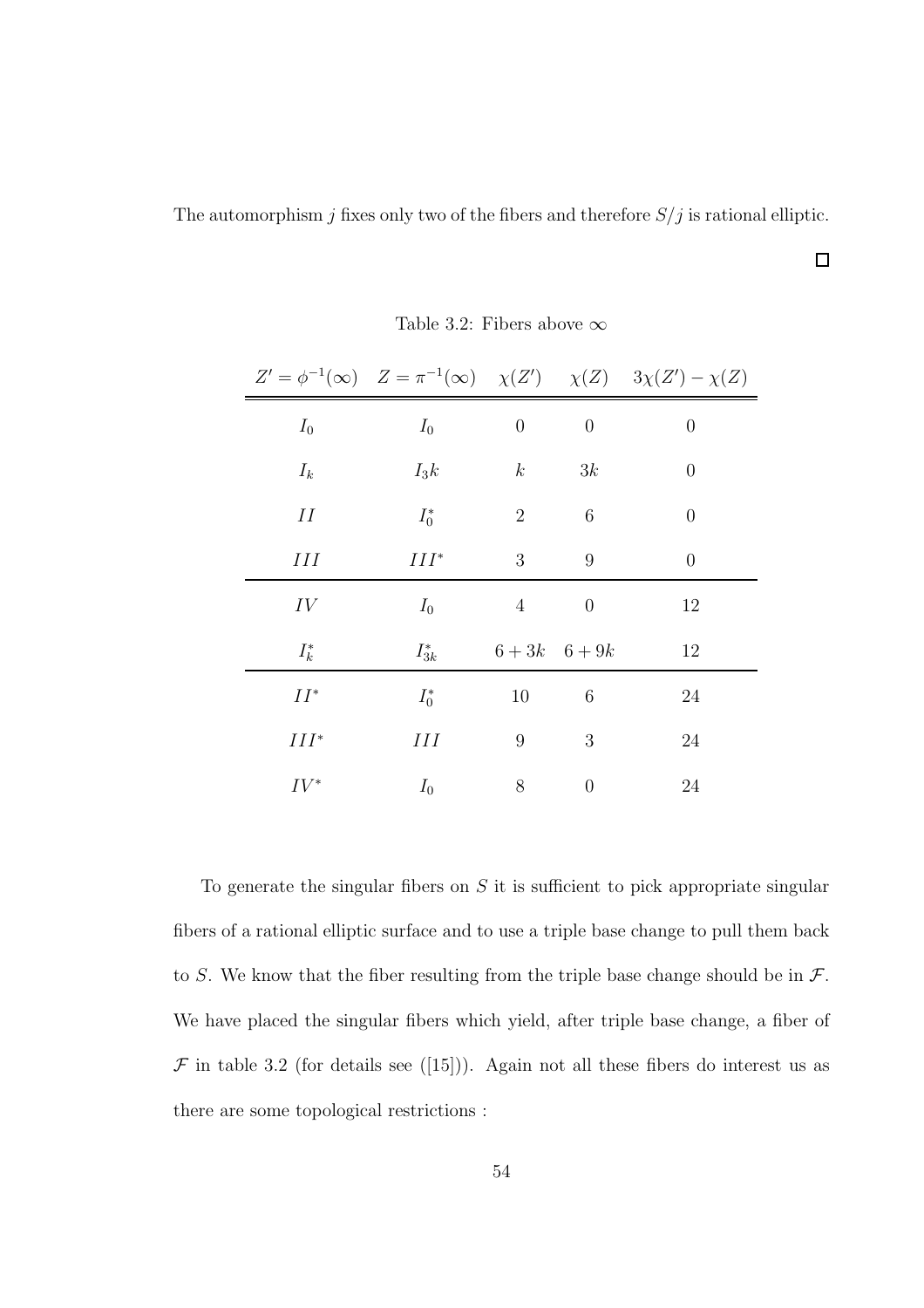The automorphism  $j$  fixes only two of the fibers and therefore  $S\slash j$  is rational elliptic.

 $\Box$ 

|         |            |                  |                | $Z' = \phi^{-1}(\infty)$ $Z = \pi^{-1}(\infty)$ $\chi(Z')$ $\chi(Z)$ $3\chi(Z') - \chi(Z)$ |
|---------|------------|------------------|----------------|--------------------------------------------------------------------------------------------|
| $I_0$   | $I_0$      | $\boldsymbol{0}$ | $\overline{0}$ | $\overline{0}$                                                                             |
| $I_k$   | $I_3k$     | $\boldsymbol{k}$ | 3k             | $\overline{0}$                                                                             |
| Н       | $I_0^*$    | $\overline{2}$   | 6              | $\overline{0}$                                                                             |
| Ш       | $III^*$    | 3                | 9              | $\overline{0}$                                                                             |
| IV      | $I_0$      | $\overline{4}$   | $\overline{0}$ | 12                                                                                         |
| $I_k^*$ | $I_{3k}^*$ |                  | $6+3k$ $6+9k$  | 12                                                                                         |
| $II^*$  | $I_0^*$    | 10               | 6              | 24                                                                                         |
| $III^*$ | Η          | $\boldsymbol{9}$ | 3              | 24                                                                                         |
| $IV^*$  | $I_0$      | 8                | $\overline{0}$ | 24                                                                                         |

Table 3.2: Fibers above  $\infty$ 

To generate the singular fibers on  $S$  it is sufficient to pick appropriate singular fibers of a rational elliptic surface and to use a triple base change to pull them back to S. We know that the fiber resulting from the triple base change should be in  $\mathcal{F}$ . We have placed the singular fibers which yield, after triple base change, a fiber of  $\mathcal F$  in table 3.2 (for details see ([15])). Again not all these fibers do interest us as there are some topological restrictions :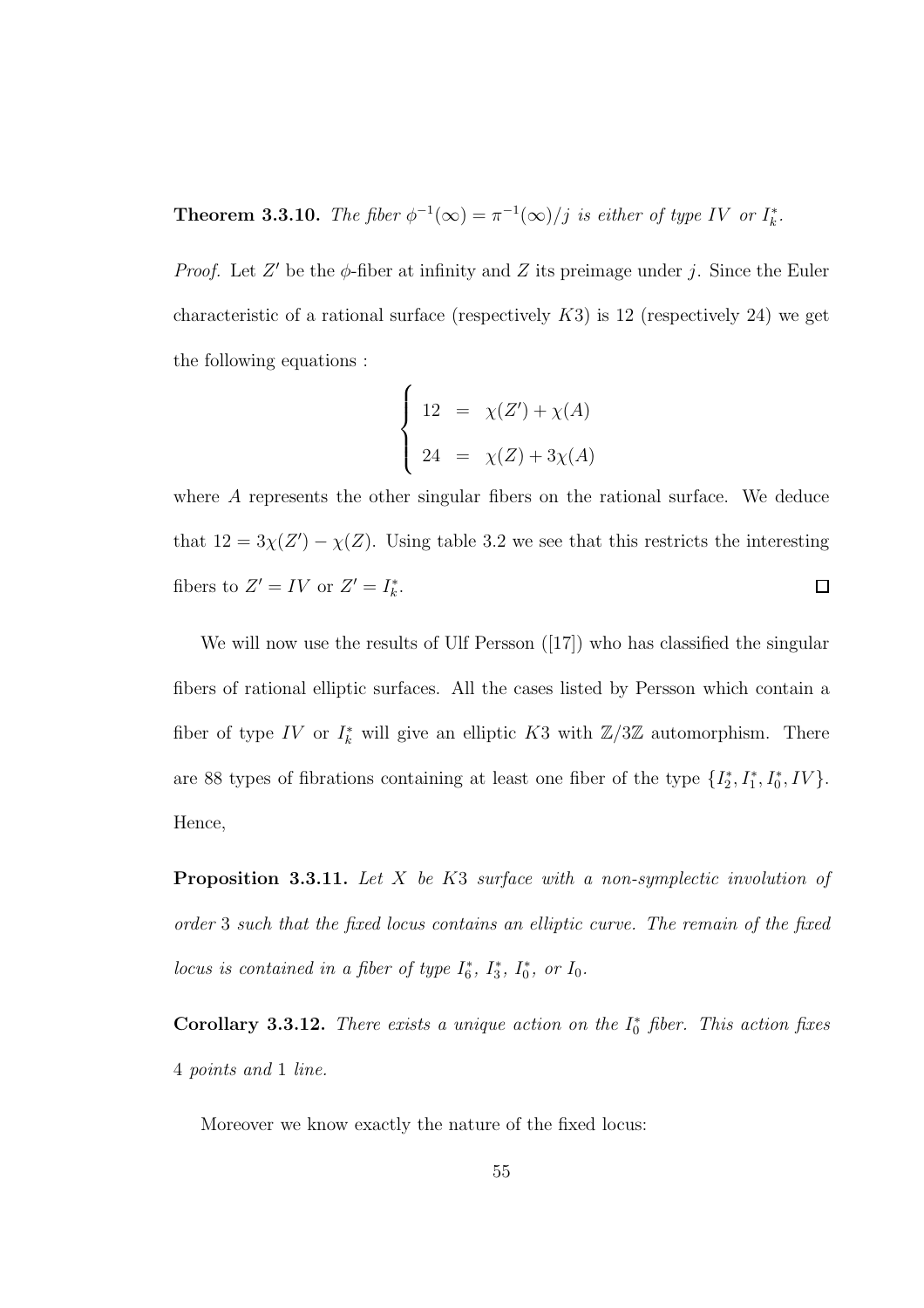**Theorem 3.3.10.** *The fiber*  $\phi^{-1}(\infty) = \pi^{-1}(\infty)/j$  *is either of type IV or*  $I_k^*$ *.* 

*Proof.* Let  $Z'$  be the  $\phi$ -fiber at infinity and  $Z$  its preimage under j. Since the Euler characteristic of a rational surface (respectively  $K3$ ) is 12 (respectively 24) we get the following equations :

$$
\begin{cases}\n12 = \chi(Z') + \chi(A) \\
24 = \chi(Z) + 3\chi(A)\n\end{cases}
$$

where A represents the other singular fibers on the rational surface. We deduce that  $12 = 3\chi(Z') - \chi(Z)$ . Using table 3.2 we see that this restricts the interesting fibers to  $Z' = IV$  or  $Z' = I_k^*$ .  $\Box$ 

We will now use the results of Ulf Persson  $([17])$  who has classified the singular fibers of rational elliptic surfaces. All the cases listed by Persson which contain a fiber of type IV or  $I_k^*$  will give an elliptic K3 with  $\mathbb{Z}/3\mathbb{Z}$  automorphism. There are 88 types of fibrations containing at least one fiber of the type  $\{I_2^*, I_1^*, I_0^*, IV\}$ . Hence,

Proposition 3.3.11. *Let* X *be* K3 *surface with a non-symplectic involution of order* 3 *such that the fixed locus contains an elliptic curve. The remain of the fixed locus is contained in a fiber of type*  $I_6^*$ ,  $I_3^*$ ,  $I_0^*$ , or  $I_0$ .

**Corollary 3.3.12.** *There exists a unique action on the*  $I_0^*$  *fiber. This action fixes* 4 *points and* 1 *line.*

Moreover we know exactly the nature of the fixed locus: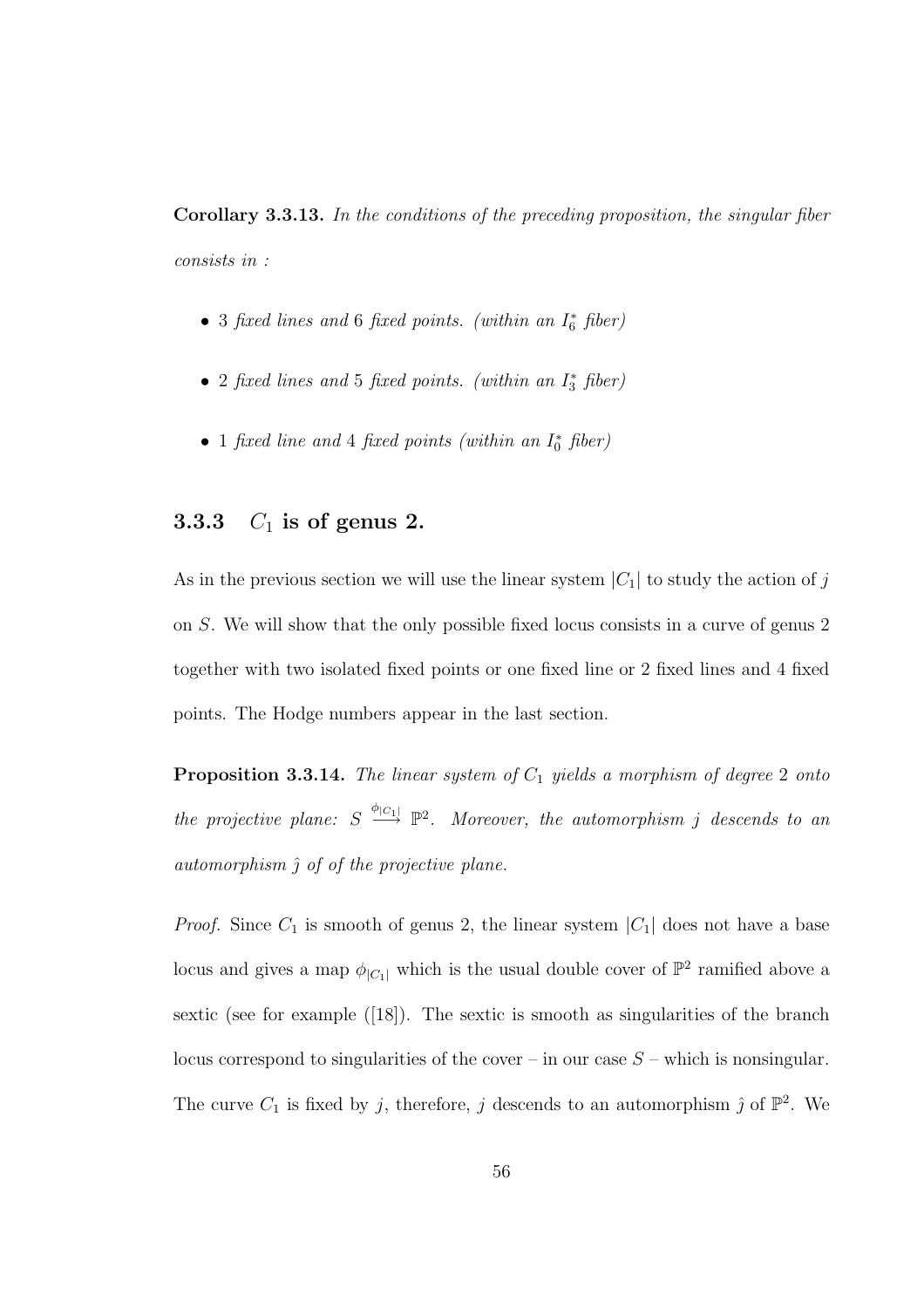Corollary 3.3.13. *In the conditions of the preceding proposition, the singular fiber consists in :*

- 3 *fixed lines and* 6 *fixed points. (within an* I ∗ <sup>6</sup> *fiber)*
- 2 *fixed lines and* 5 *fixed points. (within an* I ∗ <sup>3</sup> *fiber)*
- 1 *fixed line and* 4 *fixed points (within an* I ∗ <sup>0</sup> *fiber)*

### 3.3.3  $C_1$  is of genus 2.

As in the previous section we will use the linear system  $|C_1|$  to study the action of j on S. We will show that the only possible fixed locus consists in a curve of genus 2 together with two isolated fixed points or one fixed line or 2 fixed lines and 4 fixed points. The Hodge numbers appear in the last section.

Proposition 3.3.14. *The linear system of*  $C_1$  *yields a morphism of degree* 2 *onto the projective plane:*  $S \stackrel{\phi_{|C_1|}}{\longrightarrow} \mathbb{P}^2$ . Moreover, the automorphism j descends to an *automorphism* ˆ *of of the projective plane.*

*Proof.* Since  $C_1$  is smooth of genus 2, the linear system  $|C_1|$  does not have a base locus and gives a map  $\phi_{|C_1|}$  which is the usual double cover of  $\mathbb{P}^2$  ramified above a sextic (see for example ([18]). The sextic is smooth as singularities of the branch locus correspond to singularities of the cover – in our case  $S$  – which is nonsingular. The curve  $C_1$  is fixed by j, therefore, j descends to an automorphism  $\hat{j}$  of  $\mathbb{P}^2$ . We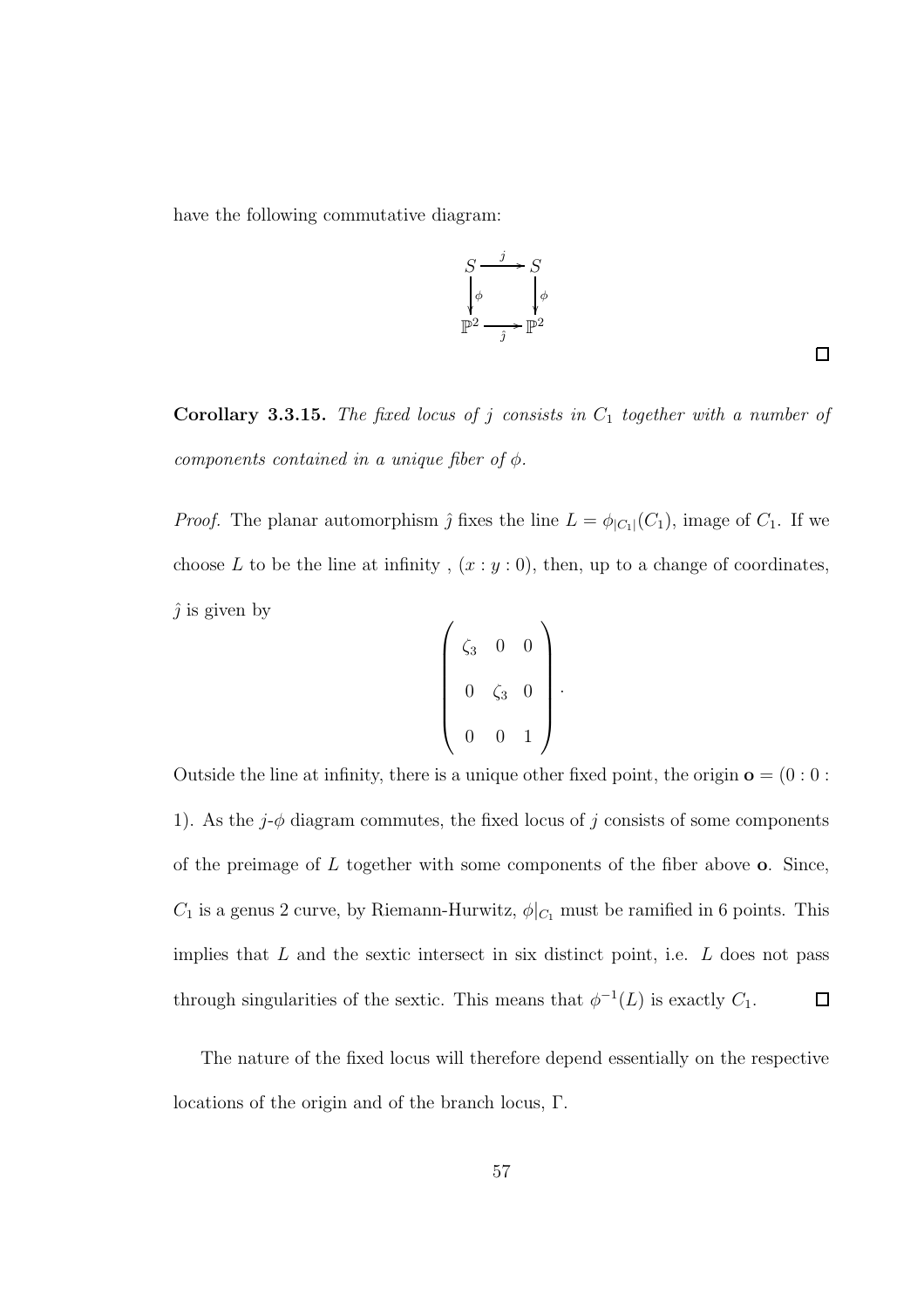have the following commutative diagram:

$$
S \xrightarrow{\qquad j \qquad} S
$$
  

$$
\downarrow \phi \qquad \qquad \downarrow \phi
$$
  

$$
\mathbb{P}^2 \xrightarrow{\qquad \qquad \phi} \mathbb{P}^2
$$

 $\Box$ 

Corollary 3.3.15. *The fixed locus of j consists in*  $C_1$  *together with a number of components contained in a unique fiber of*  $\phi$ *.* 

*Proof.* The planar automorphism  $\hat{j}$  fixes the line  $L = \phi_{|C_1|}(C_1)$ , image of  $C_1$ . If we choose L to be the line at infinity,  $(x : y : 0)$ , then, up to a change of coordinates,  $\hat{j}$  is given by

$$
\left(\begin{array}{ccc} \zeta_3 & 0 & 0 \\ 0 & \zeta_3 & 0 \\ 0 & 0 & 1 \end{array}\right).
$$

Outside the line at infinity, there is a unique other fixed point, the origin o = (0 : 0 : 1). As the  $j$ - $\phi$  diagram commutes, the fixed locus of j consists of some components of the preimage of  $L$  together with some components of the fiber above  $o$ . Since,  $C_1$  is a genus 2 curve, by Riemann-Hurwitz,  $\phi|_{C_1}$  must be ramified in 6 points. This implies that  $L$  and the sextic intersect in six distinct point, i.e.  $L$  does not pass through singularities of the sextic. This means that  $\phi^{-1}(L)$  is exactly  $C_1$ .  $\Box$ 

The nature of the fixed locus will therefore depend essentially on the respective locations of the origin and of the branch locus, Γ.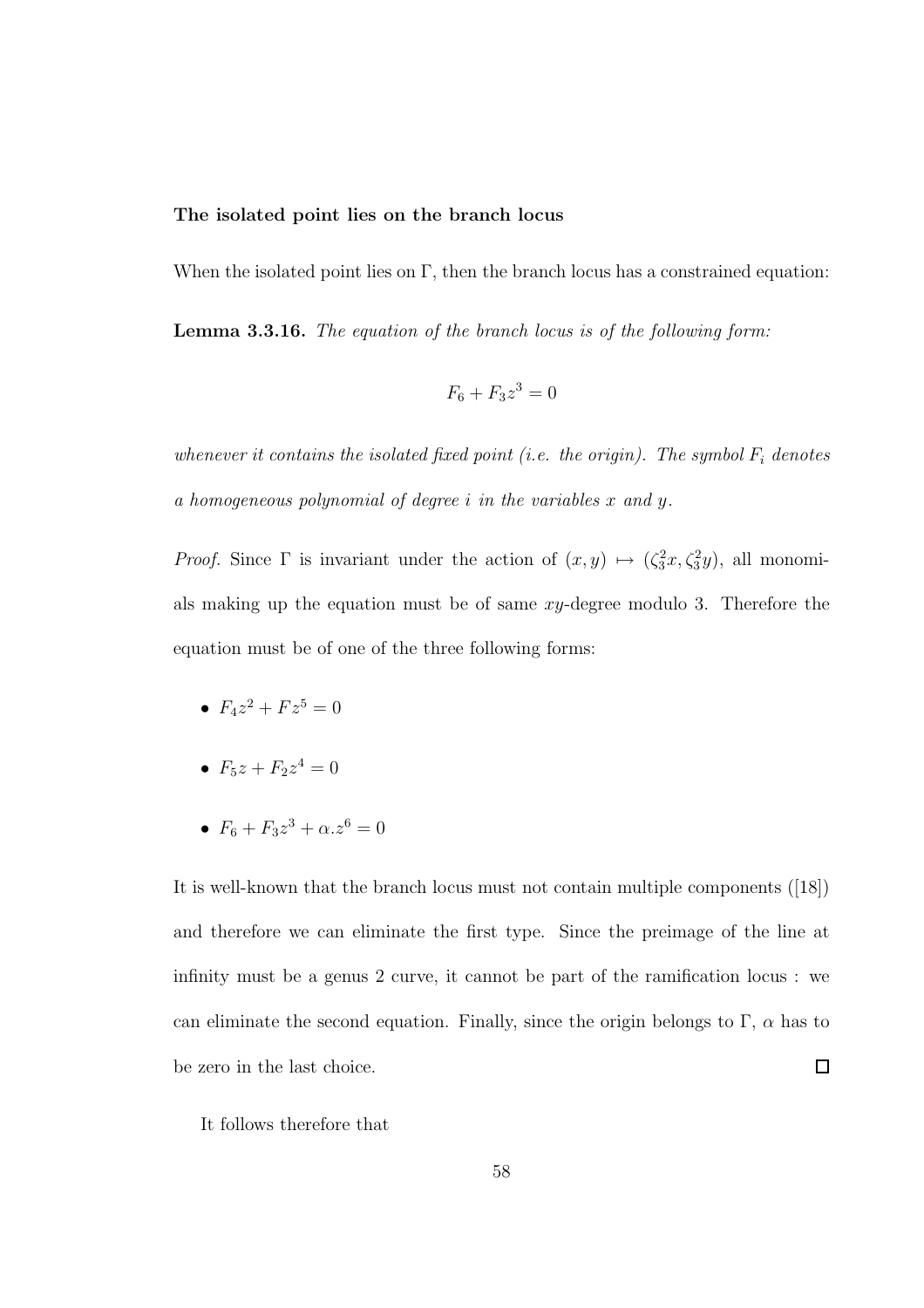#### The isolated point lies on the branch locus

When the isolated point lies on  $\Gamma$ , then the branch locus has a constrained equation:

Lemma 3.3.16. *The equation of the branch locus is of the following form:*

$$
F_6 + F_3 z^3 = 0
$$

*whenever it contains the isolated fixed point (i.e. the origin). The symbol*  $F_i$  *denotes a homogeneous polynomial of degree* i *in the variables* x *and* y*.*

*Proof.* Since  $\Gamma$  is invariant under the action of  $(x, y) \mapsto (\zeta_3^2 x, \zeta_3^2 y)$ , all monomials making up the equation must be of same xy-degree modulo 3. Therefore the equation must be of one of the three following forms:

- $F_4 z^2 + F z^5 = 0$
- $F_5z + F_2z^4 = 0$
- $F_6 + F_3 z^3 + \alpha z^6 = 0$

It is well-known that the branch locus must not contain multiple components ([18]) and therefore we can eliminate the first type. Since the preimage of the line at infinity must be a genus 2 curve, it cannot be part of the ramification locus : we can eliminate the second equation. Finally, since the origin belongs to  $\Gamma$ ,  $\alpha$  has to be zero in the last choice.  $\Box$ 

It follows therefore that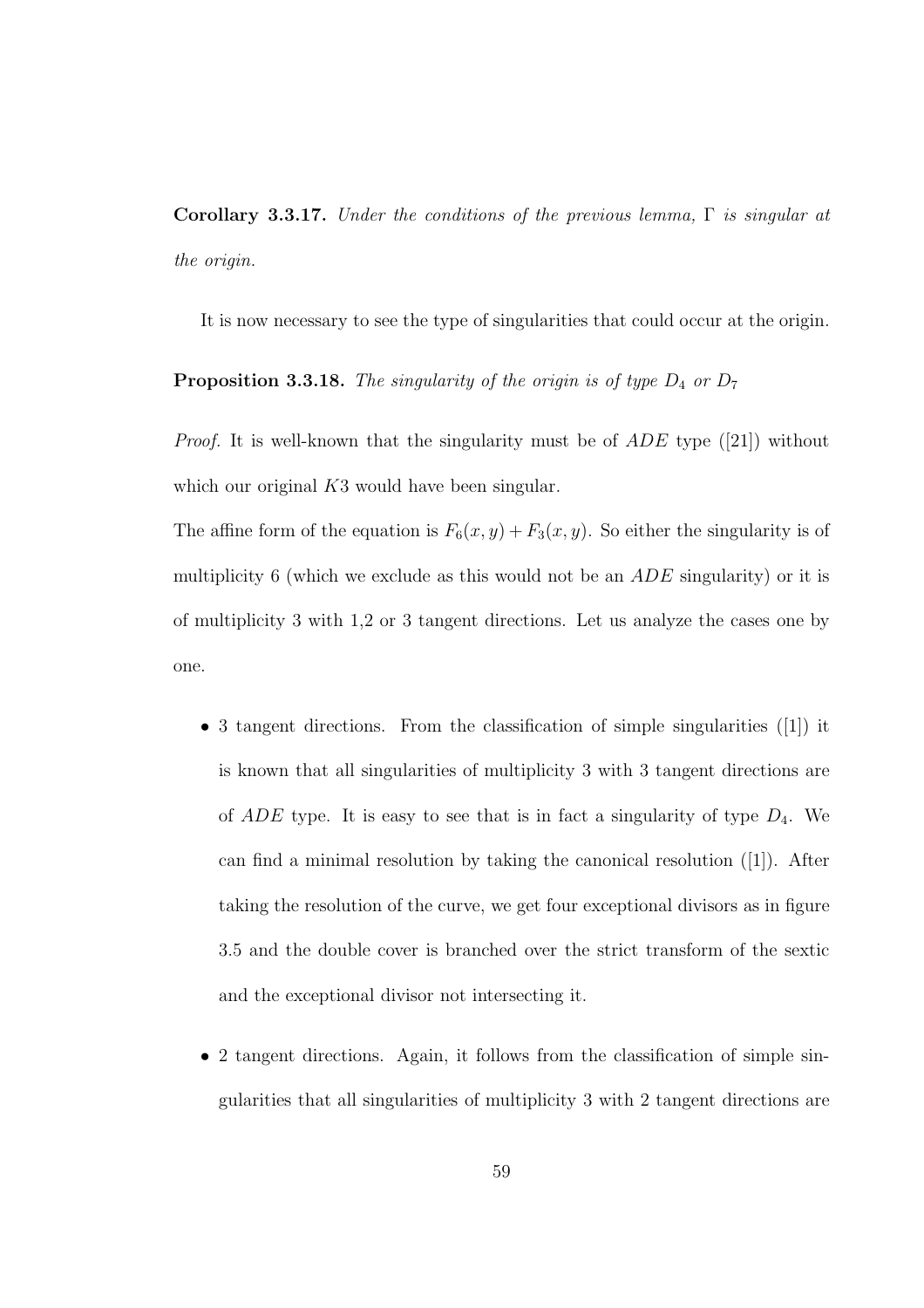Corollary 3.3.17. *Under the conditions of the previous lemma,* Γ *is singular at the origin.*

It is now necessary to see the type of singularities that could occur at the origin.

**Proposition 3.3.18.** *The singularity of the origin is of type*  $D_4$  *or*  $D_7$ 

*Proof.* It is well-known that the singularity must be of *ADE* type ([21]) without which our original K3 would have been singular.

The affine form of the equation is  $F_6(x, y) + F_3(x, y)$ . So either the singularity is of multiplicity 6 (which we exclude as this would not be an *ADE* singularity) or it is of multiplicity 3 with 1,2 or 3 tangent directions. Let us analyze the cases one by one.

- 3 tangent directions. From the classification of simple singularities ([1]) it is known that all singularities of multiplicity 3 with 3 tangent directions are of  $ADE$  type. It is easy to see that is in fact a singularity of type  $D_4$ . We can find a minimal resolution by taking the canonical resolution ([1]). After taking the resolution of the curve, we get four exceptional divisors as in figure 3.5 and the double cover is branched over the strict transform of the sextic and the exceptional divisor not intersecting it.
- 2 tangent directions. Again, it follows from the classification of simple singularities that all singularities of multiplicity 3 with 2 tangent directions are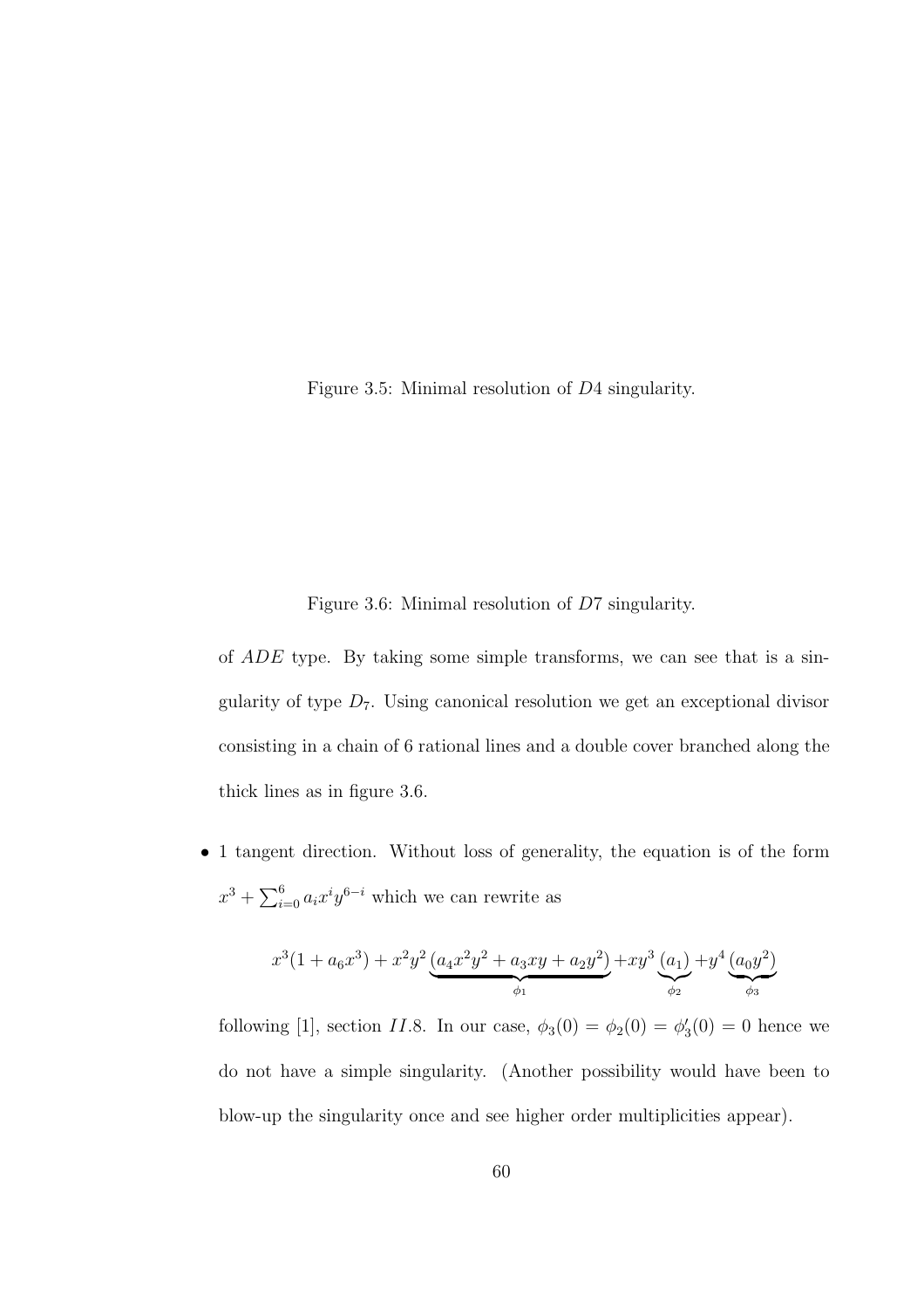Figure 3.5: Minimal resolution of D4 singularity.

Figure 3.6: Minimal resolution of D7 singularity.

of  $ADE$  type. By taking some simple transforms, we can see that is a singularity of type  $D_7$ . Using canonical resolution we get an exceptional divisor consisting in a chain of 6 rational lines and a double cover branched along the thick lines as in figure 3.6.

• 1 tangent direction. Without loss of generality, the equation is of the form  $x^3 + \sum_{i=0}^6 a_i x^i y^{6-i}$  which we can rewrite as

$$
x^{3}(1+a_{6}x^{3})+x^{2}y^{2}\underbrace{(a_{4}x^{2}y^{2}+a_{3}xy+a_{2}y^{2})}_{\phi_{1}}+xy^{3}\underbrace{(a_{1})}_{\phi_{2}}+y^{4}\underbrace{(a_{0}y^{2})}_{\phi_{3}}
$$

following [1], section *II.*8. In our case,  $\phi_3(0) = \phi_2(0) = \phi'_3(0) = 0$  hence we do not have a simple singularity. (Another possibility would have been to blow-up the singularity once and see higher order multiplicities appear).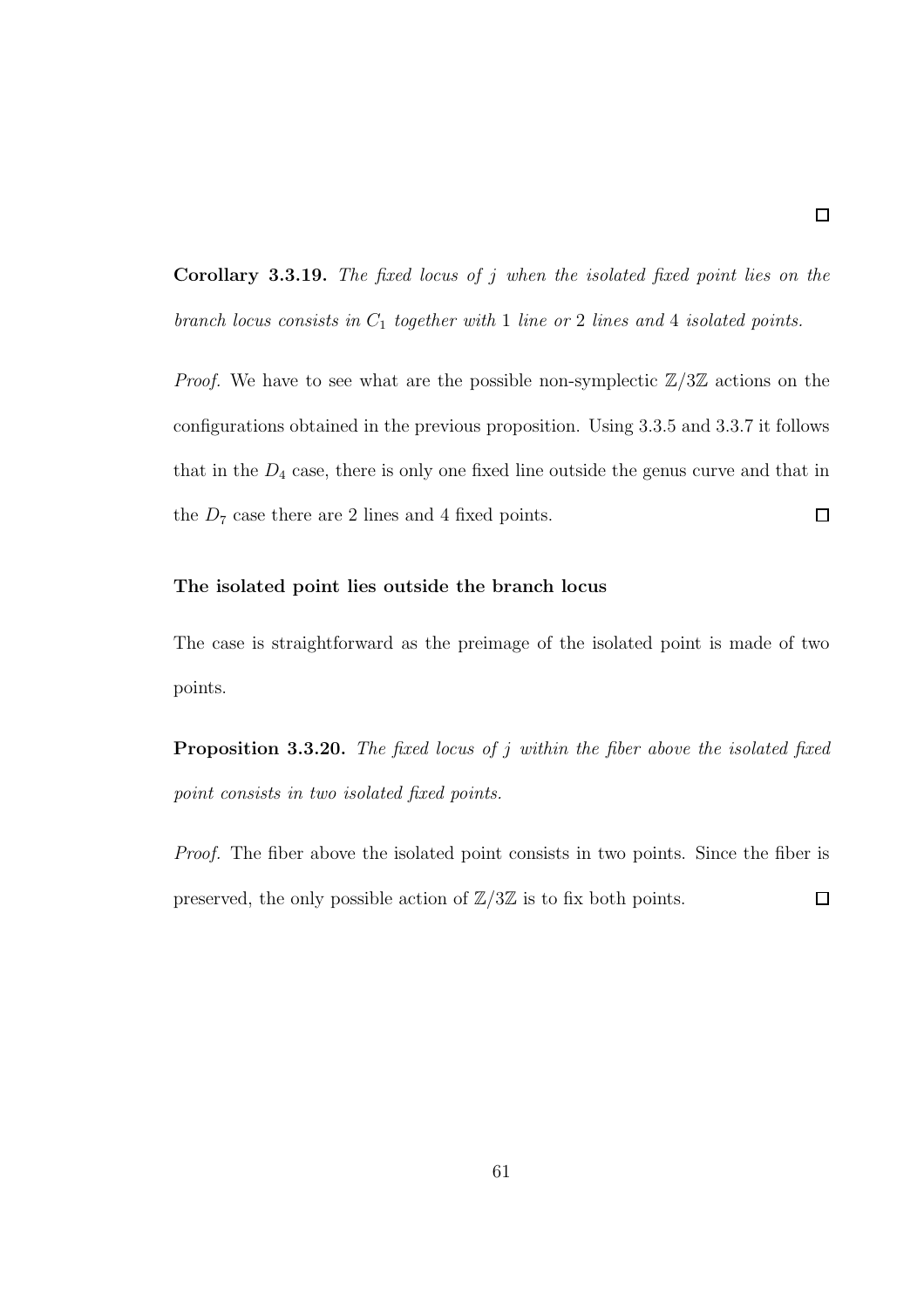Corollary 3.3.19. *The fixed locus of* j *when the isolated fixed point lies on the branch locus consists in* C<sup>1</sup> *together with* 1 *line or* 2 *lines and* 4 *isolated points.*

*Proof.* We have to see what are the possible non-symplectic  $\mathbb{Z}/3\mathbb{Z}$  actions on the configurations obtained in the previous proposition. Using 3.3.5 and 3.3.7 it follows that in the  $D_4$  case, there is only one fixed line outside the genus curve and that in  $\Box$ the  $D_7$  case there are 2 lines and 4 fixed points.

#### The isolated point lies outside the branch locus

The case is straightforward as the preimage of the isolated point is made of two points.

Proposition 3.3.20. *The fixed locus of* j *within the fiber above the isolated fixed point consists in two isolated fixed points.*

*Proof.* The fiber above the isolated point consists in two points. Since the fiber is preserved, the only possible action of  $\mathbb{Z}/3\mathbb{Z}$  is to fix both points.  $\Box$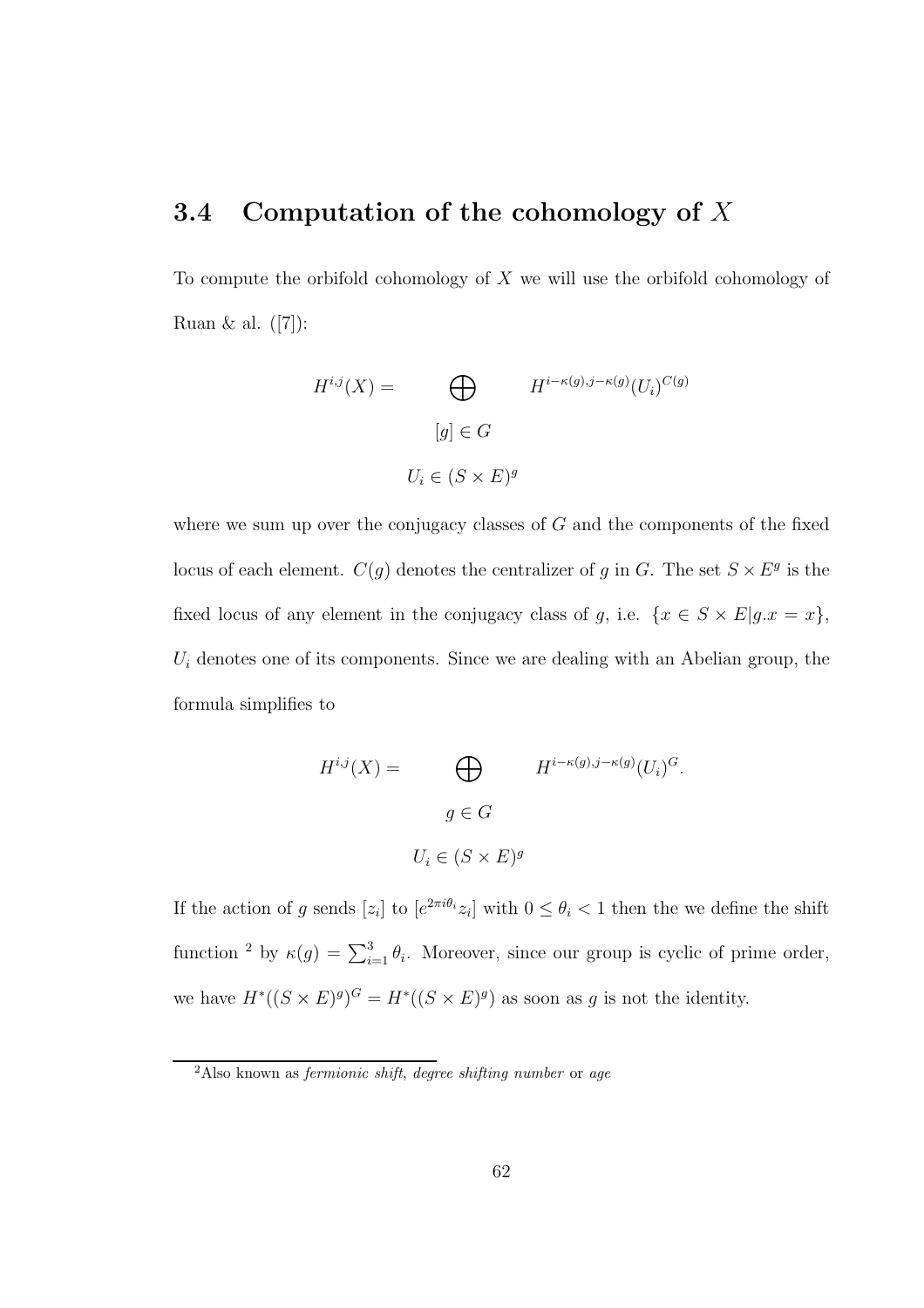# 3.4 Computation of the cohomology of  $X$

To compute the orbifold cohomology of  $X$  we will use the orbifold cohomology of Ruan & al.  $([7])$ :

$$
H^{i,j}(X) = \bigoplus_{[g] \in G} H^{i-\kappa(g), j-\kappa(g)}(U_i)^{C(g)}
$$
  

$$
[g] \in G
$$
  

$$
U_i \in (S \times E)^g
$$

where we sum up over the conjugacy classes of  $G$  and the components of the fixed locus of each element.  $C(g)$  denotes the centralizer of g in G. The set  $S \times E^g$  is the fixed locus of any element in the conjugacy class of g, i.e.  $\{x \in S \times E | g.x = x\},\$  $U_i$  denotes one of its components. Since we are dealing with an Abelian group, the formula simplifies to

$$
H^{i,j}(X) = \bigoplus_{g \in G} H^{i-\kappa(g), j-\kappa(g)}(U_i)^G.
$$
  

$$
g \in G
$$
  

$$
U_i \in (S \times E)^g
$$

If the action of g sends  $[z_i]$  to  $[e^{2\pi i \theta_i} z_i]$  with  $0 \le \theta_i < 1$  then the we define the shift function <sup>2</sup> by  $\kappa(g) = \sum_{i=1}^{3} \theta_i$ . Moreover, since our group is cyclic of prime order, we have  $H^*((S \times E)^g)^G = H^*((S \times E)^g)$  as soon as g is not the identity.

 $2$ Also known as *fermionic shift*, *degree shifting number* or *age*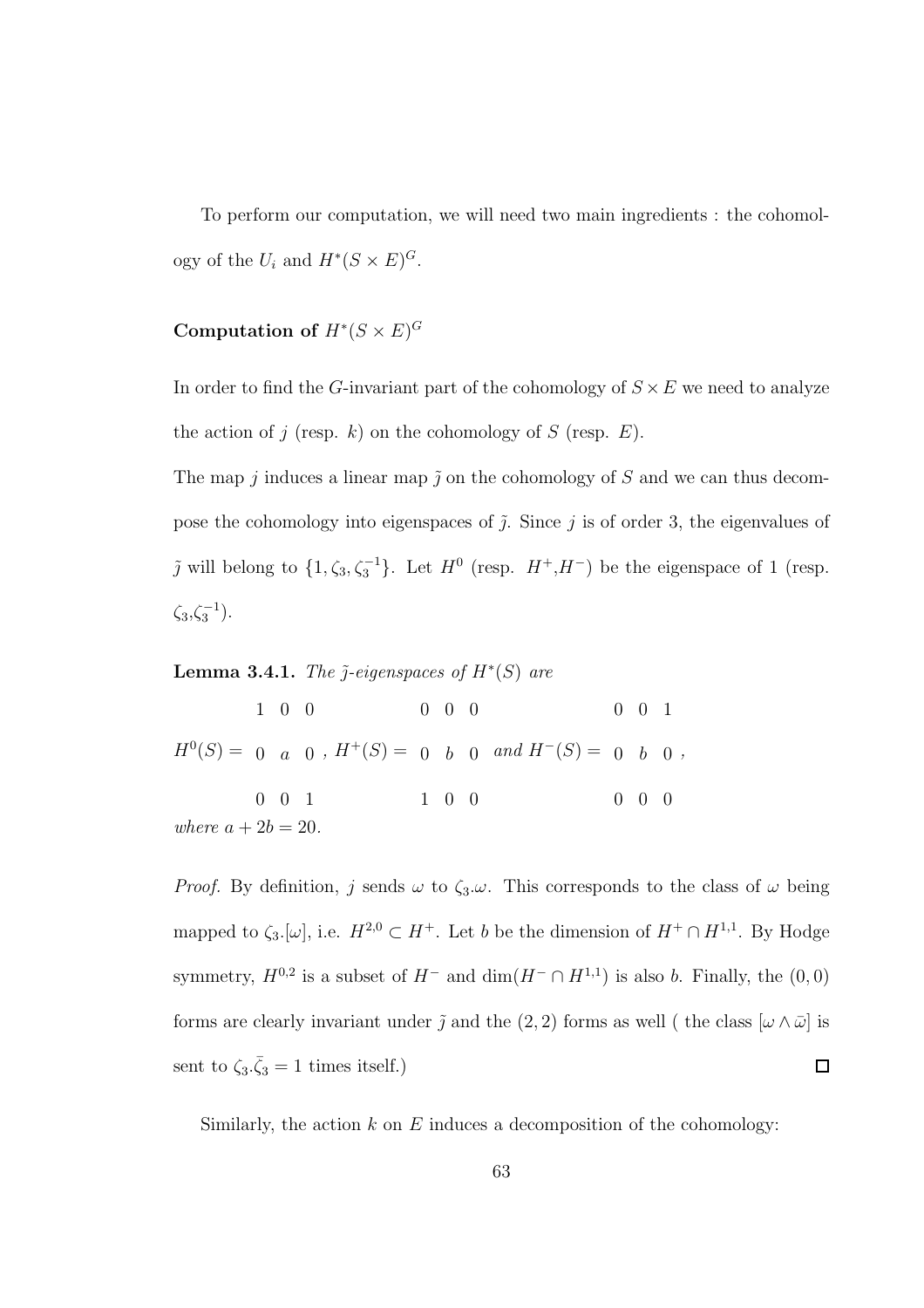To perform our computation, we will need two main ingredients : the cohomology of the  $U_i$  and  $H^*(S \times E)^G$ .

### Computation of  $H^*(S \times E)^G$

In order to find the G-invariant part of the cohomology of  $S \times E$  we need to analyze the action of j (resp. k) on the cohomology of S (resp.  $E$ ).

The map  $j$  induces a linear map  $\tilde{j}$  on the cohomology of  $S$  and we can thus decompose the cohomology into eigenspaces of  $\tilde{j}$ . Since j is of order 3, the eigenvalues of  $\tilde{j}$  will belong to  $\{1, \zeta_3, \zeta_3^{-1}\}$ . Let  $H^0$  (resp.  $H^+, H^-$ ) be the eigenspace of 1 (resp.  $\zeta_3, \zeta_3^{-1}$ ).

### **Lemma 3.4.1.** *The*  $\tilde{j}$ -eigenspaces of  $H^*(S)$  are

 $H^0(S) = 0$  a 0,  $H^+(S) = 0$  b 0 and  $H^-(S) = 0$  b 0, 1 0 0 0 0 1 0 0 0 1 0 0 0 0 1 0 0 0 *where*  $a + 2b = 20$ *.* 

*Proof.* By definition, j sends  $\omega$  to  $\zeta_3 \omega$ . This corresponds to the class of  $\omega$  being mapped to  $\zeta_3$ .[ $\omega$ ], i.e.  $H^{2,0} \subset H^+$ . Let b be the dimension of  $H^+ \cap H^{1,1}$ . By Hodge symmetry,  $H^{0,2}$  is a subset of  $H^-$  and  $\dim(H^- \cap H^{1,1})$  is also b. Finally, the  $(0,0)$ forms are clearly invariant under  $\tilde{j}$  and the (2, 2) forms as well ( the class  $[\omega \wedge \bar{\omega}]$  is sent to  $\zeta_3 \cdot \bar{\zeta}_3 = 1$  times itself.)  $\Box$ 

Similarly, the action  $k$  on  $E$  induces a decomposition of the cohomology: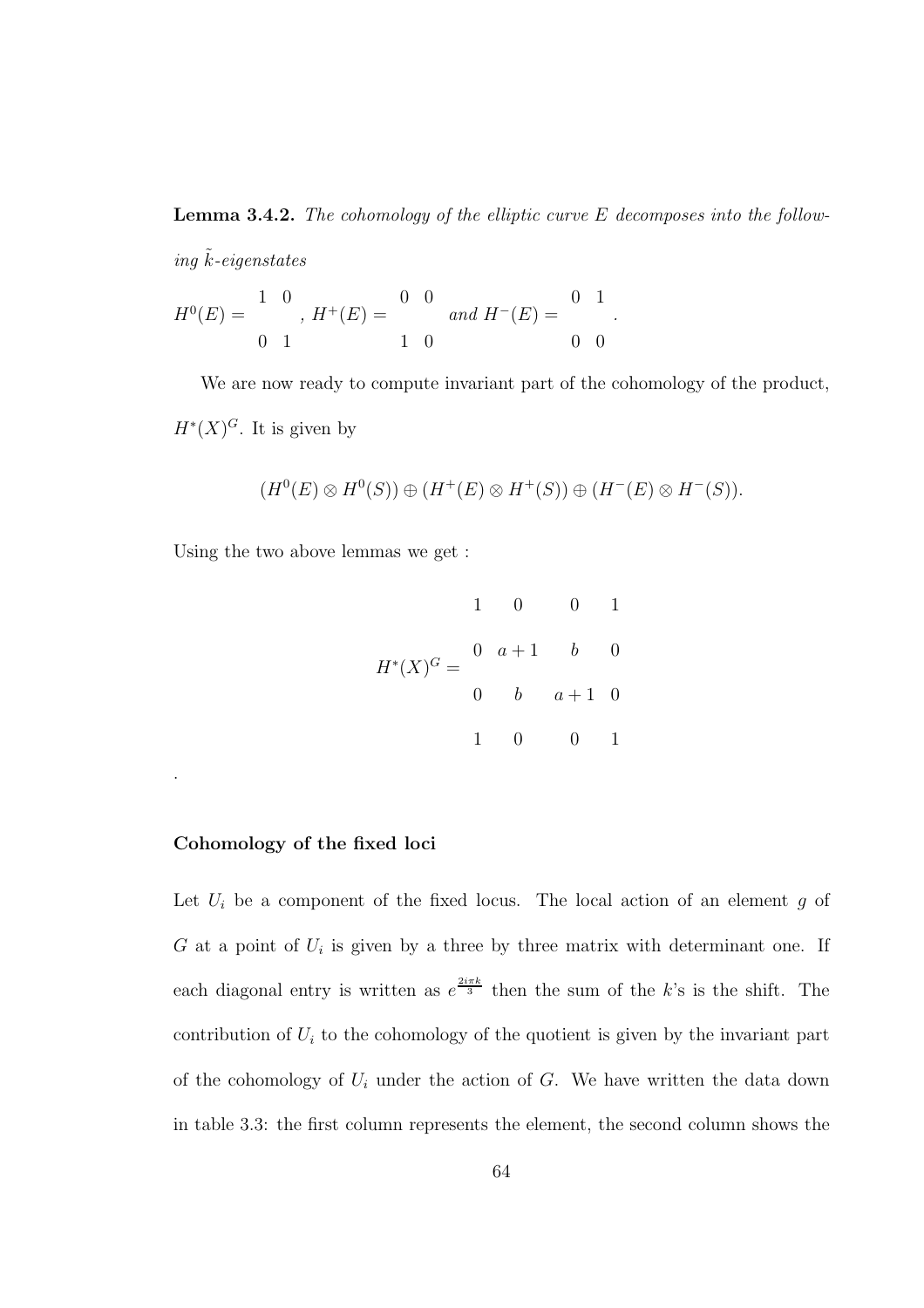Lemma 3.4.2. *The cohomology of the elliptic curve* E *decomposes into the follow* $ing \tilde{k}$ *-eigenstates* 

$$
H^{0}(E) = \begin{pmatrix} 1 & 0 \\ 0 & 1 \end{pmatrix}, H^{+}(E) = \begin{pmatrix} 0 & 0 \\ 0 & 1 \end{pmatrix} \text{ and } H^{-}(E) = \begin{pmatrix} 0 & 1 \\ 0 & 0 \end{pmatrix}.
$$

We are now ready to compute invariant part of the cohomology of the product,  $H^*(X)^G$ . It is given by

$$
(H^0(E)\otimes H^0(S))\oplus (H^+(E)\otimes H^+(S))\oplus (H^-(E)\otimes H^-(S)).
$$

Using the two above lemmas we get :

$$
H^*(X)^G = \begin{pmatrix} 1 & 0 & 0 & 1 \\ 0 & a+1 & b & 0 \\ 0 & b & a+1 & 0 \\ 1 & 0 & 0 & 1 \end{pmatrix}
$$

#### Cohomology of the fixed loci

.

Let  $U_i$  be a component of the fixed locus. The local action of an element  $g$  of  $G$  at a point of  $U_i$  is given by a three by three matrix with determinant one. If each diagonal entry is written as  $e^{\frac{2i\pi k}{3}}$  then the sum of the k's is the shift. The contribution of  $U_i$  to the cohomology of the quotient is given by the invariant part of the cohomology of  $U_i$  under the action of  $G$ . We have written the data down in table 3.3: the first column represents the element, the second column shows the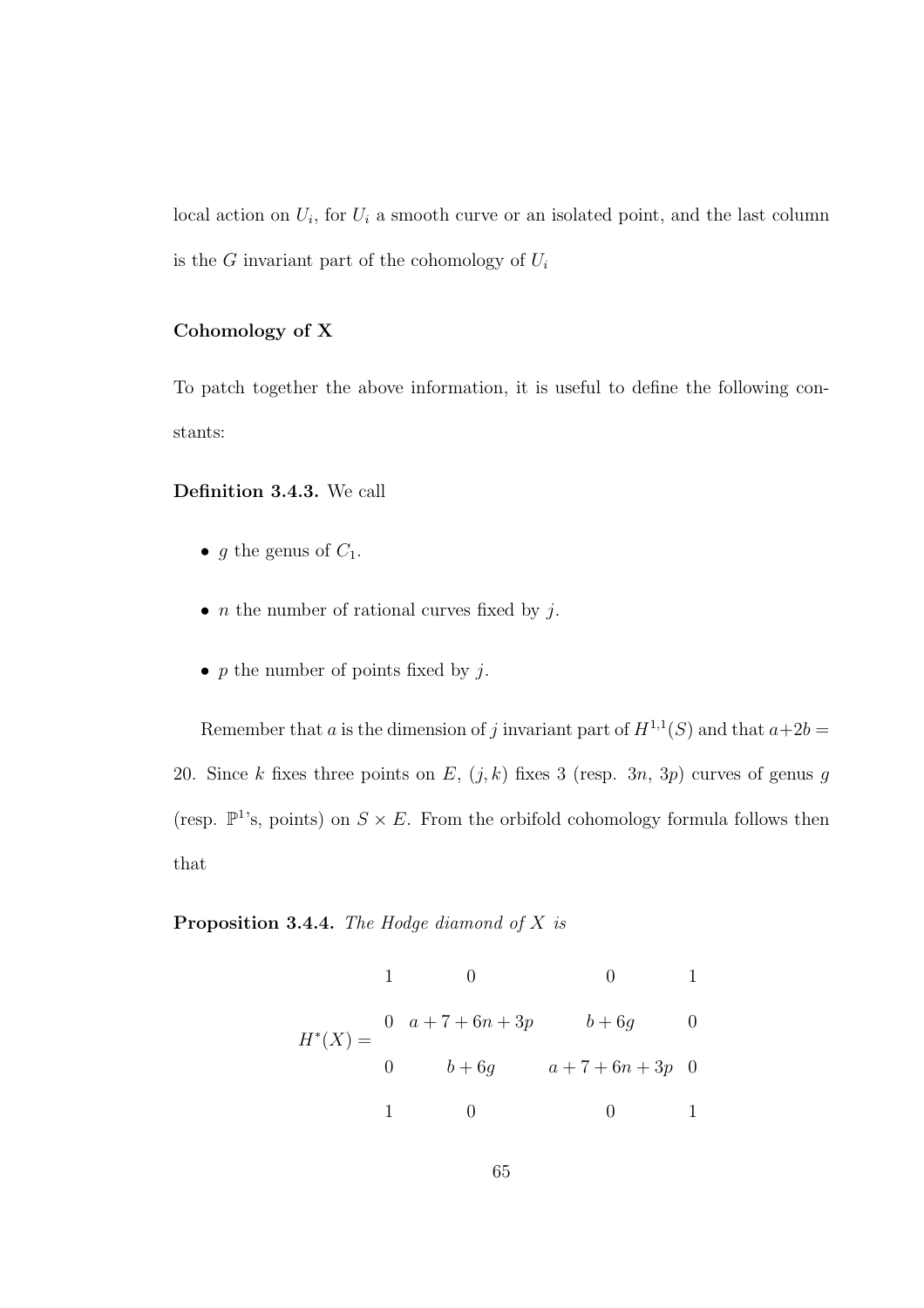local action on  $U_i$ , for  $U_i$  a smooth curve or an isolated point, and the last column is the G invariant part of the cohomology of  $U_i$ 

#### Cohomology of X

To patch together the above information, it is useful to define the following constants:

#### Definition 3.4.3. We call

- g the genus of  $C_1$ .
- *n* the number of rational curves fixed by  $j$ .
- p the number of points fixed by  $j$ .

Remember that a is the dimension of j invariant part of  $H^{1,1}(S)$  and that  $a+2b=$ 20. Since k fixes three points on E,  $(j, k)$  fixes 3 (resp. 3n, 3p) curves of genus g (resp.  $\mathbb{P}^1$ 's, points) on  $S \times E$ . From the orbifold cohomology formula follows then that

Proposition 3.4.4. *The Hodge diamond of* X *is*

$$
1 \t 0 \t 0 \t 1
$$
  

$$
H^*(X) = \begin{cases} 0 & a+7+6n+3p & b+6g \\ 0 & b+6g & a+7+6n+3p & 0 \end{cases}
$$
  

$$
1 \t 0 \t 0 \t 1
$$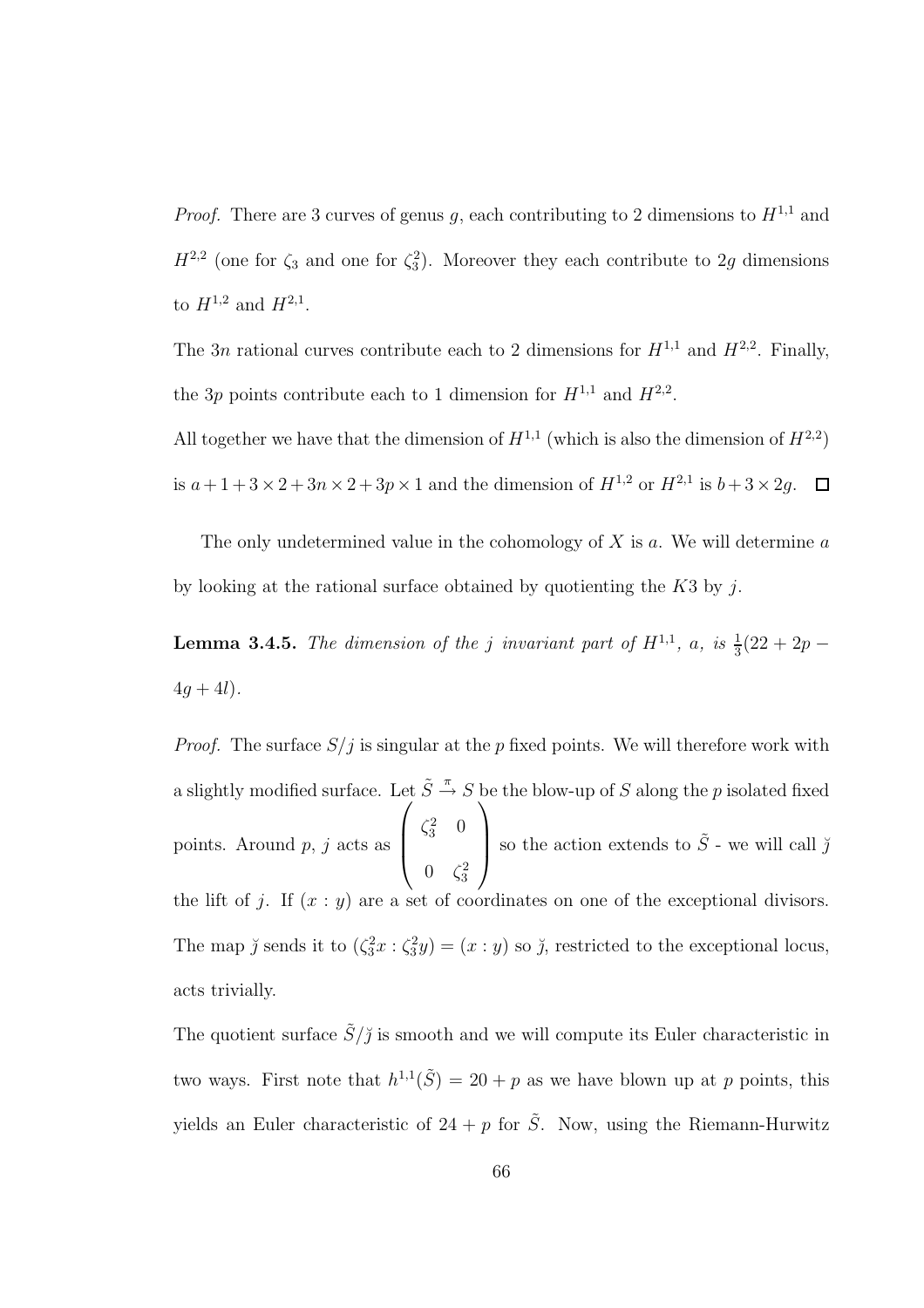*Proof.* There are 3 curves of genus g, each contributing to 2 dimensions to  $H^{1,1}$  and  $H^{2,2}$  (one for  $\zeta_3$  and one for  $\zeta_3^2$ ). Moreover they each contribute to 2g dimensions to  $H^{1,2}$  and  $H^{2,1}$ .

The 3n rational curves contribute each to 2 dimensions for  $H^{1,1}$  and  $H^{2,2}$ . Finally, the 3p points contribute each to 1 dimension for  $H^{1,1}$  and  $H^{2,2}$ .

All together we have that the dimension of  $H^{1,1}$  (which is also the dimension of  $H^{2,2}$ ) is  $a + 1 + 3 \times 2 + 3n \times 2 + 3p \times 1$  and the dimension of  $H^{1,2}$  or  $H^{2,1}$  is  $b + 3 \times 2g$ .

The only undetermined value in the cohomology of  $X$  is  $a$ . We will determine  $a$ by looking at the rational surface obtained by quotienting the  $K3$  by j.

**Lemma 3.4.5.** The dimension of the j invariant part of  $H^{1,1}$ , a, is  $\frac{1}{3}(22 + 2p 4q + 4l$ ).

*Proof.* The surface  $S/j$  is singular at the p fixed points. We will therefore work with a slightly modified surface. Let  $\tilde{S} \stackrel{\pi}{\rightarrow} S$  be the blow-up of S along the p isolated fixed points. Around p, j acts as  $\sqrt{ }$  $\overline{\phantom{a}}$  $\zeta_3^2$  0  $0 \quad \zeta_3^2$  $\setminus$ so the action extends to  $\tilde{S}$  - we will call  $\breve{\jmath}$ the lift of j. If  $(x : y)$  are a set of coordinates on one of the exceptional divisors. The map  $\check{\jmath}$  sends it to  $(\zeta_3^2 x : \zeta_3^2 y) = (x : y)$  so  $\check{\jmath}$ , restricted to the exceptional locus, acts trivially.

The quotient surface  $\tilde{S}/\tilde{J}$  is smooth and we will compute its Euler characteristic in two ways. First note that  $h^{1,1}(\tilde{S}) = 20 + p$  as we have blown up at p points, this yields an Euler characteristic of  $24 + p$  for  $\tilde{S}$ . Now, using the Riemann-Hurwitz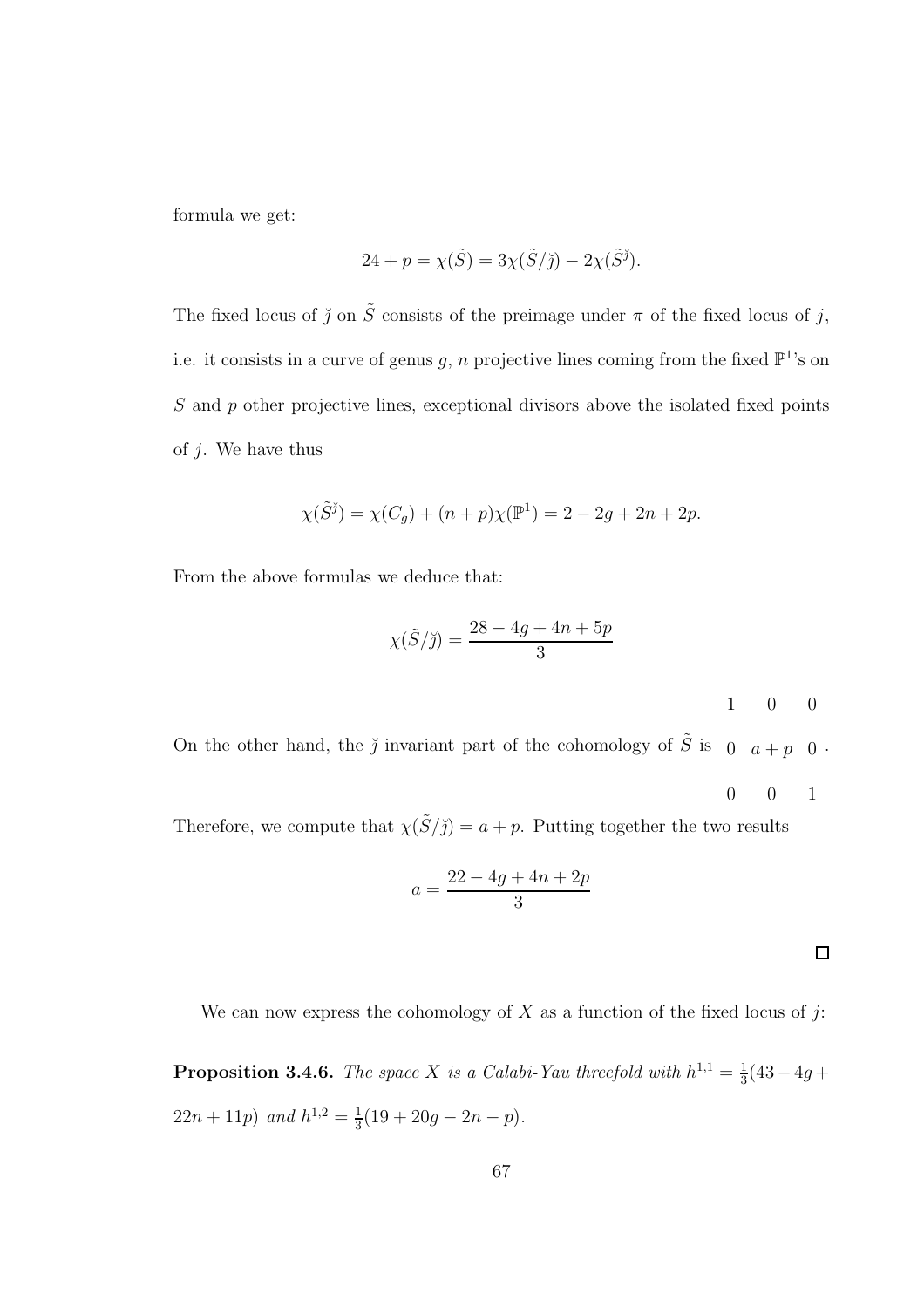formula we get:

$$
24 + p = \chi(\tilde{S}) = 3\chi(\tilde{S}/\tilde{J}) - 2\chi(\tilde{S}^{\tilde{J}}).
$$

The fixed locus of  $\tilde{y}$  on  $\tilde{S}$  consists of the preimage under  $\pi$  of the fixed locus of  $j$ , i.e. it consists in a curve of genus g, n projective lines coming from the fixed  $\mathbb{P}^1$ 's on S and p other projective lines, exceptional divisors above the isolated fixed points of  $i$ . We have thus

$$
\chi(\tilde{S}^{\tilde{j}}) = \chi(C_g) + (n+p)\chi(\mathbb{P}^1) = 2 - 2g + 2n + 2p.
$$

From the above formulas we deduce that:

$$
\chi(\tilde{S}/\tilde{J}) = \frac{28 - 4g + 4n + 5p}{3}
$$
 1 0 0

On the other hand, the  $\check{\jmath}$  invariant part of the cohomology of  $\tilde{S}$  is  $\jmath$   $a+p$  0.

$$
0\qquad 0\qquad 1
$$

Therefore, we compute that  $\chi(\tilde{S}/\tilde{J}) = a + p$ . Putting together the two results

$$
a = \frac{22 - 4g + 4n + 2p}{3}
$$

We can now express the cohomology of  $X$  as a function of the fixed locus of j:

**Proposition 3.4.6.** The space X is a Calabi-Yau threefold with  $h^{1,1} = \frac{1}{3}$  $rac{1}{3}(43-4g+$  $22n + 11p$  and  $h^{1,2} = \frac{1}{3}$  $\frac{1}{3}(19+20g-2n-p).$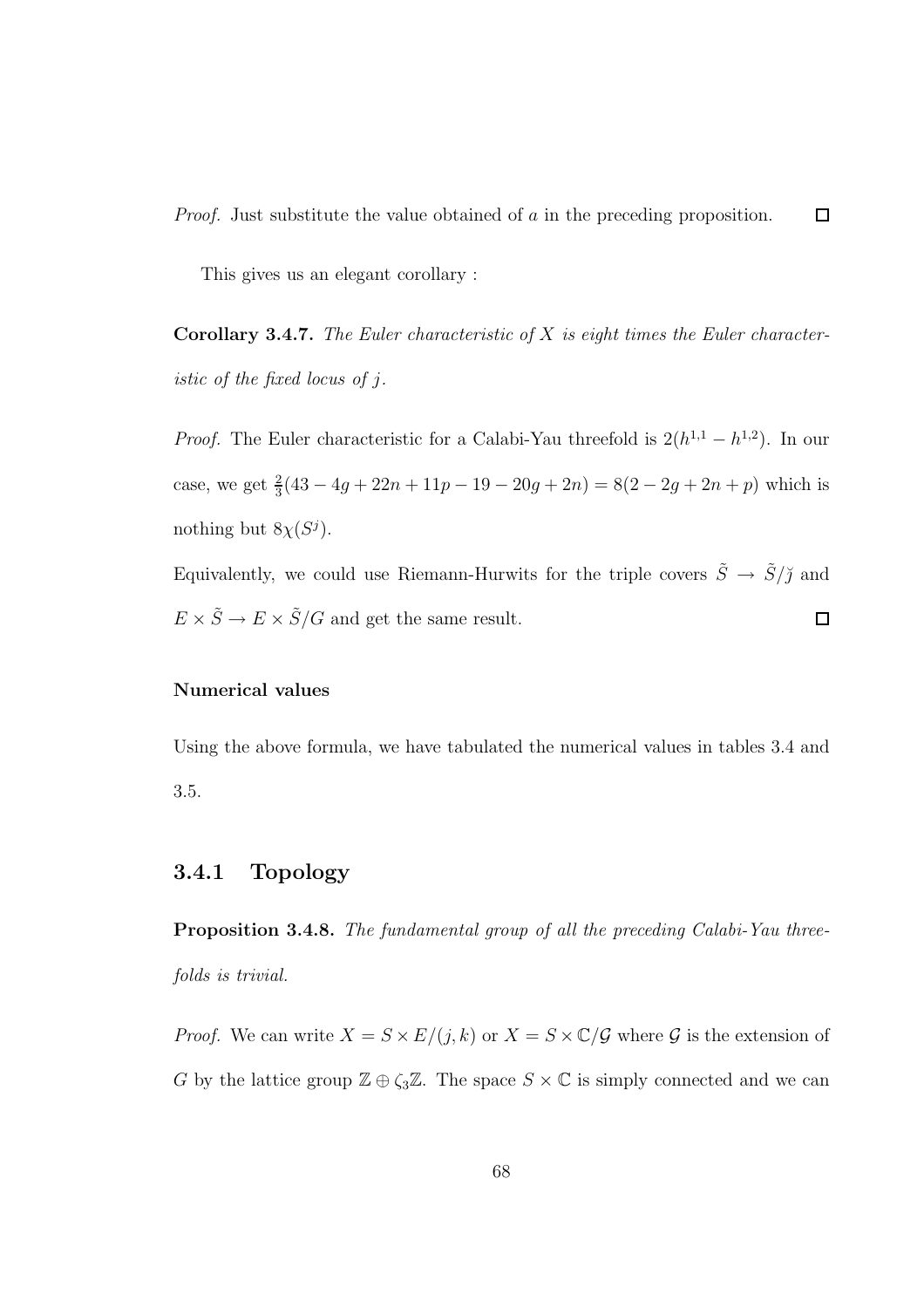This gives us an elegant corollary :

Corollary 3.4.7. *The Euler characteristic of* X *is eight times the Euler characteristic of the fixed locus of* j*.*

*Proof.* The Euler characteristic for a Calabi-Yau threefold is  $2(h^{1,1} - h^{1,2})$ . In our case, we get  $\frac{2}{3}(43 - 4g + 22n + 11p - 19 - 20g + 2n) = 8(2 - 2g + 2n + p)$  which is nothing but  $8\chi(S^j)$ .

Equivalently, we could use Riemann-Hurwits for the triple covers  $\tilde{S} \rightarrow \tilde{S}/\tilde{\jmath}$  and  $E \times \tilde{S} \rightarrow E \times \tilde{S}/G$  and get the same result.  $\Box$ 

#### Numerical values

Using the above formula, we have tabulated the numerical values in tables 3.4 and 3.5.

### 3.4.1 Topology

Proposition 3.4.8. *The fundamental group of all the preceding Calabi-Yau threefolds is trivial.*

*Proof.* We can write  $X = S \times E/(j, k)$  or  $X = S \times C/G$  where G is the extension of G by the lattice group  $\mathbb{Z} \oplus \zeta_3 \mathbb{Z}$ . The space  $S \times \mathbb{C}$  is simply connected and we can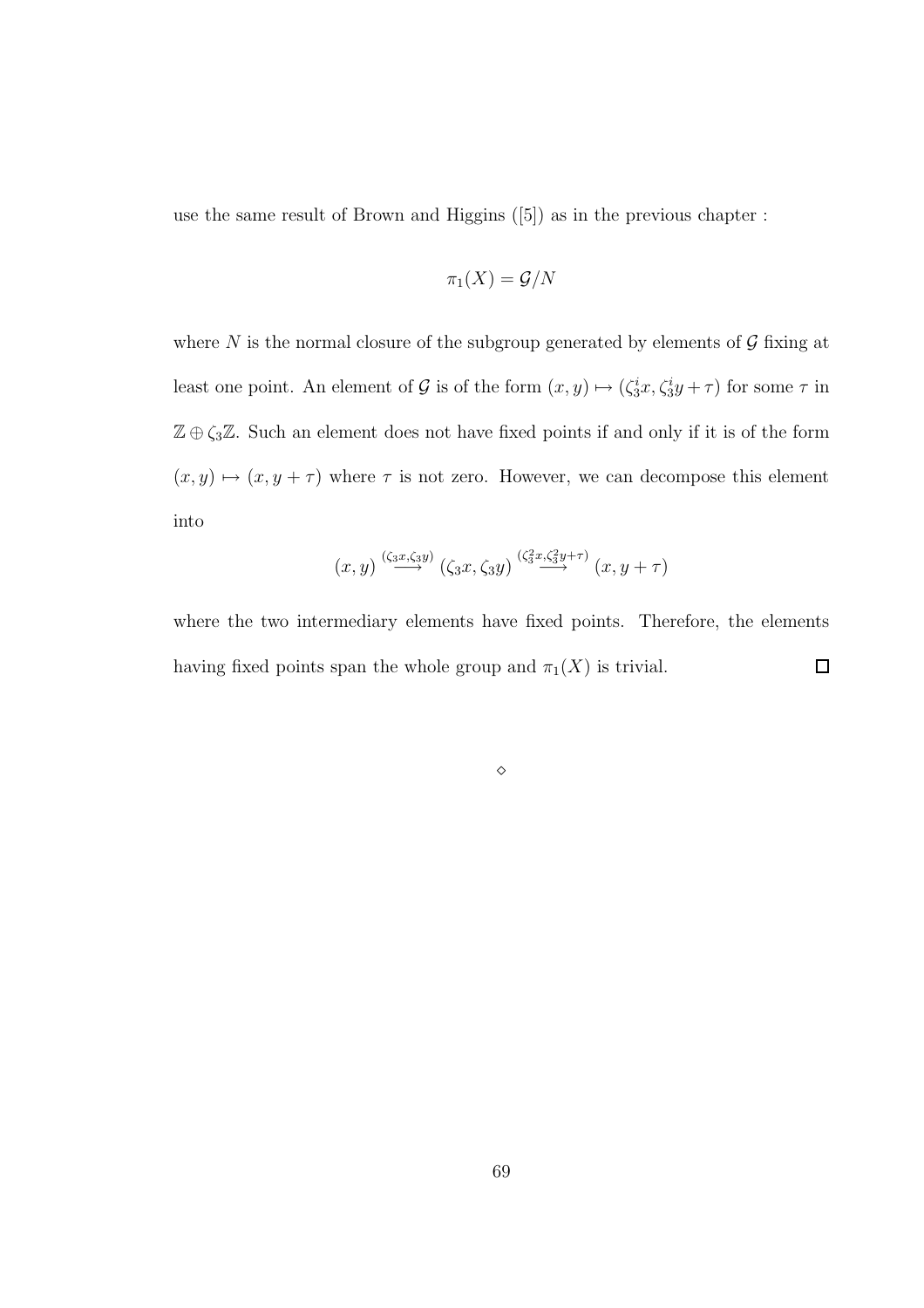use the same result of Brown and Higgins ([5]) as in the previous chapter :

$$
\pi_1(X)=\mathcal{G}/N
$$

where N is the normal closure of the subgroup generated by elements of  $\mathcal G$  fixing at least one point. An element of G is of the form  $(x, y) \mapsto (\zeta_3^i x, \zeta_3^i y + \tau)$  for some  $\tau$  in  $\mathbb{Z} \oplus \zeta_3 \mathbb{Z}$ . Such an element does not have fixed points if and only if it is of the form  $(x, y) \mapsto (x, y + \tau)$  where  $\tau$  is not zero. However, we can decompose this element into

$$
(x,y) \stackrel{(\zeta_3 x, \zeta_3 y)}{\longrightarrow} (\zeta_3 x, \zeta_3 y) \stackrel{(\zeta_3^2 x, \zeta_3^2 y + \tau)}{\longrightarrow} (x,y+\tau)
$$

where the two intermediary elements have fixed points. Therefore, the elements having fixed points span the whole group and  $\pi_1(X)$  is trivial.  $\Box$ 

⋄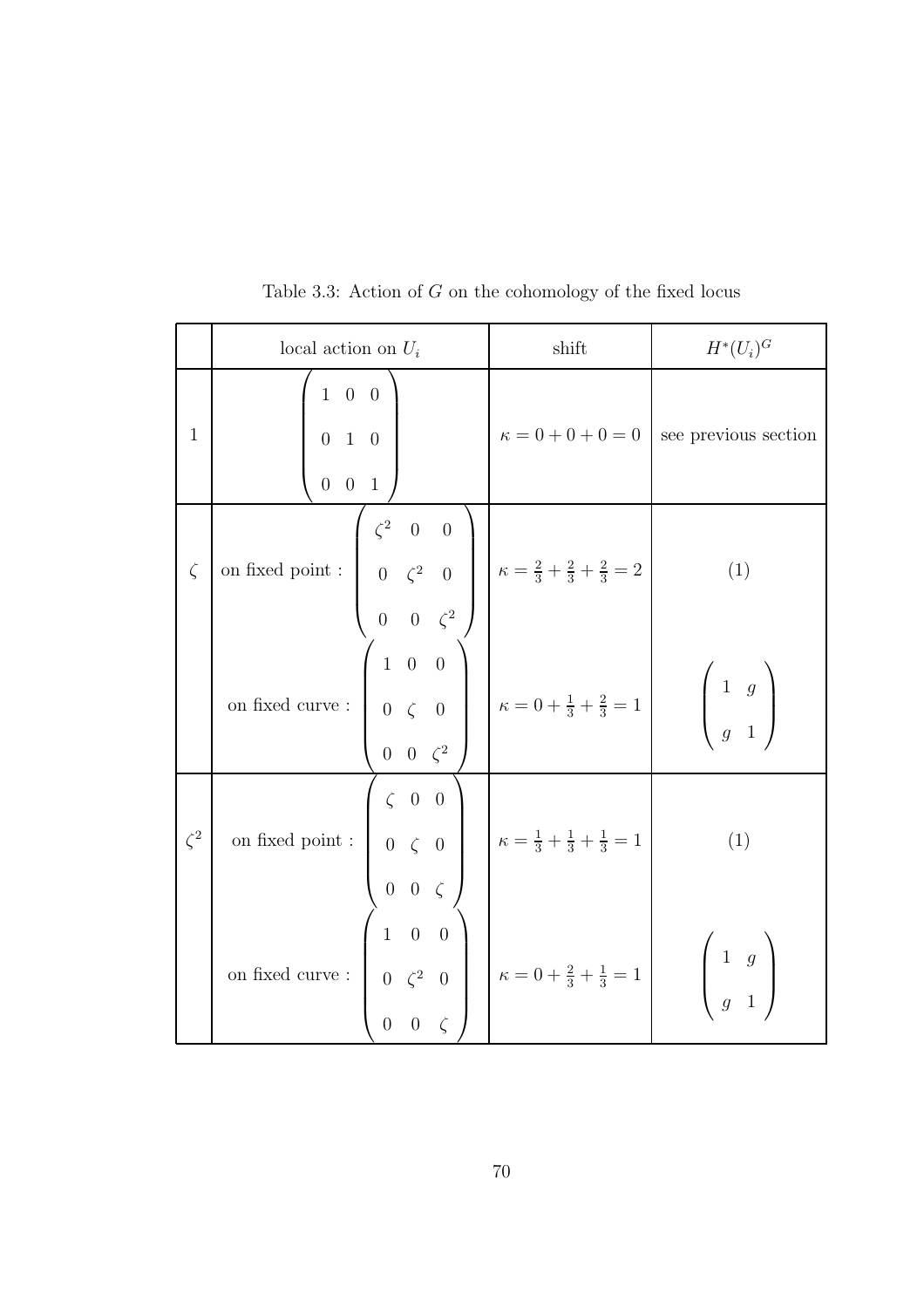|              | local action on $U_i$                                                                                                                                                                                                                                                                                        | shift | $H^*(U_i)^G$                                                              |
|--------------|--------------------------------------------------------------------------------------------------------------------------------------------------------------------------------------------------------------------------------------------------------------------------------------------------------------|-------|---------------------------------------------------------------------------|
| $\mathbf{1}$ | $\left(\begin{array}{ccc} 1 & 0 & 0 \ 0 & 1 & 0 \ 0 & 0 & 1 \end{array}\right)$                                                                                                                                                                                                                              |       | $\kappa = 0 + 0 + 0 = 0$ see previous section                             |
| $\zeta$      | on fixed point : $\begin{pmatrix} \zeta^2 & 0 & 0 \\ 0 & \zeta^2 & 0 \\ 0 & 0 & \zeta^2 \end{pmatrix}$ $\kappa = \frac{2}{3} + \frac{2}{3} + \frac{2}{3} = 2$                                                                                                                                                |       | (1)                                                                       |
|              |                                                                                                                                                                                                                                                                                                              |       | $\left(\begin{array}{cc} 1 & g \\ g & 1 \end{array}\right)$               |
| $\zeta^2$    | on fixed point :<br>$\begin{pmatrix} \zeta & 0 & 0 \\ 0 & \zeta & 0 \\ 0 & 0 & \zeta \end{pmatrix}$ $\kappa = \frac{1}{3} + \frac{1}{3} + \frac{1}{3} = 1$<br>on fixed curve :<br>$\begin{pmatrix} 1 & 0 & 0 \\ 0 & \zeta^2 & 0 \\ 0 & 0 & \zeta \end{pmatrix}$ $\kappa = 0 + \frac{2}{3} + \frac{1}{3} = 1$ |       | (1)                                                                       |
|              |                                                                                                                                                                                                                                                                                                              |       | $\left(\begin{array}{cc} 1 & g \\ & & \\ & & \\ & & 1 \end{array}\right)$ |

Table 3.3: Action of  $G$  on the cohomology of the fixed locus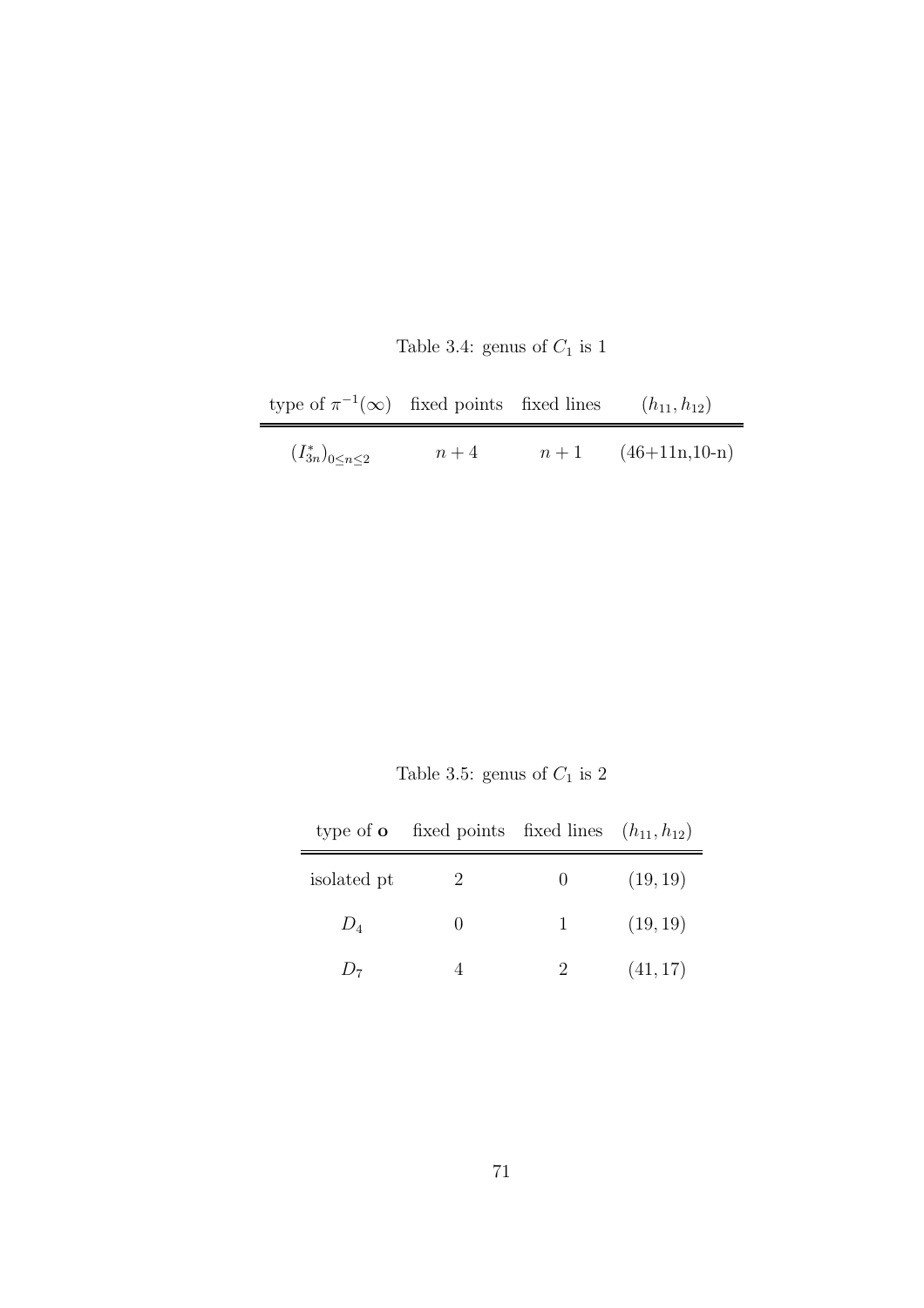| Table 3.4: genus of $C_1$ is 1 |  |  |  |  |  |
|--------------------------------|--|--|--|--|--|
|--------------------------------|--|--|--|--|--|

| type of $\pi^{-1}(\infty)$ fixed points fixed lines |       |       | $(h_{11}, h_{12})$ |
|-----------------------------------------------------|-------|-------|--------------------|
| $(I_{3n}^*)_{0 \leq n \leq 2}$                      | $n+4$ | $n+1$ | $(46+11n,10-n)$    |

Table 3.5: genus of  $\mathcal{C}_1$  is  $2$ 

|                    | type of <b>o</b> fixed points fixed lines $(h_{11}, h_{12})$ |                      |          |
|--------------------|--------------------------------------------------------------|----------------------|----------|
| isolated pt        |                                                              | $\theta$             | (19, 19) |
| $D_4$              | $\cup$                                                       | $\mathbf{1}$         | (19, 19) |
| $J_{\overline{z}}$ |                                                              | $\sum_{i=1}^{n} a_i$ | (41, 17) |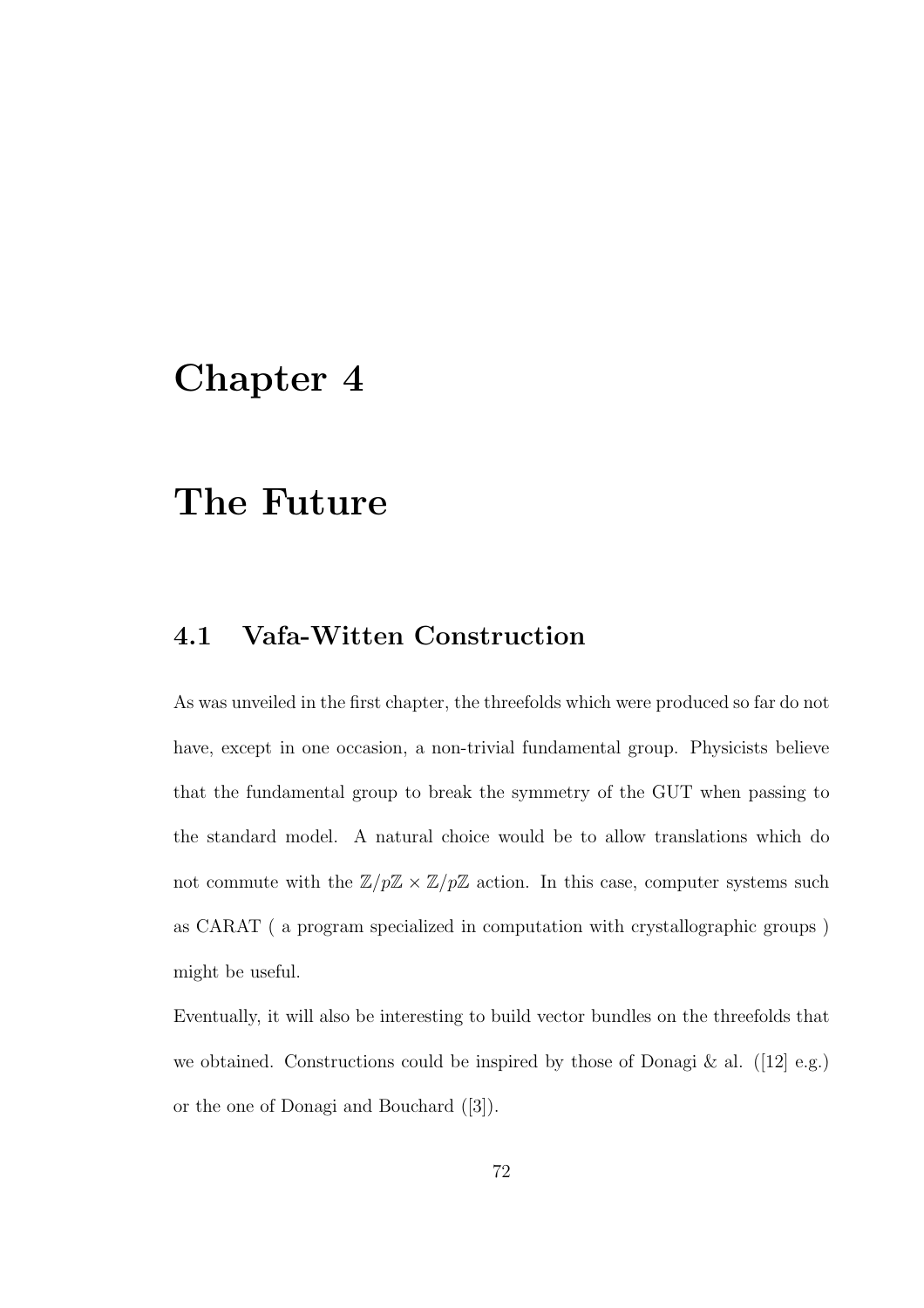## Chapter 4

# The Future

## 4.1 Vafa-Witten Construction

As was unveiled in the first chapter, the threefolds which were produced so far do not have, except in one occasion, a non-trivial fundamental group. Physicists believe that the fundamental group to break the symmetry of the GUT when passing to the standard model. A natural choice would be to allow translations which do not commute with the  $\mathbb{Z}/p\mathbb{Z} \times \mathbb{Z}/p\mathbb{Z}$  action. In this case, computer systems such as CARAT ( a program specialized in computation with crystallographic groups ) might be useful.

Eventually, it will also be interesting to build vector bundles on the threefolds that we obtained. Constructions could be inspired by those of Donagi  $\&$  al. ([12] e.g.) or the one of Donagi and Bouchard ([3]).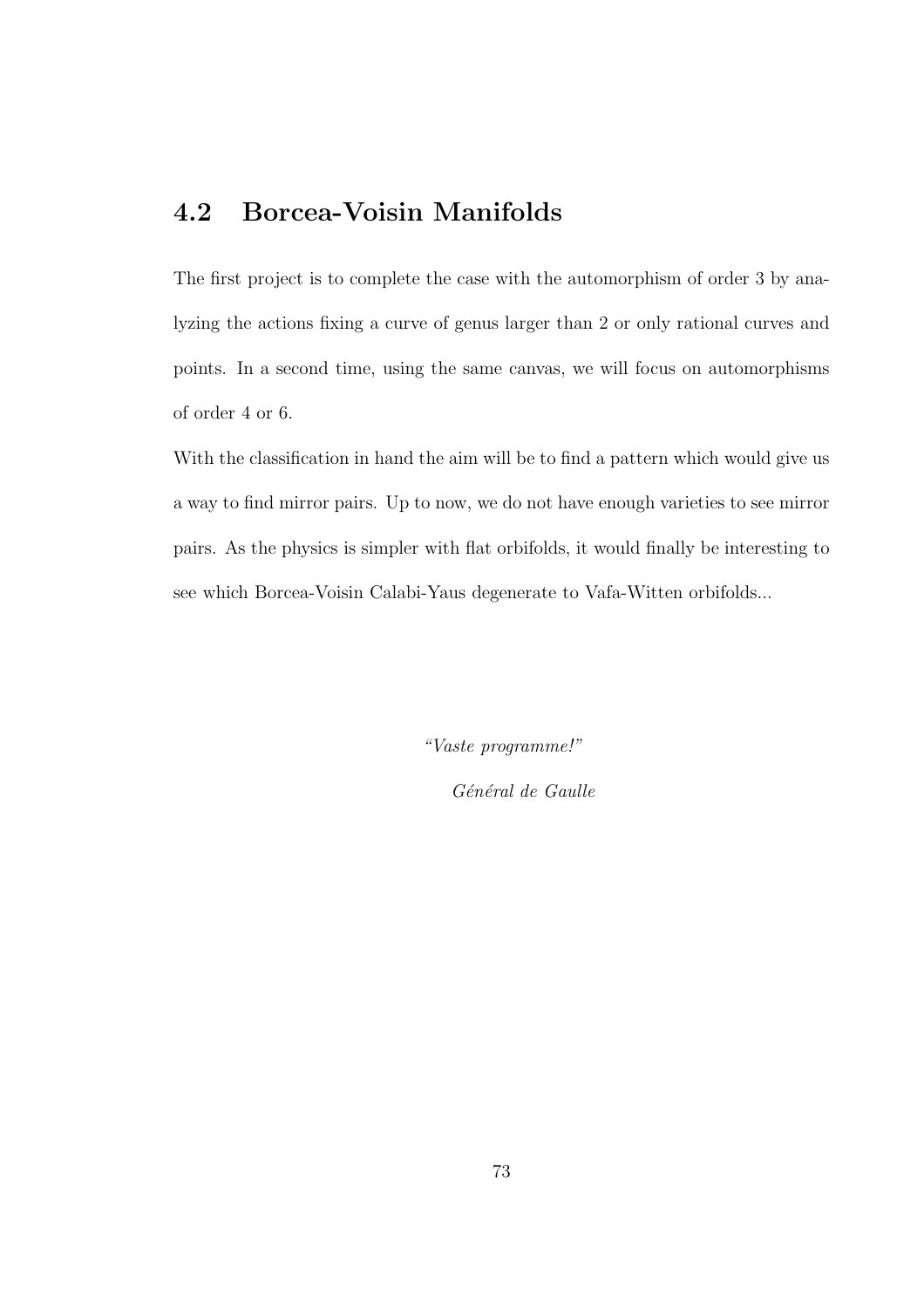## 4.2 Borcea-Voisin Manifolds

The first project is to complete the case with the automorphism of order 3 by analyzing the actions fixing a curve of genus larger than 2 or only rational curves and points. In a second time, using the same canvas, we will focus on automorphisms of order 4 or 6.

With the classification in hand the aim will be to find a pattern which would give us a way to find mirror pairs. Up to now, we do not have enough varieties to see mirror pairs. As the physics is simpler with flat orbifolds, it would finally be interesting to see which Borcea-Voisin Calabi-Yaus degenerate to Vafa-Witten orbifolds...

*"Vaste programme!"*

*G´en´eral de Gaulle*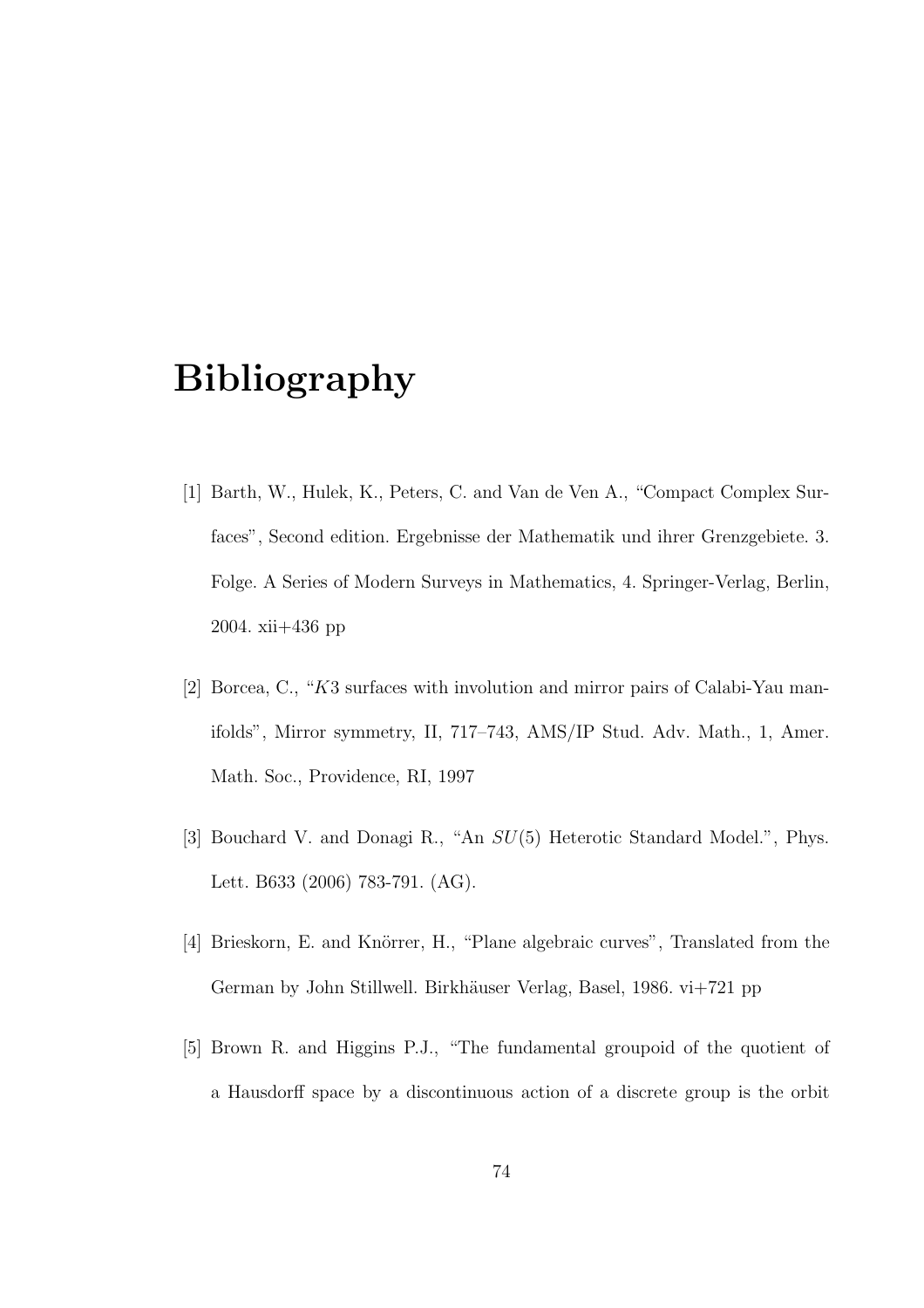# Bibliography

- [1] Barth, W., Hulek, K., Peters, C. and Van de Ven A., "Compact Complex Surfaces", Second edition. Ergebnisse der Mathematik und ihrer Grenzgebiete. 3. Folge. A Series of Modern Surveys in Mathematics, 4. Springer-Verlag, Berlin, 2004. xii+436 pp
- [2] Borcea, C., "K3 surfaces with involution and mirror pairs of Calabi-Yau manifolds", Mirror symmetry, II, 717–743, AMS/IP Stud. Adv. Math., 1, Amer. Math. Soc., Providence, RI, 1997
- [3] Bouchard V. and Donagi R., "An SU(5) Heterotic Standard Model.", Phys. Lett. B633 (2006) 783-791. (AG).
- [4] Brieskorn, E. and Knörrer, H., "Plane algebraic curves", Translated from the German by John Stillwell. Birkhäuser Verlag, Basel, 1986. vi+721 pp
- [5] Brown R. and Higgins P.J., "The fundamental groupoid of the quotient of a Hausdorff space by a discontinuous action of a discrete group is the orbit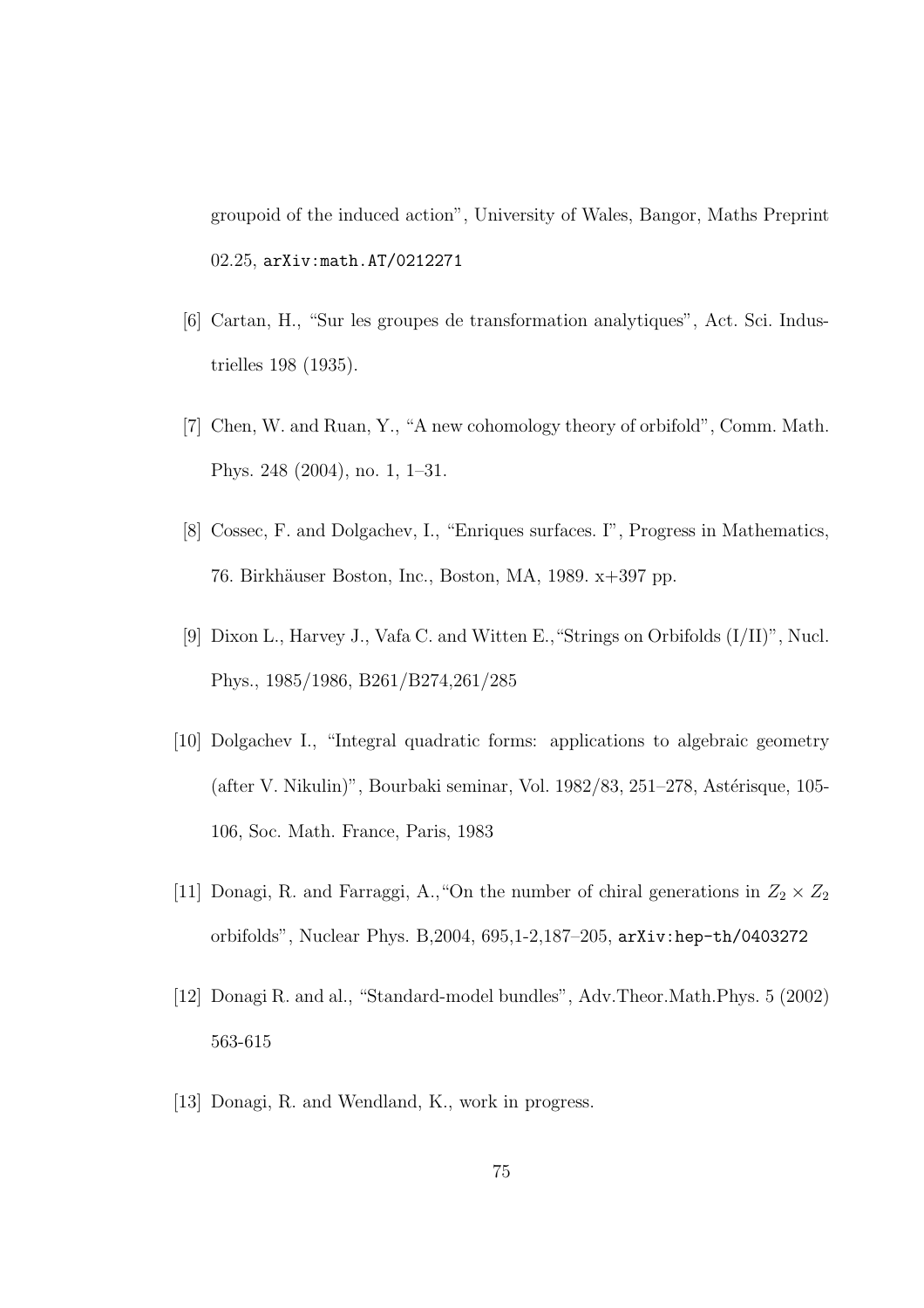groupoid of the induced action", University of Wales, Bangor, Maths Preprint 02.25, arXiv:math.AT/0212271

- [6] Cartan, H., "Sur les groupes de transformation analytiques", Act. Sci. Industrielles 198 (1935).
- [7] Chen, W. and Ruan, Y., "A new cohomology theory of orbifold", Comm. Math. Phys. 248 (2004), no. 1, 1–31.
- [8] Cossec, F. and Dolgachev, I., "Enriques surfaces. I", Progress in Mathematics, 76. Birkhäuser Boston, Inc., Boston, MA, 1989. x+397 pp.
- [9] Dixon L., Harvey J., Vafa C. and Witten E.,"Strings on Orbifolds (I/II)", Nucl. Phys., 1985/1986, B261/B274,261/285
- [10] Dolgachev I., "Integral quadratic forms: applications to algebraic geometry  $(after V. Nikulin)$ ", Bourbaki seminar, Vol. 1982/83, 251–278, Astérisque, 105-106, Soc. Math. France, Paris, 1983
- [11] Donagi, R. and Farraggi, A., "On the number of chiral generations in  $Z_2 \times Z_2$ orbifolds", Nuclear Phys. B,2004, 695,1-2,187–205, arXiv:hep-th/0403272
- [12] Donagi R. and al., "Standard-model bundles", Adv.Theor.Math.Phys. 5 (2002) 563-615
- [13] Donagi, R. and Wendland, K., work in progress.